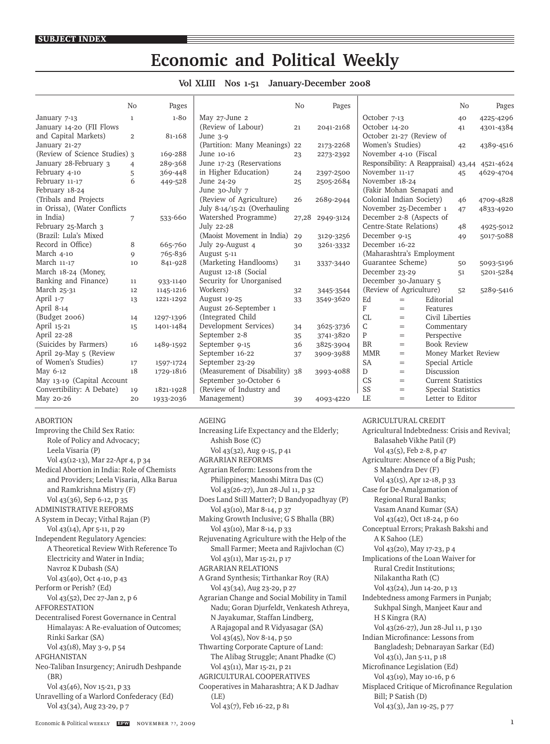# **Economic and Political Weekly**

|                               | N <sub>0</sub> | Pages                        |                                | N <sub>o</sub> | Pages     |                        |                           |                                | N <sub>0</sub> | Pages           |
|-------------------------------|----------------|------------------------------|--------------------------------|----------------|-----------|------------------------|---------------------------|--------------------------------|----------------|-----------------|
| January 7-13                  | $\mathbf{1}$   | $1 - 80$                     | May 27-June 2                  |                |           | October 7-13           |                           |                                | 40             | 4225-4296       |
| January 14-20 (FII Flows      |                |                              | (Review of Labour)             | 21             | 2041-2168 | October 14-20          |                           |                                | 41             | 4301-4384       |
| and Capital Markets)          | $\overline{2}$ | 81-168                       | June 3-9                       |                |           |                        | October 21-27 (Review of  |                                |                |                 |
| January 21-27                 |                |                              | (Partition: Many Meanings)     | 22             | 2173-2268 |                        | Women's Studies)          |                                | 42             | 4389-4516       |
| (Review of Science Studies) 3 |                | 169-288                      | June 10-16                     | 23             | 2273-2392 |                        | November 4-10 (Fiscal     |                                |                |                 |
| January 28-February 3         | $\overline{4}$ | 289-368                      | June 17-23 (Reservations       |                |           |                        |                           | Responsibility: A Reappraisal) |                | 43,44 4521-4624 |
| February 4-10                 | 5              | 369-448                      | in Higher Education)           | 24             | 2397-2500 | November 11-17         |                           |                                | 45             | 4629-4704       |
| February 11-17                | 6              | 449-528                      | June 24-29                     | 25             | 2505-2684 | November 18-24         |                           |                                |                |                 |
| February 18-24                |                |                              | June 30-July 7                 |                |           |                        |                           | (Fakir Mohan Senapati and      |                |                 |
| (Tribals and Projects         |                |                              | (Review of Agriculture)        | 26             | 2689-2944 |                        | Colonial Indian Society)  |                                | 46             | 4709-4828       |
| in Orissa), (Water Conflicts  |                | July 8-14/15-21 (Overhauling |                                |                |           | November 25-December 1 |                           | 47                             | 4833-4920      |                 |
| in India)                     | 7              | 533-660                      | Watershed Programme)           | 27,28          | 2949-3124 |                        | December 2-8 (Aspects of  |                                |                |                 |
| February 25-March 3           |                |                              | July 22-28                     |                |           |                        | Centre-State Relations)   |                                | 48             | 4925-5012       |
| (Brazil: Lula's Mixed         |                |                              | (Maoist Movement in India)     | 29             | 3129-3256 | December 9-15          |                           |                                | 49             | 5017-5088       |
| Record in Office)             | 8              | 665-760                      | July 29-August 4               | 30             | 3261-3332 | December 16-22         |                           |                                |                |                 |
| March 4-10                    | $\mathsf{Q}$   | 765-836                      | August 5-11                    |                |           |                        |                           | (Maharashtra's Employment      |                |                 |
| March 11-17                   | 10             | 841-928                      | (Marketing Handlooms)          | 31             | 3337-3440 |                        | Guarantee Scheme)         |                                | 50             | 5093-5196       |
| March 18-24 (Money,           |                |                              | August 12-18 (Social           |                |           | December 23-29         |                           |                                | 51             | 5201-5284       |
| Banking and Finance)          | 11             | 933-1140                     | Security for Unorganised       |                |           |                        | December 30-January 5     |                                |                |                 |
| March 25-31                   | 12             | 1145-1216                    | Workers)                       | 32             | 3445-3544 |                        | (Review of Agriculture)   |                                | 52             | 5289-5416       |
| April 1-7                     | 13             | 1221-1292                    | August 19-25                   | 33             | 3549-3620 | Ed                     | $=$                       | Editorial                      |                |                 |
| April 8-14                    |                |                              | August 26-September 1          |                |           | $_{\rm F}$             | $=$                       | Features                       |                |                 |
| (Budget 2006)                 | 14             | 1297-1396                    | (Integrated Child              |                |           | CL                     | $=$                       | Civil Liberties                |                |                 |
| April 15-21                   | 15             | 1401-1484                    | Development Services)          | 34             | 3625-3736 | $\mathsf{C}$           | $=$                       | Commentary                     |                |                 |
| April 22-28                   |                |                              | September 2-8                  | 35             | 3741-3820 | $\mathbf{P}$           | $=$                       | Perspective                    |                |                 |
| (Suicides by Farmers)         | 16             | 1489-1592                    | September 9-15                 | 36             | 3825-3904 | <b>BR</b>              | $=$                       | <b>Book Review</b>             |                |                 |
| April 29-May 5 (Review        |                |                              | September 16-22                | 37             | 3909-3988 | <b>MMR</b>             | $=$                       | Money Market Review            |                |                 |
| of Women's Studies)           | 17             | 1597-1724                    | September 23-29                |                |           | <b>SA</b>              | $=$                       | Special Article                |                |                 |
| May 6-12                      | 18             | 1729-1816                    | (Measurement of Disability) 38 |                | 3993-4088 | D                      | $=$                       | Discussion                     |                |                 |
| May 13-19 (Capital Account    |                | September 30-October 6       |                                |                | CS        | $=$                    | <b>Current Statistics</b> |                                |                |                 |
| Convertibility: A Debate)     | 19             | 1821-1928                    | (Review of Industry and        |                |           | SS                     | Special Statistics<br>$=$ |                                |                |                 |
| May 20-26                     | 20             | 1933-2036                    | Management)                    | 39             | 4093-4220 | LE                     | $=$                       | Letter to Editor               |                |                 |

**Vol XLIII Nos 1-51 January-December 2008**

# Improving the Child Sex Ratio: Role of Policy and Advocacy; Leela Visaria (P) Vol 43(12-13), Mar 22-Apr 4, p 34 Medical Abortion in India: Role of Chemists and Providers; Leela Visaria, Alka Barua and Ramkrishna Mistry (F) Vol 43(36), Sep 6-12, p 35 ADMINISTRATIVE REFORMS A System in Decay; Vithal Rajan (P) Vol 43(14), Apr 5-11, p 29 Independent Regulatory Agencies: A Theoretical Review With Reference To Electricity and Water in India; Navroz K Dubash (SA) Vol 43(40), Oct 4-10, p 43 Perform or Perish? (Ed) Vol 43(52), Dec 27-Jan 2, p 6 AFFORESTATION Decentralised Forest Governance in Central Himalayas: A Re-evaluation of Outcomes; Rinki Sarkar (SA) Vol 43(18), May 3-9, p 54 AFGHANISTAN Neo-Taliban Insurgency; Anirudh Deshpande (BR) Vol 43(46), Nov 15-21, p 33 Unravelling of a Warlord Confederacy (Ed) Vol 43(34), Aug 23-29, p 7

ABORTION

AGEING

Increasing Life Expectancy and the Elderly; Ashish Bose (C) Vol 43(32), Aug 9-15, p 41 AGRARIAN REFORMS Agrarian Reform: Lessons from the Philippines; Manoshi Mitra Das (C) Vol 43(26-27), Jun 28-Jul 11, p 32 Does Land Still Matter?; D Bandyopadhyay (P) Vol 43(10), Mar 8-14, p 37 Making Growth Inclusive; G S Bhalla (BR) Vol 43(10), Mar 8-14, p 33 Rejuvenating Agriculture with the Help of the Small Farmer; Meeta and Rajivlochan (C) Vol 43(11), Mar 15-21, p 17 AGRARIAN RELATIONS A Grand Synthesis; Tirthankar Roy (RA) Vol 43(34), Aug 23-29, p 27 Agrarian Change and Social Mobility in Tamil Nadu; Goran Djurfeldt, Venkatesh Athreya, N Jayakumar, Staffan Lindberg, A Rajagopal and R Vidyasagar (SA) Vol 43(45), Nov 8-14, p 50 Thwarting Corporate Capture of Land: The Alibag Struggle; Anant Phadke (C) Vol 43(11), Mar 15-21, p 21 AGRICULTURAL COOPERATIVES Cooperatives in Maharashtra; A K D Jadhav (LE) Vol 43(7), Feb 16-22, p 81

AGRICULTURAL CREDIT

Agricultural Indebtedness: Crisis and Revival; Balasaheb Vikhe Patil (P) Vol 43(5), Feb 2-8, p 47 Agriculture: Absence of a Big Push; S Mahendra Dev (F) Vol 43(15), Apr 12-18, p 33 Case for De-Amalgamation of Regional Rural Banks; Vasam Anand Kumar (SA) Vol 43(42), Oct 18-24, p 60 Conceptual Errors; Prakash Bakshi and A K Sahoo (LE) Vol 43(20), May 17-23, p 4 Implications of the Loan Waiver for Rural Credit Institutions; Nilakantha Rath (C) Vol 43(24), Jun 14-20, p 13 Indebtedness among Farmers in Punjab; Sukhpal Singh, Manjeet Kaur and H S Kingra (RA) Vol 43(26-27), Jun 28-Jul 11, p 130 Indian Microfinance: Lessons from Bangladesh; Debnarayan Sarkar (Ed) Vol 43(1), Jan 5-11, p 18 Microfinance Legislation (Ed) Vol 43(19), May 10-16, p 6 Misplaced Critique of Microfinance Regulation Bill; P Satish (D) Vol 43(3), Jan 19-25, p 77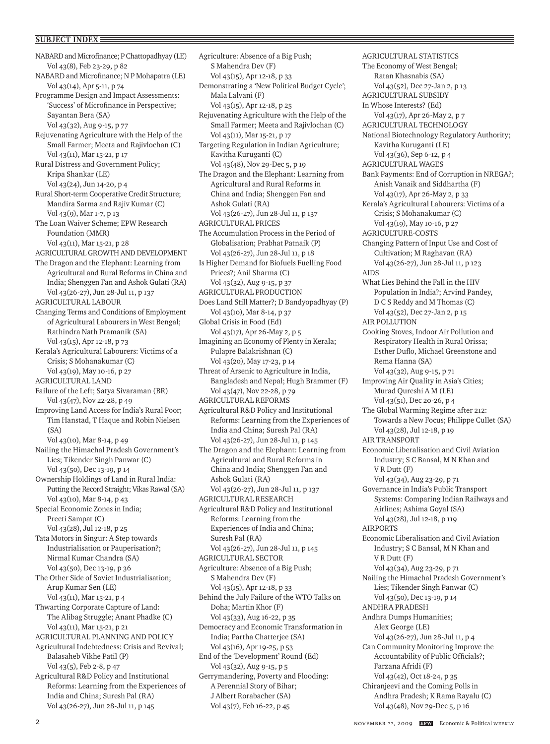NABARD and Microfinance; P Chattopadhyay (LE) Vol 43(8), Feb 23-29, p 82 NABARD and Microfinance; N P Mohapatra (LE) Vol 43(14), Apr 5-11, p 74 Programme Design and Impact Assessments: 'Success' of Microfinance in Perspective; Sayantan Bera (SA) Vol 43(32), Aug 9-15, p 77 Rejuvenating Agriculture with the Help of the Small Farmer; Meeta and Rajivlochan (C) Vol 43(11), Mar 15-21, p 17 Rural Distress and Government Policy; Kripa Shankar (LE) Vol 43(24), Jun 14-20, p 4 Rural Short-term Cooperative Credit Structure; Mandira Sarma and Rajiv Kumar (C) Vol 43(9), Mar 1-7, p 13 The Loan Waiver Scheme; EPW Research Foundation (MMR) Vol 43(11), Mar 15-21, p 28 AGRICULTURAL GROWTH AND DEVELOPMENT The Dragon and the Elephant: Learning from Agricultural and Rural Reforms in China and India; Shenggen Fan and Ashok Gulati (RA) Vol 43(26-27), Jun 28-Jul 11, p 137 AGRICULTURAL LABOUR Changing Terms and Conditions of Employment of Agricultural Labourers in West Bengal; Rathindra Nath Pramanik (SA) Vol 43(15), Apr 12-18, p 73 Kerala's Agricultural Labourers: Victims of a Crisis; S Mohanakumar (C) Vol 43(19), May 10-16, p 27 AGRICULTURAL LAND Failure of the Left; Satya Sivaraman (BR) Vol 43(47), Nov 22-28, p 49 Improving Land Access for India's Rural Poor; Tim Hanstad, T Haque and Robin Nielsen (SA) Vol 43(10), Mar 8-14, p 49 Nailing the Himachal Pradesh Government's Lies; Tikender Singh Panwar (C) Vol 43(50), Dec 13-19, p 14 Ownership Holdings of Land in Rural India: Putting the Record Straight; Vikas Rawal (SA) Vol 43(10), Mar 8-14, p 43 Special Economic Zones in India; Preeti Sampat (C) Vol 43(28), Jul 12-18, p 25 Tata Motors in Singur: A Step towards Industrialisation or Pauperisation?; Nirmal Kumar Chandra (SA) Vol 43(50), Dec 13-19, p 36 The Other Side of Soviet Industrialisation; Arup Kumar Sen (LE) Vol 43(11), Mar 15-21, p 4 Thwarting Corporate Capture of Land: The Alibag Struggle; Anant Phadke (C) Vol 43(11), Mar 15-21, p 21 AGRICULTURAL PLANNING AND POLICY Agricultural Indebtedness: Crisis and Revival; Balasaheb Vikhe Patil (P) Vol 43(5), Feb 2-8, p 47 Agricultural R&D Policy and Institutional Reforms: Learning from the Experiences of India and China; Suresh Pal (RA) Vol 43(26-27), Jun 28-Jul 11, p 145

Agriculture: Absence of a Big Push; S Mahendra Dev (F) Vol 43(15), Apr 12-18, p 33 Demonstrating a 'New Political Budget Cycle'; Mala Lalvani (F) Vol 43(15), Apr 12-18, p 25 Rejuvenating Agriculture with the Help of the Small Farmer; Meeta and Rajivlochan (C) Vol 43(11), Mar 15-21, p 17 Targeting Regulation in Indian Agriculture; Kavitha Kuruganti (C) Vol 43(48), Nov 29-Dec 5, p 19 The Dragon and the Elephant: Learning from Agricultural and Rural Reforms in China and India; Shenggen Fan and Ashok Gulati (RA) Vol 43(26-27), Jun 28-Jul 11, p 137 AGRICULTURAL PRICES The Accumulation Process in the Period of Globalisation; Prabhat Patnaik (P) Vol 43(26-27), Jun 28-Jul 11, p 18 Is Higher Demand for Biofuels Fuelling Food Prices?; Anil Sharma (C) Vol 43(32), Aug 9-15, p 37 AGRICULTURAL PRODUCTION Does Land Still Matter?; D Bandyopadhyay (P) Vol 43(10), Mar 8-14, p 37 Global Crisis in Food (Ed) Vol 43(17), Apr 26-May 2, p 5 Imagining an Economy of Plenty in Kerala; Pulapre Balakrishnan (C) Vol 43(20), May 17-23, p 14 Threat of Arsenic to Agriculture in India, Bangladesh and Nepal; Hugh Brammer (F) Vol 43(47), Nov 22-28, p 79 AGRICULTURAL REFORMS Agricultural R&D Policy and Institutional Reforms: Learning from the Experiences of India and China; Suresh Pal (RA) Vol 43(26-27), Jun 28-Jul 11, p 145 The Dragon and the Elephant: Learning from Agricultural and Rural Reforms in China and India; Shenggen Fan and Ashok Gulati (RA) Vol 43(26-27), Jun 28-Jul 11, p 137 AGRICULTURAL RESEARCH Agricultural R&D Policy and Institutional Reforms: Learning from the Experiences of India and China; Suresh Pal (RA) Vol 43(26-27), Jun 28-Jul 11, p 145 AGRICULTURAL SECTOR Agriculture: Absence of a Big Push; S Mahendra Dev (F) Vol 43(15), Apr 12-18, p 33 Behind the July Failure of the WTO Talks on Doha; Martin Khor (F) Vol 43(33), Aug 16-22, p 35 Democracy and Economic Transformation in India; Partha Chatterjee (SA) Vol 43(16), Apr 19-25, p 53 End of the 'Development' Round (Ed) Vol 43(32), Aug 9-15, p 5 Gerrymandering, Poverty and Flooding: A Perennial Story of Bihar; J Albert Rorabacher (SA) Vol 43(7), Feb 16-22, p 45

AGRICULTURAL STATISTICS The Economy of West Bengal; Ratan Khasnabis (SA) Vol 43(52), Dec 27-Jan 2, p 13 AGRICULTURAL SUBSIDY In Whose Interests? (Ed) Vol 43(17), Apr 26-May 2, p 7 AGRICULTURAL TECHNOLOGY National Biotechnology Regulatory Authority; Kavitha Kuruganti (LE) Vol 43(36), Sep 6-12, p 4 AGRICULTURAL WAGES Bank Payments: End of Corruption in NREGA?; Anish Vanaik and Siddhartha (F) Vol 43(17), Apr 26-May 2, p 33 Kerala's Agricultural Labourers: Victims of a Crisis; S Mohanakumar (C) Vol 43(19), May 10-16, p 27 AGRICULTURE-COSTS Changing Pattern of Input Use and Cost of Cultivation; M Raghavan (RA) Vol 43(26-27), Jun 28-Jul 11, p 123 AIDS What Lies Behind the Fall in the HIV Population in India?; Arvind Pandey, D C S Reddy and M Thomas (C) Vol 43(52), Dec 27-Jan 2, p 15 AIR POLLUTION Cooking Stoves, Indoor Air Pollution and Respiratory Health in Rural Orissa; Esther Duflo, Michael Greenstone and Rema Hanna (SA) Vol 43(32), Aug 9-15, p 71 Improving Air Quality in Asia's Cities; Murad Qureshi A M (LE) Vol 43(51), Dec 20-26, p 4 The Global Warming Regime after 212: Towards a New Focus; Philippe Cullet (SA) Vol 43(28), Jul 12-18, p 19 AIR TRANSPORT Economic Liberalisation and Civil Aviation Industry; S C Bansal, M N Khan and V R Dutt (F) Vol 43(34), Aug 23-29, p 71 Governance in India's Public Transport Systems: Comparing Indian Railways and Airlines; Ashima Goyal (SA) Vol 43(28), Jul 12-18, p 119 AIRPORTS Economic Liberalisation and Civil Aviation Industry; S C Bansal, M N Khan and V R Dutt (F) Vol 43(34), Aug 23-29, p 71 Nailing the Himachal Pradesh Government's Lies; Tikender Singh Panwar (C) Vol 43(50), Dec 13-19, p 14 ANDHRA PRADESH Andhra Dumps Humanities; Alex George (LE) Vol 43(26-27), Jun 28-Jul 11, p 4 Can Community Monitoring Improve the Accountability of Public Officials?; Farzana Afridi (F) Vol 43(42), Oct 18-24, p 35 Chiranjeevi and the Coming Polls in Andhra Pradesh; K Rama Rayalu (C) Vol 43(48), Nov 29-Dec 5, p 16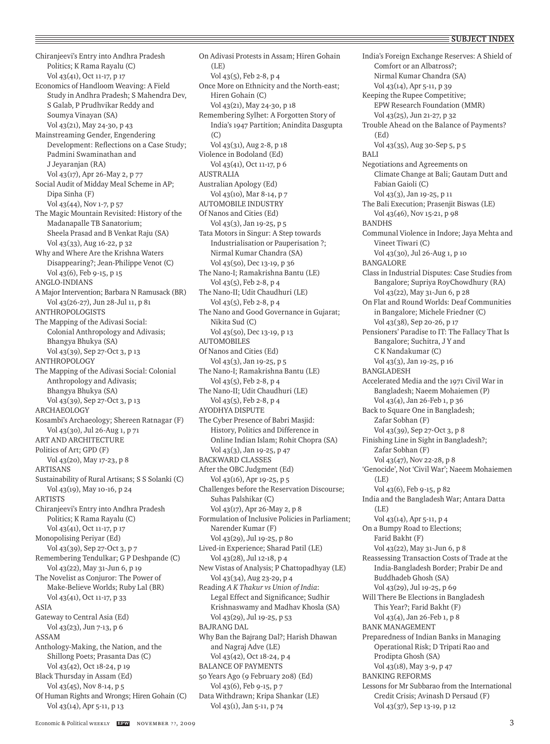## $\equiv$  SUBJECT INDEX

Chiranjeevi's Entry into Andhra Pradesh Politics; K Rama Rayalu (C) Vol 43(41), Oct 11-17, p 17 Economics of Handloom Weaving: A Field Study in Andhra Pradesh; S Mahendra Dev, S Galab, P Prudhvikar Reddy and Soumya Vinayan (SA) Vol 43(21), May 24-30, p 43 Mainstreaming Gender, Engendering Development: Reflections on a Case Study; Padmini Swaminathan and J Jeyaranjan (RA) Vol 43(17), Apr 26-May 2, p 77 Social Audit of Midday Meal Scheme in AP; Dipa Sinha (F) Vol 43(44), Nov 1-7, p 57 The Magic Mountain Revisited: History of the Madanapalle TB Sanatorium; Sheela Prasad and B Venkat Raju (SA) Vol 43(33), Aug 16-22, p 32 Why and Where Are the Krishna Waters Disappearing?; Jean-Philippe Venot (C) Vol 43(6), Feb 9-15, p 15 ANGLO-INDIANS A Major Intervention; Barbara N Ramusack (BR) Vol 43(26-27), Jun 28-Jul 11, p 81 ANTHROPOLOGISTS The Mapping of the Adivasi Social: Colonial Anthropology and Adivasis; Bhangya Bhukya (SA) Vol 43(39), Sep 27-Oct 3, p 13 ANTHROPOLOGY The Mapping of the Adivasi Social: Colonial Anthropology and Adivasis; Bhangya Bhukya (SA) Vol 43(39), Sep 27-Oct 3, p 13 ARCHAEOLOGY Kosambi's Archaeology; Shereen Ratnagar (F) Vol 43(30), Jul 26-Aug 1, p 71 ART AND ARCHITECTURE Politics of Art; GPD (F) Vol 43(20), May 17-23, p 8 ARTISANS Sustainability of Rural Artisans; S S Solanki (C) Vol 43(19), May 10-16, p 24 ARTISTS Chiranjeevi's Entry into Andhra Pradesh Politics; K Rama Rayalu (C) Vol 43(41), Oct 11-17, p 17 Monopolising Periyar (Ed) Vol 43(39), Sep 27-Oct 3, p 7 Remembering Tendulkar; G P Deshpande (C) Vol 43(22), May 31-Jun 6, p 19 The Novelist as Conjuror: The Power of Make-Believe Worlds; Ruby Lal (BR) Vol 43(41), Oct 11-17, p 33 ASIA Gateway to Central Asia (Ed) Vol 43(23), Jun 7-13, p 6 ASSAM Anthology-Making, the Nation, and the Shillong Poets; Prasanta Das (C) Vol 43(42), Oct 18-24, p 19 Black Thursday in Assam (Ed) Vol 43(45), Nov 8-14, p 5 Of Human Rights and Wrongs; Hiren Gohain (C) Vol 43(14), Apr 5-11, p 13

On Adivasi Protests in Assam; Hiren Gohain (LE) Vol 43(5), Feb 2-8, p 4 Once More on Ethnicity and the North-east; Hiren Gohain (C) Vol 43(21), May 24-30, p 18 Remembering Sylhet: A Forgotten Story of India's 1947 Partition; Anindita Dasgupta  $(C)$ Vol 43(31), Aug 2-8, p 18 Violence in Bodoland (Ed) Vol 43(41), Oct 11-17, p 6 AUSTRALIA Australian Apology (Ed) Vol 43(10), Mar 8-14, p 7 AUTOMOBILE INDUSTRY Of Nanos and Cities (Ed) Vol 43(3), Jan 19-25, p 5 Tata Motors in Singur: A Step towards Industrialisation or Pauperisation ?; Nirmal Kumar Chandra (SA) Vol 43(50), Dec 13-19, p 36 The Nano-I; Ramakrishna Bantu (LE) Vol 43(5), Feb 2-8, p 4 The Nano-II; Udit Chaudhuri (LE) Vol 43(5), Feb 2-8, p 4 The Nano and Good Governance in Gujarat; Nikita Sud (C) Vol 43(50), Dec 13-19, p 13 AUTOMOBILES Of Nanos and Cities (Ed) Vol 43(3), Jan 19-25, p 5 The Nano-I; Ramakrishna Bantu (LE) Vol 43(5), Feb 2-8, p 4 The Nano-II; Udit Chaudhuri (LE) Vol 43(5), Feb 2-8, p 4 AYODHYA DISPUTE The Cyber Presence of Babri Masjid: History, Politics and Difference in Online Indian Islam; Rohit Chopra (SA) Vol 43(3), Jan 19-25, p 47 BACKWARD CLASSES After the OBC Judgment (Ed) Vol 43(16), Apr 19-25, p 5 Challenges before the Reservation Discourse; Suhas Palshikar (C) Vol 43(17), Apr 26-May 2, p 8 Formulation of Inclusive Policies in Parliament; Narender Kumar (F) Vol 43(29), Jul 19-25, p 80 Lived-in Experience; Sharad Patil (LE) Vol 43(28), Jul 12-18, p 4 New Vistas of Analysis; P Chattopadhyay (LE) Vol 43(34), Aug 23-29, p 4 Reading *A K Thakur vs Union of India*: Legal Effect and Significance; Sudhir Krishnaswamy and Madhav Khosla (SA) Vol 43(29), Jul 19-25, p 53 BAJRANG DAL Why Ban the Bajrang Dal?; Harish Dhawan and Nagraj Adve (LE) Vol 43(42), Oct 18-24, p 4 BALANCE OF PAYMENTS 50 Years Ago (9 February 208) (Ed) Vol 43(6), Feb 9-15, p 7 Data Withdrawn; Kripa Shankar (LE) Vol 43(1), Jan 5-11, p 74

India's Foreign Exchange Reserves: A Shield of Comfort or an Albatross?; Nirmal Kumar Chandra (SA) Vol 43(14), Apr 5-11, p 39 Keeping the Rupee Competitive; EPW Research Foundation (MMR) Vol 43(25), Jun 21-27, p 32 Trouble Ahead on the Balance of Payments? (Ed) Vol 43(35), Aug 30-Sep 5, p 5 BALI Negotiations and Agreements on Climate Change at Bali; Gautam Dutt and Fabian Gaioli (C) Vol 43(3), Jan 19-25, p 11 The Bali Execution; Prasenjit Biswas (LE) Vol 43(46), Nov 15-21, p 98 **BANDHS** Communal Violence in Indore; Jaya Mehta and Vineet Tiwari (C) Vol 43(30), Jul 26-Aug 1, p 10 BANGALORE Class in Industrial Disputes: Case Studies from Bangalore; Supriya RoyChowdhury (RA) Vol 43(22), May 31-Jun 6, p 28 On Flat and Round Worlds: Deaf Communities in Bangalore; Michele Friedner (C) Vol 43(38), Sep 20-26, p 17 Pensioners' Paradise to IT: The Fallacy That Is Bangalore; Suchitra, J Y and C K Nandakumar (C) Vol 43(3), Jan 19-25, p 16 BANGLADESH Accelerated Media and the 1971 Civil War in Bangladesh; Naeem Mohaiemen (P) Vol 43(4), Jan 26-Feb 1, p 36 Back to Square One in Bangladesh; Zafar Sobhan (F) Vol 43(39), Sep 27-Oct 3, p 8 Finishing Line in Sight in Bangladesh?; Zafar Sobhan (F) Vol 43(47), Nov 22-28, p 8 'Genocide', Not 'Civil War'; Naeem Mohaiemen  $(I.E)$ Vol 43(6), Feb 9-15, p 82 India and the Bangladesh War; Antara Datta  $(LE)$ Vol 43(14), Apr 5-11, p 4 On a Bumpy Road to Elections; Farid Bakht (F) Vol 43(22), May 31-Jun 6, p 8 Reassessing Transaction Costs of Trade at the India-Bangladesh Border; Prabir De and Buddhadeb Ghosh (SA) Vol 43(29), Jul 19-25, p 69 Will There Be Elections in Bangladesh This Year?; Farid Bakht (F) Vol 43(4), Jan 26-Feb 1, p 8 BANK MANAGEMENT Preparedness of Indian Banks in Managing Operational Risk; D Tripati Rao and Prodipta Ghosh (SA) Vol 43(18), May 3-9, p 47 BANKING REFORMS Lessons for Mr Subbarao from the International Credit Crisis; Avinash D Persaud (F) Vol 43(37), Sep 13-19, p 12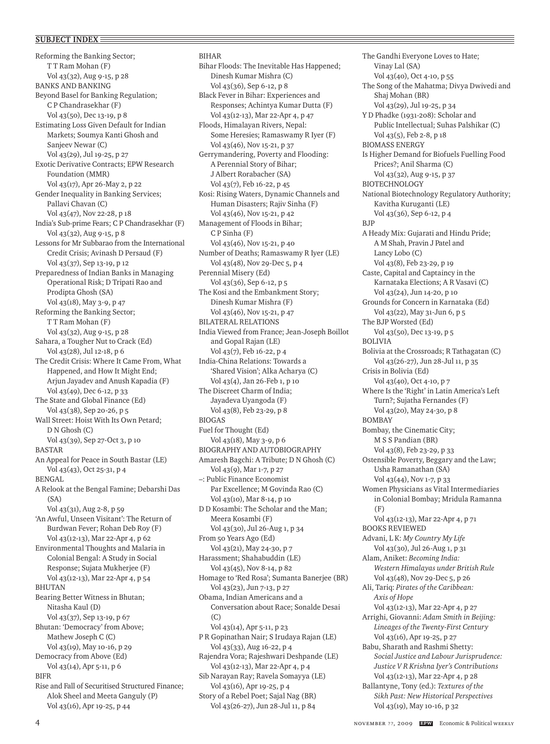Reforming the Banking Sector; T T Ram Mohan (F) Vol 43(32), Aug 9-15, p 28 BANKS AND BANKING Beyond Basel for Banking Regulation; C P Chandrasekhar (F) Vol 43(50), Dec 13-19, p 8 Estimating Loss Given Default for Indian Markets; Soumya Kanti Ghosh and Sanjeev Newar (C) Vol 43(29), Jul 19-25, p 27 Exotic Derivative Contracts; EPW Research Foundation (MMR) Vol 43(17), Apr 26-May 2, p 22 Gender Inequality in Banking Services; Pallavi Chavan (C) Vol 43(47), Nov 22-28, p 18 India's Sub-prime Fears; C P Chandrasekhar (F) Vol 43(32), Aug 9-15, p 8 Lessons for Mr Subbarao from the International Credit Crisis; Avinash D Persaud (F) Vol 43(37), Sep 13-19, p 12 Preparedness of Indian Banks in Managing Operational Risk; D Tripati Rao and Prodipta Ghosh (SA) Vol 43(18), May 3-9, p 47 Reforming the Banking Sector; T T Ram Mohan (F) Vol 43(32), Aug 9-15, p 28 Sahara, a Tougher Nut to Crack (Ed) Vol 43(28), Jul 12-18, p 6 The Credit Crisis: Where It Came From, What Happened, and How It Might End; Arjun Jayadev and Anush Kapadia (F) Vol 43(49), Dec 6-12, p 33 The State and Global Finance (Ed) Vol 43(38), Sep 20-26, p 5 Wall Street: Hoist With Its Own Petard; D N Ghosh (C) Vol 43(39), Sep 27-Oct 3, p 10 BASTAR An Appeal for Peace in South Bastar (LE) Vol 43(43), Oct 25-31, p 4 BENGAL A Relook at the Bengal Famine; Debarshi Das  $(SA)$ Vol 43(31), Aug 2-8, p 59 'An Awful, Unseen Visitant': The Return of Burdwan Fever; Rohan Deb Roy (F) Vol 43(12-13), Mar 22-Apr 4, p 62 Environmental Thoughts and Malaria in Colonial Bengal: A Study in Social Response; Sujata Mukherjee (F) Vol 43(12-13), Mar 22-Apr 4, p 54 BHUTAN Bearing Better Witness in Bhutan; Nitasha Kaul (D) Vol 43(37), Sep 13-19, p 67 Bhutan: 'Democracy' from Above; Mathew Joseph C (C) Vol 43(19), May 10-16, p 29 Democracy from Above (Ed) Vol 43(14), Apr 5-11, p 6 BIFR Rise and Fall of Securitised Structured Finance; Alok Sheel and Meeta Ganguly (P) Vol 43(16), Apr 19-25, p 44

BIHAR Bihar Floods: The Inevitable Has Happened; Dinesh Kumar Mishra (C) Vol 43(36), Sep 6-12, p 8 Black Fever in Bihar: Experiences and Responses; Achintya Kumar Dutta (F) Vol 43(12-13), Mar 22-Apr 4, p 47 Floods, Himalayan Rivers, Nepal: Some Heresies; Ramaswamy R Iyer (F) Vol 43(46), Nov 15-21, p 37 Gerrymandering, Poverty and Flooding: A Perennial Story of Bihar; J Albert Rorabacher (SA) Vol 43(7), Feb 16-22, p 45 Kosi: Rising Waters, Dynamic Channels and Human Disasters; Rajiv Sinha (F) Vol 43(46), Nov 15-21, p 42 Management of Floods in Bihar; C P Sinha (F) Vol 43(46), Nov 15-21, p 40 Number of Deaths; Ramaswamy R Iyer (LE) Vol 43(48), Nov 29-Dec 5, p 4 Perennial Misery (Ed) Vol 43(36), Sep 6-12, p 5 The Kosi and the Embankment Story; Dinesh Kumar Mishra (F) Vol 43(46), Nov 15-21, p 47 BILATERAL RELATIONS India Viewed from France; Jean-Joseph Boillot and Gopal Rajan (LE) Vol 43(7), Feb 16-22, p 4 India-China Relations: Towards a 'Shared Vision'; Alka Acharya (C) Vol 43(4), Jan 26-Feb 1, p 10 The Discreet Charm of India; Jayadeva Uyangoda (F) Vol 43(8), Feb 23-29, p 8 BIOGAS Fuel for Thought (Ed) Vol 43(18), May 3-9, p 6 BIOGRAPHY AND AUTOBIOGRAPHY Amaresh Bagchi: A Tribute; D N Ghosh (C) Vol 43(9), Mar 1-7, p 27 –: Public Finance Economist Par Excellence; M Govinda Rao (C) Vol 43(10), Mar 8-14, p 10 D D Kosambi: The Scholar and the Man; Meera Kosambi (F) Vol 43(30), Jul 26-Aug 1, p 34 From 50 Years Ago (Ed) Vol 43(21), May 24-30, p 7 Harassment; Shahabuddin (LE) Vol 43(45), Nov 8-14, p 82 Homage to 'Red Rosa'; Sumanta Banerjee (BR) Vol 43(23), Jun 7-13, p 27 Obama, Indian Americans and a Conversation about Race; Sonalde Desai (C) Vol 43(14), Apr 5-11, p 23 P R Gopinathan Nair; S Irudaya Rajan (LE) Vol 43(33), Aug 16-22, p 4 Rajendra Vora; Rajeshwari Deshpande (LE) Vol 43(12-13), Mar 22-Apr 4, p 4 Sib Narayan Ray; Ravela Somayya (LE) Vol 43(16), Apr 19-25, p 4 Story of a Rebel Poet; Sajal Nag (BR) Vol 43(26-27), Jun 28-Jul 11, p 84

The Gandhi Everyone Loves to Hate; Vinay Lal (SA) Vol 43(40), Oct 4-10, p 55 The Song of the Mahatma; Divya Dwivedi and Shaj Mohan (BR) Vol 43(29), Jul 19-25, p 34 Y D Phadke (1931-208): Scholar and Public Intellectual; Suhas Palshikar (C) Vol 43(5), Feb 2-8, p 18 BIOMASS ENERGY Is Higher Demand for Biofuels Fuelling Food Prices?; Anil Sharma (C) Vol 43(32), Aug 9-15, p 37 BIOTECHNOLOGY National Biotechnology Regulatory Authority; Kavitha Kuruganti (LE) Vol 43(36), Sep 6-12, p 4 **BJP** A Heady Mix: Gujarati and Hindu Pride; A M Shah, Pravin J Patel and Lancy Lobo (C) Vol 43(8), Feb 23-29, p 19 Caste, Capital and Captaincy in the Karnataka Elections; A R Vasavi (C) Vol 43(24), Jun 14-20, p 10 Grounds for Concern in Karnataka (Ed) Vol 43(22), May 31-Jun 6, p 5 The BJP Worsted (Ed) Vol 43(50), Dec 13-19, p 5 BOLIVIA Bolivia at the Crossroads; R Tathagatan (C) Vol 43(26-27), Jun 28-Jul 11, p 35 Crisis in Bolivia (Ed) Vol 43(40), Oct 4-10, p 7 Where Is the 'Right' in Latin America's Left Turn?; Sujatha Fernandes (F) Vol 43(20), May 24-30, p 8 BOMBAY Bombay, the Cinematic City; M S S Pandian (BR) Vol 43(8), Feb 23-29, p 33 Ostensible Poverty, Beggary and the Law; Usha Ramanathan (SA) Vol 43(44), Nov 1-7, p 33 Women Physicians as Vital Intermediaries in Colonial Bombay; Mridula Ramanna (F) Vol 43(12-13), Mar 22-Apr 4, p 71 BOOKS REVIEWED Advani, L K: *My Country My Life* Vol 43(30), Jul 26-Aug 1, p 31 Alam, Aniket: *Becoming India: Western Himalayas under British Rule* Vol 43(48), Nov 29-Dec 5, p 26 Ali, Tariq: *Pirates of the Caribbean: Axis of Hope* Vol 43(12-13), Mar 22-Apr 4, p 27 Arrighi, Giovanni: *Adam Smith in Beijing: Lineages of the Twenty-First Century* Vol 43(16), Apr 19-25, p 27 Babu, Sharath and Rashmi Shetty: *Social Justice and Labour Jurisprudence: Justice V R Krishna Iyer's Contributions* Vol 43(12-13), Mar 22-Apr 4, p 28 Ballantyne, Tony (ed.): *Textures of the Sikh Past: New Historical Perspectives* Vol 43(19), May 10-16, p 32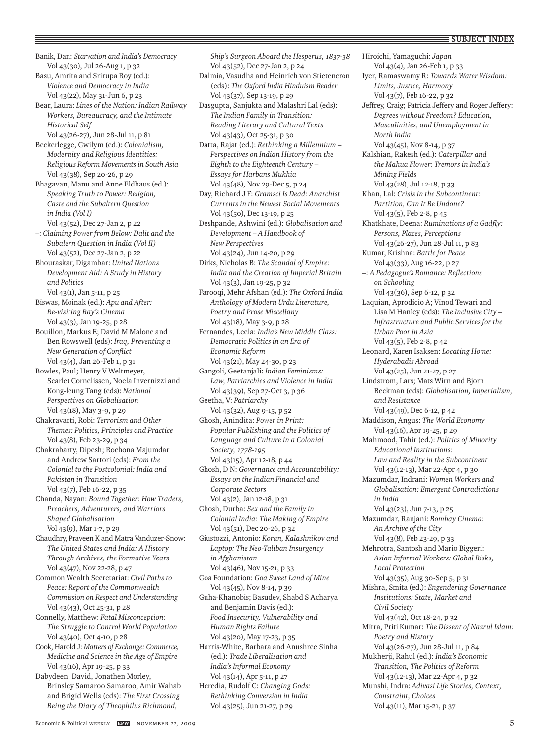Hiroichi, Yamaguchi: *Japan* Vol 43(4), Jan 26-Feb 1, p 33 Iyer, Ramaswamy R: *Towards Water Wisdom:* 

*North India*

*Mining Fields*

*Limits, Justice, Harmony* Vol 43(7), Feb 16-22, p 32

Vol 43(45), Nov 8-14, p 37 Kalshian, Rakesh (ed.): *Caterpillar and the Mahua Flower: Tremors in India's* 

Vol 43(28), Jul 12-18, p 33 Khan, Lal: *Crisis in the Subcontinent: Partition, Can It Be Undone?* Vol 43(5), Feb 2-8, p 45

Khatkhate, Deena: *Ruminations of a Gadfly: Persons, Places, Perceptions* Vol 43(26-27), Jun 28-Jul 11, p 83 Kumar, Krishna: *Battle for Peace* Vol 43(33), Aug 16-22, p 27

Jeffrey, Craig; Patricia Jeffery and Roger Jeffery: *Degrees without Freedom? Education, Masculinities, and Unemployment in* 

Banik, Dan: *Starvation and India's Democracy* Vol 43(30), Jul 26-Aug 1, p 32 Basu, Amrita and Srirupa Roy (ed.): *Violence and Democracy in India* Vol 43(22), May 31-Jun 6, p 23 Bear, Laura: *Lines of the Nation: Indian Railway Workers, Bureaucracy, and the Intimate Historical Self* Vol 43(26-27), Jun 28-Jul 11, p 81 Beckerlegge, Gwilym (ed.): *Colonialism, Modernity and Religious Identities: Religious Reform Movements in South Asia* Vol 43(38), Sep 20-26, p 29 Bhagavan, Manu and Anne Eldhaus (ed.): *Speaking Truth to Power: Religion, Caste and the Subaltern Question in India (Vol I)* Vol 43(52), Dec 27-Jan 2, p 22 –: *Claiming Power from Below: Dalit and the Subalern Question in India (Vol II)* Vol 43(52), Dec 27-Jan 2, p 22 Bhouraskar, Digambar: *United Nations Development Aid: A Study in History and Politics* Vol 43(1), Jan 5-11, p 25 Biswas, Moinak (ed.): *Apu and After: Re-visiting Ray's Cinema* Vol 43(3), Jan 19-25, p 28 Bouillon, Markus E; David M Malone and Ben Rowswell (eds): *Iraq, Preventing a New Generation of Conflict* Vol 43(4), Jan 26-Feb 1, p 31 Bowles, Paul; Henry V Weltmeyer, Scarlet Cornelissen, Noela Invernizzi and Kong-leung Tang (eds): *National Perspectives on Globalisation* Vol 43(18), May 3-9, p 29 Chakravarti, Robi: *Terrorism and Other Themes: Politics, Principles and Practice* Vol 43(8), Feb 23-29, p 34 Chakrabarty, Dipesh; Rochona Majumdar and Andrew Sartori (eds): *From the Colonial to the Postcolonial: India and Pakistan in Transition* Vol 43(7), Feb 16-22, p 35 Chanda, Nayan: *Bound Together: How Traders, Preachers, Adventurers, and Warriors Shaped Globalisation* Vol 43(9), Mar 1-7, p 29 Chaudhry, Praveen K and Matra Vanduzer-Snow: *The United States and India: A History Through Archives, the Formative Years* Vol 43(47), Nov 22-28, p 47 Common Wealth Secretariat: *Civil Paths to Peace: Report of the Commonwealth Commission on Respect and Understanding* Vol 43(43), Oct 25-31, p 28 Connelly, Matthew: *Fatal Misconception: The Struggle to Control World Population* Vol 43(40), Oct 4-10, p 28 Cook, Harold J: *Matters of Exchange: Commerce, Medicine and Science in the Age of Empire* Vol 43(16), Apr 19-25, p 33 Dabydeen, David, Jonathen Morley, Brinsley Samaroo Samaroo, Amir Wahab and Brigid Wells (eds): *The First Crossing* 

*Ship's Surgeon Aboard the Hesperus, 1837-38* Vol 43(52), Dec 27-Jan 2, p 24

Dalmia, Vasudha and Heinrich von Stietencron (eds): *The Oxford India Hinduism Reader* Vol 43(37), Sep 13-19, p 29

Dasgupta, Sanjukta and Malashri Lal (eds): *The Indian Family in Transition: Reading Literary and Cultural Texts* Vol 43(43), Oct 25-31, p 30

Datta, Rajat (ed.): *Rethinking a Millennium – Perspectives on Indian History from the Eighth to the Eighteenth Century – Essays for Harbans Mukhia* Vol 43(48), Nov 29-Dec 5, p 24

Day, Richard J F: *Gramsci Is Dead: Anarchist Currents in the Newest Social Movements* Vol 43(50), Dec 13-19, p 25

Deshpande, Ashwini (ed.): *Globalisation and Development – A Handbook of New Perspectives* Vol 43(24), Jun 14-20, p 29

Dirks, Nicholas B: *The Scandal of Empire: India and the Creation of Imperial Britain* Vol 43(3), Jan 19-25, p 32

Farooqi, Mehr Afshan (ed.): *The Oxford India Anthology of Modern Urdu Literature, Poetry and Prose Miscellany* Vol 43(18), May 3-9, p 28

Fernandes, Leela: *India's New Middle Class: Democratic Politics in an Era of Economic Reform* Vol 43(21), May 24-30, p 23

Gangoli, Geetanjali: *Indian Feminisms: Law, Patriarchies and Violence in India* Vol 43(39), Sep 27-Oct 3, p 36 Geetha, V: *Patriarchy*

Vol 43(32), Aug 9-15, p 52 Ghosh, Anindita: *Power in Print: Popular Publishing and the Politics of Language and Culture in a Colonial Society, 1778-195* Vol 43(15), Apr 12-18, p 44

Ghosh, D N: *Governance and Accountability: Essays on the Indian Financial and Corporate Sectors* Vol 43(2), Jan 12-18, p 31

Ghosh, Durba: *Sex and the Family in Colonial India: The Making of Empire* Vol 43(51), Dec 20-26, p 32

Giustozzi, Antonio: *Koran, Kalashnikov and Laptop: The Neo-Taliban Insurgency in Afghanistan* Vol 43(46), Nov 15-21, p 33

Goa Foundation: *Goa Sweet Land of Mine* Vol 43(45), Nov 8-14, p 39

Guha-Khanobis; Basudev, Shabd S Acharya and Benjamin Davis (ed.): *Food Insecurity, Vulnerability and Human Rights Failure* Vol 43(20), May 17-23, p 35

Harris-White, Barbara and Anushree Sinha (ed.): *Trade Liberalisation and India's Informal Economy* Vol 43(14), Apr 5-11, p 27

Heredia, Rudolf C: *Changing Gods: Rethinking Conversion in India* Vol 43(25), Jun 21-27, p 29

*Being the Diary of Theophilus Richmond,* 

–: *A Pedagogue's Romance: Reflections on Schooling* Vol 43(36), Sep 6-12, p 32 Laquian, Aprodicio A; Vinod Tewari and Lisa M Hanley (eds): *The Inclusive City – Infrastructure and Public Services for the Urban Poor in Asia* Vol 43(5), Feb 2-8, p 42 Leonard, Karen Isaksen: *Locating Home: Hyderabadis Abroad* Vol 43(25), Jun 21-27, p 27 Lindstrom, Lars; Mats Wirn and Bjorn Beckman (eds): *Globalisation, Imperialism, and Resistance* Vol 43(49), Dec 6-12, p 42 Maddison, Angus: *The World Economy* Vol 43(16), Apr 19-25, p 29 Mahmood, Tahir (ed.): *Politics of Minority Educational Institutions: Law and Reality in the Subcontinent* Vol 43(12-13), Mar 22-Apr 4, p 30 Mazumdar, Indrani: *Women Workers and Globalisation: Emergent Contradictions in India* Vol 43(23), Jun 7-13, p 25 Mazumdar, Ranjani: *Bombay Cinema: An Archive of the City* Vol 43(8), Feb 23-29, p 33 Mehrotra, Santosh and Mario Biggeri: *Asian Informal Workers: Global Risks, Local Protection* Vol 43(35), Aug 30-Sep 5, p 31 Mishra, Smita (ed.): *Engendering Governance Institutions: State, Market and Civil Society* Vol 43(42), Oct 18-24, p 32 Mitra, Priti Kumar: *The Dissent of Nazrul Islam: Poetry and History* Vol 43(26-27), Jun 28-Jul 11, p 84 Mukherji, Rahul (ed.): *India's Economic Transition, The Politics of Reform* Vol 43(12-13), Mar 22-Apr 4, p 32 Munshi, Indra: *Adivasi Life Stories, Context, Constraint, Choices* Vol 43(11), Mar 15-21, p 37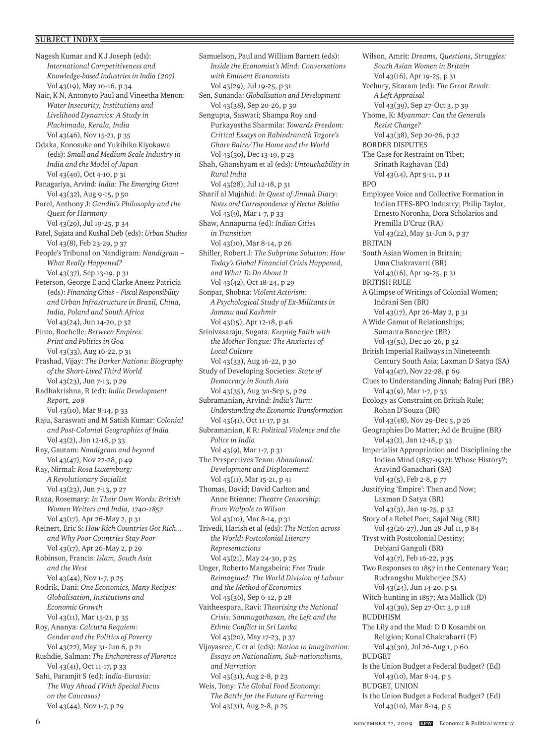Nagesh Kumar and K J Joseph (eds): *International Competitiveness and Knowledge-based Industries in India (207)* Vol 43(19), May 10-16, p 34 Nair, K N, Antonyto Paul and Vineetha Menon: *Water Insecurity, Institutions and Livelihood Dynamics: A Study in Plachimada, Kerala, India*  Vol 43(46), Nov 15-21, p 35 Odaka, Konosuke and Yukihiko Kiyokawa (eds): *Small and Medium Scale Industry in India and the Model of Japan* Vol 43(40), Oct 4-10, p 31 Panagariya, Arvind: *India: The Emerging Giant* Vol 43(32), Aug 9-15, p 50 Parel, Anthony J: *Gandhi's Philosophy and the Quest for Harmony* Vol 43(29), Jul 19-25, p 34 Patel, Sujata and Kushal Deb (eds): *Urban Studies* Vol 43(8), Feb 23-29, p 37 People's Tribunal on Nandigram: *Nandigram – What Really Happened?* Vol 43(37), Sep 13-19, p 31 Peterson, George E and Clarke Aneez Patricia (eds): *Financing Cities – Fiscal Responsibility and Urban Infrastructure in Brazil, China, India, Poland and South Africa* Vol 43(24), Jun 14-20, p 32 Pinto, Rochelle: *Between Empires: Print and Politics in Goa* Vol 43(33), Aug 16-22, p 31 Prashad, Vijay: *The Darker Nations: Biography of the Short-Lived Third World* Vol 43(23), Jun 7-13, p 29 Radhakrishna, R (ed): *India Development Report, 208* Vol 43(10), Mar 8-14, p 33 Raju, Saraswati and M Satish Kumar: *Colonial and Post-Colonial Geographies of India* Vol 43(2), Jan 12-18, p 33 Ray, Gautam: *Nandigram and beyond* Vol 43(47), Nov 22-28, p 49 Ray, Nirmal: *Rosa Luxemburg: A Revolutionary Socialist* Vol 43(23), Jun 7-13, p 27 Raza, Rosemary: *In Their Own Words: British Women Writers and India, 1740-1857* Vol 43(17), Apr 26-May 2, p 31 Reinert, Eric S: *How Rich Countries Got Rich... and Why Poor Countries Stay Poor* Vol 43(17), Apr 26-May 2, p 29 Robinson, Francis: *Islam, South Asia and the West* Vol 43(44), Nov 1-7, p 25 Rodrik, Dani: *One Economics, Many Recipes: Globalisation, Institutions and Economic Growth* Vol 43(11), Mar 15-21, p 35 Roy, Ananya: *Calcutta Requiem: Gender and the Politics of Poverty* Vol 43(22), May 31-Jun 6, p 21 Rushdie, Salman: *The Enchantress of Florence* Vol 43(41), Oct 11-17, p 33 Sahi, Paramjit S (ed): *India-Eurasia: The Way Ahead (With Special Focus on the Caucasus)* Vol 43(44), Nov 1-7, p 29

Samuelson, Paul and William Barnett (eds): *Inside the Economist's Mind: Conversations with Eminent Economists* Vol 43(29), Jul 19-25, p 31 Sen, Sunanda: *Globalisation and Development* Vol 43(38), Sep 20-26, p 30 Sengupta, Saswati; Shampa Roy and Purkayastha Sharmila: *Towards Freedom: Critical Essays on Rabindranath Tagore's Ghare Baire/The Home and the World* Vol 43(50), Dec 13-19, p 23 Shah, Ghanshyam et al (eds): *Untouchability in Rural India* Vol 43(28), Jul 12-18, p 31 Sharif al Mujahid: *In Quest of Jinnah Diary: Notes and Correspondence of Hector Bolitho* Vol 43(9), Mar 1-7, p 33 Shaw, Annapurna (ed): *Indian Cities in Transition* Vol 43(10), Mar 8-14, p 26 Shiller, Robert J: *The Subprime Solution: How Today's Global Financial Crisis Happened, and What To Do About It* Vol 43(42), Oct 18-24, p 29 Sonpar, Shobna: *Violent Activism: A Psychological Study of Ex-Militants in Jammu and Kashmir* Vol 43(15), Apr 12-18, p 46 Srinivasaraju, Sugata: *Keeping Faith with the Mother Tongue: The Anxieties of Local Culture* Vol 43(33), Aug 16-22, p 30 Study of Developing Societies: *State of Democracy in South Asia* Vol 43(35), Aug 30-Sep 5, p 29 Subramanian, Arvind: *India's Turn: Understanding the Economic Transformation* Vol 43(41), Oct 11-17, p 31 Subramanian, K R: *Political Violence and the Police in India* Vol 43(9), Mar 1-7, p 31 The Perspectives Team: *Abandoned: Development and Displacement* Vol 43(11), Mar 15-21, p 41 Thomas, David; David Carlton and Anne Etienne: *Theatre Censorship: From Walpole to Wilson* Vol 43(10), Mar 8-14, p 31 Trivedi, Harish et al (eds): *The Nation across the World: Postcolonial Literary Representations* Vol 43(21), May 24-30, p 25 Unger, Roberto Mangabeira: *Free Trade Reimagined: The World Division of Labour and the Method of Economics* Vol 43(36), Sep 6-12, p 28 Vaitheespara, Ravi: *Theorising the National Crisis: Sanmugathasan, the Left and the Ethnic Conflict in Sri Lanka* Vol 43(20), May 17-23, p 37 Vijayasree, C et al (eds): *Nation in Imagination: Essays on Nationalism, Sub-nationalisms, and Narration* Vol 43(31), Aug 2-8, p 23 Weis, Tony: *The Global Food Economy: The Battle for the Future of Farming* Vol 43(31), Aug 2-8, p 25

Wilson, Amrit: *Dreams, Questions, Struggles: South Asian Women in Britain* Vol 43(16), Apr 19-25, p 31 Yechury, Sitaram (ed): *The Great Revolt: A Left Appraisal* Vol 43(39), Sep 27-Oct 3, p 39 Yhome, K: *Myanmar: Can the Generals Resist Change?* Vol 43(38), Sep 20-26, p 32 BORDER DISPUTES The Case for Restraint on Tibet; Srinath Raghavan (Ed) Vol 43(14), Apr 5-11, p 11 BPO Employee Voice and Collective Formation in Indian ITES-BPO Industry; Philip Taylor, Ernesto Noronha, Dora Scholarios and Premilla D'Cruz (RA) Vol 43(22), May 31-Jun 6, p 37 **BRITAIN** South Asian Women in Britain; Uma Chakravarti (BR) Vol 43(16), Apr 19-25, p 31 BRITISH RULE A Glimpse of Writings of Colonial Women; Indrani Sen (BR) Vol 43(17), Apr 26-May 2, p 31 A Wide Gamut of Relationships; Sumanta Banerjee (BR) Vol 43(51), Dec 20-26, p 32 British Imperial Railways in Nineteenth Century South Asia; Laxman D Satya (SA) Vol 43(47), Nov 22-28, p 69 Clues to Understanding Jinnah; Balraj Puri (BR) Vol 43(9), Mar 1-7, p 33 Ecology as Constraint on British Rule; Rohan D'Souza (BR) Vol 43(48), Nov 29-Dec 5, p 26 Geographies Do Matter; Ad de Bruijne (BR) Vol 43(2), Jan 12-18, p 33 Imperialist Appropriation and Disciplining the Indian Mind (1857-1917): Whose History?; Aravind Ganachari (SA) Vol 43(5), Feb 2-8, p 77 Justifying 'Empire': Then and Now; Laxman D Satya (BR) Vol 43(3), Jan 19-25, p 32 Story of a Rebel Poet; Sajal Nag (BR) Vol 43(26-27), Jun 28-Jul 11, p 84 Tryst with Postcolonial Destiny; Debjani Ganguli (BR) Vol 43(7), Feb 16-22, p 35 Two Responses to 1857 in the Centenary Year; Rudrangshu Mukherjee (SA) Vol 43(24), Jun 14-20, p 51 Witch-hunting in 1857; Ata Mallick (D) Vol 43(39), Sep 27-Oct 3, p 118 BUDDHISM The Lily and the Mud: D D Kosambi on Religion; Kunal Chakrabarti (F) Vol 43(30), Jul 26-Aug 1, p 60 **BUDGET** Is the Union Budget a Federal Budget? (Ed) Vol 43(10), Mar 8-14, p 5 BUDGET, UNION Is the Union Budget a Federal Budget? (Ed) Vol 43(10), Mar 8-14, p 5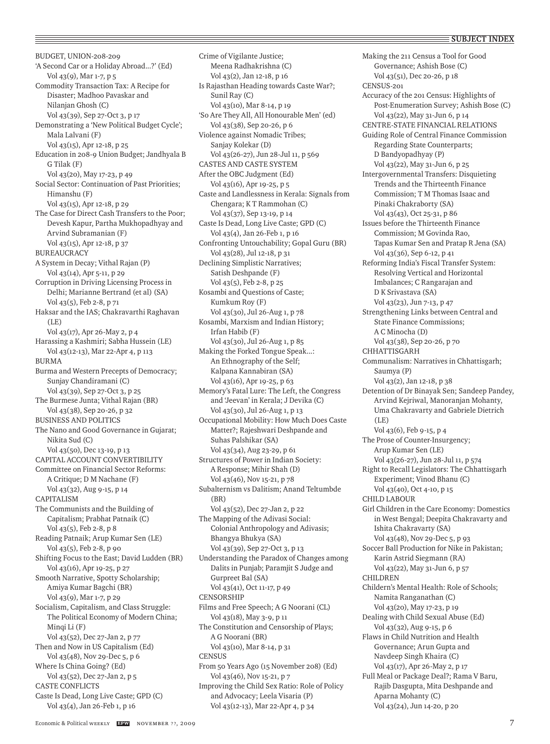BUDGET, UNION-208-209 'A Second Car or a Holiday Abroad...?' (Ed) Vol 43(9), Mar 1-7, p 5 Commodity Transaction Tax: A Recipe for Disaster; Madhoo Pavaskar and Nilanjan Ghosh (C) Vol 43(39), Sep 27-Oct 3, p 17 Demonstrating a 'New Political Budget Cycle'; Mala Lalvani (F) Vol 43(15), Apr 12-18, p 25 Education in 208-9 Union Budget; Jandhyala B G Tilak (F) Vol 43(20), May 17-23, p 49 Social Sector: Continuation of Past Priorities; Himanshu (F) Vol 43(15), Apr 12-18, p 29 The Case for Direct Cash Transfers to the Poor; Devesh Kapur, Partha Mukhopadhyay and Arvind Subramanian (F) Vol 43(15), Apr 12-18, p 37 BUREAUCRACY A System in Decay; Vithal Rajan (P) Vol 43(14), Apr 5-11, p 29 Corruption in Driving Licensing Process in Delhi; Marianne Bertrand (et al) (SA) Vol 43(5), Feb 2-8, p 71 Haksar and the IAS; Chakravarthi Raghavan  $(LE)$ Vol 43(17), Apr 26-May 2, p 4 Harassing a Kashmiri; Sabha Hussein (LE) Vol 43(12-13), Mar 22-Apr 4, p 113 BURMA Burma and Western Precepts of Democracy; Sunjay Chandiramani (C) Vol 43(39), Sep 27-Oct 3, p 25 The Burmese Junta; Vithal Rajan (BR) Vol 43(38), Sep 20-26, p 32 BUSINESS AND POLITICS The Nano and Good Governance in Gujarat; Nikita Sud (C) Vol 43(50), Dec 13-19, p 13 CAPITAL ACCOUNT CONVERTIBILITY Committee on Financial Sector Reforms: A Critique; D M Nachane (F) Vol 43(32), Aug 9-15, p 14 CAPITALISM The Communists and the Building of Capitalism; Prabhat Patnaik (C) Vol 43(5), Feb 2-8, p 8 Reading Patnaik; Arup Kumar Sen (LE) Vol 43(5), Feb 2-8, p 90 Shifting Focus to the East; David Ludden (BR) Vol 43(16), Apr 19-25, p 27 Smooth Narrative, Spotty Scholarship; Amiya Kumar Bagchi (BR) Vol 43(9), Mar 1-7, p 29 Socialism, Capitalism, and Class Struggle: The Political Economy of Modern China; Minqi Li (F) Vol 43(52), Dec 27-Jan 2, p 77 Then and Now in US Capitalism (Ed) Vol 43(48), Nov 29-Dec 5, p 6 Where Is China Going? (Ed) Vol 43(52), Dec 27-Jan 2, p 5 CASTE CONFLICTS Caste Is Dead, Long Live Caste; GPD (C) Vol 43(4), Jan 26-Feb 1, p 16

Crime of Vigilante Justice; Meena Radhakrishna (C) Vol 43(2), Jan 12-18, p 16 Is Rajasthan Heading towards Caste War?; Sunil Ray (C) Vol 43(10), Mar 8-14, p 19 'So Are They All, All Honourable Men' (ed) Vol 43(38), Sep 20-26, p 6 Violence against Nomadic Tribes; Sanjay Kolekar (D) Vol 43(26-27), Jun 28-Jul 11, p 569 CASTES AND CASTE SYSTEM After the OBC Judgment (Ed) Vol 43(16), Apr 19-25, p 5 Caste and Landlessness in Kerala: Signals from Chengara; K T Rammohan (C) Vol 43(37), Sep 13-19, p 14 Caste Is Dead, Long Live Caste; GPD (C) Vol 43(4), Jan 26-Feb 1, p 16 Confronting Untouchability; Gopal Guru (BR) Vol 43(28), Jul 12-18, p 31 Declining Simplistic Narratives; Satish Deshpande (F) Vol 43(5), Feb 2-8, p 25 Kosambi and Questions of Caste; Kumkum Roy (F) Vol 43(30), Jul 26-Aug 1, p 78 Kosambi, Marxism and Indian History; Irfan Habib (F) Vol 43(30), Jul 26-Aug 1, p 85 Making the Forked Tongue Speak...: An Ethnography of the Self; Kalpana Kannabiran (SA) Vol 43(16), Apr 19-25, p 63 Memory's Fatal Lure: The Left, the Congress and 'Jeevan' in Kerala; J Devika (C) Vol 43(30), Jul 26-Aug 1, p 13 Occupational Mobility: How Much Does Caste Matter?; Rajeshwari Deshpande and Suhas Palshikar (SA) Vol 43(34), Aug 23-29, p 61 Structures of Power in Indian Society: A Response; Mihir Shah (D) Vol 43(46), Nov 15-21, p 78 Subalternism vs Dalitism; Anand Teltumbde (BR) Vol 43(52), Dec 27-Jan 2, p 22 The Mapping of the Adivasi Social: Colonial Anthropology and Adivasis; Bhangya Bhukya (SA) Vol 43(39), Sep 27-Oct 3, p 13 Understanding the Paradox of Changes among Dalits in Punjab; Paramjit S Judge and Gurpreet Bal (SA) Vol 43(41), Oct 11-17, p 49 **CENSORSHIP** Films and Free Speech; A G Noorani (CL) Vol 43(18), May 3-9, p 11 The Constitution and Censorship of Plays; A G Noorani (BR) Vol 43(10), Mar 8-14, p 31 **CENSUS** From 50 Years Ago (15 November 208) (Ed) Vol 43(46), Nov 15-21, p 7 Improving the Child Sex Ratio: Role of Policy and Advocacy; Leela Visaria (P) Vol 43(12-13), Mar 22-Apr 4, p 34

Making the 211 Census a Tool for Good Governance; Ashish Bose (C) Vol 43(51), Dec 20-26, p 18 CENSUS-201 Accuracy of the 201 Census: Highlights of Post-Enumeration Survey; Ashish Bose (C) Vol 43(22), May 31-Jun 6, p 14 CENTRE-STATE FINANCIAL RELATIONS Guiding Role of Central Finance Commission Regarding State Counterparts; D Bandyopadhyay (P) Vol 43(22), May 31-Jun 6, p 25 Intergovernmental Transfers: Disquieting Trends and the Thirteenth Finance Commission; T M Thomas Isaac and Pinaki Chakraborty (SA) Vol 43(43), Oct 25-31, p 86 Issues before the Thirteenth Finance Commission; M Govinda Rao, Tapas Kumar Sen and Pratap R Jena (SA) Vol 43(36), Sep 6-12, p 41 Reforming India's Fiscal Transfer System: Resolving Vertical and Horizontal Imbalances; C Rangarajan and D K Srivastava (SA) Vol 43(23), Jun 7-13, p 47 Strengthening Links between Central and State Finance Commissions; A C Minocha (D) Vol 43(38), Sep 20-26, p 70 CHHATTISGARH Communalism: Narratives in Chhattisgarh; Saumya (P) Vol 43(2), Jan 12-18, p 38 Detention of Dr Binayak Sen; Sandeep Pandey, Arvind Kejriwal, Manoranjan Mohanty, Uma Chakravarty and Gabriele Dietrich (LE) Vol 43(6), Feb 9-15, p 4 The Prose of Counter-Insurgency; Arup Kumar Sen (LE) Vol 43(26-27), Jun 28-Jul 11, p 574 Right to Recall Legislators: The Chhattisgarh Experiment; Vinod Bhanu (C) Vol 43(40), Oct 4-10, p 15 CHILD LABOUR Girl Children in the Care Economy: Domestics in West Bengal; Deepita Chakravarty and Ishita Chakravarty (SA) Vol 43(48), Nov 29-Dec 5, p 93 Soccer Ball Production for Nike in Pakistan; Karin Astrid Siegmann (RA) Vol 43(22), May 31-Jun 6, p 57 CHILDREN Childern's Mental Health: Role of Schools; Namita Ranganathan (C) Vol 43(20), May 17-23, p 19 Dealing with Child Sexual Abuse (Ed) Vol 43(32), Aug 9-15, p 6 Flaws in Child Nutrition and Health Governance; Arun Gupta and Navdeep Singh Khaira (C) Vol 43(17), Apr 26-May 2, p 17 Full Meal or Package Deal?; Rama V Baru, Rajib Dasgupta, Mita Deshpande and Aparna Mohanty (C) Vol 43(24), Jun 14-20, p 20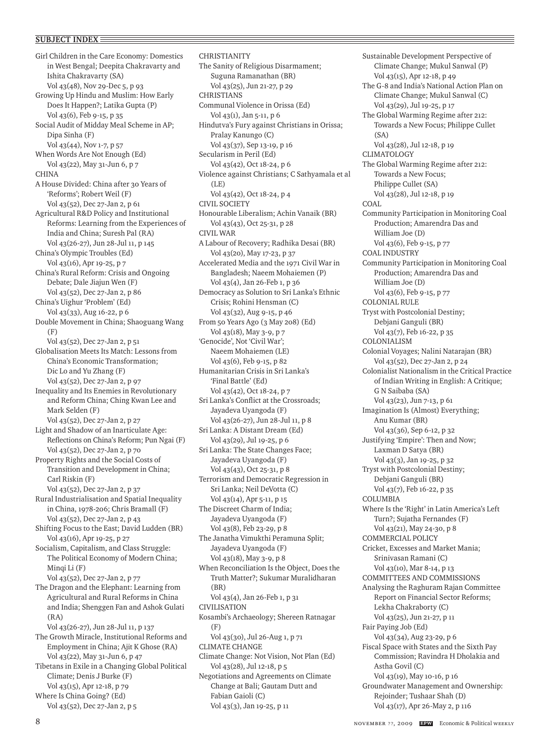Girl Children in the Care Economy: Domestics in West Bengal; Deepita Chakravarty and Ishita Chakravarty (SA) Vol 43(48), Nov 29-Dec 5, p 93 Growing Up Hindu and Muslim: How Early Does It Happen?; Latika Gupta (P) Vol 43(6), Feb 9-15, p 35 Social Audit of Midday Meal Scheme in AP; Dipa Sinha (F) Vol 43(44), Nov 1-7, p 57 When Words Are Not Enough (Ed) Vol 43(22), May 31-Jun 6, p 7 CHINA A House Divided: China after 30 Years of 'Reforms'; Robert Weil (F) Vol 43(52), Dec 27-Jan 2, p 61 Agricultural R&D Policy and Institutional Reforms: Learning from the Experiences of India and China; Suresh Pal (RA) Vol 43(26-27), Jun 28-Jul 11, p 145 China's Olympic Troubles (Ed) Vol 43(16), Apr 19-25, p 7 China's Rural Reform: Crisis and Ongoing Debate; Dale Jiajun Wen (F) Vol 43(52), Dec 27-Jan 2, p 86 China's Uighur 'Problem' (Ed) Vol 43(33), Aug 16-22, p 6 Double Movement in China; Shaoguang Wang (F) Vol 43(52), Dec 27-Jan 2, p 51 Globalisation Meets Its Match: Lessons from China's Economic Transformation; Dic Lo and Yu Zhang (F) Vol 43(52), Dec 27-Jan 2, p 97 Inequality and Its Enemies in Revolutionary and Reform China; Ching Kwan Lee and Mark Selden (F) Vol 43(52), Dec 27-Jan 2, p 27 Light and Shadow of an Inarticulate Age: Reflections on China's Reform; Pun Ngai (F) Vol 43(52), Dec 27-Jan 2, p 70 Property Rights and the Social Costs of Transition and Development in China; Carl Riskin (F) Vol 43(52), Dec 27-Jan 2, p 37 Rural Industrialisation and Spatial Inequality in China, 1978-206; Chris Bramall (F) Vol 43(52), Dec 27-Jan 2, p 43 Shifting Focus to the East; David Ludden (BR) Vol 43(16), Apr 19-25, p 27 Socialism, Capitalism, and Class Struggle: The Political Economy of Modern China; Minqi Li (F) Vol 43(52), Dec 27-Jan 2, p 77 The Dragon and the Elephant: Learning from Agricultural and Rural Reforms in China and India; Shenggen Fan and Ashok Gulati (RA) Vol 43(26-27), Jun 28-Jul 11, p 137 The Growth Miracle, Institutional Reforms and Employment in China; Ajit K Ghose (RA) Vol 43(22), May 31-Jun 6, p 47 Tibetans in Exile in a Changing Global Political Climate; Denis J Burke (F) Vol 43(15), Apr 12-18, p 79 Where Is China Going? (Ed) Vol 43(52), Dec 27-Jan 2, p 5

CHRISTIANITY The Sanity of Religious Disarmament; Suguna Ramanathan (BR) Vol 43(25), Jun 21-27, p 29 CHRISTIANS Communal Violence in Orissa (Ed) Vol 43(1), Jan 5-11, p 6 Hindutva's Fury against Christians in Orissa; Pralay Kanungo (C) Vol 43(37), Sep 13-19, p 16 Secularism in Peril (Ed) Vol 43(42), Oct 18-24, p 6 Violence against Christians; C Sathyamala et al  $(I.E)$ Vol 43(42), Oct 18-24, p 4 CIVIL SOCIETY Honourable Liberalism; Achin Vanaik (BR) Vol 43(43), Oct 25-31, p 28 CIVIL WAR A Labour of Recovery; Radhika Desai (BR) Vol 43(20), May 17-23, p 37 Accelerated Media and the 1971 Civil War in Bangladesh; Naeem Mohaiemen (P) Vol 43(4), Jan 26-Feb 1, p 36 Democracy as Solution to Sri Lanka's Ethnic Crisis; Rohini Hensman (C) Vol 43(32), Aug 9-15, p 46 From 50 Years Ago (3 May 208) (Ed) Vol 43(18), May 3-9, p 7 'Genocide', Not 'Civil War'; Naeem Mohaiemen (LE) Vol 43(6), Feb 9-15, p 82 Humanitarian Crisis in Sri Lanka's 'Final Battle' (Ed) Vol 43(42), Oct 18-24, p 7 Sri Lanka's Conflict at the Crossroads; Jayadeva Uyangoda (F) Vol 43(26-27), Jun 28-Jul 11, p 8 Sri Lanka: A Distant Dream (Ed) Vol 43(29), Jul 19-25, p 6 Sri Lanka: The State Changes Face; Jayadeva Uyangoda (F) Vol 43(43), Oct 25-31, p 8 Terrorism and Democratic Regression in Sri Lanka; Neil DeVotta (C) Vol 43(14), Apr 5-11, p 15 The Discreet Charm of India; Jayadeva Uyangoda (F) Vol 43(8), Feb 23-29, p 8 The Janatha Vimukthi Peramuna Split; Jayadeva Uyangoda (F) Vol 43(18), May 3-9, p 8 When Reconciliation Is the Object, Does the Truth Matter?; Sukumar Muralidharan (BR) Vol 43(4), Jan 26-Feb 1, p 31 CIVILISATION Kosambi's Archaeology; Shereen Ratnagar (F) Vol 43(30), Jul 26-Aug 1, p 71 CLIMATE CHANGE Climate Change: Not Vision, Not Plan (Ed) Vol 43(28), Jul 12-18, p 5 Negotiations and Agreements on Climate Change at Bali; Gautam Dutt and Fabian Gaioli (C)

Vol 43(3), Jan 19-25, p 11

Sustainable Development Perspective of Climate Change; Mukul Sanwal (P) Vol 43(15), Apr 12-18, p 49 The G-8 and India's National Action Plan on Climate Change; Mukul Sanwal (C) Vol 43(29), Jul 19-25, p 17 The Global Warming Regime after 212: Towards a New Focus; Philippe Cullet  $(SA)$ Vol 43(28), Jul 12-18, p 19 CLIMATOLOGY The Global Warming Regime after 212: Towards a New Focus; Philippe Cullet (SA) Vol 43(28), Jul 12-18, p 19 COAL Community Participation in Monitoring Coal Production; Amarendra Das and William Joe (D) Vol 43(6), Feb 9-15, p 77 COAL INDUSTRY Community Participation in Monitoring Coal Production; Amarendra Das and William Joe (D) Vol 43(6), Feb 9-15, p 77 COLONIAL RULE Tryst with Postcolonial Destiny; Debjani Ganguli (BR) Vol 43(7), Feb 16-22, p 35 COLONIALISM Colonial Voyages; Nalini Natarajan (BR) Vol 43(52), Dec 27-Jan 2, p 24 Colonialist Nationalism in the Critical Practice of Indian Writing in English: A Critique; G N Saibaba (SA) Vol 43(23), Jun 7-13, p 61 Imagination Is (Almost) Everything; Anu Kumar (BR) Vol 43(36), Sep 6-12, p 32 Justifying 'Empire': Then and Now; Laxman D Satya (BR) Vol 43(3), Jan 19-25, p 32 Tryst with Postcolonial Destiny; Debjani Ganguli (BR) Vol 43(7), Feb 16-22, p 35 COLUMBIA Where Is the 'Right' in Latin America's Left Turn?; Sujatha Fernandes (F) Vol 43(21), May 24-30, p 8 COMMERCIAL POLICY Cricket, Excesses and Market Mania; Srinivasan Ramani (C) Vol 43(10), Mar 8-14, p 13 COMMITTEES AND COMMISSIONS Analysing the Raghuram Rajan Committee Report on Financial Sector Reforms; Lekha Chakraborty (C) Vol 43(25), Jun 21-27, p 11 Fair Paying Job (Ed) Vol 43(34), Aug 23-29, p 6 Fiscal Space with States and the Sixth Pay Commission; Ravindra H Dholakia and Astha Govil (C) Vol 43(19), May 10-16, p 16 Groundwater Management and Ownership: Rejoinder; Tushaar Shah (D) Vol 43(17), Apr 26-May 2, p 116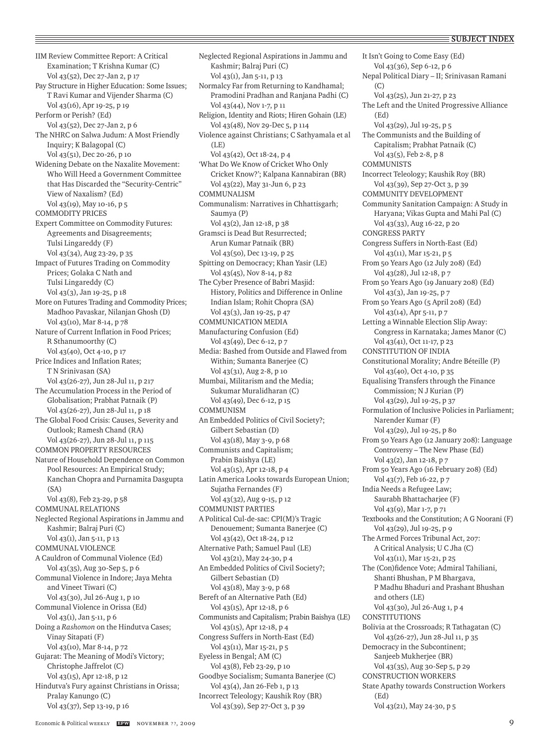IIM Review Committee Report: A Critical Examination; T Krishna Kumar (C) Vol 43(52), Dec 27-Jan 2, p 17 Pay Structure in Higher Education: Some Issues; T Ravi Kumar and Vijender Sharma (C) Vol 43(16), Apr 19-25, p 19 Perform or Perish? (Ed) Vol 43(52), Dec 27-Jan 2, p 6 The NHRC on Salwa Judum: A Most Friendly Inquiry; K Balagopal (C) Vol 43(51), Dec 20-26, p 10 Widening Debate on the Naxalite Movement: Who Will Heed a Government Committee that Has Discarded the "Security-Centric" View of Naxalism? (Ed) Vol 43(19), May 10-16, p 5 COMMODITY PRICES Expert Committee on Commodity Futures: Agreements and Disagreements; Tulsi Lingareddy (F) Vol 43(34), Aug 23-29, p 35 Impact of Futures Trading on Commodity Prices; Golaka C Nath and Tulsi Lingareddy (C) Vol 43(3), Jan 19-25, p 18 More on Futures Trading and Commodity Prices; Madhoo Pavaskar, Nilanjan Ghosh (D) Vol 43(10), Mar 8-14, p 78 Nature of Current Inflation in Food Prices; R Sthanumoorthy (C) Vol 43(40), Oct 4-10, p 17 Price Indices and Inflation Rates; T N Srinivasan (SA) Vol 43(26-27), Jun 28-Jul 11, p 217 The Accumulation Process in the Period of Globalisation; Prabhat Patnaik (P) Vol 43(26-27), Jun 28-Jul 11, p 18 The Global Food Crisis: Causes, Severity and Outlook; Ramesh Chand (RA) Vol 43(26-27), Jun 28-Jul 11, p 115 COMMON PROPERTY RESOURCES Nature of Household Dependence on Common Pool Resources: An Empirical Study; Kanchan Chopra and Purnamita Dasgupta (SA) Vol 43(8), Feb 23-29, p 58 COMMUNAL RELATIONS Neglected Regional Aspirations in Jammu and Kashmir; Balraj Puri (C) Vol 43(1), Jan 5-11, p 13 COMMUNAL VIOLENCE A Cauldron of Communal Violence (Ed) Vol 43(35), Aug 30-Sep 5, p 6 Communal Violence in Indore; Jaya Mehta and Vineet Tiwari (C) Vol 43(30), Jul 26-Aug 1, p 10 Communal Violence in Orissa (Ed) Vol 43(1), Jan 5-11, p 6 Doing a *Rashomon* on the Hindutva Cases; Vinay Sitapati (F) Vol 43(10), Mar 8-14, p 72 Gujarat: The Meaning of Modi's Victory; Christophe Jaffrelot (C) Vol 43(15), Apr 12-18, p 12 Hindutva's Fury against Christians in Orissa; Pralay Kanungo (C) Vol 43(37), Sep 13-19, p 16

Neglected Regional Aspirations in Jammu and Kashmir; Balraj Puri (C) Vol 43(1), Jan 5-11, p 13 Normalcy Far from Returning to Kandhamal; Pramodini Pradhan and Ranjana Padhi (C) Vol 43(44), Nov 1-7, p 11 Religion, Identity and Riots; Hiren Gohain (LE) Vol 43(48), Nov 29-Dec 5, p 114 Violence against Christians; C Sathyamala et al  $(I.E)$ Vol 43(42), Oct 18-24, p 4 'What Do We Know of Cricket Who Only Cricket Know?'; Kalpana Kannabiran (BR) Vol 43(22), May 31-Jun 6, p 23 COMMUNALISM Communalism: Narratives in Chhattisgarh; Saumya (P) Vol 43(2), Jan 12-18, p 38 Gramsci is Dead But Resurrected; Arun Kumar Patnaik (BR) Vol 43(50), Dec 13-19, p 25 Spitting on Democracy; Khan Yasir (LE) Vol 43(45), Nov 8-14, p 82 The Cyber Presence of Babri Masjid: History, Politics and Difference in Online Indian Islam; Rohit Chopra (SA) Vol 43(3), Jan 19-25, p 47 COMMUNICATION MEDIA Manufacturing Confusion (Ed) Vol 43(49), Dec 6-12, p 7 Media: Bashed from Outside and Flawed from Within; Sumanta Banerjee (C) Vol 43(31), Aug 2-8, p 10 Mumbai, Militarism and the Media; Sukumar Muralidharan (C) Vol 43(49), Dec 6-12, p 15 COMMUNISM An Embedded Politics of Civil Society?; Gilbert Sebastian (D) Vol 43(18), May 3-9, p 68 Communists and Capitalism; Prabin Baishya (LE) Vol 43(15), Apr 12-18, p 4 Latin America Looks towards European Union; Sujatha Fernandes (F) Vol 43(32), Aug 9-15, p 12 COMMUNIST PARTIES A Political Cul-de-sac: CPI(M)'s Tragic Denouement; Sumanta Banerjee (C) Vol 43(42), Oct 18-24, p 12 Alternative Path; Samuel Paul (LE) Vol 43(21), May 24-30, p 4 An Embedded Politics of Civil Society?; Gilbert Sebastian (D) Vol 43(18), May 3-9, p 68 Bereft of an Alternative Path (Ed) Vol 43(15), Apr 12-18, p 6 Communists and Capitalism; Prabin Baishya (LE) Vol 43(15), Apr 12-18, p 4 Congress Suffers in North-East (Ed) Vol 43(11), Mar 15-21, p 5 Eyeless in Bengal; AM (C) Vol 43(8), Feb 23-29, p 10 Goodbye Socialism; Sumanta Banerjee (C) Vol 43(4), Jan 26-Feb 1, p 13 Incorrect Teleology; Kaushik Roy (BR) Vol 43(39), Sep 27-Oct 3, p 39

It Isn't Going to Come Easy (Ed) Vol 43(36), Sep 6-12, p 6 Nepal Political Diary – II; Srinivasan Ramani (C) Vol 43(25), Jun 21-27, p 23 The Left and the United Progressive Alliance (Ed) Vol 43(29), Jul 19-25, p 5 The Communists and the Building of Capitalism; Prabhat Patnaik (C) Vol 43(5), Feb 2-8, p 8 **COMMUNISTS** Incorrect Teleology; Kaushik Roy (BR) Vol 43(39), Sep 27-Oct 3, p 39 COMMUNITY DEVELOPMENT Community Sanitation Campaign: A Study in Haryana; Vikas Gupta and Mahi Pal (C) Vol 43(33), Aug 16-22, p 20 CONGRESS PARTY Congress Suffers in North-East (Ed) Vol 43(11), Mar 15-21, p 5 From 50 Years Ago (12 July 208) (Ed) Vol 43(28), Jul 12-18, p 7 From 50 Years Ago (19 January 208) (Ed) Vol 43(3), Jan 19-25, p 7 From 50 Years Ago (5 April 208) (Ed) Vol 43(14), Apr 5-11, p 7 Letting a Winnable Election Slip Away: Congress in Karnataka; James Manor (C) Vol 43(41), Oct 11-17, p 23 CONSTITUTION OF INDIA Constitutional Morality; Andre Béteille (P) Vol 43(40), Oct 4-10, p 35 Equalising Transfers through the Finance Commission; N J Kurian (P) Vol 43(29), Jul 19-25, p 37 Formulation of Inclusive Policies in Parliament; Narender Kumar (F) Vol 43(29), Jul 19-25, p 80 From 50 Years Ago (12 January 208): Language Controversy – The New Phase (Ed) Vol 43(2), Jan 12-18, p 7 From 50 Years Ago (16 February 208) (Ed) Vol 43(7), Feb 16-22, p 7 India Needs a Refugee Law; Saurabh Bhattacharjee (F) Vol 43(9), Mar 1-7, p 71 Textbooks and the Constitution; A G Noorani (F) Vol 43(29), Jul 19-25, p 9 The Armed Forces Tribunal Act, 207: A Critical Analysis; U C Jha (C) Vol 43(11), Mar 15-21, p 25 The (Con)fidence Vote; Admiral Tahiliani, Shanti Bhushan, P M Bhargava, P Madhu Bhaduri and Prashant Bhushan and others (LE) Vol 43(30), Jul 26-Aug 1, p 4 CONSTITUTIONS Bolivia at the Crossroads; R Tathagatan (C) Vol 43(26-27), Jun 28-Jul 11, p 35 Democracy in the Subcontinent; Sanjeeb Mukherjee (BR) Vol 43(35), Aug 30-Sep 5, p 29 CONSTRUCTION WORKERS State Apathy towards Construction Workers (Ed) Vol 43(21), May 24-30, p 5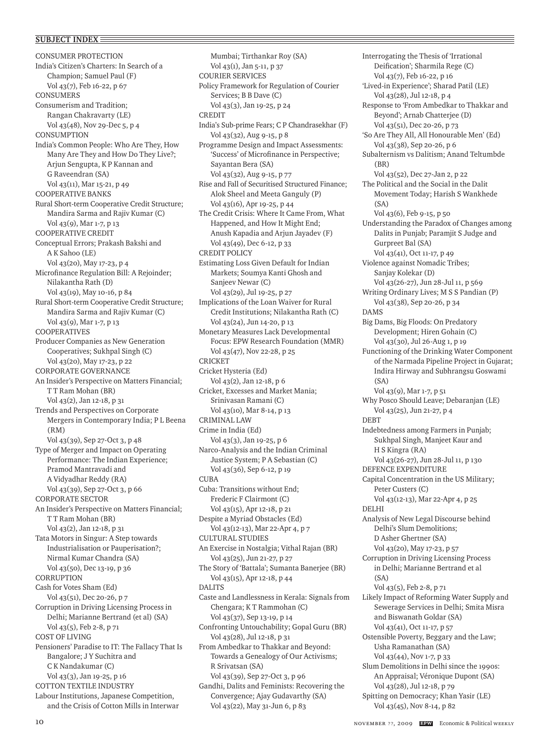CONSUMER PROTECTION India's Citizen's Charters: In Search of a Champion; Samuel Paul (F) Vol 43(7), Feb 16-22, p 67 **CONSUMERS** Consumerism and Tradition; Rangan Chakravarty (LE) Vol 43(48), Nov 29-Dec 5, p 4 CONSUMPTION India's Common People: Who Are They, How Many Are They and How Do They Live?; Arjun Sengupta, K P Kannan and G Raveendran (SA) Vol 43(11), Mar 15-21, p 49 COOPERATIVE BANKS Rural Short-term Cooperative Credit Structure; Mandira Sarma and Rajiv Kumar (C) Vol 43(9), Mar 1-7, p 13 COOPERATIVE CREDIT Conceptual Errors; Prakash Bakshi and A K Sahoo (LE) Vol 43(20), May 17-23, p 4 Microfinance Regulation Bill: A Rejoinder; Nilakantha Rath (D) Vol 43(19), May 10-16, p 84 Rural Short-term Cooperative Credit Structure; Mandira Sarma and Rajiv Kumar (C) Vol 43(9), Mar 1-7, p 13 COOPERATIVES Producer Companies as New Generation Cooperatives; Sukhpal Singh (C) Vol 43(20), May 17-23, p 22 CORPORATE GOVERNANCE An Insider's Perspective on Matters Financial; T T Ram Mohan (BR) Vol 43(2), Jan 12-18, p 31 Trends and Perspectives on Corporate Mergers in Contemporary India; P L Beena (RM) Vol 43(39), Sep 27-Oct 3, p 48 Type of Merger and Impact on Operating Performance: The Indian Experience; Pramod Mantravadi and A Vidyadhar Reddy (RA) Vol 43(39), Sep 27-Oct 3, p 66 CORPORATE SECTOR An Insider's Perspective on Matters Financial; T T Ram Mohan (BR) Vol 43(2), Jan 12-18, p 31 Tata Motors in Singur: A Step towards Industrialisation or Pauperisation?; Nirmal Kumar Chandra (SA) Vol 43(50), Dec 13-19, p 36 **CORRUPTION** Cash for Votes Sham (Ed) Vol 43(51), Dec 20-26, p 7 Corruption in Driving Licensing Process in Delhi; Marianne Bertrand (et al) (SA) Vol 43(5), Feb 2-8, p 71 COST OF LIVING Pensioners' Paradise to IT: The Fallacy That Is Bangalore; J Y Suchitra and C K Nandakumar (C) Vol 43(3), Jan 19-25, p 16 COTTON TEXTILE INDUSTRY Labour Institutions, Japanese Competition, and the Crisis of Cotton Mills in Interwar

Mumbai; Tirthankar Roy (SA) Vol 43(1), Jan 5-11, p 37 COURIER SERVICES Policy Framework for Regulation of Courier Services; B B Dave (C) Vol 43(3), Jan 19-25, p 24 CREDIT India's Sub-prime Fears; C P Chandrasekhar (F) Vol 43(32), Aug 9-15, p 8 Programme Design and Impact Assessments: 'Success' of Microfinance in Perspective; Sayantan Bera (SA) Vol 43(32), Aug 9-15, p 77 Rise and Fall of Securitised Structured Finance; Alok Sheel and Meeta Ganguly (P) Vol 43(16), Apr 19-25, p 44 The Credit Crisis: Where It Came From, What Happened, and How It Might End; Anush Kapadia and Arjun Jayadev (F) Vol 43(49), Dec 6-12, p 33 CREDIT POLICY Estimating Loss Given Default for Indian Markets; Soumya Kanti Ghosh and Sanjeev Newar (C) Vol 43(29), Jul 19-25, p 27 Implications of the Loan Waiver for Rural Credit Institutions; Nilakantha Rath (C) Vol 43(24), Jun 14-20, p 13 Monetary Measures Lack Developmental Focus: EPW Research Foundation (MMR) Vol 43(47), Nov 22-28, p 25 CRICKET Cricket Hysteria (Ed) Vol 43(2), Jan 12-18, p 6 Cricket, Excesses and Market Mania; Srinivasan Ramani (C) Vol 43(10), Mar 8-14, p 13 CRIMINAL LAW Crime in India (Ed) Vol 43(3), Jan 19-25, p 6 Narco-Analysis and the Indian Criminal Justice System; P A Sebastian (C) Vol 43(36), Sep 6-12, p 19 **CUBA** Cuba: Transitions without End; Frederic F Clairmont (C) Vol 43(15), Apr 12-18, p 21 Despite a Myriad Obstacles (Ed) Vol 43(12-13), Mar 22-Apr 4, p 7 CULTURAL STUDIES An Exercise in Nostalgia; Vithal Rajan (BR) Vol 43(25), Jun 21-27, p 27 The Story of 'Battala'; Sumanta Banerjee (BR) Vol 43(15), Apr 12-18, p 44 DALITS Caste and Landlessness in Kerala: Signals from Chengara; K T Rammohan (C) Vol 43(37), Sep 13-19, p 14 Confronting Untouchability; Gopal Guru (BR) Vol 43(28), Jul 12-18, p 31 From Ambedkar to Thakkar and Beyond: Towards a Genealogy of Our Activisms; R Srivatsan (SA) Vol 43(39), Sep 27-Oct 3, p 96 Gandhi, Dalits and Feminists: Recovering the Convergence; Ajay Gudavarthy (SA) Vol 43(22), May 31-Jun 6, p 83

Interrogating the Thesis of 'Irrational Deification'; Sharmila Rege (C) Vol 43(7), Feb 16-22, p 16 'Lived-in Experience'; Sharad Patil (LE) Vol 43(28), Jul 12-18, p 4 Response to 'From Ambedkar to Thakkar and Beyond'; Arnab Chatterjee (D) Vol 43(51), Dec 20-26, p 73 'So Are They All, All Honourable Men' (Ed) Vol 43(38), Sep 20-26, p 6 Subalternism vs Dalitism; Anand Teltumbde (BR) Vol 43(52), Dec 27-Jan 2, p 22 The Political and the Social in the Dalit Movement Today; Harish S Wankhede  $(SA)$ Vol 43(6), Feb 9-15, p 50 Understanding the Paradox of Changes among Dalits in Punjab; Paramjit S Judge and Gurpreet Bal (SA) Vol 43(41), Oct 11-17, p 49 Violence against Nomadic Tribes; Sanjay Kolekar (D) Vol 43(26-27), Jun 28-Jul 11, p 569 Writing Ordinary Lives; M S S Pandian (P) Vol 43(38), Sep 20-26, p 34 **DAMS** Big Dams, Big Floods: On Predatory Development; Hiren Gohain (C) Vol 43(30), Jul 26-Aug 1, p 19 Functioning of the Drinking Water Component of the Narmada Pipeline Project in Gujarat; Indira Hirway and Subhrangsu Goswami (SA) Vol 43(9), Mar 1-7, p 51 Why Posco Should Leave; Debaranjan (LE) Vol 43(25), Jun 21-27, p 4 DEBT Indebtedness among Farmers in Punjab; Sukhpal Singh, Manjeet Kaur and H S Kingra (RA) Vol 43(26-27), Jun 28-Jul 11, p 130 DEFENCE EXPENDITURE Capital Concentration in the US Military; Peter Custers (C) Vol 43(12-13), Mar 22-Apr 4, p 25 DELHI Analysis of New Legal Discourse behind Delhi's Slum Demolitions; D Asher Ghertner (SA) Vol 43(20), May 17-23, p 57 Corruption in Driving Licensing Process in Delhi; Marianne Bertrand et al  $(SA)$ Vol 43(5), Feb 2-8, p 71 Likely Impact of Reforming Water Supply and Sewerage Services in Delhi; Smita Misra and Biswanath Goldar (SA) Vol 43(41), Oct 11-17, p 57 Ostensible Poverty, Beggary and the Law; Usha Ramanathan (SA) Vol 43(44), Nov 1-7, p 33 Slum Demolitions in Delhi since the 1990s: An Appraisal; Véronique Dupont (SA) Vol 43(28), Jul 12-18, p 79 Spitting on Democracy; Khan Yasir (LE) Vol 43(45), Nov 8-14, p 82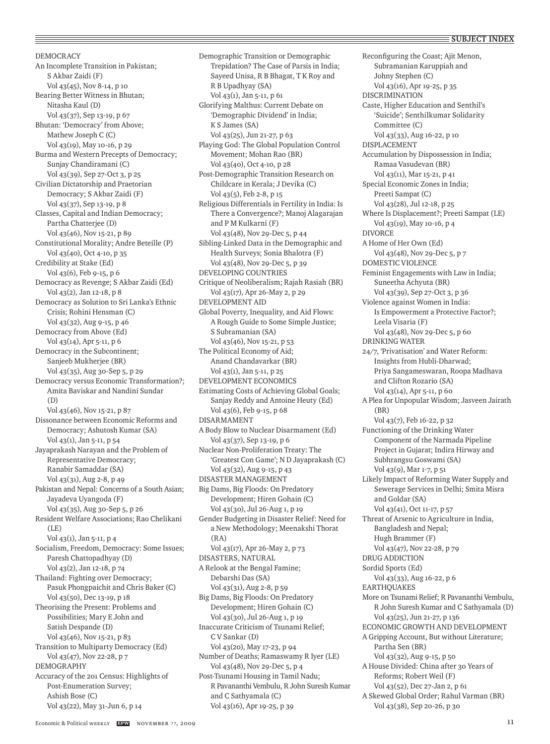DEMOCRACY An Incomplete Transition in Pakistan; S Akbar Zaidi (F) Vol 43(45), Nov 8-14, p 10 Bearing Better Witness in Bhutan; Nitasha Kaul (D) Vol 43(37), Sep 13-19, p 67 Bhutan: 'Democracy' from Above; Mathew Joseph C (C) Vol 43(19), May 10-16, p 29 Burma and Western Precepts of Democracy; Sunjay Chandiramani (C) Vol 43(39), Sep 27-Oct 3, p 25 Civilian Dictatorship and Praetorian Democracy; S Akbar Zaidi (F) Vol 43(37), Sep 13-19, p 8 Classes, Capital and Indian Democracy; Partha Chatterjee (D) Vol 43(46), Nov 15-21, p 89 Constitutional Morality; Andre Beteille (P) Vol 43(40), Oct 4-10, p 35 Credibility at Stake (Ed) Vol 43(6), Feb 9-15, p 6 Democracy as Revenge; S Akbar Zaidi (Ed) Vol 43(2), Jan 12-18, p 8 Democracy as Solution to Sri Lanka's Ethnic Crisis; Rohini Hensman (C) Vol 43(32), Aug 9-15, p 46 Democracy from Above (Ed) Vol 43(14), Apr 5-11, p 6 Democracy in the Subcontinent; Sanjeeb Mukherjee (BR) Vol 43(35), Aug 30-Sep 5, p 29 Democracy versus Economic Transformation?; Amita Baviskar and Nandini Sundar  $(D)$ Vol 43(46), Nov 15-21, p 87 Dissonance between Economic Reforms and Democracy; Ashutosh Kumar (SA) Vol 43(1), Jan 5-11, p 54 Jayaprakash Narayan and the Problem of Representative Democracy; Ranabir Samaddar (SA) Vol 43(31), Aug 2-8, p 49 Pakistan and Nepal: Concerns of a South Asian; Jayadeva Uyangoda (F) Vol 43(35), Aug 30-Sep 5, p 26 Resident Welfare Associations; Rao Chelikani  $(I.E)$ Vol 43(1), Jan 5-11, p 4 Socialism, Freedom, Democracy: Some Issues; Paresh Chattopadhyay (D) Vol 43(2), Jan 12-18, p 74 Thailand: Fighting over Democracy; Pasuk Phongpaichit and Chris Baker (C) Vol 43(50), Dec 13-19, p 18 Theorising the Present: Problems and Possibilities; Mary E John and Satish Despande (D) Vol 43(46), Nov 15-21, p 83 Transition to Multiparty Democracy (Ed) Vol 43(47), Nov 22-28, p 7 DEMOGRAPHY Accuracy of the 201 Census: Highlights of Post-Enumeration Survey;

Demographic Transition or Demographic Trepidation? The Case of Parsis in India; Sayeed Unisa, R B Bhagat, T K Roy and R B Upadhyay (SA) Vol 43(1), Jan 5-11, p 61 Glorifying Malthus: Current Debate on 'Demographic Dividend' in India; K S James (SA) Vol 43(25), Jun 21-27, p 63 Playing God: The Global Population Control Movement; Mohan Rao (BR) Vol 43(40), Oct 4-10, p 28 Post-Demographic Transition Research on Childcare in Kerala; J Devika (C) Vol 43(5), Feb 2-8, p 15 Religious Differentials in Fertility in India: Is There a Convergence?; Manoj Alagarajan and P M Kulkarni (F) Vol 43(48), Nov 29-Dec 5, p 44 Sibling-Linked Data in the Demographic and Health Surveys; Sonia Bhalotra (F) Vol 43(48), Nov 29-Dec 5, p 39 DEVELOPING COUNTRIES Critique of Neoliberalism; Rajah Rasiah (BR) Vol 43(17), Apr 26-May 2, p 29 DEVELOPMENT AID Global Poverty, Inequality, and Aid Flows: A Rough Guide to Some Simple Justice; S Subramanian (SA) Vol 43(46), Nov 15-21, p 53 The Political Economy of Aid; Anand Chandavarkar (BR) Vol 43(1), Jan 5-11, p 25 DEVELOPMENT ECONOMICS Estimating Costs of Achieving Global Goals; Sanjay Reddy and Antoine Heuty (Ed) Vol 43(6), Feb 9-15, p 68 DISARMAMENT A Body Blow to Nuclear Disarmament (Ed) Vol 43(37), Sep 13-19, p 6 Nuclear Non-Proliferation Treaty: The 'Greatest Con Game'; N D Jayaprakash (C) Vol 43(32), Aug 9-15, p 43 DISASTER MANAGEMENT Big Dams, Big Floods: On Predatory Development; Hiren Gohain (C) Vol 43(30), Jul 26-Aug 1, p 19 Gender Budgeting in Disaster Relief: Need for a New Methodology; Meenakshi Thorat (RA) Vol 43(17), Apr 26-May 2, p 73 DISASTERS, NATURAL A Relook at the Bengal Famine; Debarshi Das (SA) Vol 43(31), Aug 2-8, p 59 Big Dams, Big Floods: On Predatory Development; Hiren Gohain (C) Vol 43(30), Jul 26-Aug 1, p 19 Inaccurate Criticism of Tsunami Relief; C V Sankar (D) Vol 43(20), May 17-23, p 94 Number of Deaths; Ramaswamy R Iyer (LE) Vol 43(48), Nov 29-Dec 5, p 4 Post-Tsunami Housing in Tamil Nadu; R Pavananthi Vembulu, R John Suresh Kumar and C Sathyamala (C) Vol 43(16), Apr 19-25, p 39

Reconfiguring the Coast; Ajit Menon, Subramanian Karuppiah and Johny Stephen (C) Vol 43(16), Apr 19-25, p 35 DISCRIMINATION Caste, Higher Education and Senthil's 'Suicide'; Senthilkumar Solidarity Committee (C) Vol 43(33), Aug 16-22, p 10 DISPLACEMENT Accumulation by Dispossession in India; Ramaa Vasudevan (BR) Vol 43(11), Mar 15-21, p 41 Special Economic Zones in India; Preeti Sampat (C) Vol 43(28), Jul 12-18, p 25 Where Is Displacement?; Preeti Sampat (LE) Vol 43(19), May 10-16, p 4 DIVORCE A Home of Her Own (Ed) Vol 43(48), Nov 29-Dec 5, p 7 DOMESTIC VIOLENCE Feminist Engagements with Law in India; Suneetha Achyuta (BR) Vol 43(39), Sep 27-Oct 3, p 36 Violence against Women in India: Is Empowerment a Protective Factor?; Leela Visaria (F) Vol 43(48), Nov 29-Dec 5, p 60 DRINKING WATER 24/7, 'Privatisation' and Water Reform: Insights from Hubli-Dharwad; Priya Sangameswaran, Roopa Madhava and Clifton Rozario (SA) Vol 43(14), Apr 5-11, p 60 A Plea for Unpopular Wisdom; Jasveen Jairath (BR) Vol 43(7), Feb 16-22, p 32 Functioning of the Drinking Water Component of the Narmada Pipeline Project in Gujarat; Indira Hirway and Subhrangsu Goswami (SA) Vol 43(9), Mar 1-7, p 51 Likely Impact of Reforming Water Supply and Sewerage Services in Delhi; Smita Misra and Goldar (SA) Vol 43(41), Oct 11-17, p 57 Threat of Arsenic to Agriculture in India, Bangladesh and Nepal; Hugh Brammer (F) Vol 43(47), Nov 22-28, p 79 DRUG ADDICTION Sordid Sports (Ed) Vol 43(33), Aug 16-22, p 6 EARTHQUAKES More on Tsunami Relief; R Pavananthi Vembulu, R John Suresh Kumar and C Sathyamala (D) Vol 43(25), Jun 21-27, p 136 ECONOMIC GROWTH AND DEVELOPMENT A Gripping Account, But without Literature; Partha Sen (BR) Vol 43(32), Aug 9-15, p 50 A House Divided: China after 30 Years of Reforms; Robert Weil (F) Vol 43(52), Dec 27-Jan 2, p 61 A Skewed Global Order; Rahul Varman (BR) Vol 43(38), Sep 20-26, p 30

Ashish Bose (C)

Vol 43(22), May 31-Jun 6, p 14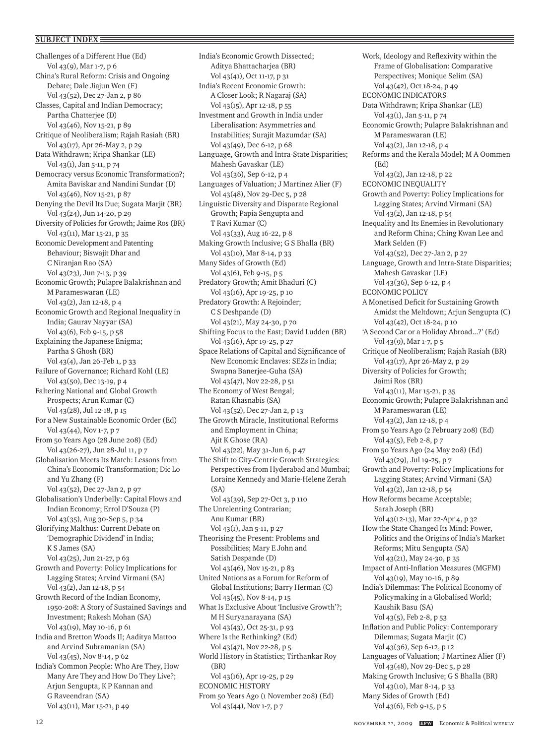Challenges of a Different Hue (Ed) Vol 43(9), Mar 1-7, p 6 China's Rural Reform: Crisis and Ongoing Debate; Dale Jiajun Wen (F) Vol 43(52), Dec 27-Jan 2, p 86 Classes, Capital and Indian Democracy; Partha Chatterjee (D) Vol 43(46), Nov 15-21, p 89 Critique of Neoliberalism; Rajah Rasiah (BR) Vol 43(17), Apr 26-May 2, p 29 Data Withdrawn; Kripa Shankar (LE) Vol 43(1), Jan 5-11, p 74 Democracy versus Economic Transformation?; Amita Baviskar and Nandini Sundar (D) Vol 43(46), Nov 15-21, p 87 Denying the Devil Its Due; Sugata Marjit (BR) Vol 43(24), Jun 14-20, p 29 Diversity of Policies for Growth; Jaime Ros (BR) Vol 43(11), Mar 15-21, p 35 Economic Development and Patenting Behaviour; Biswajit Dhar and C Niranjan Rao (SA) Vol 43(23), Jun 7-13, p 39 Economic Growth; Pulapre Balakrishnan and M Parameswaran (LE) Vol 43(2), Jan 12-18, p 4 Economic Growth and Regional Inequality in India; Gaurav Nayyar (SA) Vol 43(6), Feb 9-15, p 58 Explaining the Japanese Enigma; Partha S Ghosh (BR) Vol 43(4), Jan 26-Feb 1, p 33 Failure of Governance; Richard Kohl (LE) Vol 43(50), Dec 13-19, p 4 Faltering National and Global Growth Prospects; Arun Kumar (C) Vol 43(28), Jul 12-18, p 15 For a New Sustainable Economic Order (Ed) Vol 43(44), Nov 1-7, p 7 From 50 Years Ago (28 June 208) (Ed) Vol 43(26-27), Jun 28-Jul 11, p 7 Globalisation Meets Its Match: Lessons from China's Economic Transformation; Dic Lo and Yu Zhang (F) Vol 43(52), Dec 27-Jan 2, p 97 Globalisation's Underbelly: Capital Flows and Indian Economy; Errol D'Souza (P) Vol 43(35), Aug 30-Sep 5, p 34 Glorifying Malthus: Current Debate on 'Demographic Dividend' in India; K S James (SA) Vol 43(25), Jun 21-27, p 63 Growth and Poverty: Policy Implications for Lagging States; Arvind Virmani (SA) Vol 43(2), Jan 12-18, p 54 Growth Record of the Indian Economy, 1950-208: A Story of Sustained Savings and Investment; Rakesh Mohan (SA) Vol 43(19), May 10-16, p 61 India and Bretton Woods II; Aaditya Mattoo and Arvind Subramanian (SA) Vol 43(45), Nov 8-14, p 62 India's Common People: Who Are They, How Many Are They and How Do They Live?; Arjun Sengupta, K P Kannan and G Raveendran (SA) Vol 43(11), Mar 15-21, p 49

India's Economic Growth Dissected; Aditya Bhattacharjea (BR) Vol 43(41), Oct 11-17, p 31 India's Recent Economic Growth: A Closer Look; R Nagaraj (SA) Vol 43(15), Apr 12-18, p 55 Investment and Growth in India under Liberalisation: Asymmetries and Instabilities; Surajit Mazumdar (SA) Vol 43(49), Dec 6-12, p 68 Language, Growth and Intra-State Disparities; Mahesh Gavaskar (LE) Vol 43(36), Sep 6-12, p 4 Languages of Valuation; J Martinez Alier (F) Vol 43(48), Nov 29-Dec 5, p 28 Linguistic Diversity and Disparate Regional Growth; Papia Sengupta and T Ravi Kumar (C) Vol 43(33), Aug 16-22, p 8 Making Growth Inclusive; G S Bhalla (BR) Vol 43(10), Mar 8-14, p 33 Many Sides of Growth (Ed) Vol 43(6), Feb 9-15, p 5 Predatory Growth; Amit Bhaduri (C) Vol 43(16), Apr 19-25, p 10 Predatory Growth: A Rejoinder; C S Deshpande (D) Vol 43(21), May 24-30, p 70 Shifting Focus to the East; David Ludden (BR) Vol 43(16), Apr 19-25, p 27 Space Relations of Capital and Significance of New Economic Enclaves: SEZs in India; Swapna Banerjee-Guha (SA) Vol 43(47), Nov 22-28, p 51 The Economy of West Bengal; Ratan Khasnabis (SA) Vol 43(52), Dec 27-Jan 2, p 13 The Growth Miracle, Institutional Reforms and Employment in China; Ajit K Ghose (RA) Vol 43(22), May 31-Jun 6, p 47 The Shift to City-Centric Growth Strategies: Perspectives from Hyderabad and Mumbai; Loraine Kennedy and Marie-Helene Zerah (SA) Vol 43(39), Sep 27-Oct 3, p 110 The Unrelenting Contrarian; Anu Kumar (BR) Vol 43(1), Jan 5-11, p 27 Theorising the Present: Problems and Possibilities; Mary E John and Satish Despande (D) Vol 43(46), Nov 15-21, p 83 United Nations as a Forum for Reform of Global Institutions; Barry Herman (C) Vol 43(45), Nov 8-14, p 15 What Is Exclusive About 'Inclusive Growth'?; M H Suryanarayana (SA) Vol 43(43), Oct 25-31, p 93 Where Is the Rethinking? (Ed) Vol 43(47), Nov 22-28, p 5 World History in Statistics; Tirthankar Roy (BR) Vol 43(16), Apr 19-25, p 29 ECONOMIC HISTORY From 50 Years Ago (1 November 208) (Ed) Vol 43(44), Nov 1-7, p 7

Work, Ideology and Reflexivity within the Frame of Globalisation: Comparative Perspectives; Monique Selim (SA) Vol 43(42), Oct 18-24, p 49 ECONOMIC INDICATORS Data Withdrawn; Kripa Shankar (LE) Vol 43(1), Jan 5-11, p 74 Economic Growth; Pulapre Balakrishnan and M Parameswaran (LE) Vol 43(2), Jan 12-18, p 4 Reforms and the Kerala Model; M A Oommen (Ed) Vol 43(2), Jan 12-18, p 22 ECONOMIC INEQUALITY Growth and Poverty: Policy Implications for Lagging States; Arvind Virmani (SA) Vol 43(2), Jan 12-18, p 54 Inequality and Its Enemies in Revolutionary and Reform China; Ching Kwan Lee and Mark Selden (F) Vol 43(52), Dec 27-Jan 2, p 27 Language, Growth and Intra-State Disparities; Mahesh Gavaskar (LE) Vol 43(36), Sep 6-12, p 4 ECONOMIC POLICY A Monetised Deficit for Sustaining Growth Amidst the Meltdown; Arjun Sengupta (C) Vol 43(42), Oct 18-24, p 10 'A Second Car or a Holiday Abroad...?' (Ed) Vol 43(9), Mar 1-7, p 5 Critique of Neoliberalism; Rajah Rasiah (BR) Vol 43(17), Apr 26-May 2, p 29 Diversity of Policies for Growth; Jaimi Ros (BR) Vol 43(11), Mar 15-21, p 35 Economic Growth; Pulapre Balakrishnan and M Parameswaran (LE) Vol 43(2), Jan 12-18, p 4 From 50 Years Ago (2 February 208) (Ed) Vol 43(5), Feb 2-8, p 7 From 50 Years Ago (24 May 208) (Ed) Vol 43(29), Jul 19-25, p 7 Growth and Poverty: Policy Implications for Lagging States; Arvind Virmani (SA) Vol 43(2), Jan 12-18, p 54 How Reforms became Acceptable; Sarah Joseph (BR) Vol 43(12-13), Mar 22-Apr 4, p 32 How the State Changed Its Mind: Power, Politics and the Origins of India's Market Reforms; Mitu Sengupta (SA) Vol 43(21), May 24-30, p 35 Impact of Anti-Inflation Measures (MGFM) Vol 43(19), May 10-16, p 89 India's Dilemmas: The Political Economy of Policymaking in a Globalised World; Kaushik Basu (SA) Vol 43(5), Feb 2-8, p 53 Inflation and Public Policy: Contemporary Dilemmas; Sugata Marjit (C) Vol 43(36), Sep 6-12, p 12 Languages of Valuation; J Martinez Alier (F) Vol 43(48), Nov 29-Dec 5, p 28 Making Growth Inclusive; G S Bhalla (BR) Vol 43(10), Mar 8-14, p 33 Many Sides of Growth (Ed) Vol 43(6), Feb 9-15, p 5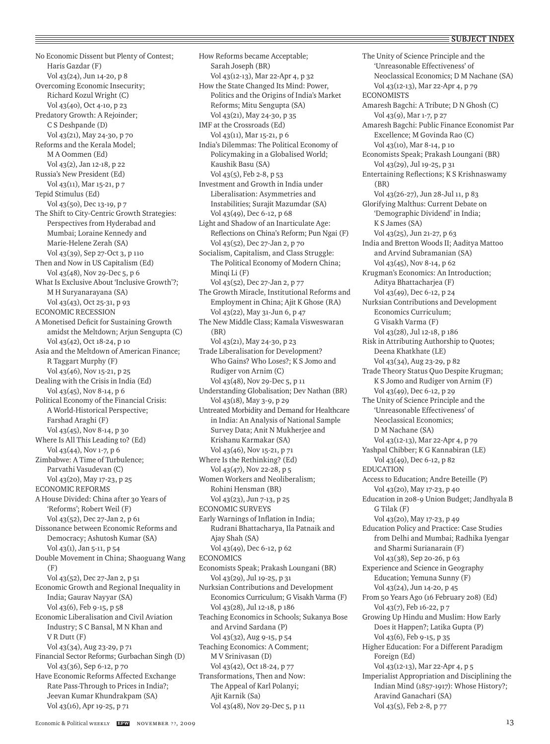## $\equiv$  **SUBJECT INDEX**

No Economic Dissent but Plenty of Contest; Haris Gazdar (F) Vol 43(24), Jun 14-20, p 8 Overcoming Economic Insecurity; Richard Kozul Wright (C) Vol 43(40), Oct 4-10, p 23 Predatory Growth: A Rejoinder; C S Deshpande (D) Vol 43(21), May 24-30, p 70 Reforms and the Kerala Model; M A Oommen (Ed) Vol 43(2), Jan 12-18, p 22 Russia's New President (Ed) Vol 43(11), Mar 15-21, p 7 Tepid Stimulus (Ed) Vol 43(50), Dec 13-19, p 7 The Shift to City-Centric Growth Strategies: Perspectives from Hyderabad and Mumbai; Loraine Kennedy and Marie-Helene Zerah (SA) Vol 43(39), Sep 27-Oct 3, p 110 Then and Now in US Capitalism (Ed) Vol 43(48), Nov 29-Dec 5, p 6 What Is Exclusive About 'Inclusive Growth'?; M H Suryanarayana (SA) Vol 43(43), Oct 25-31, p 93 ECONOMIC RECESSION A Monetised Deficit for Sustaining Growth amidst the Meltdown; Arjun Sengupta (C) Vol 43(42), Oct 18-24, p 10 Asia and the Meltdown of American Finance; R Taggart Murphy (F) Vol 43(46), Nov 15-21, p 25 Dealing with the Crisis in India (Ed) Vol 43(45), Nov 8-14, p 6 Political Economy of the Financial Crisis: A World-Historical Perspective; Farshad Araghi (F) Vol 43(45), Nov 8-14, p 30 Where Is All This Leading to? (Ed) Vol 43(44), Nov 1-7, p 6 Zimbabwe: A Time of Turbulence; Parvathi Vasudevan (C) Vol 43(20), May 17-23, p 25 ECONOMIC REFORMS A House Divided: China after 30 Years of 'Reforms'; Robert Weil (F) Vol 43(52), Dec 27-Jan 2, p 61 Dissonance between Economic Reforms and Democracy; Ashutosh Kumar (SA) Vol 43(1), Jan 5-11, p 54 Double Movement in China; Shaoguang Wang (F) Vol 43(52), Dec 27-Jan 2, p 51 Economic Growth and Regional Inequality in India; Gaurav Nayyar (SA) Vol 43(6), Feb 9-15, p 58 Economic Liberalisation and Civil Aviation Industry; S C Bansal, M N Khan and V R Dutt (F) Vol 43(34), Aug 23-29, p 71 Financial Sector Reforms; Gurbachan Singh (D) Vol 43(36), Sep 6-12, p 70 Have Economic Reforms Affected Exchange Rate Pass-Through to Prices in India?; Jeevan Kumar Khundrakpam (SA) Vol 43(16), Apr 19-25, p 71

How Reforms became Acceptable; Sarah Joseph (BR) Vol 43(12-13), Mar 22-Apr 4, p 32 How the State Changed Its Mind: Power, Politics and the Origins of India's Market Reforms; Mitu Sengupta (SA) Vol 43(21), May 24-30, p 35 IMF at the Crossroads (Ed) Vol 43(11), Mar 15-21, p 6 India's Dilemmas: The Political Economy of Policymaking in a Globalised World; Kaushik Basu (SA) Vol 43(5), Feb 2-8, p 53 Investment and Growth in India under Liberalisation: Asymmetries and Instabilities; Surajit Mazumdar (SA) Vol 43(49), Dec 6-12, p 68 Light and Shadow of an Inarticulate Age: Reflections on China's Reform; Pun Ngai (F) Vol 43(52), Dec 27-Jan 2, p 70 Socialism, Capitalism, and Class Struggle: The Political Economy of Modern China; Minqi Li (F) Vol 43(52), Dec 27-Jan 2, p 77 The Growth Miracle, Institutional Reforms and Employment in China; Ajit K Ghose (RA) Vol 43(22), May 31-Jun 6, p 47 The New Middle Class; Kamala Visweswaran (BR) Vol 43(21), May 24-30, p 23 Trade Liberalisation for Development? Who Gains? Who Loses?; K S Jomo and Rudiger von Arnim (C) Vol 43(48), Nov 29-Dec 5, p 11 Understanding Globalisation; Dev Nathan (BR) Vol 43(18), May 3-9, p 29 Untreated Morbidity and Demand for Healthcare in India: An Analysis of National Sample Survey Data; Anit N Mukherjee and Krishanu Karmakar (SA) Vol 43(46), Nov 15-21, p 71 Where Is the Rethinking? (Ed) Vol 43(47), Nov 22-28, p 5 Women Workers and Neoliberalism; Rohini Hensman (BR) Vol 43(23), Jun 7-13, p 25 ECONOMIC SURVEYS Early Warnings of Inflation in India; Rudrani Bhattacharya, Ila Patnaik and Ajay Shah (SA) Vol 43(49), Dec 6-12, p 62 **ECONOMICS** Economists Speak; Prakash Loungani (BR) Vol 43(29), Jul 19-25, p 31 Nurksian Contributions and Development Economics Curriculum; G Visakh Varma (F) Vol 43(28), Jul 12-18, p 186 Teaching Economics in Schools; Sukanya Bose and Arvind Sardana (P) Vol 43(32), Aug 9-15, p 54 Teaching Economics: A Comment; M V Srinivasan (D) Vol 43(42), Oct 18-24, p 77 Transformations, Then and Now: The Appeal of Karl Polanyi; Ajit Karnik (Sa) Vol 43(48), Nov 29-Dec 5, p 11

The Unity of Science Principle and the 'Unreasonable Effectiveness' of Neoclassical Economics; D M Nachane (SA) Vol 43(12-13), Mar 22-Apr 4, p 79 ECONOMISTS Amaresh Bagchi: A Tribute; D N Ghosh (C) Vol 43(9), Mar 1-7, p 27 Amaresh Bagchi: Public Finance Economist Par Excellence; M Govinda Rao (C) Vol 43(10), Mar 8-14, p 10 Economists Speak; Prakash Loungani (BR) Vol 43(29), Jul 19-25, p 31 Entertaining Reflections; K S Krishnaswamy (BR) Vol 43(26-27), Jun 28-Jul 11, p 83 Glorifying Malthus: Current Debate on 'Demographic Dividend' in India; K S James (SA) Vol 43(25), Jun 21-27, p 63 India and Bretton Woods II; Aaditya Mattoo and Arvind Subramanian (SA) Vol 43(45), Nov 8-14, p 62 Krugman's Economics: An Introduction; Aditya Bhattacharjea (F) Vol 43(49), Dec 6-12, p 24 Nurksian Contributions and Development Economics Curriculum; G Visakh Varma (F) Vol 43(28), Jul 12-18, p 186 Risk in Attributing Authorship to Quotes; Deena Khatkhate (LE) Vol 43(34), Aug 23-29, p 82 Trade Theory Status Quo Despite Krugman; K S Jomo and Rudiger von Arnim (F) Vol 43(49), Dec 6-12, p 29 The Unity of Science Principle and the 'Unreasonable Effectiveness' of Neoclassical Economics; D M Nachane (SA) Vol 43(12-13), Mar 22-Apr 4, p 79 Yashpal Chibber; K G Kannabiran (LE) Vol 43(49), Dec 6-12, p 82 EDUCATION Access to Education; Andre Beteille (P) Vol 43(20), May 17-23, p 40 Education in 208-9 Union Budget; Jandhyala B G Tilak (F) Vol 43(20), May 17-23, p 49 Education Policy and Practice: Case Studies from Delhi and Mumbai; Radhika Iyengar and Sharmi Surianarain (F) Vol 43(38), Sep 20-26, p 63 Experience and Science in Geography Education; Yemuna Sunny (F) Vol 43(24), Jun 14-20, p 45 From 50 Years Ago (16 February 208) (Ed) Vol 43(7), Feb 16-22, p 7 Growing Up Hindu and Muslim: How Early Does it Happen?; Latika Gupta (P) Vol 43(6), Feb 9-15, p 35 Higher Education: For a Different Paradigm Foreign (Ed) Vol 43(12-13), Mar 22-Apr 4, p 5 Imperialist Appropriation and Disciplining the Indian Mind (1857-1917): Whose History?; Aravind Ganachari (SA) Vol 43(5), Feb 2-8, p 77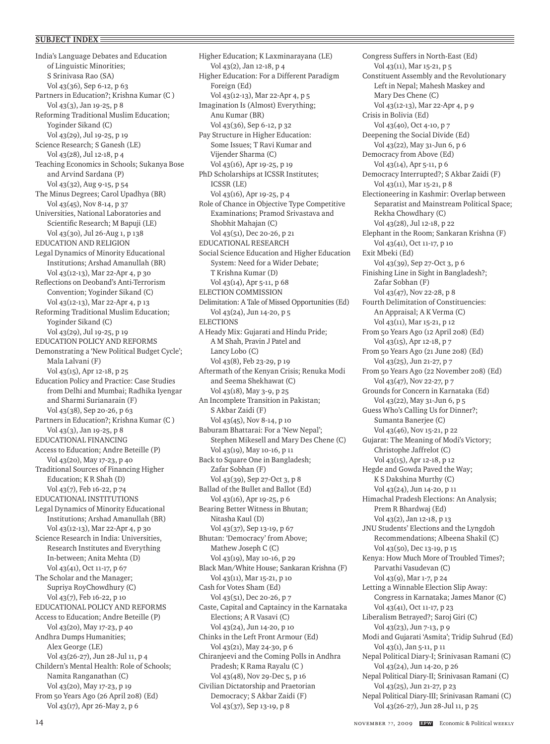India's Language Debates and Education of Linguistic Minorities; S Srinivasa Rao (SA) Vol 43(36), Sep 6-12, p 63 Partners in Education?; Krishna Kumar (C ) Vol 43(3), Jan 19-25, p 8 Reforming Traditional Muslim Education; Yoginder Sikand (C) Vol 43(29), Jul 19-25, p 19 Science Research; S Ganesh (LE) Vol 43(28), Jul 12-18, p 4 Teaching Economics in Schools; Sukanya Bose and Arvind Sardana (P) Vol 43(32), Aug 9-15, p 54 The Minus Degrees; Carol Upadhya (BR) Vol 43(45), Nov 8-14, p 37 Universities, National Laboratories and Scientific Research; M Bapuji (LE) Vol 43(30), Jul 26-Aug 1, p 138 EDUCATION AND RELIGION Legal Dynamics of Minority Educational Institutions; Arshad Amanullah (BR) Vol 43(12-13), Mar 22-Apr 4, p 30 Reflections on Deoband's Anti-Terrorism Convention; Yoginder Sikand (C) Vol 43(12-13), Mar 22-Apr 4, p 13 Reforming Traditional Muslim Education; Yoginder Sikand (C) Vol 43(29), Jul 19-25, p 19 EDUCATION POLICY AND REFORMS Demonstrating a 'New Political Budget Cycle'; Mala Lalvani (F) Vol 43(15), Apr 12-18, p 25 Education Policy and Practice: Case Studies from Delhi and Mumbai; Radhika Iyengar and Sharmi Surianarain (F) Vol 43(38), Sep 20-26, p 63 Partners in Education?; Krishna Kumar (C ) Vol 43(3), Jan 19-25, p 8 EDUCATIONAL FINANCING Access to Education; Andre Beteille (P) Vol 43(20), May 17-23, p 40 Traditional Sources of Financing Higher Education; K R Shah (D) Vol 43(7), Feb 16-22, p 74 EDUCATIONAL INSTITUTIONS Legal Dynamics of Minority Educational Institutions; Arshad Amanullah (BR) Vol 43(12-13), Mar 22-Apr 4, p 30 Science Research in India: Universities, Research Institutes and Everything In-between; Anita Mehta (D) Vol 43(41), Oct 11-17, p 67 The Scholar and the Manager; Supriya RoyChowdhury (C) Vol 43(7), Feb 16-22, p 10 EDUCATIONAL POLICY AND REFORMS Access to Education; Andre Beteille (P) Vol 43(20), May 17-23, p 40 Andhra Dumps Humanities; Alex George (LE) Vol 43(26-27), Jun 28-Jul 11, p 4 Childern's Mental Health: Role of Schools; Namita Ranganathan (C) Vol 43(20), May 17-23, p 19 From 50 Years Ago (26 April 208) (Ed) Vol 43(17), Apr 26-May 2, p 6

Higher Education; K Laxminarayana (LE) Vol 43(2), Jan 12-18, p 4 Higher Education: For a Different Paradigm Foreign (Ed) Vol 43(12-13), Mar 22-Apr 4, p 5 Imagination Is (Almost) Everything; Anu Kumar (BR) Vol 43(36), Sep 6-12, p 32 Pay Structure in Higher Education: Some Issues; T Ravi Kumar and Vijender Sharma (C) Vol 43(16), Apr 19-25, p 19 PhD Scholarships at ICSSR Institutes; ICSSR (LE) Vol 43(16), Apr 19-25, p 4 Role of Chance in Objective Type Competitive Examinations; Pramod Srivastava and Shobhit Mahajan (C) Vol 43(51), Dec 20-26, p 21 EDUCATIONAL RESEARCH Social Science Education and Higher Education System: Need for a Wider Debate; T Krishna Kumar (D) Vol 43(14), Apr 5-11, p 68 ELECTION COMMISSION Delimitation: A Tale of Missed Opportunities (Ed) Vol 43(24), Jun 14-20, p 5 ELECTIONS A Heady Mix: Gujarati and Hindu Pride; A M Shah, Pravin J Patel and Lancy Lobo (C) Vol 43(8), Feb 23-29, p 19 Aftermath of the Kenyan Crisis; Renuka Modi and Seema Shekhawat (C) Vol 43(18), May 3-9, p 25 An Incomplete Transition in Pakistan; S Akbar Zaidi (F) Vol 43(45), Nov 8-14, p 10 Baburam Bhattarai: For a 'New Nepal'; Stephen Mikesell and Mary Des Chene (C) Vol 43(19), May 10-16, p 11 Back to Square One in Bangladesh; Zafar Sobhan (F) Vol 43(39), Sep 27-Oct 3, p 8 Ballad of the Bullet and Ballot (Ed) Vol 43(16), Apr 19-25, p 6 Bearing Better Witness in Bhutan; Nitasha Kaul (D) Vol 43(37), Sep 13-19, p 67 Bhutan: 'Democracy' from Above; Mathew Joseph C (C) Vol 43(19), May 10-16, p 29 Black Man/White House; Sankaran Krishna (F) Vol 43(11), Mar 15-21, p 10 Cash for Votes Sham (Ed) Vol 43(51), Dec 20-26, p 7 Caste, Capital and Captaincy in the Karnataka Elections; A R Vasavi (C) Vol 43(24), Jun 14-20, p 10 Chinks in the Left Front Armour (Ed) Vol 43(21), May 24-30, p 6 Chiranjeevi and the Coming Polls in Andhra Pradesh; K Rama Rayalu (C ) Vol 43(48), Nov 29-Dec 5, p 16 Civilian Dictatorship and Praetorian Democracy; S Akbar Zaidi (F) Vol 43(37), Sep 13-19, p 8

Congress Suffers in North-East (Ed) Vol 43(11), Mar 15-21, p 5 Constituent Assembly and the Revolutionary Left in Nepal; Mahesh Maskey and Mary Des Chene (C) Vol 43(12-13), Mar 22-Apr 4, p 9 Crisis in Bolivia (Ed) Vol 43(40), Oct 4-10, p 7 Deepening the Social Divide (Ed) Vol 43(22), May 31-Jun 6, p 6 Democracy from Above (Ed) Vol 43(14), Apr 5-11, p 6 Democracy Interrupted?; S Akbar Zaidi (F) Vol 43(11), Mar 15-21, p 8 Electioneering in Kashmir: Overlap between Separatist and Mainstream Political Space; Rekha Chowdhary (C) Vol 43(28), Jul 12-18, p 22 Elephant in the Room; Sankaran Krishna (F) Vol 43(41), Oct 11-17, p 10 Exit Mbeki (Ed) Vol 43(39), Sep 27-Oct 3, p 6 Finishing Line in Sight in Bangladesh?; Zafar Sobhan (F) Vol 43(47), Nov 22-28, p 8 Fourth Delimitation of Constituencies: An Appraisal; A K Verma (C) Vol 43(11), Mar 15-21, p 12 From 50 Years Ago (12 April 208) (Ed) Vol 43(15), Apr 12-18, p 7 From 50 Years Ago (21 June 208) (Ed) Vol 43(25), Jun 21-27, p 7 From 50 Years Ago (22 November 208) (Ed) Vol 43(47), Nov 22-27, p 7 Grounds for Concern in Karnataka (Ed) Vol 43(22), May 31-Jun 6, p 5 Guess Who's Calling Us for Dinner?; Sumanta Banerjee (C) Vol 43(46), Nov 15-21, p 22 Gujarat: The Meaning of Modi's Victory; Christophe Jaffrelot (C) Vol 43(15), Apr 12-18, p 12 Hegde and Gowda Paved the Way; K S Dakshina Murthy (C) Vol 43(24), Jun 14-20, p 11 Himachal Pradesh Elections: An Analysis; Prem R Bhardwaj (Ed) Vol 43(2), Jan 12-18, p 13 JNU Students' Elections and the Lyngdoh Recommendations; Albeena Shakil (C) Vol 43(50), Dec 13-19, p 15 Kenya: How Much More of Troubled Times?; Parvathi Vasudevan (C) Vol 43(9), Mar 1-7, p 24 Letting a Winnable Election Slip Away: Congress in Karnataka; James Manor (C) Vol 43(41), Oct 11-17, p 23 Liberalism Betrayed?; Saroj Giri (C) Vol 43(23), Jun 7-13, p 9 Modi and Gujarati 'Asmita'; Tridip Suhrud (Ed) Vol 43(1), Jan 5-11, p 11 Nepal Political Diary-I; Srinivasan Ramani (C) Vol 43(24), Jun 14-20, p 26 Nepal Political Diary-II; Srinivasan Ramani (C) Vol 43(25), Jun 21-27, p 23 Nepal Political Diary-III; Srinivasan Ramani (C) Vol 43(26-27), Jun 28-Jul 11, p 25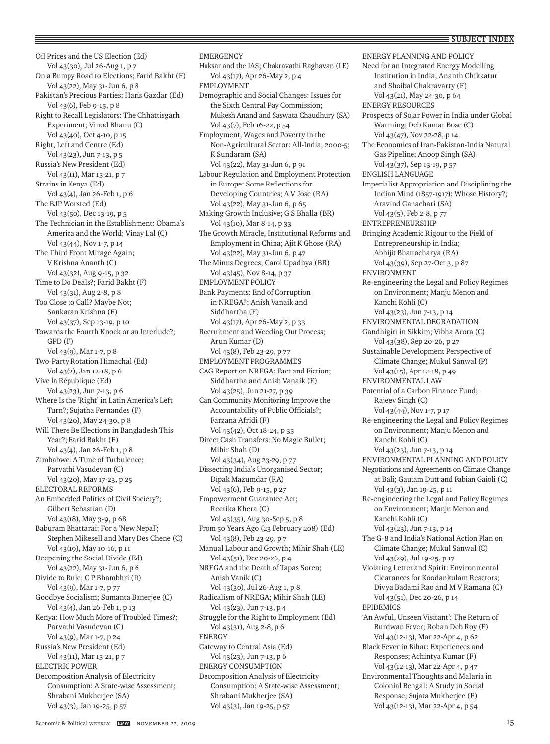Oil Prices and the US Election (Ed) Vol 43(30), Jul 26-Aug 1, p 7 On a Bumpy Road to Elections; Farid Bakht (F) Vol 43(22), May 31-Jun 6, p 8 Pakistan's Precious Parties; Haris Gazdar (Ed) Vol 43(6), Feb 9-15, p 8 Right to Recall Legislators: The Chhattisgarh Experiment; Vinod Bhanu (C) Vol 43(40), Oct 4-10, p 15 Right, Left and Centre (Ed) Vol 43(23), Jun 7-13, p 5 Russia's New President (Ed) Vol 43(11), Mar 15-21, p 7 Strains in Kenya (Ed) Vol 43(4), Jan 26-Feb 1, p 6 The BJP Worsted (Ed) Vol 43(50), Dec 13-19, p 5 The Technician in the Establishment: Obama's America and the World; Vinay Lal (C) Vol 43(44), Nov 1-7, p 14 The Third Front Mirage Again; V Krishna Ananth (C) Vol 43(32), Aug 9-15, p 32 Time to Do Deals?; Farid Bakht (F) Vol 43(31), Aug 2-8, p 8 Too Close to Call? Maybe Not; Sankaran Krishna (F) Vol 43(37), Sep 13-19, p 10 Towards the Fourth Knock or an Interlude?; GPD (F) Vol 43(9), Mar 1-7, p 8 Two-Party Rotation Himachal (Ed) Vol 43(2), Jan 12-18, p 6 Vive la République (Ed) Vol 43(23), Jun 7-13, p 6 Where Is the 'Right' in Latin America's Left Turn?; Sujatha Fernandes (F) Vol 43(20), May 24-30, p 8 Will There Be Elections in Bangladesh This Year?; Farid Bakht (F) Vol 43(4), Jan 26-Feb 1, p 8 Zimbabwe: A Time of Turbulence; Parvathi Vasudevan (C) Vol 43(20), May 17-23, p 25 ELECTORAL REFORMS An Embedded Politics of Civil Society?; Gilbert Sebastian (D) Vol 43(18), May 3-9, p 68 Baburam Bhattarai: For a 'New Nepal'; Stephen Mikesell and Mary Des Chene (C) Vol 43(19), May 10-16, p 11 Deepening the Social Divide (Ed) Vol 43(22), May 31-Jun 6, p 6 Divide to Rule; C P Bhambhri (D) Vol 43(9), Mar 1-7, p 77 Goodbye Socialism; Sumanta Banerjee (C) Vol 43(4), Jan 26-Feb 1, p 13 Kenya: How Much More of Troubled Times?; Parvathi Vasudevan (C) Vol 43(9), Mar 1-7, p 24 Russia's New President (Ed) Vol 43(11), Mar 15-21, p 7 ELECTRIC POWER Decomposition Analysis of Electricity Consumption: A State-wise Assessment; Shrabani Mukherjee (SA) Vol 43(3), Jan 19-25, p 57

Haksar and the IAS; Chakravathi Raghavan (LE) Vol 43(17), Apr 26-May 2, p 4 EMPLOYMENT Demographic and Social Changes: Issues for the Sixth Central Pay Commission; Mukesh Anand and Saswata Chaudhury (SA) Vol 43(7), Feb 16-22, p 54 Employment, Wages and Poverty in the Non-Agricultural Sector: All-India, 2000-5; K Sundaram (SA) Vol 43(22), May 31-Jun 6, p 91 Labour Regulation and Employment Protection in Europe: Some Reflections for Developing Countries; A V Jose (RA) Vol 43(22), May 31-Jun 6, p 65 Making Growth Inclusive; G S Bhalla (BR) Vol 43(10), Mar 8-14, p 33 The Growth Miracle, Institutional Reforms and Employment in China; Ajit K Ghose (RA) Vol 43(22), May 31-Jun 6, p 47 The Minus Degrees; Carol Upadhya (BR) Vol 43(45), Nov 8-14, p 37 EMPLOYMENT POLICY Bank Payments: End of Corruption in NREGA?; Anish Vanaik and Siddhartha (F) Vol 43(17), Apr 26-May 2, p 33 Recruitment and Weeding Out Process; Arun Kumar (D) Vol 43(8), Feb 23-29, p 77 EMPLOYMENT PROGRAMMES CAG Report on NREGA: Fact and Fiction; Siddhartha and Anish Vanaik (F) Vol 43(25), Jun 21-27, p 39 Can Community Monitoring Improve the Accountability of Public Officials?; Farzana Afridi (F) Vol 43(42), Oct 18-24, p 35 Direct Cash Transfers: No Magic Bullet; Mihir Shah (D) Vol 43(34), Aug 23-29, p 77 Dissecting India's Unorganised Sector; Dipak Mazumdar (RA) Vol 43(6), Feb 9-15, p 27 Empowerment Guarantee Act; Reetika Khera (C) Vol 43(35), Aug 30-Sep 5, p 8 From 50 Years Ago (23 February 208) (Ed) Vol 43(8), Feb 23-29, p 7 Manual Labour and Growth; Mihir Shah (LE) Vol 43(51), Dec 20-26, p 4 NREGA and the Death of Tapas Soren; Anish Vanik (C) Vol 43(30), Jul 26-Aug 1, p 8 Radicalism of NREGA; Mihir Shah (LE) Vol 43(23), Jun 7-13, p 4 Struggle for the Right to Employment (Ed) Vol 43(31), Aug 2-8, p 6 ENERGY Gateway to Central Asia (Ed) Vol 43(23), Jun 7-13, p 6 ENERGY CONSUMPTION Decomposition Analysis of Electricity Consumption: A State-wise Assessment; Shrabani Mukherjee (SA) Vol 43(3), Jan 19-25, p 57

**EMERGENCY** 

ENERGY PLANNING AND POLICY Need for an Integrated Energy Modelling Institution in India; Ananth Chikkatur and Shoibal Chakravarty (F) Vol 43(21), May 24-30, p 64 ENERGY RESOURCES Prospects of Solar Power in India under Global Warming; Deb Kumar Bose (C) Vol 43(47), Nov 22-28, p 14 The Economics of Iran-Pakistan-India Natural Gas Pipeline; Anoop Singh (SA) Vol 43(37), Sep 13-19, p 57 ENGLISH LANGUAGE Imperialist Appropriation and Disciplining the Indian Mind (1857-1917): Whose History?; Aravind Ganachari (SA) Vol 43(5), Feb 2-8, p 77 ENTREPRENEURSHIP Bringing Academic Rigour to the Field of Entrepreneurship in India; Abhijit Bhattacharya (RA) Vol 43(39), Sep 27-Oct 3, p 87 ENVIRONMENT Re-engineering the Legal and Policy Regimes on Environment; Manju Menon and Kanchi Kohli (C) Vol 43(23), Jun 7-13, p 14 ENVIRONMENTAL DEGRADATION Gandhigiri in Sikkim; Vibha Arora (C) Vol 43(38), Sep 20-26, p 27 Sustainable Development Perspective of Climate Change; Mukul Sanwal (P) Vol 43(15), Apr 12-18, p 49 ENVIRONMENTAL LAW Potential of a Carbon Finance Fund; Rajeev Singh (C) Vol 43(44), Nov 1-7, p 17 Re-engineering the Legal and Policy Regimes on Environment; Manju Menon and Kanchi Kohli (C) Vol 43(23), Jun 7-13, p 14 ENVIRONMENTAL PLANNING AND POLICY Negotiations and Agreements on Climate Change at Bali; Gautam Dutt and Fabian Gaioli (C) Vol 43(3), Jan 19-25, p 11 Re-engineering the Legal and Policy Regimes on Environment; Manju Menon and Kanchi Kohli (C) Vol 43(23), Jun 7-13, p 14 The G-8 and India's National Action Plan on Climate Change; Mukul Sanwal (C) Vol 43(29), Jul 19-25, p 17 Violating Letter and Spirit: Environmental Clearances for Koodankulam Reactors; Divya Badami Rao and M V Ramana (C) Vol 43(51), Dec 20-26, p 14 EPIDEMICS 'An Awful, Unseen Visitant': The Return of Burdwan Fever; Rohan Deb Roy (F) Vol 43(12-13), Mar 22-Apr 4, p 62 Black Fever in Bihar: Experiences and Responses; Achintya Kumar (F) Vol 43(12-13), Mar 22-Apr 4, p 47 Environmental Thoughts and Malaria in Colonial Bengal: A Study in Social Response; Sujata Mukherjee (F) Vol 43(12-13), Mar 22-Apr 4, p 54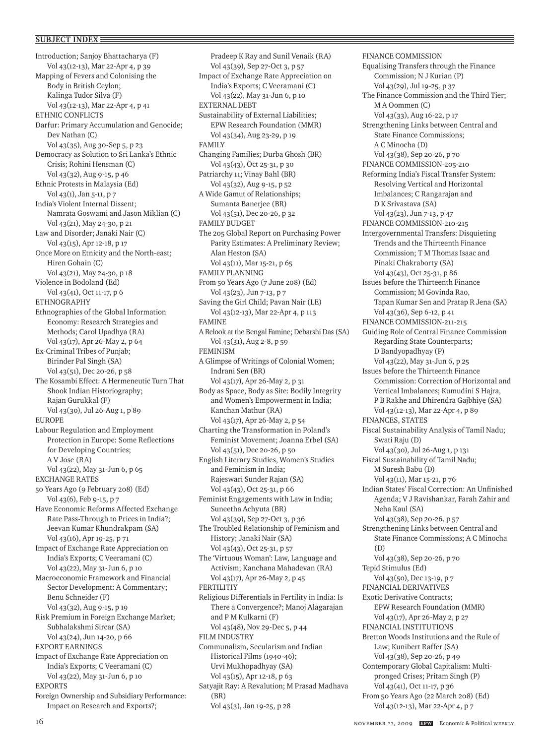Introduction; Sanjoy Bhattacharya (F) Vol 43(12-13), Mar 22-Apr 4, p 39 Mapping of Fevers and Colonising the Body in British Ceylon; Kalinga Tudor Silva (F) Vol 43(12-13), Mar 22-Apr 4, p 41 ETHNIC CONFLICTS Darfur: Primary Accumulation and Genocide; Dev Nathan (C) Vol 43(35), Aug 30-Sep 5, p 23 Democracy as Solution to Sri Lanka's Ethnic Crisis; Rohini Hensman (C) Vol 43(32), Aug 9-15, p 46 Ethnic Protests in Malaysia (Ed) Vol 43(1), Jan 5-11, p 7 India's Violent Internal Dissent; Namrata Goswami and Jason Miklian (C) Vol 43(21), May 24-30, p 21 Law and Disorder; Janaki Nair (C) Vol 43(15), Apr 12-18, p 17 Once More on Etnicity and the North-east; Hiren Gohain (C) Vol 43(21), May 24-30, p 18 Violence in Bodoland (Ed) Vol 43(41), Oct 11-17, p 6 ETHNOGRAPHY Ethnographies of the Global Information Economy: Research Strategies and Methods; Carol Upadhya (RA) Vol 43(17), Apr 26-May 2, p 64 Ex-Criminal Tribes of Punjab; Birinder Pal Singh (SA) Vol 43(51), Dec 20-26, p 58 The Kosambi Effect: A Hermeneutic Turn That Shook Indian Historiography; Rajan Gurukkal (F) Vol 43(30), Jul 26-Aug 1, p 89 **EUROPE** Labour Regulation and Employment Protection in Europe: Some Reflections for Developing Countries; A V Jose (RA) Vol 43(22), May 31-Jun 6, p 65 EXCHANGE RATES 50 Years Ago (9 February 208) (Ed) Vol 43(6), Feb 9-15, p 7 Have Economic Reforms Affected Exchange Rate Pass-Through to Prices in India?; Jeevan Kumar Khundrakpam (SA) Vol 43(16), Apr 19-25, p 71 Impact of Exchange Rate Appreciation on India's Exports; C Veeramani (C) Vol 43(22), May 31-Jun 6, p 10 Macroeconomic Framework and Financial Sector Development: A Commentary; Benu Schneider (F) Vol 43(32), Aug 9-15, p 19 Risk Premium in Foreign Exchange Market; Subhalakshmi Sircar (SA) Vol 43(24), Jun 14-20, p 66 EXPORT EARNINGS Impact of Exchange Rate Appreciation on India's Exports; C Veeramani (C) Vol 43(22), May 31-Jun 6, p 10 EXPORTS Foreign Ownership and Subsidiary Performance: Impact on Research and Exports?;

Pradeep K Ray and Sunil Venaik (RA) Vol 43(39), Sep 27-Oct 3, p 57 Impact of Exchange Rate Appreciation on India's Exports; C Veeramani (C) Vol 43(22), May 31-Jun 6, p 10 EXTERNAL DEBT Sustainability of External Liabilities; EPW Research Foundation (MMR) Vol 43(34), Aug 23-29, p 19 FAMILY Changing Families; Durba Ghosh (BR) Vol 43(43), Oct 25-31, p 30 Patriarchy 11; Vinay Bahl (BR) Vol 43(32), Aug 9-15, p 52 A Wide Gamut of Relationships; Sumanta Banerjee (BR) Vol 43(51), Dec 20-26, p 32 FAMILY BUDGET The 205 Global Report on Purchasing Power Parity Estimates: A Preliminary Review; Alan Heston (SA) Vol 43(11), Mar 15-21, p 65 FAMILY PLANNING From 50 Years Ago (7 June 208) (Ed) Vol 43(23), Jun 7-13, p 7 Saving the Girl Child; Pavan Nair (LE) Vol 43(12-13), Mar 22-Apr 4, p 113 FAMINE A Relook at the Bengal Famine; Debarshi Das (SA) Vol 43(31), Aug 2-8, p 59 FEMINISM A Glimpse of Writings of Colonial Women; Indrani Sen (BR) Vol 43(17), Apr 26-May 2, p 31 Body as Space, Body as Site: Bodily Integrity and Women's Empowerment in India; Kanchan Mathur (RA) Vol 43(17), Apr 26-May 2, p 54 Charting the Transformation in Poland's Feminist Movement; Joanna Erbel (SA) Vol 43(51), Dec 20-26, p 50 English Literary Studies, Women's Studies and Feminism in India; Rajeswari Sunder Rajan (SA) Vol 43(43), Oct 25-31, p 66 Feminist Engagements with Law in India; Suneetha Achyuta (BR) Vol 43(39), Sep 27-Oct 3, p 36 The Troubled Relationship of Feminism and History; Janaki Nair (SA) Vol 43(43), Oct 25-31, p 57 The 'Virtuous Woman': Law, Language and Activism; Kanchana Mahadevan (RA) Vol 43(17), Apr 26-May 2, p 45 FERTILITIY Religious Differentials in Fertility in India: Is There a Convergence?; Manoj Alagarajan and P M Kulkarni (F) Vol 43(48), Nov 29-Dec 5, p 44 FILM INDUSTRY Communalism, Secularism and Indian Historical Films (1940-46); Urvi Mukhopadhyay (SA) Vol 43(15), Apr 12-18, p 63 Satyajit Ray: A Revalution; M Prasad Madhava (BR) Vol 43(3), Jan 19-25, p 28

FINANCE COMMISSION Equalising Transfers through the Finance Commission; N J Kurian (P) Vol 43(29), Jul 19-25, p 37 The Finance Commission and the Third Tier; M A Oommen (C) Vol 43(33), Aug 16-22, p 17 Strengthening Links between Central and State Finance Commissions; A C Minocha (D) Vol 43(38), Sep 20-26, p 70 FINANCE COMMISSION-205-210 Reforming India's Fiscal Transfer System: Resolving Vertical and Horizontal Imbalances; C Rangarajan and D K Srivastava (SA) Vol 43(23), Jun 7-13, p 47 FINANCE COMMISSION-210-215 Intergovernmental Transfers: Disquieting Trends and the Thirteenth Finance Commission; T M Thomas Isaac and Pinaki Chakraborty (SA) Vol 43(43), Oct 25-31, p 86 Issues before the Thirteenth Finance Commission; M Govinda Rao, Tapan Kumar Sen and Pratap R Jena (SA) Vol 43(36), Sep 6-12, p 41 FINANCE COMMISSION-211-215 Guiding Role of Central Finance Commission Regarding State Counterparts; D Bandyopadhyay (P) Vol 43(22), May 31-Jun 6, p 25 Issues before the Thirteenth Finance Commission: Correction of Horizontal and Vertical Imbalances; Kumudini S Hajra, P B Rakhe and Dhirendra Gajbhiye (SA) Vol 43(12-13), Mar 22-Apr 4, p 89 FINANCES, STATES Fiscal Sustainability Analysis of Tamil Nadu; Swati Raju (D) Vol 43(30), Jul 26-Aug 1, p 131 Fiscal Sustainability of Tamil Nadu; M Suresh Babu (D) Vol 43(11), Mar 15-21, p 76 Indian States' Fiscal Correction: An Unfinished Agenda; V J Ravishankar, Farah Zahir and Neha Kaul (SA) Vol 43(38), Sep 20-26, p 57 Strengthening Links between Central and State Finance Commissions; A C Minocha  $(D)$ Vol 43(38), Sep 20-26, p 70 Tepid Stimulus (Ed) Vol 43(50), Dec 13-19, p 7 FINANCIAL DERIVATIVES Exotic Derivative Contracts; EPW Research Foundation (MMR) Vol 43(17), Apr 26-May 2, p 27 FINANCIAL INSTITUTIONS Bretton Woods Institutions and the Rule of Law; Kunibert Raffer (SA) Vol 43(38), Sep 20-26, p 49 Contemporary Global Capitalism: Multipronged Crises; Pritam Singh (P) Vol 43(41), Oct 11-17, p 36 From 50 Years Ago (22 March 208) (Ed) Vol 43(12-13), Mar 22-Apr 4, p 7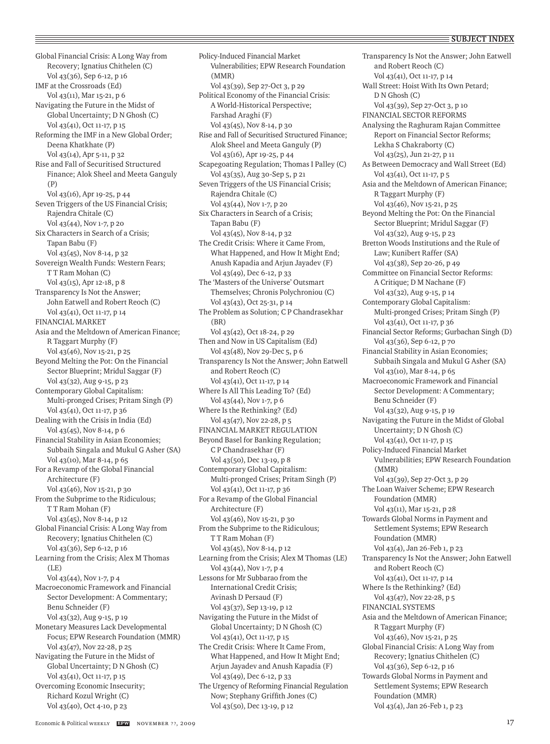Global Financial Crisis: A Long Way from Recovery; Ignatius Chithelen (C) Vol 43(36), Sep 6-12, p 16 IMF at the Crossroads (Ed) Vol 43(11), Mar 15-21, p 6 Navigating the Future in the Midst of Global Uncertainty; D N Ghosh (C) Vol 43(41), Oct 11-17, p 15 Reforming the IMF in a New Global Order; Deena Khatkhate (P) Vol 43(14), Apr 5-11, p 32 Rise and Fall of Securitised Structured Finance; Alok Sheel and Meeta Ganguly (P) Vol 43(16), Apr 19-25, p 44 Seven Triggers of the US Financial Crisis; Rajendra Chitale (C) Vol 43(44), Nov 1-7, p 20 Six Characters in Search of a Crisis; Tapan Babu (F) Vol 43(45), Nov 8-14, p 32 Sovereign Wealth Funds: Western Fears; T T Ram Mohan (C) Vol 43(15), Apr 12-18, p 8 Transparency Is Not the Answer; John Eatwell and Robert Reoch (C) Vol 43(41), Oct 11-17, p 14 FINANCIAL MARKET Asia and the Meltdown of American Finance; R Taggart Murphy (F) Vol 43(46), Nov 15-21, p 25 Beyond Melting the Pot: On the Financial Sector Blueprint; Mridul Saggar (F) Vol 43(32), Aug 9-15, p 23 Contemporary Global Capitalism: Multi-pronged Crises; Pritam Singh (P) Vol 43(41), Oct 11-17, p 36 Dealing with the Crisis in India (Ed) Vol 43(45), Nov 8-14, p 6 Financial Stability in Asian Economies; Subbaih Singala and Mukul G Asher (SA) Vol 43(10), Mar 8-14, p 65 For a Revamp of the Global Financial Architecture (F) Vol 43(46), Nov 15-21, p 30 From the Subprime to the Ridiculous; T T Ram Mohan (F) Vol 43(45), Nov 8-14, p 12 Global Financial Crisis: A Long Way from Recovery; Ignatius Chithelen (C) Vol 43(36), Sep 6-12, p 16 Learning from the Crisis; Alex M Thomas (LE) Vol 43(44), Nov 1-7, p 4 Macroeconomic Framework and Financial Sector Development: A Commentary; Benu Schneider (F) Vol 43(32), Aug 9-15, p 19 Monetary Measures Lack Developmental Focus; EPW Research Foundation (MMR) Vol 43(47), Nov 22-28, p 25 Navigating the Future in the Midst of Global Uncertainty; D N Ghosh (C) Vol 43(41), Oct 11-17, p 15 Overcoming Economic Insecurity; Richard Kozul Wright (C) Vol 43(40), Oct 4-10, p 23

Policy-Induced Financial Market Vulnerabilities; EPW Research Foundation (MMR) Vol 43(39), Sep 27-Oct 3, p 29 Political Economy of the Financial Crisis: A World-Historical Perspective; Farshad Araghi (F) Vol 43(45), Nov 8-14, p 30 Rise and Fall of Securitised Structured Finance; Alok Sheel and Meeta Ganguly (P) Vol 43(16), Apr 19-25, p 44 Scapegoating Regulation; Thomas I Palley (C) Vol 43(35), Aug 30-Sep 5, p 21 Seven Triggers of the US Financial Crisis; Rajendra Chitale (C) Vol 43(44), Nov 1-7, p 20 Six Characters in Search of a Crisis; Tapan Babu (F) Vol 43(45), Nov 8-14, p 32 The Credit Crisis: Where it Came From, What Happened, and How It Might End; Anush Kapadia and Arjun Jayadev (F) Vol 43(49), Dec 6-12, p 33 The 'Masters of the Universe' Outsmart Themselves; Chronis Polychroniou (C) Vol 43(43), Oct 25-31, p 14 The Problem as Solution; C P Chandrasekhar (BR) Vol 43(42), Oct 18-24, p 29 Then and Now in US Capitalism (Ed) Vol 43(48), Nov 29-Dec 5, p 6 Transparency Is Not the Answer; John Eatwell and Robert Reoch (C) Vol 43(41), Oct 11-17, p 14 Where Is All This Leading To? (Ed) Vol 43(44), Nov 1-7, p 6 Where Is the Rethinking? (Ed) Vol 43(47), Nov 22-28, p 5 FINANCIAL MARKET REGULATION Beyond Basel for Banking Regulation; C P Chandrasekhar (F) Vol 43(50), Dec 13-19, p 8 Contemporary Global Capitalism: Multi-pronged Crises; Pritam Singh (P) Vol 43(41), Oct 11-17, p 36 For a Revamp of the Global Financial Architecture (F) Vol 43(46), Nov 15-21, p 30 From the Subprime to the Ridiculous; T T Ram Mohan (F) Vol 43(45), Nov 8-14, p 12 Learning from the Crisis; Alex M Thomas (LE) Vol 43(44), Nov 1-7, p 4 Lessons for Mr Subbarao from the International Credit Crisis; Avinash D Persaud (F) Vol 43(37), Sep 13-19, p 12 Navigating the Future in the Midst of Global Uncertainty; D N Ghosh (C) Vol 43(41), Oct 11-17, p 15 The Credit Crisis: Where It Came From, What Happened, and How It Might End; Arjun Jayadev and Anush Kapadia (F) Vol 43(49), Dec 6-12, p 33 The Urgency of Reforming Financial Regulation Now; Stephany Griffith Jones (C) Vol 43(50), Dec 13-19, p 12

Transparency Is Not the Answer; John Eatwell and Robert Reoch (C) Vol 43(41), Oct 11-17, p 14 Wall Street: Hoist With Its Own Petard; D N Ghosh (C) Vol 43(39), Sep 27-Oct 3, p 10 FINANCIAL SECTOR REFORMS Analysing the Raghuram Rajan Committee Report on Financial Sector Reforms; Lekha S Chakraborty (C) Vol 43(25), Jun 21-27, p 11 As Between Democracy and Wall Street (Ed) Vol 43(41), Oct 11-17, p 5 Asia and the Meltdown of American Finance; R Taggart Murphy (F) Vol 43(46), Nov 15-21, p 25 Beyond Melting the Pot: On the Financial Sector Blueprint; Mridul Saggar (F) Vol 43(32), Aug 9-15, p 23 Bretton Woods Institutions and the Rule of Law; Kunibert Raffer (SA) Vol 43(38), Sep 20-26, p 49 Committee on Financial Sector Reforms: A Critique; D M Nachane (F) Vol 43(32), Aug 9-15, p 14 Contemporary Global Capitalism: Multi-pronged Crises; Pritam Singh (P) Vol 43(41), Oct 11-17, p 36 Financial Sector Reforms; Gurbachan Singh (D) Vol 43(36), Sep 6-12, p 70 Financial Stability in Asian Economies; Subbaih Singala and Mukul G Asher (SA) Vol 43(10), Mar 8-14, p 65 Macroeconomic Framework and Financial Sector Development: A Commentary; Benu Schneider (F) Vol 43(32), Aug 9-15, p 19 Navigating the Future in the Midst of Global Uncertainty; D N Ghosh (C) Vol 43(41), Oct 11-17, p 15 Policy-Induced Financial Market Vulnerabilities; EPW Research Foundation (MMR) Vol 43(39), Sep 27-Oct 3, p 29 The Loan Waiver Scheme; EPW Research Foundation (MMR) Vol 43(11), Mar 15-21, p 28 Towards Global Norms in Payment and Settlement Systems; EPW Research Foundation (MMR) Vol 43(4), Jan 26-Feb 1, p 23 Transparency Is Not the Answer; John Eatwell and Robert Reoch (C) Vol 43(41), Oct 11-17, p 14 Where Is the Rethinking? (Ed) Vol 43(47), Nov 22-28, p 5 FINANCIAL SYSTEMS Asia and the Meltdown of American Finance; R Taggart Murphy (F) Vol 43(46), Nov 15-21, p 25 Global Financial Crisis: A Long Way from Recovery; Ignatius Chithelen (C) Vol 43(36), Sep 6-12, p 16 Towards Global Norms in Payment and Settlement Systems; EPW Research Foundation (MMR) Vol 43(4), Jan 26-Feb 1, p 23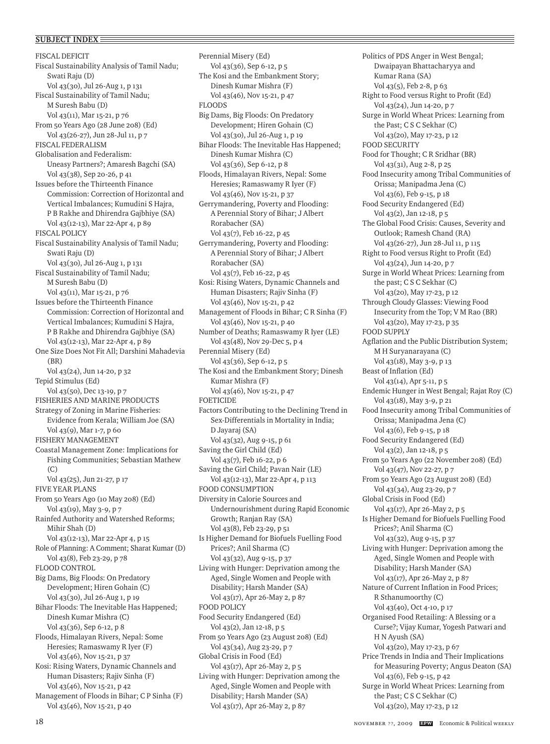FISCAL DEFICIT Fiscal Sustainability Analysis of Tamil Nadu; Swati Raju (D) Vol 43(30), Jul 26-Aug 1, p 131 Fiscal Sustainability of Tamil Nadu; M Suresh Babu (D) Vol 43(11), Mar 15-21, p 76 From 50 Years Ago (28 June 208) (Ed) Vol 43(26-27), Jun 28-Jul 11, p 7 FISCAL FEDERALISM Globalisation and Federalism: Uneasy Partners?; Amaresh Bagchi (SA) Vol 43(38), Sep 20-26, p 41 Issues before the Thirteenth Finance Commission: Correction of Horizontal and Vertical Imbalances; Kumudini S Hajra, P B Rakhe and Dhirendra Gajbhiye (SA) Vol 43(12-13), Mar 22-Apr 4, p 89 FISCAL POLICY Fiscal Sustainability Analysis of Tamil Nadu; Swati Raju (D) Vol 43(30), Jul 26-Aug 1, p 131 Fiscal Sustainability of Tamil Nadu; M Suresh Babu (D) Vol 43(11), Mar 15-21, p 76 Issues before the Thirteenth Finance Commission: Correction of Horizontal and Vertical Imbalances; Kumudini S Hajra, P B Rakhe and Dhirendra Gajbhiye (SA) Vol 43(12-13), Mar 22-Apr 4, p 89 One Size Does Not Fit All; Darshini Mahadevia (BR) Vol 43(24), Jun 14-20, p 32 Tepid Stimulus (Ed) Vol 43(50), Dec 13-19, p 7 FISHERIES AND MARINE PRODUCTS Strategy of Zoning in Marine Fisheries: Evidence from Kerala; William Joe (SA) Vol 43(9), Mar 1-7, p 60 FISHERY MANAGEMENT Coastal Management Zone: Implications for Fishing Communities; Sebastian Mathew  $(C)$ Vol 43(25), Jun 21-27, p 17 FIVE YEAR PLANS From 50 Years Ago (10 May 208) (Ed) Vol 43(19), May 3-9, p 7 Rainfed Authority and Watershed Reforms; Mihir Shah (D) Vol 43(12-13), Mar 22-Apr 4, p 15 Role of Planning: A Comment; Sharat Kumar (D) Vol 43(8), Feb 23-29, p 78 FLOOD CONTROL Big Dams, Big Floods: On Predatory Development; Hiren Gohain (C) Vol 43(30), Jul 26-Aug 1, p 19 Bihar Floods: The Inevitable Has Happened; Dinesh Kumar Mishra (C) Vol 43(36), Sep 6-12, p 8 Floods, Himalayan Rivers, Nepal: Some Heresies; Ramaswamy R Iyer (F) Vol 43(46), Nov 15-21, p 37 Kosi: Rising Waters, Dynamic Channels and Human Disasters; Rajiv Sinha (F) Vol 43(46), Nov 15-21, p 42 Management of Floods in Bihar; C P Sinha (F) Vol 43(46), Nov 15-21, p 40

Perennial Misery (Ed) Vol 43(36), Sep 6-12, p 5 The Kosi and the Embankment Story; Dinesh Kumar Mishra (F) Vol 43(46), Nov 15-21, p 47 FLOODS Big Dams, Big Floods: On Predatory Development; Hiren Gohain (C) Vol 43(30), Jul 26-Aug 1, p 19 Bihar Floods: The Inevitable Has Happened; Dinesh Kumar Mishra (C) Vol 43(36), Sep 6-12, p 8 Floods, Himalayan Rivers, Nepal: Some Heresies; Ramaswamy R Iyer (F) Vol 43(46), Nov 15-21, p 37 Gerrymandering, Poverty and Flooding: A Perennial Story of Bihar; J Albert Rorabacher (SA) Vol 43(7), Feb 16-22, p 45 Gerrymandering, Poverty and Flooding: A Perennial Story of Bihar; J Albert Rorabacher (SA) Vol 43(7), Feb 16-22, p 45 Kosi: Rising Waters, Dynamic Channels and Human Disasters; Rajiv Sinha (F) Vol 43(46), Nov 15-21, p 42 Management of Floods in Bihar; C R Sinha (F) Vol 43(46), Nov 15-21, p 40 Number of Deaths; Ramaswamy R Iyer (LE) Vol 43(48), Nov 29-Dec 5, p 4 Perennial Misery (Ed) Vol 43(36), Sep 6-12, p 5 The Kosi and the Embankment Story; Dinesh Kumar Mishra (F) Vol 43(46), Nov 15-21, p 47 **FOETICIDE** Factors Contributing to the Declining Trend in Sex-Differentials in Mortality in India; D Jayaraj (SA) Vol 43(32), Aug 9-15, p 61 Saving the Girl Child (Ed) Vol 43(7), Feb 16-22, p 6 Saving the Girl Child; Pavan Nair (LE) Vol 43(12-13), Mar 22-Apr 4, p 113 FOOD CONSUMPTION Diversity in Calorie Sources and Undernourishment during Rapid Economic Growth; Ranjan Ray (SA) Vol 43(8), Feb 23-29, p 51 Is Higher Demand for Biofuels Fuelling Food Prices?; Anil Sharma (C) Vol 43(32), Aug 9-15, p 37 Living with Hunger: Deprivation among the Aged, Single Women and People with Disability; Harsh Mander (SA) Vol 43(17), Apr 26-May 2, p 87 FOOD POLICY Food Security Endangered (Ed) Vol 43(2), Jan 12-18, p 5 From 50 Years Ago (23 August 208) (Ed) Vol 43(34), Aug 23-29, p 7 Global Crisis in Food (Ed) Vol 43(17), Apr 26-May 2, p 5 Living with Hunger: Deprivation among the Aged, Single Women and People with Disability; Harsh Mander (SA)

Vol 43(17), Apr 26-May 2, p 87

Politics of PDS Anger in West Bengal; Dwaipayan Bhattacharyya and Kumar Rana (SA) Vol 43(5), Feb 2-8, p 63 Right to Food versus Right to Profit (Ed) Vol 43(24), Jun 14-20, p 7 Surge in World Wheat Prices: Learning from the Past; C S C Sekhar (C) Vol 43(20), May 17-23, p 12 FOOD SECURITY Food for Thought; C R Sridhar (BR) Vol 43(31), Aug 2-8, p 25 Food Insecurity among Tribal Communities of Orissa; Manipadma Jena (C) Vol 43(6), Feb 9-15, p 18 Food Security Endangered (Ed) Vol 43(2), Jan 12-18, p 5 The Global Food Crisis: Causes, Severity and Outlook; Ramesh Chand (RA) Vol 43(26-27), Jun 28-Jul 11, p 115 Right to Food versus Right to Profit (Ed) Vol 43(24), Jun 14-20, p 7 Surge in World Wheat Prices: Learning from the past; C S C Sekhar (C) Vol 43(20), May 17-23, p 12 Through Cloudy Glasses: Viewing Food Insecurity from the Top; V M Rao (BR) Vol 43(20), May 17-23, p 35 FOOD SUPPLY Agflation and the Public Distribution System; M H Suryanarayana (C) Vol 43(18), May 3-9, p 13 Beast of Inflation (Ed) Vol 43(14), Apr 5-11, p 5 Endemic Hunger in West Bengal; Rajat Roy (C) Vol 43(18), May 3-9, p 21 Food Insecurity among Tribal Communities of Orissa; Manipadma Jena (C) Vol 43(6), Feb 9-15, p 18 Food Security Endangered (Ed) Vol 43(2), Jan 12-18, p 5 From 50 Years Ago (22 November 208) (Ed) Vol 43(47), Nov 22-27, p 7 From 50 Years Ago (23 August 208) (Ed) Vol 43(34), Aug 23-29, p 7 Global Crisis in Food (Ed) Vol 43(17), Apr 26-May 2, p 5 Is Higher Demand for Biofuels Fuelling Food Prices?; Anil Sharma (C) Vol 43(32), Aug 9-15, p 37 Living with Hunger: Deprivation among the Aged, Single Women and People with Disability; Harsh Mander (SA) Vol 43(17), Apr 26-May 2, p 87 Nature of Current Inflation in Food Prices; R Sthanumoorthy (C) Vol 43(40), Oct 4-10, p 17 Organised Food Retailing: A Blessing or a Curse?; Vijay Kumar, Yogesh Patwari and H N Ayush (SA) Vol 43(20), May 17-23, p 67 Price Trends in India and Their Implications for Measuring Poverty; Angus Deaton (SA) Vol 43(6), Feb 9-15, p 42 Surge in World Wheat Prices: Learning from the Past; C S C Sekhar (C) Vol 43(20), May 17-23, p 12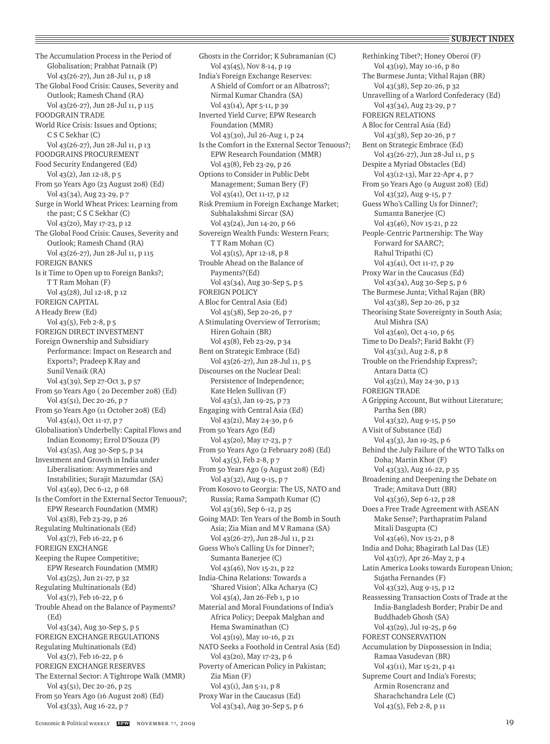The Accumulation Process in the Period of Globalisation; Prabhat Patnaik (P) Vol 43(26-27), Jun 28-Jul 11, p 18 The Global Food Crisis: Causes, Severity and Outlook; Ramesh Chand (RA) Vol 43(26-27), Jun 28-Jul 11, p 115 FOODGRAIN TRADE World Rice Crisis: Issues and Options; C S C Sekhar (C) Vol 43(26-27), Jun 28-Jul 11, p 13 FOODGRAINS PROCUREMENT Food Security Endangered (Ed) Vol 43(2), Jan 12-18, p 5 From 50 Years Ago (23 August 208) (Ed) Vol 43(34), Aug 23-29, p 7 Surge in World Wheat Prices: Learning from the past; C S C Sekhar (C) Vol 43(20), May 17-23, p 12 The Global Food Crisis: Causes, Severity and Outlook; Ramesh Chand (RA) Vol 43(26-27), Jun 28-Jul 11, p 115 FOREIGN BANKS Is it Time to Open up to Foreign Banks?; T T Ram Mohan (F) Vol 43(28), Jul 12-18, p 12 FOREIGN CAPITAL A Heady Brew (Ed) Vol 43(5), Feb 2-8, p 5 FOREIGN DIRECT INVESTMENT Foreign Ownership and Subsidiary Performance: Impact on Research and Exports?; Pradeep K Ray and Sunil Venaik (RA) Vol 43(39), Sep 27-Oct 3, p 57 From 50 Years Ago ( 20 December 208) (Ed) Vol 43(51), Dec 20-26, p 7 From 50 Years Ago (11 October 208) (Ed) Vol 43(41), Oct 11-17, p 7 Globalisation's Underbelly: Capital Flows and Indian Economy; Errol D'Souza (P) Vol 43(35), Aug 30-Sep 5, p 34 Investment and Growth in India under Liberalisation: Asymmetries and Instabilities; Surajit Mazumdar (SA) Vol 43(49), Dec 6-12, p 68 Is the Comfort in the External Sector Tenuous?; EPW Research Foundation (MMR) Vol 43(8), Feb 23-29, p 26 Regulating Multinationals (Ed) Vol 43(7), Feb 16-22, p 6 FOREIGN EXCHANGE Keeping the Rupee Competitive; EPW Research Foundation (MMR) Vol 43(25), Jun 21-27, p 32 Regulating Multinationals (Ed) Vol 43(7), Feb 16-22, p 6 Trouble Ahead on the Balance of Payments? (Ed) Vol 43(34), Aug 30-Sep 5, p 5 FOREIGN EXCHANGE REGULATIONS Regulating Multinationals (Ed) Vol 43(7), Feb 16-22, p 6 FOREIGN EXCHANGE RESERVES The External Sector: A Tightrope Walk (MMR) Vol 43(51), Dec 20-26, p 25 From 50 Years Ago (16 August 208) (Ed) Vol 43(33), Aug 16-22, p 7

Ghosts in the Corridor; K Subramanian (C) Vol 43(45), Nov 8-14, p 19 India's Foreign Exchange Reserves: A Shield of Comfort or an Albatross?; Nirmal Kumar Chandra (SA) Vol 43(14), Apr 5-11, p 39 Inverted Yield Curve; EPW Research Foundation (MMR) Vol 43(30), Jul 26-Aug 1, p 24 Is the Comfort in the External Sector Tenuous?; EPW Research Foundation (MMR) Vol 43(8), Feb 23-29, p 26 Options to Consider in Public Debt Management; Suman Bery (F) Vol 43(41), Oct 11-17, p 12 Risk Premium in Foreign Exchange Market; Subhalakshmi Sircar (SA) Vol 43(24), Jun 14-20, p 66 Sovereign Wealth Funds: Western Fears; T T Ram Mohan (C) Vol 43(15), Apr 12-18, p 8 Trouble Ahead on the Balance of Payments?(Ed) Vol 43(34), Aug 30-Sep 5, p 5 FOREIGN POLICY A Bloc for Central Asia (Ed) Vol 43(38), Sep 20-26, p 7 A Stimulating Overview of Terrorism; Hiren Gohain (BR) Vol 43(8), Feb 23-29, p 34 Bent on Strategic Embrace (Ed) Vol 43(26-27), Jun 28-Jul 11, p 5 Discourses on the Nuclear Deal: Persistence of Independence; Kate Helen Sullivan (F) Vol 43(3), Jan 19-25, p 73 Engaging with Central Asia (Ed) Vol 43(21), May 24-30, p 6 From 50 Years Ago (Ed) Vol 43(20), May 17-23, p 7 From 50 Years Ago (2 February 208) (Ed) Vol 43(5), Feb 2-8, p 7 From 50 Years Ago (9 August 208) (Ed) Vol 43(32), Aug 9-15, p 7 From Kosovo to Georgia: The US, NATO and Russia; Rama Sampath Kumar (C) Vol 43(36), Sep 6-12, p 25 Going MAD: Ten Years of the Bomb in South Asia; Zia Mian and M V Ramana (SA) Vol 43(26-27), Jun 28-Jul 11, p 21 Guess Who's Calling Us for Dinner?; Sumanta Banerjee (C) Vol 43(46), Nov 15-21, p 22 India-China Relations: Towards a 'Shared Vision'; Alka Acharya (C) Vol 43(4), Jan 26-Feb 1, p 10 Material and Moral Foundations of India's Africa Policy; Deepak Malghan and Hema Swaminathan (C) Vol 43(19), May 10-16, p 21 NATO Seeks a Foothold in Central Asia (Ed) Vol 43(20), May 17-23, p 6 Poverty of American Policy in Pakistan; Zia Mian (F) Vol 43(1), Jan 5-11, p 8 Proxy War in the Caucasus (Ed) Vol 43(34), Aug 30-Sep 5, p 6

Rethinking Tibet?; Honey Oberoi (F) Vol 43(19), May 10-16, p 80 The Burmese Junta; Vithal Rajan (BR) Vol 43(38), Sep 20-26, p 32 Unravelling of a Warlord Confederacy (Ed) Vol 43(34), Aug 23-29, p 7 FOREIGN RELATIONS A Bloc for Central Asia (Ed) Vol 43(38), Sep 20-26, p 7 Bent on Strategic Embrace (Ed) Vol 43(26-27), Jun 28-Jul 11, p 5 Despite a Myriad Obstacles (Ed) Vol 43(12-13), Mar 22-Apr 4, p 7 From 50 Years Ago (9 August 208) (Ed) Vol 43(32), Aug 9-15, p 7 Guess Who's Calling Us for Dinner?; Sumanta Banerjee (C) Vol 43(46), Nov 15-21, p 22 People-Centric Partnership: The Way Forward for SAARC?; Rahul Tripathi (C) Vol 43(41), Oct 11-17, p 29 Proxy War in the Caucasus (Ed) Vol 43(34), Aug 30-Sep 5, p 6 The Burmese Junta; Vithal Rajan (BR) Vol 43(38), Sep 20-26, p 32 Theorising State Sovereignty in South Asia; Atul Mishra (SA) Vol 43(40), Oct 4-10, p 65 Time to Do Deals?; Farid Bakht (F) Vol 43(31), Aug 2-8, p 8 Trouble on the Friendship Express?; Antara Datta (C) Vol 43(21), May 24-30, p 13 FOREIGN TRADE A Gripping Account, But without Literature; Partha Sen (BR) Vol 43(32), Aug 9-15, p 50 A Visit of Substance (Ed) Vol 43(3), Jan 19-25, p 6 Behind the July Failure of the WTO Talks on Doha; Martin Khor (F) Vol 43(33), Aug 16-22, p 35 Broadening and Deepening the Debate on Trade; Amitava Dutt (BR) Vol 43(36), Sep 6-12, p 28 Does a Free Trade Agreement with ASEAN Make Sense?; Parthapratim Paland Mitali Dasgupta (C) Vol 43(46), Nov 15-21, p 8 India and Doha; Bhagirath Lal Das (LE) Vol 43(17), Apr 26-May 2, p 4 Latin America Looks towards European Union; Sujatha Fernandes (F) Vol 43(32), Aug 9-15, p 12 Reassessing Transaction Costs of Trade at the India-Bangladesh Border; Prabir De and Buddhadeb Ghosh (SA) Vol 43(29), Jul 19-25, p 69 FOREST CONSERVATION Accumulation by Dispossession in India; Ramaa Vasudevan (BR) Vol 43(11), Mar 15-21, p 41 Supreme Court and India's Forests; Armin Rosencranz and Sharachchandra Lele (C) Vol 43(5), Feb 2-8, p 11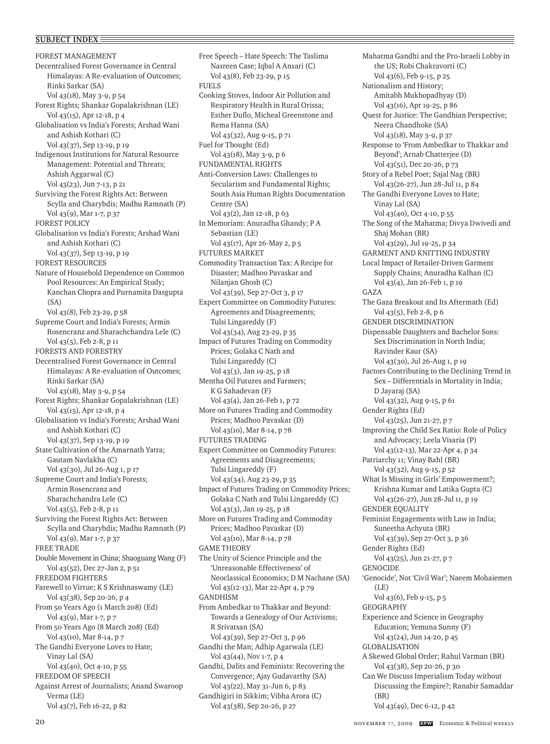FOREST MANAGEMENT Decentralised Forest Governance in Central Himalayas: A Re-evaluation of Outcomes; Rinki Sarkar (SA) Vol 43(18), May 3-9, p 54 Forest Rights; Shankar Gopalakrishnan (LE) Vol 43(15), Apr 12-18, p 4 Globalisation vs India's Forests; Arshad Wani and Ashish Kothari (C) Vol 43(37), Sep 13-19, p 19 Indigenous Institutions for Natural Resource Management: Potential and Threats; Ashish Aggarwal (C) Vol 43(23), Jun 7-13, p 21 Surviving the Forest Rights Act: Between Scylla and Charybdis; Madhu Ramnath (P) Vol 43(9), Mar 1-7, p 37 FOREST POLICY Globalisation vs India's Forests; Arshad Wani and Ashish Kothari (C) Vol 43(37), Sep 13-19, p 19 FOREST RESOURCES Nature of Household Dependence on Common Pool Resources: An Empirical Study; Kanchan Chopra and Purnamita Dasgupta (SA) Vol 43(8), Feb 23-29, p 58 Supreme Court and India's Forests; Armin Rosencranz and Sharachchandra Lele (C) Vol 43(5), Feb 2-8, p 11 FORESTS AND FORESTRY Decentralised Forest Governance in Central Himalayas: A Re-evaluation of Outcomes; Rinki Sarkar (SA) Vol 43(18), May 3-9, p 54 Forest Rights; Shankar Gopalakrishnan (LE) Vol 43(15), Apr 12-18, p 4 Globalisation vs India's Forests; Arshad Wani and Ashish Kothari (C) Vol 43(37), Sep 13-19, p 19 State Cultivation of the Amarnath Yatra; Gautam Navlakha (C) Vol 43(30), Jul 26-Aug 1, p 17 Supreme Court and India's Forests; Armin Rosencranz and Sharachchandra Lele (C) Vol 43(5), Feb 2-8, p 11 Surviving the Forest Rights Act: Between Scylla and Charybdis; Madhu Ramnath (P) Vol 43(9), Mar 1-7, p 37 FREE TRADE Double Movement in China; Shaoguang Wang (F) Vol 43(52), Dec 27-Jan 2, p 51 FREEDOM FIGHTERS Farewell to Virtue; K S Krishnaswamy (LE) Vol 43(38), Sep 20-26, p 4 From 50 Years Ago (1 March 208) (Ed) Vol 43(9), Mar 1-7, p 7 From 50 Years Ago (8 March 208) (Ed) Vol 43(10), Mar 8-14, p 7 The Gandhi Everyone Loves to Hate; Vinay Lal (SA) Vol 43(40), Oct 4-10, p 55 FREEDOM OF SPEECH Against Arrest of Journalists; Anand Swaroop Verma (LE) Vol 43(7), Feb 16-22, p 82

Free Speech – Hate Speech: The Taslima Nasreen Case; Iqbal A Ansari (C) Vol 43(8), Feb 23-29, p 15 FUELS Cooking Stoves, Indoor Air Pollution and Respiratory Health in Rural Orissa; Esther Duflo, Micheal Greenstone and Rema Hanna (SA) Vol 43(32), Aug 9-15, p 71 Fuel for Thought (Ed) Vol 43(18), May 3-9, p 6 FUNDAMENTAL RIGHTS Anti-Conversion Laws: Challenges to Secularism and Fundamental Rights; South Asia Human Rights Documentation Centre (SA) Vol 43(2), Jan 12-18, p 63 In Memoriam: Anuradha Ghandy; P A Sebastian (LE) Vol 43(17), Apr 26-May 2, p 5 FUTURES MARKET Commodity Transaction Tax: A Recipe for Disaster; Madhoo Pavaskar and Nilanjan Ghosh (C) Vol 43(39), Sep 27-Oct 3, p 17 Expert Committee on Commodity Futures: Agreements and Disagreements; Tulsi Lingareddy (F) Vol 43(34), Aug 23-29, p 35 Impact of Futures Trading on Commodity Prices; Golaka C Nath and Tulsi Lingareddy (C) Vol 43(3), Jan 19-25, p 18 Mentha Oil Futures and Farmers; K G Sahadevan (F) Vol 43(4), Jan 26-Feb 1, p 72 More on Futures Trading and Commodity Prices; Madhoo Pavaskar (D) Vol 43(10), Mar 8-14, p 78 FUTURES TRADING Expert Committee on Commodity Futures: Agreements and Disagreements; Tulsi Lingareddy (F) Vol 43(34), Aug 23-29, p 35 Impact of Futures Trading on Commodity Prices; Golaka C Nath and Tulsi Lingareddy (C) Vol 43(3), Jan 19-25, p 18 More on Futures Trading and Commodity Prices; Madhoo Pavaskar (D) Vol 43(10), Mar 8-14, p 78 GAME THEORY The Unity of Science Principle and the 'Unreasonable Effectiveness' of Neoclassical Economics; D M Nachane (SA) Vol 43(12-13), Mar 22-Apr 4, p 79 GANDHISM From Ambedkar to Thakkar and Beyond: Towards a Genealogy of Our Activisms; R Srivatsan (SA) Vol 43(39), Sep 27-Oct 3, p 96 Gandhi the Man; Adhip Agarwala (LE) Vol 43(44), Nov 1-7, p 4 Gandhi, Dalits and Feminists: Recovering the Convergence; Ajay Gudavarthy (SA) Vol 43(22), May 31-Jun 6, p 83 Gandhigiri in Sikkim; Vibha Arora (C) Vol 43(38), Sep 20-26, p 27

Mahatma Gandhi and the Pro-Israeli Lobby in the US; Robi Chakravorti (C) Vol 43(6), Feb 9-15, p 25 Nationalism and History; Amitabh Mukhopadhyay (D) Vol 43(16), Apr 19-25, p 86 Quest for Justice: The Gandhian Perspective; Neera Chandhoke (SA) Vol 43(18), May 3-9, p 37 Response to 'From Ambedkar to Thakkar and Beyond'; Arnab Chatterjee (D) Vol 43(51), Dec 20-26, p 73 Story of a Rebel Poet; Sajal Nag (BR) Vol 43(26-27), Jun 28-Jul 11, p 84 The Gandhi Everyone Loves to Hate; Vinay Lal (SA) Vol 43(40), Oct 4-10, p 55 The Song of the Mahatma; Divya Dwivedi and Shaj Mohan (BR) Vol 43(29), Jul 19-25, p 34 GARMENT AND KNITTING INDUSTRY Local Impact of Retailer-Driven Garment Supply Chains; Anuradha Kalhan (C) Vol 43(4), Jan 26-Feb 1, p 19 GAZA The Gaza Breakout and Its Aftermath (Ed) Vol 43(5), Feb 2-8, p 6 GENDER DISCRIMINATION Dispensable Daughters and Bachelor Sons: Sex Discrimination in North India; Ravinder Kaur (SA) Vol 43(30), Jul 26-Aug 1, p 19 Factors Contributing to the Declining Trend in Sex – Differentials in Mortality in India; D Jayaraj (SA) Vol 43(32), Aug 9-15, p 61 Gender Rights (Ed) Vol 43(25), Jun 21-27, p 7 Improving the Child Sex Ratio: Role of Policy and Advocacy; Leela Visaria (P) Vol 43(12-13), Mar 22-Apr 4, p 34 Patriarchy 11; Vinay Bahl (BR) Vol 43(32), Aug 9-15, p 52 What Is Missing in Girls' Empowerment?; Krishna Kumar and Latika Gupta (C) Vol 43(26-27), Jun 28-Jul 11, p 19 GENDER EQUALITY Feminist Engagements with Law in India; Suneetha Achyuta (BR) Vol 43(39), Sep 27-Oct 3, p 36 Gender Rights (Ed) Vol 43(25), Jun 21-27, p 7 **GENOCIDE** 'Genocide', Not 'Civil War'; Naeem Mohaiemen  $(I.E)$ Vol 43(6), Feb 9-15, p 5 GEOGRAPHY Experience and Science in Geography Education; Yemuna Sunny (F) Vol 43(24), Jun 14-20, p 45 GLOBALISATION A Skewed Global Order; Rahul Varman (BR) Vol 43(38), Sep 20-26, p 30 Can We Discuss Imperialism Today without Discussing the Empire?; Ranabir Samaddar (BR) Vol 43(49), Dec 6-12, p 42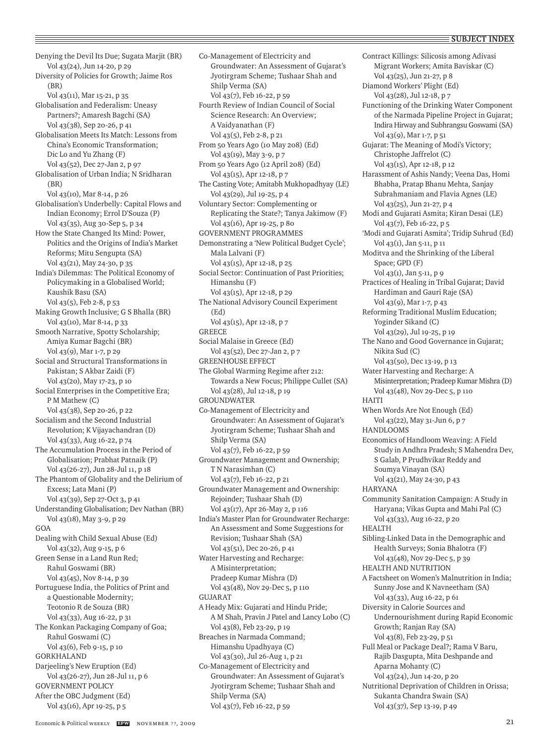Denying the Devil Its Due; Sugata Marjit (BR) Vol 43(24), Jun 14-20, p 29 Diversity of Policies for Growth; Jaime Ros (BR) Vol 43(11), Mar 15-21, p 35 Globalisation and Federalism: Uneasy Partners?; Amaresh Bagchi (SA) Vol 43(38), Sep 20-26, p 41 Globalisation Meets Its Match: Lessons from China's Economic Transformation; Dic Lo and Yu Zhang (F) Vol 43(52), Dec 27-Jan 2, p 97 Globalisation of Urban India; N Sridharan (BR) Vol 43(10), Mar 8-14, p 26 Globalisation's Underbelly: Capital Flows and Indian Economy; Errol D'Souza (P) Vol 43(35), Aug 30-Sep 5, p 34 How the State Changed Its Mind: Power, Politics and the Origins of India's Market Reforms; Mitu Sengupta (SA) Vol 43(21), May 24-30, p 35 India's Dilemmas: The Political Economy of Policymaking in a Globalised World; Kaushik Basu (SA) Vol 43(5), Feb 2-8, p 53 Making Growth Inclusive; G S Bhalla (BR) Vol 43(10), Mar 8-14, p 33 Smooth Narrative, Spotty Scholarship; Amiya Kumar Bagchi (BR) Vol 43(9), Mar 1-7, p 29 Social and Structural Transformations in Pakistan; S Akbar Zaidi (F) Vol 43(20), May 17-23, p 10 Social Enterprises in the Competitive Era; P M Mathew (C) Vol 43(38), Sep 20-26, p 22 Socialism and the Second Industrial Revolution; K Vijayachandran (D) Vol 43(33), Aug 16-22, p 74 The Accumulation Process in the Period of Globalisation; Prabhat Patnaik (P) Vol 43(26-27), Jun 28-Jul 11, p 18 The Phantom of Globality and the Delirium of Excess; Lata Mani (P) Vol 43(39), Sep 27-Oct 3, p 41 Understanding Globalisation; Dev Nathan (BR) Vol 43(18), May 3-9, p 29 GOA Dealing with Child Sexual Abuse (Ed) Vol 43(32), Aug 9-15, p 6 Green Sense in a Land Run Red; Rahul Goswami (BR) Vol 43(45), Nov 8-14, p 39 Portuguese India, the Politics of Print and a Questionable Modernity; Teotonio R de Souza (BR) Vol 43(33), Aug 16-22, p 31 The Konkan Packaging Company of Goa; Rahul Goswami (C) Vol 43(6), Feb 9-15, p 10 GORKHALAND Darjeeling's New Eruption (Ed) Vol 43(26-27), Jun 28-Jul 11, p 6 GOVERNMENT POLICY After the OBC Judgment (Ed) Vol 43(16), Apr 19-25, p 5

Co-Management of Electricity and Groundwater: An Assessment of Gujarat's Jyotirgram Scheme; Tushaar Shah and Shilp Verma (SA) Vol 43(7), Feb 16-22, p 59 Fourth Review of Indian Council of Social Science Research: An Overview; A Vaidyanathan (F) Vol 43(5), Feb 2-8, p 21 From 50 Years Ago (10 May 208) (Ed) Vol 43(19), May 3-9, p 7 From 50 Years Ago (12 April 208) (Ed) Vol 43(15), Apr 12-18, p 7 The Casting Vote; Amitabh Mukhopadhyay (LE) Vol 43(29), Jul 19-25, p 4 Voluntary Sector: Complementing or Replicating the State?; Tanya Jakimow (F) Vol 43(16), Apr 19-25, p 80 GOVERNMENT PROGRAMMES Demonstrating a 'New Political Budget Cycle'; Mala Lalvani (F) Vol 43(15), Apr 12-18, p 25 Social Sector: Continuation of Past Priorities; Himanshu (F) Vol 43(15), Apr 12-18, p 29 The National Advisory Council Experiment (Ed) Vol 43(15), Apr 12-18, p 7 **GREECE** Social Malaise in Greece (Ed) Vol 43(52), Dec 27-Jan 2, p 7 GREENHOUSE EFFECT The Global Warming Regime after 212: Towards a New Focus; Philippe Cullet (SA) Vol 43(28), Jul 12-18, p 19 GROUNDWATER Co-Management of Electricity and Groundwater: An Assessment of Gujarat's Jyotirgram Scheme; Tushaar Shah and Shilp Verma (SA) Vol 43(7), Feb 16-22, p 59 Groundwater Management and Ownership; T N Narasimhan (C) Vol 43(7), Feb 16-22, p 21 Groundwater Management and Ownership: Rejoinder; Tushaar Shah (D) Vol 43(17), Apr 26-May 2, p 116 India's Master Plan for Groundwater Recharge: An Assessment and Some Suggestions for Revision; Tushaar Shah (SA) Vol 43(51), Dec 20-26, p 41 Water Harvesting and Recharge: A Misinterpretation; Pradeep Kumar Mishra (D) Vol 43(48), Nov 29-Dec 5, p 110 GUJARAT A Heady Mix: Gujarati and Hindu Pride; A M Shah, Pravin J Patel and Lancy Lobo (C) Vol 43(8), Feb 23-29, p 19 Breaches in Narmada Command; Himanshu Upadhyaya (C) Vol 43(30), Jul 26-Aug 1, p 21 Co-Management of Electricity and Groundwater: An Assessment of Gujarat's Jyotirgram Scheme; Tushaar Shah and Shilp Verma (SA) Vol 43(7), Feb 16-22, p 59

Contract Killings: Silicosis among Adivasi Migrant Workers; Amita Baviskar (C) Vol 43(25), Jun 21-27, p 8 Diamond Workers' Plight (Ed) Vol 43(28), Jul 12-18, p 7 Functioning of the Drinking Water Component of the Narmada Pipeline Project in Gujarat; Indira Hirway and Subhrangsu Goswami (SA) Vol 43(9), Mar 1-7, p 51 Gujarat: The Meaning of Modi's Victory; Christophe Jaffrelot (C) Vol 43(15), Apr 12-18, p 12 Harassment of Ashis Nandy; Veena Das, Homi Bhabha, Pratap Bhanu Mehta, Sanjay Subrahmaniam and Flavia Agnes (LE) Vol 43(25), Jun 21-27, p 4 Modi and Gujarati Asmita; Kiran Desai (LE) Vol 43(7), Feb 16-22, p 5 'Modi and Gujarati Asmita'; Tridip Suhrud (Ed) Vol 43(1), Jan 5-11, p 11 Moditva and the Shrinking of the Liberal Space; GPD (F) Vol 43(1), Jan 5-11, p 9 Practices of Healing in Tribal Gujarat; David Hardiman and Gauri Raje (SA) Vol 43(9), Mar 1-7, p 43 Reforming Traditional Muslim Education; Yoginder Sikand (C) Vol 43(29), Jul 19-25, p 19 The Nano and Good Governance in Gujarat; Nikita Sud (C) Vol 43(50), Dec 13-19, p 13 Water Harvesting and Recharge: A Misinterpretation; Pradeep Kumar Mishra (D) Vol 43(48), Nov 29-Dec 5, p 110 HAITI When Words Are Not Enough (Ed) Vol 43(22), May 31-Jun 6, p 7 HANDLOOMS Economics of Handloom Weaving: A Field Study in Andhra Pradesh; S Mahendra Dev, S Galab, P Prudhvikar Reddy and Soumya Vinayan (SA) Vol 43(21), May 24-30, p 43 HARYANA Community Sanitation Campaign: A Study in Haryana; Vikas Gupta and Mahi Pal (C) Vol 43(33), Aug 16-22, p 20 HEALTH Sibling-Linked Data in the Demographic and Health Surveys; Sonia Bhalotra (F) Vol 43(48), Nov 29-Dec 5, p 39 HEALTH AND NUTRITION A Factsheet on Women's Malnutrition in India; Sunny Jose and K Navneetham (SA) Vol 43(33), Aug 16-22, p 61 Diversity in Calorie Sources and Undernourishment during Rapid Economic Growth; Ranjan Ray (SA) Vol 43(8), Feb 23-29, p 51 Full Meal or Package Deal?; Rama V Baru, Rajib Dasgupta, Mita Deshpande and Aparna Mohanty (C) Vol 43(24), Jun 14-20, p 20 Nutritional Deprivation of Children in Orissa; Sukanta Chandra Swain (SA) Vol 43(37), Sep 13-19, p 49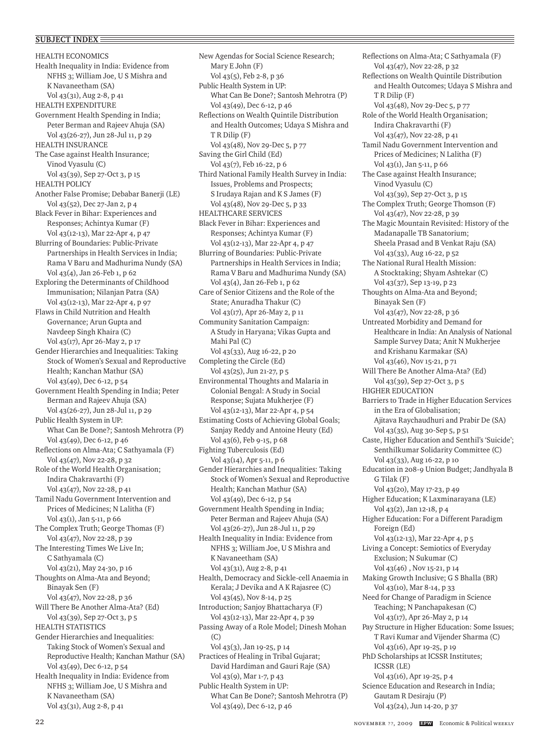HEALTH ECONOMICS Health Inequality in India: Evidence from NFHS 3; William Joe, U S Mishra and K Navaneetham (SA) Vol 43(31), Aug 2-8, p 41 HEALTH EXPENDITURE Government Health Spending in India; Peter Berman and Rajeev Ahuja (SA) Vol 43(26-27), Jun 28-Jul 11, p 29 HEALTH INSURANCE The Case against Health Insurance; Vinod Vyasulu (C) Vol 43(39), Sep 27-Oct 3, p 15 HEALTH POLICY Another False Promise; Debabar Banerji (LE) Vol 43(52), Dec 27-Jan 2, p 4 Black Fever in Bihar: Experiences and Responses; Achintya Kumar (F) Vol 43(12-13), Mar 22-Apr 4, p 47 Blurring of Boundaries: Public-Private Partnerships in Health Services in India; Rama V Baru and Madhurima Nundy (SA) Vol 43(4), Jan 26-Feb 1, p 62 Exploring the Determinants of Childhood Immunisation; Nilanjan Patra (SA) Vol 43(12-13), Mar 22-Apr 4, p 97 Flaws in Child Nutrition and Health Governance; Arun Gupta and Navdeep Singh Khaira (C) Vol 43(17), Apr 26-May 2, p 17 Gender Hierarchies and Inequalities: Taking Stock of Women's Sexual and Reproductive Health; Kanchan Mathur (SA) Vol 43(49), Dec 6-12, p 54 Government Health Spending in India; Peter Berman and Rajeev Ahuja (SA) Vol 43(26-27), Jun 28-Jul 11, p 29 Public Health System in UP: What Can Be Done?; Santosh Mehrotra (P) Vol 43(49), Dec 6-12, p 46 Reflections on Alma-Ata; C Sathyamala (F) Vol 43(47), Nov 22-28, p 32 Role of the World Health Organisation; Indira Chakravarthi (F) Vol 43(47), Nov 22-28, p 41 Tamil Nadu Government Intervention and Prices of Medicines; N Lalitha (F) Vol 43(1), Jan 5-11, p 66 The Complex Truth; George Thomas (F) Vol 43(47), Nov 22-28, p 39 The Interesting Times We Live In; C Sathyamala (C) Vol 43(21), May 24-30, p 16 Thoughts on Alma-Ata and Beyond; Binayak Sen (F) Vol 43(47), Nov 22-28, p 36 Will There Be Another Alma-Ata? (Ed) Vol 43(39), Sep 27-Oct 3, p 5 HEALTH STATISTICS Gender Hierarchies and Inequalities: Taking Stock of Women's Sexual and Reproductive Health; Kanchan Mathur (SA) Vol 43(49), Dec 6-12, p 54 Health Inequality in India: Evidence from NFHS 3; William Joe, U S Mishra and K Navaneetham (SA) Vol 43(31), Aug 2-8, p 41

New Agendas for Social Science Research; Mary E John (F) Vol 43(5), Feb 2-8, p 36 Public Health System in UP: What Can Be Done?; Santosh Mehrotra (P) Vol 43(49), Dec 6-12, p 46 Reflections on Wealth Quintile Distribution and Health Outcomes; Udaya S Mishra and T R Dilip (F) Vol 43(48), Nov 29-Dec 5, p 77 Saving the Girl Child (Ed) Vol 43(7), Feb 16-22, p 6 Third National Family Health Survey in India: Issues, Problems and Prospects; S Irudaya Rajan and K S James (F) Vol 43(48), Nov 29-Dec 5, p 33 HEALTHCARE SERVICES Black Fever in Bihar: Experiences and Responses; Achintya Kumar (F) Vol 43(12-13), Mar 22-Apr 4, p 47 Blurring of Boundaries: Public-Private Partnerships in Health Services in India; Rama V Baru and Madhurima Nundy (SA) Vol 43(4), Jan 26-Feb 1, p 62 Care of Senior Citizens and the Role of the State; Anuradha Thakur (C) Vol 43(17), Apr 26-May 2, p 11 Community Sanitation Campaign: A Study in Haryana; Vikas Gupta and Mahi Pal (C) Vol 43(33), Aug 16-22, p 20 Completing the Circle (Ed) Vol 43(25), Jun 21-27, p 5 Environmental Thoughts and Malaria in Colonial Bengal: A Study in Social Response; Sujata Mukherjee (F) Vol 43(12-13), Mar 22-Apr 4, p 54 Estimating Costs of Achieving Global Goals; Sanjay Reddy and Antoine Heuty (Ed) Vol 43(6), Feb 9-15, p 68 Fighting Tuberculosis (Ed) Vol 43(14), Apr 5-11, p 6 Gender Hierarchies and Inequalities: Taking Stock of Women's Sexual and Reproductive Health; Kanchan Mathur (SA) Vol 43(49), Dec 6-12, p 54 Government Health Spending in India; Peter Berman and Rajeev Ahuja (SA) Vol 43(26-27), Jun 28-Jul 11, p 29 Health Inequality in India: Evidence from NFHS 3; William Joe, U S Mishra and K Navaneetham (SA) Vol 43(31), Aug 2-8, p 41 Health, Democracy and Sickle-cell Anaemia in Kerala; J Devika and A K Rajasree (C) Vol 43(45), Nov 8-14, p 25 Introduction; Sanjoy Bhattacharya (F) Vol 43(12-13), Mar 22-Apr 4, p 39 Passing Away of a Role Model; Dinesh Mohan (C) Vol 43(3), Jan 19-25, p 14 Practices of Healing in Tribal Gujarat; David Hardiman and Gauri Raje (SA) Vol 43(9), Mar 1-7, p 43 Public Health System in UP: What Can Be Done?; Santosh Mehrotra (P) Vol 43(49), Dec 6-12, p 46

Reflections on Alma-Ata; C Sathyamala (F) Vol 43(47), Nov 22-28, p 32 Reflections on Wealth Quintile Distribution and Health Outcomes; Udaya S Mishra and T R Dilip (F) Vol 43(48), Nov 29-Dec 5, p 77 Role of the World Health Organisation; Indira Chakravarthi (F) Vol 43(47), Nov 22-28, p 41 Tamil Nadu Government Intervention and Prices of Medicines; N Lalitha (F) Vol 43(1), Jan 5-11, p 66 The Case against Health Insurance; Vinod Vyasulu (C) Vol 43(39), Sep 27-Oct 3, p 15 The Complex Truth; George Thomson (F) Vol 43(47), Nov 22-28, p 39 The Magic Mountain Revisited: History of the Madanapalle TB Sanatorium; Sheela Prasad and B Venkat Raju (SA) Vol 43(33), Aug 16-22, p 52 The National Rural Health Mission: A Stocktaking; Shyam Ashtekar (C) Vol 43(37), Sep 13-19, p 23 Thoughts on Alma-Ata and Beyond; Binayak Sen (F) Vol 43(47), Nov 22-28, p 36 Untreated Morbidity and Demand for Healthcare in India: An Analysis of National Sample Survey Data; Anit N Mukherjee and Krishanu Karmakar (SA) Vol 43(46), Nov 15-21, p 71 Will There Be Another Alma-Ata? (Ed) Vol 43(39), Sep 27-Oct 3, p 5 HIGHER EDUCATION Barriers to Trade in Higher Education Services in the Era of Globalisation; Ajitava Raychaudhuri and Prabir De (SA) Vol 43(35), Aug 30-Sep 5, p 51 Caste, Higher Education and Senthil's 'Suicide'; Senthilkumar Solidarity Committee (C) Vol 43(33), Aug 16-22, p 10 Education in 208-9 Union Budget; Jandhyala B G Tilak (F) Vol 43(20), May 17-23, p 49 Higher Education; K Laxminarayana (LE) Vol 43(2), Jan 12-18, p 4 Higher Education: For a Different Paradigm Foreign (Ed) Vol 43(12-13), Mar 22-Apr 4, p 5 Living a Concept: Semiotics of Everyday Exclusion; N Sukumar (C) Vol 43(46) , Nov 15-21, p 14 Making Growth Inclusive; G S Bhalla (BR) Vol 43(10), Mar 8-14, p 33 Need for Change of Paradigm in Science Teaching; N Panchapakesan (C) Vol 43(17), Apr 26-May 2, p 14 Pay Structure in Higher Education: Some Issues; T Ravi Kumar and Vijender Sharma (C) Vol 43(16), Apr 19-25, p 19 PhD Scholarships at ICSSR Institutes; ICSSR (LE) Vol 43(16), Apr 19-25, p 4 Science Education and Research in India; Gautam R Desiraju (P) Vol 43(24), Jun 14-20, p 37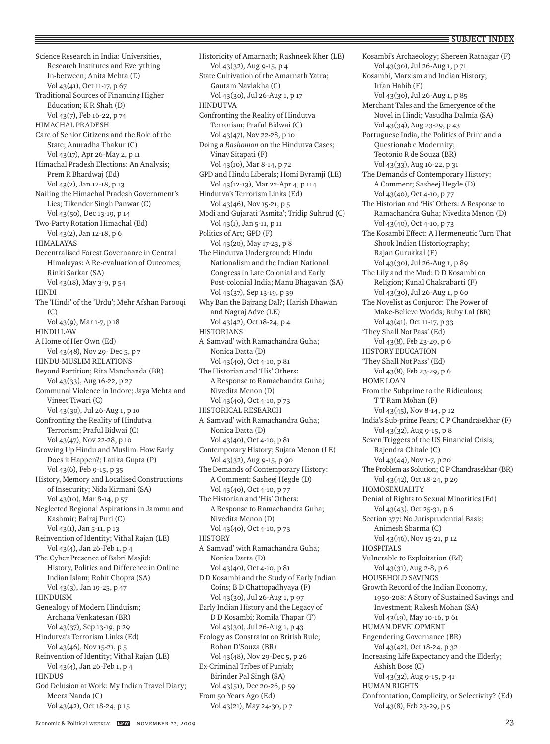## $\equiv$  **SUBJECT INDEX**

Science Research in India: Universities, Research Institutes and Everything In-between; Anita Mehta (D) Vol 43(41), Oct 11-17, p 67 Traditional Sources of Financing Higher Education; K R Shah (D) Vol 43(7), Feb 16-22, p 74 HIMACHAL PRADESH Care of Senior Citizens and the Role of the State; Anuradha Thakur (C) Vol 43(17), Apr 26-May 2, p 11 Himachal Pradesh Elections: An Analysis; Prem R Bhardwaj (Ed) Vol 43(2), Jan 12-18, p 13 Nailing the Himachal Pradesh Government's Lies; Tikender Singh Panwar (C) Vol 43(50), Dec 13-19, p 14 Two-Party Rotation Himachal (Ed) Vol 43(2), Jan 12-18, p 6 HIMALAYAS Decentralised Forest Governance in Central Himalayas: A Re-evaluation of Outcomes; Rinki Sarkar (SA) Vol 43(18), May 3-9, p 54 **HINDI** The 'Hindi' of the 'Urdu'; Mehr Afshan Farooqi  $(C)$ Vol 43(9), Mar 1-7, p 18 HINDU LAW A Home of Her Own (Ed) Vol 43(48), Nov 29- Dec 5, p 7 HINDU-MUSLIM RELATIONS Beyond Partition; Rita Manchanda (BR) Vol 43(33), Aug 16-22, p 27 Communal Violence in Indore; Jaya Mehta and Vineet Tiwari (C) Vol 43(30), Jul 26-Aug 1, p 10 Confronting the Reality of Hindutva Terrorism; Praful Bidwai (C) Vol 43(47), Nov 22-28, p 10 Growing Up Hindu and Muslim: How Early Does it Happen?; Latika Gupta (P) Vol 43(6), Feb 9-15, p 35 History, Memory and Localised Constructions of Insecurity; Nida Kirmani (SA) Vol 43(10), Mar 8-14, p 57 Neglected Regional Aspirations in Jammu and Kashmir; Balraj Puri (C) Vol 43(1), Jan 5-11, p 13 Reinvention of Identity; Vithal Rajan (LE) Vol 43(4), Jan 26-Feb 1, p 4 The Cyber Presence of Babri Masjid: History, Politics and Difference in Online Indian Islam; Rohit Chopra (SA) Vol 43(3), Jan 19-25, p 47 HINDUISM Genealogy of Modern Hinduism; Archana Venkatesan (BR) Vol 43(37), Sep 13-19, p 29 Hindutva's Terrorism Links (Ed) Vol 43(46), Nov 15-21, p 5 Reinvention of Identity; Vithal Rajan (LE) Vol 43(4), Jan 26-Feb 1, p 4 HINDUS God Delusion at Work: My Indian Travel Diary; Meera Nanda (C) Vol 43(42), Oct 18-24, p 15

Historicity of Amarnath; Rashneek Kher (LE) Vol 43(32), Aug 9-15, p 4 State Cultivation of the Amarnath Yatra; Gautam Navlakha (C) Vol 43(30), Jul 26-Aug 1, p 17 HINDUTVA Confronting the Reality of Hindutva Terrorism; Praful Bidwai (C) Vol 43(47), Nov 22-28, p 10 Doing a *Rashomon* on the Hindutva Cases; Vinay Sitapati (F) Vol 43(10), Mar 8-14, p 72 GPD and Hindu Liberals; Homi Byramji (LE) Vol 43(12-13), Mar 22-Apr 4, p 114 Hindutva's Terrorism Links (Ed) Vol 43(46), Nov 15-21, p 5 Modi and Gujarati 'Asmita'; Tridip Suhrud (C) Vol 43(1), Jan 5-11, p 11 Politics of Art; GPD (F) Vol 43(20), May 17-23, p 8 The Hindutva Underground: Hindu Nationalism and the Indian National Congress in Late Colonial and Early Post-colonial India; Manu Bhagavan (SA) Vol 43(37), Sep 13-19, p 39 Why Ban the Bajrang Dal?; Harish Dhawan and Nagraj Adve (LE) Vol 43(42), Oct 18-24, p 4 HISTORIANS A 'Samvad' with Ramachandra Guha; Nonica Datta (D) Vol 43(40), Oct 4-10, p 81 The Historian and 'His' Others: A Response to Ramachandra Guha; Nivedita Menon (D) Vol 43(40), Oct 4-10, p 73 HISTORICAL RESEARCH A 'Samvad' with Ramachandra Guha; Nonica Datta (D) Vol 43(40), Oct 4-10, p 81 Contemporary History; Sujata Menon (LE) Vol 43(32), Aug 9-15, p 90 The Demands of Contemporary History: A Comment; Sasheej Hegde (D) Vol 43(40), Oct 4-10, p 77 The Historian and 'His' Others: A Response to Ramachandra Guha; Nivedita Menon (D) Vol 43(40), Oct 4-10, p 73 **HISTORY** A 'Samvad' with Ramachandra Guha; Nonica Datta (D) Vol 43(40), Oct 4-10, p 81 D D Kosambi and the Study of Early Indian Coins; B D Chattopadhyaya (F) Vol 43(30), Jul 26-Aug 1, p 97 Early Indian History and the Legacy of D D Kosambi; Romila Thapar (F) Vol 43(30), Jul 26-Aug 1, p 43 Ecology as Constraint on British Rule; Rohan D'Souza (BR) Vol 43(48), Nov 29-Dec 5, p 26 Ex-Criminal Tribes of Punjab; Birinder Pal Singh (SA) Vol 43(51), Dec 20-26, p 59 From 50 Years Ago (Ed) Vol 43(21), May 24-30, p 7

Kosambi's Archaeology; Shereen Ratnagar (F) Vol 43(30), Jul 26-Aug 1, p 71 Kosambi, Marxism and Indian History; Irfan Habib (F) Vol 43(30), Jul 26-Aug 1, p 85 Merchant Tales and the Emergence of the Novel in Hindi; Vasudha Dalmia (SA) Vol 43(34), Aug 23-29, p 43 Portuguese India, the Politics of Print and a Questionable Modernity; Teotonio R de Souza (BR) Vol 43(33), Aug 16-22, p 31 The Demands of Contemporary History: A Comment; Sasheej Hegde (D) Vol 43(40), Oct 4-10, p 77 The Historian and 'His' Others: A Response to Ramachandra Guha; Nivedita Menon (D) Vol 43(40), Oct 4-10, p 73 The Kosambi Effect: A Hermeneutic Turn That Shook Indian Historiography; Rajan Gurukkal (F) Vol 43(30), Jul 26-Aug 1, p 89 The Lily and the Mud: D D Kosambi on Religion; Kunal Chakrabarti (F) Vol 43(30), Jul 26-Aug 1, p 60 The Novelist as Conjuror: The Power of Make-Believe Worlds; Ruby Lal (BR) Vol 43(41), Oct 11-17, p 33 'They Shall Not Pass' (Ed) Vol 43(8), Feb 23-29, p 6 HISTORY EDUCATION 'They Shall Not Pass' (Ed) Vol 43(8), Feb 23-29, p 6 HOME LOAN From the Subprime to the Ridiculous; T T Ram Mohan (F) Vol 43(45), Nov 8-14, p 12 India's Sub-prime Fears; C P Chandrasekhar (F) Vol 43(32), Aug 9-15, p 8 Seven Triggers of the US Financial Crisis; Rajendra Chitale (C) Vol 43(44), Nov 1-7, p 20 The Problem as Solution; C P Chandrasekhar (BR) Vol 43(42), Oct 18-24, p 29 HOMOSEXUALITY Denial of Rights to Sexual Minorities (Ed) Vol 43(43), Oct 25-31, p 6 Section 377: No Jurisprudential Basis; Animesh Sharma (C) Vol 43(46), Nov 15-21, p 12 HOSPITALS Vulnerable to Exploitation (Ed) Vol 43(31), Aug 2-8, p 6 HOUSEHOLD SAVINGS Growth Record of the Indian Economy, 1950-208: A Story of Sustained Savings and Investment; Rakesh Mohan (SA) Vol 43(19), May 10-16, p 61 HUMAN DEVELOPMENT Engendering Governance (BR) Vol 43(42), Oct 18-24, p 32 Increasing Life Expectancy and the Elderly; Ashish Bose (C) Vol 43(32), Aug 9-15, p 41 HUMAN RIGHTS Confrontation, Complicity, or Selectivity? (Ed) Vol 43(8), Feb 23-29, p 5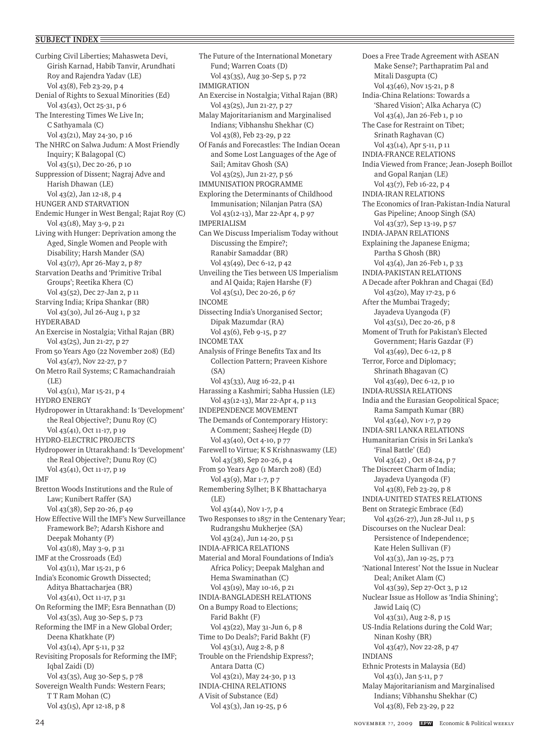Curbing Civil Liberties; Mahasweta Devi, Girish Karnad, Habib Tanvir, Arundhati Roy and Rajendra Yadav (LE) Vol 43(8), Feb 23-29, p 4 Denial of Rights to Sexual Minorities (Ed) Vol 43(43), Oct 25-31, p 6 The Interesting Times We Live In; C Sathyamala (C) Vol 43(21), May 24-30, p 16 The NHRC on Salwa Judum: A Most Friendly Inquiry; K Balagopal (C) Vol 43(51), Dec 20-26, p 10 Suppression of Dissent; Nagraj Adve and Harish Dhawan (LE) Vol 43(2), Jan 12-18, p 4 HUNGER AND STARVATION Endemic Hunger in West Bengal; Rajat Roy (C) Vol 43(18), May 3-9, p 21 Living with Hunger: Deprivation among the Aged, Single Women and People with Disability; Harsh Mander (SA) Vol 43(17), Apr 26-May 2, p 87 Starvation Deaths and 'Primitive Tribal Groups'; Reetika Khera (C) Vol 43(52), Dec 27-Jan 2, p 11 Starving India; Kripa Shankar (BR) Vol 43(30), Jul 26-Aug 1, p 32 HYDERABAD An Exercise in Nostalgia; Vithal Rajan (BR) Vol 43(25), Jun 21-27, p 27 From 50 Years Ago (22 November 208) (Ed) Vol 43(47), Nov 22-27, p 7 On Metro Rail Systems; C Ramachandraiah  $(I.E)$ Vol 43(11), Mar 15-21, p 4 HYDRO ENERGY Hydropower in Uttarakhand: Is 'Development' the Real Objective?; Dunu Roy (C) Vol 43(41), Oct 11-17, p 19 HYDRO-ELECTRIC PROJECTS Hydropower in Uttarakhand: Is 'Development' the Real Objective?; Dunu Roy (C) Vol 43(41), Oct 11-17, p 19 IMF Bretton Woods Institutions and the Rule of Law; Kunibert Raffer (SA) Vol 43(38), Sep 20-26, p 49 How Effective Will the IMF's New Surveillance Framework Be?; Adarsh Kishore and Deepak Mohanty (P) Vol 43(18), May 3-9, p 31 IMF at the Crossroads (Ed) Vol 43(11), Mar 15-21, p 6 India's Economic Growth Dissected; Aditya Bhattacharjea (BR) Vol 43(41), Oct 11-17, p 31 On Reforming the IMF; Esra Bennathan (D) Vol 43(35), Aug 30-Sep 5, p 73 Reforming the IMF in a New Global Order; Deena Khatkhate (P) Vol 43(14), Apr 5-11, p 32 Revisiting Proposals for Reforming the IMF; Iqbal Zaidi (D) Vol 43(35), Aug 30-Sep 5, p 78 Sovereign Wealth Funds: Western Fears; T T Ram Mohan (C) Vol 43(15), Apr 12-18, p 8

The Future of the International Monetary Fund; Warren Coats (D) Vol 43(35), Aug 30-Sep 5, p 72 IMMIGRATION An Exercise in Nostalgia; Vithal Rajan (BR) Vol 43(25), Jun 21-27, p 27 Malay Majoritarianism and Marginalised Indians; Vibhanshu Shekhar (C) Vol 43(8), Feb 23-29, p 22 Of Fanás and Forecastles: The Indian Ocean and Some Lost Languages of the Age of Sail; Amitav Ghosh (SA) Vol 43(25), Jun 21-27, p 56 IMMUNISATION PROGRAMME Exploring the Determinants of Childhood Immunisation; Nilanjan Patra (SA) Vol 43(12-13), Mar 22-Apr 4, p 97 IMPERIALISM Can We Discuss Imperialism Today without Discussing the Empire?; Ranabir Samaddar (BR) Vol 43(49), Dec 6-12, p 42 Unveiling the Ties between US Imperialism and Al Qaida; Rajen Harshe (F) Vol 43(51), Dec 20-26, p 67 INCOME Dissecting India's Unorganised Sector; Dipak Mazumdar (RA) Vol 43(6), Feb 9-15, p 27 INCOME TAX Analysis of Fringe Benefits Tax and Its Collection Pattern; Praveen Kishore  $(SA)$ Vol 43(33), Aug 16-22, p 41 Harassing a Kashmiri; Sabha Hussien (LE) Vol 43(12-13), Mar 22-Apr 4, p 113 INDEPENDENCE MOVEMENT The Demands of Contemporary History: A Comment; Sasheej Hegde (D) Vol 43(40), Oct 4-10, p 77 Farewell to Virtue; K S Krishnaswamy (LE) Vol 43(38), Sep 20-26, p 4 From 50 Years Ago (1 March 208) (Ed) Vol 43(9), Mar 1-7, p 7 Remembering Sylhet; B K Bhattacharya (LE) Vol 43(44), Nov 1-7, p 4 Two Responses to 1857 in the Centenary Year; Rudrangshu Mukherjee (SA) Vol 43(24), Jun 14-20, p 51 INDIA-AFRICA RELATIONS Material and Moral Foundations of India's Africa Policy; Deepak Malghan and Hema Swaminathan (C) Vol 43(19), May 10-16, p 21 INDIA-BANGLADESH RELATIONS On a Bumpy Road to Elections; Farid Bakht (F) Vol 43(22), May 31-Jun 6, p 8 Time to Do Deals?; Farid Bakht (F) Vol 43(31), Aug 2-8, p 8 Trouble on the Friendship Express?; Antara Datta (C) Vol 43(21), May 24-30, p 13 INDIA-CHINA RELATIONS A Visit of Substance (Ed) Vol 43(3), Jan 19-25, p 6

Does a Free Trade Agreement with ASEAN Make Sense?; Parthapratim Pal and Mitali Dasgupta (C) Vol 43(46), Nov 15-21, p 8 India-China Relations: Towards a 'Shared Vision'; Alka Acharya (C) Vol 43(4), Jan 26-Feb 1, p 10 The Case for Restraint on Tibet; Srinath Raghavan (C) Vol 43(14), Apr 5-11, p 11 INDIA-FRANCE RELATIONS India Viewed from France; Jean-Joseph Boillot and Gopal Ranjan (LE) Vol 43(7), Feb 16-22, p 4 INDIA-IRAN RELATIONS The Economics of Iran-Pakistan-India Natural Gas Pipeline; Anoop Singh (SA) Vol 43(37), Sep 13-19, p 57 INDIA-JAPAN RELATIONS Explaining the Japanese Enigma; Partha S Ghosh (BR) Vol 43(4), Jan 26-Feb 1, p 33 INDIA-PAKISTAN RELATIONS A Decade after Pokhran and Chagai (Ed) Vol 43(20), May 17-23, p 6 After the Mumbai Tragedy; Jayadeva Uyangoda (F) Vol 43(51), Dec 20-26, p 8 Moment of Truth for Pakistan's Elected Government; Haris Gazdar (F) Vol 43(49), Dec 6-12, p 8 Terror, Force and Diplomacy; Shrinath Bhagavan (C) Vol 43(49), Dec 6-12, p 10 INDIA-RUSSIA RELATIONS India and the Eurasian Geopolitical Space; Rama Sampath Kumar (BR) Vol 43(44), Nov 1-7, p 29 INDIA-SRI LANKA RELATIONS Humanitarian Crisis in Sri Lanka's 'Final Battle' (Ed) Vol 43(42) , Oct 18-24, p 7 The Discreet Charm of India; Jayadeva Uyangoda (F) Vol 43(8), Feb 23-29, p 8 INDIA-UNITED STATES RELATIONS Bent on Strategic Embrace (Ed) Vol 43(26-27), Jun 28-Jul 11, p 5 Discourses on the Nuclear Deal: Persistence of Independence; Kate Helen Sullivan (F) Vol 43(3), Jan 19-25, p 73 'National Interest' Not the Issue in Nuclear Deal; Aniket Alam (C) Vol 43(39), Sep 27-Oct 3, p 12 Nuclear Issue as Hollow as 'India Shining'; Jawid Laiq (C) Vol 43(31), Aug 2-8, p 15 US-India Relations during the Cold War; Ninan Koshy (BR) Vol 43(47), Nov 22-28, p 47 INDIANS Ethnic Protests in Malaysia (Ed) Vol 43(1), Jan 5-11, p 7 Malay Majoritarianism and Marginalised Indians; Vibhanshu Shekhar (C) Vol 43(8), Feb 23-29, p 22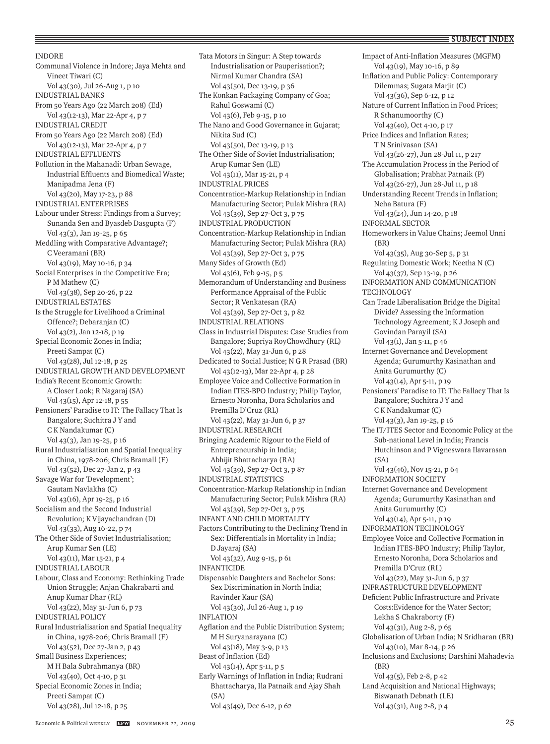#### $\equiv$  **SUBJECT INDEX**

INDORE

Communal Violence in Indore; Jaya Mehta and Vineet Tiwari (C) Vol 43(30), Jul 26-Aug 1, p 10 INDUSTRIAL BANKS From 50 Years Ago (22 March 208) (Ed) Vol 43(12-13), Mar 22-Apr 4, p 7 INDUSTRIAL CREDIT From 50 Years Ago (22 March 208) (Ed) Vol 43(12-13), Mar 22-Apr 4, p 7 INDUSTRIAL EFFLUENTS Pollution in the Mahanadi: Urban Sewage, Industrial Effluents and Biomedical Waste; Manipadma Jena (F) Vol 43(20), May 17-23, p 88 INDUSTRIAL ENTERPRISES Labour under Stress: Findings from a Survey; Sunanda Sen and Byasdeb Dasgupta (F) Vol 43(3), Jan 19-25, p 65 Meddling with Comparative Advantage?; C Veeramani (BR) Vol 43(19), May 10-16, p 34 Social Enterprises in the Competitive Era; P M Mathew (C) Vol 43(38), Sep 20-26, p 22 INDUSTRIAL ESTATES Is the Struggle for Livelihood a Criminal Offence?; Debaranjan (C) Vol 43(2), Jan 12-18, p 19 Special Economic Zones in India; Preeti Sampat (C) Vol 43(28), Jul 12-18, p 25 INDUSTRIAL GROWTH AND DEVELOPMENT India's Recent Economic Growth: A Closer Look; R Nagaraj (SA) Vol 43(15), Apr 12-18, p 55 Pensioners' Paradise to IT: The Fallacy That Is Bangalore; Suchitra J Y and C K Nandakumar (C) Vol 43(3), Jan 19-25, p 16 Rural Industrialisation and Spatial Inequality in China, 1978-206; Chris Bramall (F) Vol 43(52), Dec 27-Jan 2, p 43 Savage War for 'Development'; Gautam Navlakha (C) Vol 43(16), Apr 19-25, p 16 Socialism and the Second Industrial Revolution; K Vijayachandran (D) Vol 43(33), Aug 16-22, p 74 The Other Side of Soviet Industrialisation; Arup Kumar Sen (LE) Vol 43(11), Mar 15-21, p 4 INDUSTRIAL LABOUR Labour, Class and Economy: Rethinking Trade Union Struggle; Anjan Chakrabarti and Anup Kumar Dhar (RL) Vol 43(22), May 31-Jun 6, p 73 INDUSTRIAL POLICY Rural Industrialisation and Spatial Inequality in China, 1978-206; Chris Bramall (F) Vol 43(52), Dec 27-Jan 2, p 43 Small Business Experiences; M H Bala Subrahmanya (BR) Vol 43(40), Oct 4-10, p 31 Special Economic Zones in India; Preeti Sampat (C) Vol 43(28), Jul 12-18, p 25

Tata Motors in Singur: A Step towards Industrialisation or Pauperisation?; Nirmal Kumar Chandra (SA) Vol 43(50), Dec 13-19, p 36 The Konkan Packaging Company of Goa; Rahul Goswami (C) Vol 43(6), Feb 9-15, p 10 The Nano and Good Governance in Gujarat; Nikita Sud (C) Vol 43(50), Dec 13-19, p 13 The Other Side of Soviet Industrialisation; Arup Kumar Sen (LE) Vol 43(11), Mar 15-21, p 4 INDUSTRIAL PRICES Concentration-Markup Relationship in Indian Manufacturing Sector; Pulak Mishra (RA) Vol 43(39), Sep 27-Oct 3, p 75 INDUSTRIAL PRODUCTION Concentration-Markup Relationship in Indian Manufacturing Sector; Pulak Mishra (RA) Vol 43(39), Sep 27-Oct 3, p 75 Many Sides of Growth (Ed) Vol 43(6), Feb 9-15, p 5 Memorandum of Understanding and Business Performance Appraisal of the Public Sector; R Venkatesan (RA) Vol 43(39), Sep 27-Oct 3, p 82 INDUSTRIAL RELATIONS Class in Industrial Disputes: Case Studies from Bangalore; Supriya RoyChowdhury (RL) Vol 43(22), May 31-Jun 6, p 28 Dedicated to Social Justice; N G R Prasad (BR) Vol 43(12-13), Mar 22-Apr 4, p 28 Employee Voice and Collective Formation in Indian ITES-BPO Industry; Philip Taylor, Ernesto Noronha, Dora Scholarios and Premilla D'Cruz (RL) Vol 43(22), May 31-Jun 6, p 37 INDUSTRIAL RESEARCH Bringing Academic Rigour to the Field of Entrepreneurship in India; Abhijit Bhattacharya (RA) Vol 43(39), Sep 27-Oct 3, p 87 INDUSTRIAL STATISTICS Concentration-Markup Relationship in Indian Manufacturing Sector; Pulak Mishra (RA) Vol 43(39), Sep 27-Oct 3, p 75 INFANT AND CHILD MORTALITY Factors Contributing to the Declining Trend in Sex: Differentials in Mortality in India; D Jayaraj (SA) Vol 43(32), Aug 9-15, p 61 INFANTICIDE Dispensable Daughters and Bachelor Sons: Sex Discrimination in North India; Ravinder Kaur (SA) Vol 43(30), Jul 26-Aug 1, p 19 INFLATION Agflation and the Public Distribution System; M H Suryanarayana (C) Vol 43(18), May 3-9, p 13 Beast of Inflation (Ed) Vol 43(14), Apr 5-11, p 5 Early Warnings of Inflation in India; Rudrani Bhattacharya, Ila Patnaik and Ajay Shah  $(SA)$ Vol 43(49), Dec 6-12, p 62

Impact of Anti-Inflation Measures (MGFM) Vol 43(19), May 10-16, p 89 Inflation and Public Policy: Contemporary Dilemmas; Sugata Marjit (C) Vol 43(36), Sep 6-12, p 12 Nature of Current Inflation in Food Prices; R Sthanumoorthy (C) Vol 43(40), Oct 4-10, p 17 Price Indices and Inflation Rates; T N Srinivasan (SA) Vol 43(26-27), Jun 28-Jul 11, p 217 The Accumulation Process in the Period of Globalisation; Prabhat Patnaik (P) Vol 43(26-27), Jun 28-Jul 11, p 18 Understanding Recent Trends in Inflation; Neha Batura (F) Vol 43(24), Jun 14-20, p 18 INFORMAL SECTOR Homeworkers in Value Chains; Jeemol Unni (BR) Vol 43(35), Aug 30-Sep 5, p 31 Regulating Domestic Work; Neetha N (C) Vol 43(37), Sep 13-19, p 26 INFORMATION AND COMMUNICATION **TECHNOLOGY** Can Trade Liberalisation Bridge the Digital Divide? Assessing the Information Technology Agreement; K J Joseph and Govindan Parayil (SA) Vol 43(1), Jan 5-11, p 46 Internet Governance and Development Agenda; Gurumurthy Kasinathan and Anita Gurumurthy (C) Vol 43(14), Apr 5-11, p 19 Pensioners' Paradise to IT: The Fallacy That Is Bangalore; Suchitra J Y and C K Nandakumar (C) Vol 43(3), Jan 19-25, p 16 The IT/ITES Sector and Economic Policy at the Sub-national Level in India; Francis Hutchinson and P Vigneswara Ilavarasan (SA) Vol 43(46), Nov 15-21, p 64 INFORMATION SOCIETY Internet Governance and Development Agenda; Gurumurthy Kasinathan and Anita Gurumurthy (C) Vol 43(14), Apr 5-11, p 19 INFORMATION TECHNOLOGY Employee Voice and Collective Formation in Indian ITES-BPO Industry; Philip Taylor, Ernesto Noronha, Dora Scholarios and Premilla D'Cruz (RL) Vol 43(22), May 31-Jun 6, p 37 INFRASTRUCTURE DEVELOPMENT Deficient Public Infrastructure and Private Costs:Evidence for the Water Sector; Lekha S Chakraborty (F) Vol 43(31), Aug 2-8, p 65 Globalisation of Urban India; N Sridharan (BR) Vol 43(10), Mar 8-14, p 26 Inclusions and Exclusions; Darshini Mahadevia (BR) Vol 43(5), Feb 2-8, p 42 Land Acquisition and National Highways; Biswanath Debnath (LE) Vol 43(31), Aug 2-8, p 4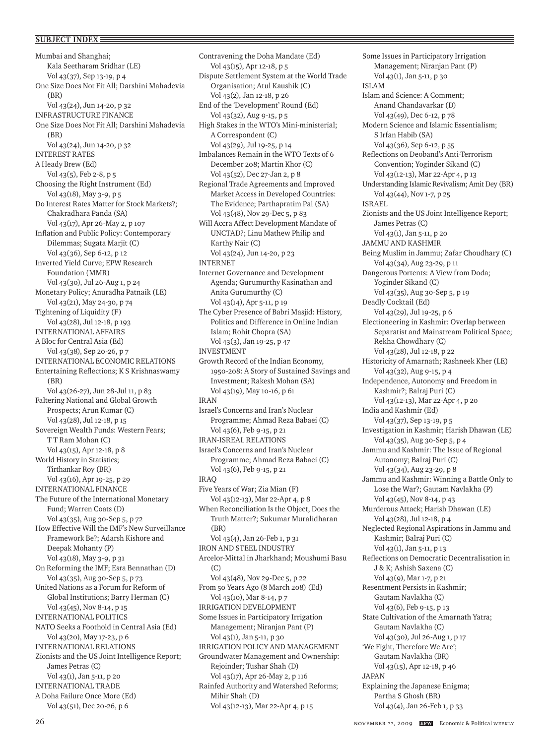Mumbai and Shanghai; Kala Seetharam Sridhar (LE) Vol 43(37), Sep 13-19, p 4 One Size Does Not Fit All; Darshini Mahadevia (BR) Vol 43(24), Jun 14-20, p 32 INFRASTRUCTURE FINANCE One Size Does Not Fit All; Darshini Mahadevia (BR) Vol 43(24), Jun 14-20, p 32 INTEREST RATES A Heady Brew (Ed) Vol 43(5), Feb 2-8, p 5 Choosing the Right Instrument (Ed) Vol 43(18), May 3-9, p 5 Do Interest Rates Matter for Stock Markets?; Chakradhara Panda (SA) Vol 43(17), Apr 26-May 2, p 107 Inflation and Public Policy: Contemporary Dilemmas; Sugata Marjit (C) Vol 43(36), Sep 6-12, p 12 Inverted Yield Curve; EPW Research Foundation (MMR) Vol 43(30), Jul 26-Aug 1, p 24 Monetary Policy; Anuradha Patnaik (LE) Vol 43(21), May 24-30, p 74 Tightening of Liquidity (F) Vol 43(28), Jul 12-18, p 193 INTERNATIONAL AFFAIRS A Bloc for Central Asia (Ed) Vol 43(38), Sep 20-26, p 7 INTERNATIONAL ECONOMIC RELATIONS Entertaining Reflections; K S Krishnaswamy (BR) Vol 43(26-27), Jun 28-Jul 11, p 83 Faltering National and Global Growth Prospects; Arun Kumar (C) Vol 43(28), Jul 12-18, p 15 Sovereign Wealth Funds: Western Fears; T T Ram Mohan (C) Vol 43(15), Apr 12-18, p 8 World History in Statistics; Tirthankar Roy (BR) Vol 43(16), Apr 19-25, p 29 INTERNATIONAL FINANCE The Future of the International Monetary Fund; Warren Coats (D) Vol 43(35), Aug 30-Sep 5, p 72 How Effective Will the IMF's New Surveillance Framework Be?; Adarsh Kishore and Deepak Mohanty (P) Vol 43(18), May 3-9, p 31 On Reforming the IMF; Esra Bennathan (D) Vol 43(35), Aug 30-Sep 5, p 73 United Nations as a Forum for Reform of Global Institutions; Barry Herman (C) Vol 43(45), Nov 8-14, p 15 INTERNATIONAL POLITICS NATO Seeks a Foothold in Central Asia (Ed) Vol 43(20), May 17-23, p 6 INTERNATIONAL RELATIONS Zionists and the US Joint Intelligence Report; James Petras (C) Vol 43(1), Jan 5-11, p 20 INTERNATIONAL TRADE A Doha Failure Once More (Ed) Vol 43(51), Dec 20-26, p 6

Contravening the Doha Mandate (Ed) Vol 43(15), Apr 12-18, p 5 Dispute Settlement System at the World Trade Organisation; Atul Kaushik (C) Vol 43(2), Jan 12-18, p 26 End of the 'Development' Round (Ed) Vol 43(32), Aug 9-15, p 5 High Stakes in the WTO's Mini-ministerial; A Correspondent (C) Vol 43(29), Jul 19-25, p 14 Imbalances Remain in the WTO Texts of 6 December 208; Martin Khor (C) Vol 43(52), Dec 27-Jan 2, p 8 Regional Trade Agreements and Improved Market Access in Developed Countries: The Evidence; Parthapratim Pal (SA) Vol 43(48), Nov 29-Dec 5, p 83 Will Accra Affect Development Mandate of UNCTAD?; Linu Mathew Philip and Karthy Nair (C) Vol 43(24), Jun 14-20, p 23 INTERNET Internet Governance and Development Agenda; Gurumurthy Kasinathan and Anita Gurumurthy (C) Vol 43(14), Apr 5-11, p 19 The Cyber Presence of Babri Masjid: History, Politics and Difference in Online Indian Islam; Rohit Chopra (SA) Vol 43(3), Jan 19-25, p 47 INVESTMENT Growth Record of the Indian Economy, 1950-208: A Story of Sustained Savings and Investment; Rakesh Mohan (SA) Vol 43(19), May 10-16, p 61 IRAN Israel's Concerns and Iran's Nuclear Programme; Ahmad Reza Babaei (C) Vol 43(6), Feb 9-15, p 21 IRAN-ISREAL RELATIONS Israel's Concerns and Iran's Nuclear Programme; Ahmad Reza Babaei (C) Vol 43(6), Feb 9-15, p 21 IRAQ Five Years of War; Zia Mian (F) Vol 43(12-13), Mar 22-Apr 4, p 8 When Reconciliation Is the Object, Does the Truth Matter?; Sukumar Muralidharan (BR) Vol 43(4), Jan 26-Feb 1, p 31 IRON AND STEEL INDUSTRY Arcelor-Mittal in Jharkhand; Moushumi Basu  $(C)$ Vol 43(48), Nov 29-Dec 5, p 22 From 50 Years Ago (8 March 208) (Ed) Vol 43(10), Mar 8-14, p 7 IRRIGATION DEVELOPMENT Some Issues in Participatory Irrigation Management; Niranjan Pant (P) Vol 43(1), Jan 5-11, p 30 IRRIGATION POLICY AND MANAGEMENT Groundwater Management and Ownership: Rejoinder; Tushar Shah (D) Vol 43(17), Apr 26-May 2, p 116 Rainfed Authority and Watershed Reforms; Mihir Shah (D) Vol 43(12-13), Mar 22-Apr 4, p 15

Some Issues in Participatory Irrigation Management; Niranjan Pant (P) Vol 43(1), Jan 5-11, p 30 ISLAM Islam and Science: A Comment; Anand Chandavarkar (D) Vol 43(49), Dec 6-12, p 78 Modern Science and Islamic Essentialism; S Irfan Habib (SA) Vol 43(36), Sep 6-12, p 55 Reflections on Deoband's Anti-Terrorism Convention; Yoginder Sikand (C) Vol 43(12-13), Mar 22-Apr 4, p 13 Understanding Islamic Revivalism; Amit Dey (BR) Vol 43(44), Nov 1-7, p 25 ISRAEL Zionists and the US Joint Intelligence Report; James Petras (C) Vol 43(1), Jan 5-11, p 20 JAMMU AND KASHMIR Being Muslim in Jammu; Zafar Choudhary (C) Vol 43(34), Aug 23-29, p 11 Dangerous Portents: A View from Doda; Yoginder Sikand (C) Vol 43(35), Aug 30-Sep 5, p 19 Deadly Cocktail (Ed) Vol 43(29), Jul 19-25, p 6 Electioneering in Kashmir: Overlap between Separatist and Mainstream Political Space; Rekha Chowdhary (C) Vol 43(28), Jul 12-18, p 22 Historicity of Amarnath; Rashneek Kher (LE) Vol 43(32), Aug 9-15, p 4 Independence, Autonomy and Freedom in Kashmir?; Balraj Puri (C) Vol 43(12-13), Mar 22-Apr 4, p 20 India and Kashmir (Ed) Vol 43(37), Sep 13-19, p 5 Investigation in Kashmir; Harish Dhawan (LE) Vol 43(35), Aug 30-Sep 5, p 4 Jammu and Kashmir: The Issue of Regional Autonomy; Balraj Puri (C) Vol 43(34), Aug 23-29, p 8 Jammu and Kashmir: Winning a Battle Only to Lose the War?; Gautam Navlakha (P) Vol 43(45), Nov 8-14, p 43 Murderous Attack; Harish Dhawan (LE) Vol 43(28), Jul 12-18, p 4 Neglected Regional Aspirations in Jammu and Kashmir; Balraj Puri (C) Vol 43(1), Jan 5-11, p 13 Reflections on Democratic Decentralisation in J & K; Ashish Saxena (C) Vol 43(9), Mar 1-7, p 21 Resentment Persists in Kashmir; Gautam Navlakha (C) Vol 43(6), Feb 9-15, p 13 State Cultivation of the Amarnath Yatra; Gautam Navlakha (C) Vol 43(30), Jul 26-Aug 1, p 17 'We Fight, Therefore We Are'; Gautam Navlakha (BR) Vol 43(15), Apr 12-18, p 46 JAPAN Explaining the Japanese Enigma; Partha S Ghosh (BR) Vol 43(4), Jan 26-Feb 1, p 33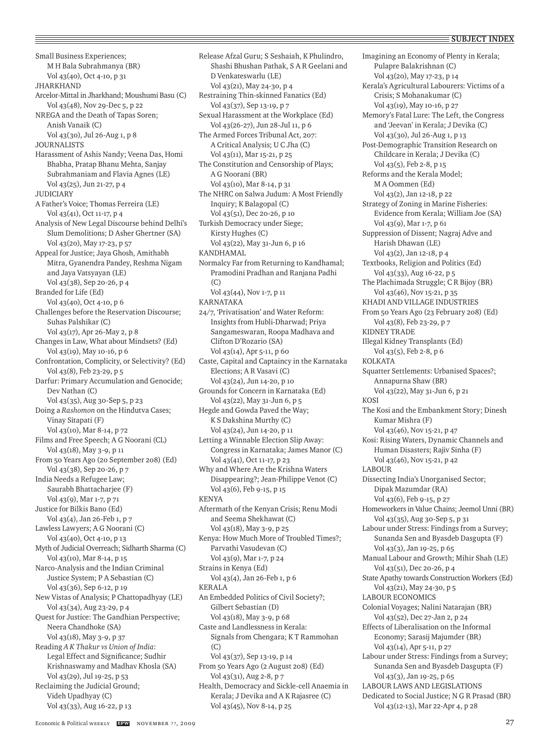Small Business Experiences; M H Bala Subrahmanya (BR) Vol 43(40), Oct 4-10, p 31 JHARKHAND Arcelor-Mittal in Jharkhand; Moushumi Basu (C) Vol 43(48), Nov 29-Dec 5, p 22 NREGA and the Death of Tapas Soren; Anish Vanaik (C) Vol 43(30), Jul 26-Aug 1, p 8 JOURNALISTS Harassment of Ashis Nandy; Veena Das, Homi Bhabha, Pratap Bhanu Mehta, Sanjay Subrahmaniam and Flavia Agnes (LE) Vol 43(25), Jun 21-27, p 4 JUDICIARY A Father's Voice; Thomas Ferreira (LE) Vol 43(41), Oct 11-17, p 4 Analysis of New Legal Discourse behind Delhi's Slum Demolitions; D Asher Ghertner (SA) Vol 43(20), May 17-23, p 57 Appeal for Justice; Jaya Ghosh, Amithabh Mitra, Gyanendra Pandey, Reshma Nigam and Jaya Vatsyayan (LE) Vol 43(38), Sep 20-26, p 4 Branded for Life (Ed) Vol 43(40), Oct 4-10, p 6 Challenges before the Reservation Discourse; Suhas Palshikar (C) Vol 43(17), Apr 26-May 2, p 8 Changes in Law, What about Mindsets? (Ed) Vol 43(19), May 10-16, p 6 Confrontation, Complicity, or Selectivity? (Ed) Vol 43(8), Feb 23-29, p 5 Darfur: Primary Accumulation and Genocide; Dev Nathan (C) Vol 43(35), Aug 30-Sep 5, p 23 Doing a *Rashomon* on the Hindutva Cases; Vinay Sitapati (F) Vol 43(10), Mar 8-14, p 72 Films and Free Speech; A G Noorani (CL) Vol 43(18), May 3-9, p 11 From 50 Years Ago (20 September 208) (Ed) Vol 43(38), Sep 20-26, p 7 India Needs a Refugee Law; Saurabh Bhattacharjee (F) Vol 43(9), Mar 1-7, p 71 Justice for Bilkis Bano (Ed) Vol 43(4), Jan 26-Feb 1, p 7 Lawless Lawyers; A G Noorani (C) Vol 43(40), Oct 4-10, p 13 Myth of Judicial Overreach; Sidharth Sharma (C) Vol 43(10), Mar 8-14, p 15 Narco-Analysis and the Indian Criminal Justice System; P A Sebastian (C) Vol 43(36), Sep 6-12, p 19 New Vistas of Analysis; P Chattopadhyay (LE) Vol 43(34), Aug 23-29, p 4 Quest for Justice: The Gandhian Perspective; Neera Chandhoke (SA) Vol 43(18), May 3-9, p 37 Reading *A K Thakur vs Union of India*: Legal Effect and Significance; Sudhir Krishnaswamy and Madhav Khosla (SA) Vol 43(29), Jul 19-25, p 53 Reclaiming the Judicial Ground; Videh Upadhyay (C) Vol 43(33), Aug 16-22, p 13

Release Afzal Guru; S Seshaiah, K Phulindro, Shashi Bhushan Pathak, S A R Geelani and D Venkateswarlu (LE) Vol 43(21), May 24-30, p 4 Restraining Thin-skinned Fanatics (Ed) Vol 43(37), Sep 13-19, p 7 Sexual Harassment at the Workplace (Ed) Vol 43(26-27), Jun 28-Jul 11, p 6 The Armed Forces Tribunal Act, 207: A Critical Analysis; U C Jha (C) Vol 43(11), Mar 15-21, p 25 The Constitution and Censorship of Plays; A G Noorani (BR) Vol 43(10), Mar 8-14, p 31 The NHRC on Salwa Judum: A Most Friendly Inquiry; K Balagopal (C) Vol 43(51), Dec 20-26, p 10 Turkish Democracy under Siege; Kirsty Hughes (C) Vol 43(22), May 31-Jun 6, p 16 KANDHAMAL Normalcy Far from Returning to Kandhamal; Pramodini Pradhan and Ranjana Padhi (C) Vol 43(44), Nov 1-7, p 11 KARNATAKA 24/7, 'Privatisation' and Water Reform: Insights from Hubli-Dharwad; Priya Sangameswaran, Roopa Madhava and Clifton D'Rozario (SA) Vol 43(14), Apr 5-11, p 60 Caste, Capital and Captaincy in the Karnataka Elections; A R Vasavi (C) Vol 43(24), Jun 14-20, p 10 Grounds for Concern in Karnataka (Ed) Vol 43(22), May 31-Jun 6, p 5 Hegde and Gowda Paved the Way; K S Dakshina Murthy (C) Vol 43(24), Jun 14-20, p 11 Letting a Winnable Election Slip Away: Congress in Karnataka; James Manor (C) Vol 43(41), Oct 11-17, p 23 Why and Where Are the Krishna Waters Disappearing?; Jean-Philippe Venot (C) Vol 43(6), Feb 9-15, p 15 KENYA Aftermath of the Kenyan Crisis; Renu Modi and Seema Shekhawat (C) Vol 43(18), May 3-9, p 25 Kenya: How Much More of Troubled Times?; Parvathi Vasudevan (C) Vol 43(9), Mar 1-7, p 24 Strains in Kenya (Ed) Vol 43(4), Jan 26-Feb 1, p 6 KERALA An Embedded Politics of Civil Society?; Gilbert Sebastian (D) Vol 43(18), May 3-9, p 68 Caste and Landlessness in Kerala: Signals from Chengara; K T Rammohan (C) Vol 43(37), Sep 13-19, p 14 From 50 Years Ago (2 August 208) (Ed) Vol 43(31), Aug 2-8, p 7 Health, Democracy and Sickle-cell Anaemia in Kerala; J Devika and A K Rajasree (C) Vol 43(45), Nov 8-14, p 25

Imagining an Economy of Plenty in Kerala; Pulapre Balakrishnan (C) Vol 43(20), May 17-23, p 14 Kerala's Agricultural Labourers: Victims of a Crisis; S Mohanakumar (C) Vol 43(19), May 10-16, p 27 Memory's Fatal Lure: The Left, the Congress and 'Jeevan' in Kerala; J Devika (C) Vol 43(30), Jul 26-Aug 1, p 13 Post-Demographic Transition Research on Childcare in Kerala; J Devika (C) Vol 43(5), Feb 2-8, p 15 Reforms and the Kerala Model; M A Oommen (Ed) Vol 43(2), Jan 12-18, p 22 Strategy of Zoning in Marine Fisheries: Evidence from Kerala; William Joe (SA) Vol 43(9), Mar 1-7, p 61 Suppression of Dissent; Nagraj Adve and Harish Dhawan (LE) Vol 43(2), Jan 12-18, p 4 Textbooks, Religion and Politics (Ed) Vol 43(33), Aug 16-22, p 5 The Plachimada Struggle; C R Bijoy (BR) Vol 43(46), Nov 15-21, p 35 KHADI AND VILLAGE INDUSTRIES From 50 Years Ago (23 February 208) (Ed) Vol 43(8), Feb 23-29, p 7 KIDNEY TRADE Illegal Kidney Transplants (Ed) Vol 43(5), Feb 2-8, p 6 KOLKATA Squatter Settlements: Urbanised Spaces?; Annapurna Shaw (BR) Vol 43(22), May 31-Jun 6, p 21 **KOSI** The Kosi and the Embankment Story; Dinesh Kumar Mishra (F) Vol 43(46), Nov 15-21, p 47 Kosi: Rising Waters, Dynamic Channels and Human Disasters; Rajiv Sinha (F) Vol 43(46), Nov 15-21, p 42 LABOUR Dissecting India's Unorganised Sector; Dipak Mazumdar (RA) Vol 43(6), Feb 9-15, p 27 Homeworkers in Value Chains; Jeemol Unni (BR) Vol 43(35), Aug 30-Sep 5, p 31 Labour under Stress: Findings from a Survey; Sunanda Sen and Byasdeb Dasgupta (F) Vol 43(3), Jan 19-25, p 65 Manual Labour and Growth; Mihir Shah (LE) Vol 43(51), Dec 20-26, p 4 State Apathy towards Construction Workers (Ed) Vol 43(21), May 24-30, p 5 LABOUR ECONOMICS Colonial Voyages; Nalini Natarajan (BR) Vol 43(52), Dec 27-Jan 2, p 24 Effects of Liberalisation on the Informal Economy; Sarasij Majumder (BR) Vol 43(14), Apr 5-11, p 27 Labour under Stress: Findings from a Survey; Sunanda Sen and Byasdeb Dasgupta (F) Vol 43(3), Jan 19-25, p 65 LABOUR LAWS AND LEGISLATIONS Dedicated to Social Justice; N G R Prasad (BR) Vol 43(12-13), Mar 22-Apr 4, p 28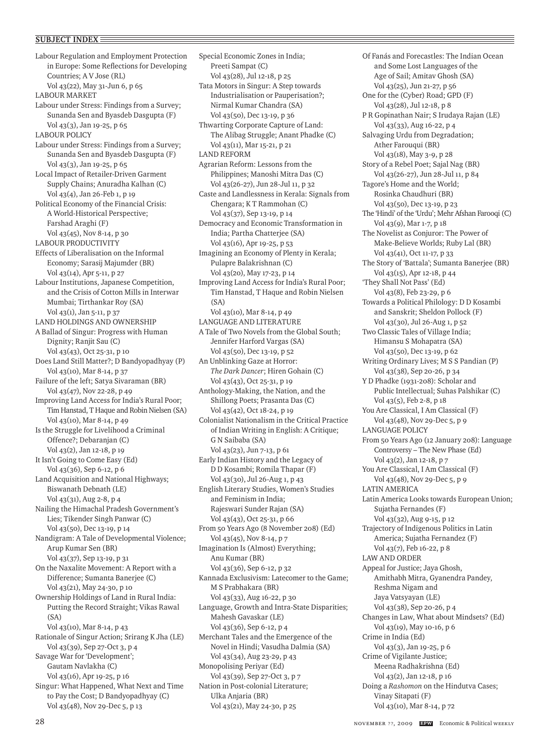Labour Regulation and Employment Protection in Europe: Some Reflections for Developing Countries; A V Jose (RL) Vol 43(22), May 31-Jun 6, p 65 LABOUR MARKET Labour under Stress: Findings from a Survey; Sunanda Sen and Byasdeb Dasgupta (F) Vol 43(3), Jan 19-25, p 65 LABOUR POLICY Labour under Stress: Findings from a Survey; Sunanda Sen and Byasdeb Dasgupta (F) Vol 43(3), Jan 19-25, p 65 Local Impact of Retailer-Driven Garment Supply Chains; Anuradha Kalhan (C) Vol 43(4), Jan 26-Feb 1, p 19 Political Economy of the Financial Crisis: A World-Historical Perspective; Farshad Araghi (F) Vol 43(45), Nov 8-14, p 30 LABOUR PRODUCTIVITY Effects of Liberalisation on the Informal Economy; Sarasij Majumder (BR) Vol 43(14), Apr 5-11, p 27 Labour Institutions, Japanese Competition, and the Crisis of Cotton Mills in Interwar Mumbai; Tirthankar Roy (SA) Vol 43(1), Jan 5-11, p 37 LAND HOLDINGS AND OWNERSHIP A Ballad of Singur: Progress with Human Dignity; Ranjit Sau (C) Vol 43(43), Oct 25-31, p 10 Does Land Still Matter?; D Bandyopadhyay (P) Vol 43(10), Mar 8-14, p 37 Failure of the left; Satya Sivaraman (BR) Vol 43(47), Nov 22-28, p 49 Improving Land Access for India's Rural Poor; Tim Hanstad, T Haque and Robin Nielsen (SA) Vol 43(10), Mar 8-14, p 49 Is the Struggle for Livelihood a Criminal Offence?; Debaranjan (C) Vol 43(2), Jan 12-18, p 19 It Isn't Going to Come Easy (Ed) Vol 43(36), Sep 6-12, p 6 Land Acquisition and National Highways; Biswanath Debnath (LE) Vol 43(31), Aug 2-8, p 4 Nailing the Himachal Pradesh Government's Lies; Tikender Singh Panwar (C) Vol 43(50), Dec 13-19, p 14 Nandigram: A Tale of Developmental Violence; Arup Kumar Sen (BR) Vol 43(37), Sep 13-19, p 31 On the Naxalite Movement: A Report with a Difference; Sumanta Banerjee (C) Vol 43(21), May 24-30, p 10 Ownership Holdings of Land in Rural India: Putting the Record Straight; Vikas Rawal (SA) Vol 43(10), Mar 8-14, p 43 Rationale of Singur Action; Srirang K Jha (LE) Vol 43(39), Sep 27-Oct 3, p 4 Savage War for 'Development'; Gautam Navlakha (C) Vol 43(16), Apr 19-25, p 16 Singur: What Happened, What Next and Time to Pay the Cost; D Bandyopadhyay (C) Vol 43(48), Nov 29-Dec 5, p 13

Special Economic Zones in India; Preeti Sampat (C) Vol 43(28), Jul 12-18, p 25 Tata Motors in Singur: A Step towards Industrialisation or Pauperisation?; Nirmal Kumar Chandra (SA) Vol 43(50), Dec 13-19, p 36 Thwarting Corporate Capture of Land: The Alibag Struggle; Anant Phadke (C) Vol 43(11), Mar 15-21, p 21 LAND REFORM Agrarian Reform: Lessons from the Philippines; Manoshi Mitra Das (C) Vol 43(26-27), Jun 28-Jul 11, p 32 Caste and Landlessness in Kerala: Signals from Chengara; K T Rammohan (C) Vol 43(37), Sep 13-19, p 14 Democracy and Economic Transformation in India; Partha Chatterjee (SA) Vol 43(16), Apr 19-25, p 53 Imagining an Economy of Plenty in Kerala; Pulapre Balakrishnan (C) Vol 43(20), May 17-23, p 14 Improving Land Access for India's Rural Poor; Tim Hanstad, T Haque and Robin Nielsen (SA) Vol 43(10), Mar 8-14, p 49 LANGUAGE AND LITERATURE A Tale of Two Novels from the Global South; Jennifer Harford Vargas (SA) Vol 43(50), Dec 13-19, p 52 An Unblinking Gaze at Horror: *The Dark Dancer*; Hiren Gohain (C) Vol 43(43), Oct 25-31, p 19 Anthology-Making, the Nation, and the Shillong Poets; Prasanta Das (C) Vol 43(42), Oct 18-24, p 19 Colonialist Nationalism in the Critical Practice of Indian Writing in English: A Critique; G N Saibaba (SA) Vol 43(23), Jun 7-13, p 61 Early Indian History and the Legacy of D D Kosambi; Romila Thapar (F) Vol 43(30), Jul 26-Aug 1, p 43 English Literary Studies, Women's Studies and Feminism in India; Rajeswari Sunder Rajan (SA) Vol 43(43), Oct 25-31, p 66 From 50 Years Ago (8 November 208) (Ed) Vol 43(45), Nov 8-14, p 7 Imagination Is (Almost) Everything; Anu Kumar (BR) Vol 43(36), Sep 6-12, p 32 Kannada Exclusivism: Latecomer to the Game; M S Prabhakara (BR) Vol 43(33), Aug 16-22, p 30 Language, Growth and Intra-State Disparities; Mahesh Gavaskar (LE) Vol 43(36), Sep 6-12, p 4 Merchant Tales and the Emergence of the Novel in Hindi; Vasudha Dalmia (SA) Vol 43(34), Aug 23-29, p 43 Monopolising Periyar (Ed) Vol 43(39), Sep 27-Oct 3, p 7 Nation in Post-colonial Literature; Ulka Anjaria (BR) Vol 43(21), May 24-30, p 25

Of Fanás and Forecastles: The Indian Ocean and Some Lost Languages of the Age of Sail; Amitav Ghosh (SA) Vol 43(25), Jun 21-27, p 56 One for the (Cyber) Road; GPD (F) Vol 43(28), Jul 12-18, p 8 P R Gopinathan Nair; S Irudaya Rajan (LE) Vol 43(33), Aug 16-22, p 4 Salvaging Urdu from Degradation; Ather Farouqui (BR) Vol 43(18), May 3-9, p 28 Story of a Rebel Poet; Sajal Nag (BR) Vol 43(26-27), Jun 28-Jul 11, p 84 Tagore's Home and the World; Rosinka Chaudhuri (BR) Vol 43(50), Dec 13-19, p 23 The 'Hindi' of the 'Urdu'; Mehr Afshan Farooqi (C) Vol 43(9), Mar 1-7, p 18 The Novelist as Conjuror: The Power of Make-Believe Worlds; Ruby Lal (BR) Vol 43(41), Oct 11-17, p 33 The Story of 'Battala'; Sumanta Banerjee (BR) Vol 43(15), Apr 12-18, p 44 'They Shall Not Pass' (Ed) Vol 43(8), Feb 23-29, p 6 Towards a Political Philology: D D Kosambi and Sanskrit; Sheldon Pollock (F) Vol 43(30), Jul 26-Aug 1, p 52 Two Classic Tales of Village India; Himansu S Mohapatra (SA) Vol 43(50), Dec 13-19, p 62 Writing Ordinary Lives; M S S Pandian (P) Vol 43(38), Sep 20-26, p 34 Y D Phadke (1931-208): Scholar and Public Intellectual; Suhas Palshikar (C) Vol 43(5), Feb 2-8, p 18 You Are Classical, I Am Classical (F) Vol 43(48), Nov 29-Dec 5, p 9 LANGUAGE POLICY From 50 Years Ago (12 January 208): Language Controversy – The New Phase (Ed) Vol 43(2), Jan 12-18, p 7 You Are Classical, I Am Classical (F) Vol 43(48), Nov 29-Dec 5, p 9 LATIN AMERICA Latin America Looks towards European Union; Sujatha Fernandes (F) Vol 43(32), Aug 9-15, p 12 Trajectory of Indigenous Politics in Latin America; Sujatha Fernandez (F) Vol 43(7), Feb 16-22, p 8 LAW AND ORDER Appeal for Justice; Jaya Ghosh, Amithabh Mitra, Gyanendra Pandey, Reshma Nigam and Jaya Vatsyayan (LE) Vol 43(38), Sep 20-26, p 4 Changes in Law, What about Mindsets? (Ed) Vol 43(19), May 10-16, p 6 Crime in India (Ed) Vol 43(3), Jan 19-25, p 6 Crime of Vigilante Justice; Meena Radhakrishna (Ed) Vol 43(2), Jan 12-18, p 16 Doing a *Rashomon* on the Hindutva Cases; Vinay Sitapati (F) Vol 43(10), Mar 8-14, p 72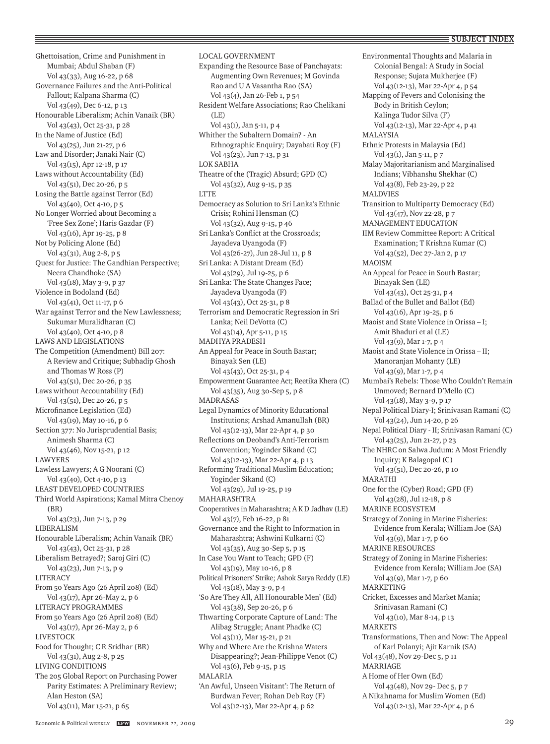Ghettoisation, Crime and Punishment in Mumbai; Abdul Shaban (F) Vol 43(33), Aug 16-22, p 68 Governance Failures and the Anti-Political Fallout; Kalpana Sharma (C) Vol 43(49), Dec 6-12, p 13 Honourable Liberalism; Achin Vanaik (BR) Vol 43(43), Oct 25-31, p 28 In the Name of Justice (Ed) Vol 43(25), Jun 21-27, p 6 Law and Disorder; Janaki Nair (C) Vol 43(15), Apr 12-18, p 17 Laws without Accountability (Ed) Vol 43(51), Dec 20-26, p 5 Losing the Battle against Terror (Ed) Vol 43(40), Oct 4-10, p 5 No Longer Worried about Becoming a 'Free Sex Zone'; Haris Gazdar (F) Vol 43(16), Apr 19-25, p 8 Not by Policing Alone (Ed) Vol 43(31), Aug 2-8, p 5 Quest for Justice: The Gandhian Perspective; Neera Chandhoke (SA) Vol 43(18), May 3-9, p 37 Violence in Bodoland (Ed) Vol 43(41), Oct 11-17, p 6 War against Terror and the New Lawlessness; Sukumar Muralidharan (C) Vol 43(40), Oct 4-10, p 8 LAWS AND LEGISLATIONS The Competition (Amendment) Bill 207: A Review and Critique; Subhadip Ghosh and Thomas W Ross (P) Vol 43(51), Dec 20-26, p 35 Laws without Accountability (Ed) Vol 43(51), Dec 20-26, p 5 Microfinance Legislation (Ed) Vol 43(19), May 10-16, p 6 Section 377: No Jurisprudential Basis; Animesh Sharma (C) Vol 43(46), Nov 15-21, p 12 LAWYERS Lawless Lawyers; A G Noorani (C) Vol 43(40), Oct 4-10, p 13 LEAST DEVELOPED COUNTRIES Third World Aspirations; Kamal Mitra Chenoy (BR) Vol 43(23), Jun 7-13, p 29 LIBERALISM Honourable Liberalism; Achin Vanaik (BR) Vol 43(43), Oct 25-31, p 28 Liberalism Betrayed?; Saroj Giri (C) Vol 43(23), Jun 7-13, p 9 LITERACY From 50 Years Ago (26 April 208) (Ed) Vol 43(17), Apr 26-May 2, p 6 LITERACY PROGRAMMES From 50 Years Ago (26 April 208) (Ed) Vol 43(17), Apr 26-May 2, p 6 LIVESTOCK Food for Thought; C R Sridhar (BR) Vol 43(31), Aug 2-8, p 25 LIVING CONDITIONS The 205 Global Report on Purchasing Power Parity Estimates: A Preliminary Review; Alan Heston (SA) Vol 43(11), Mar 15-21, p 65

LOCAL GOVERNMENT Expanding the Resource Base of Panchayats: Augmenting Own Revenues; M Govinda Rao and U A Vasantha Rao (SA) Vol 43(4), Jan 26-Feb 1, p 54 Resident Welfare Associations; Rao Chelikani (LE) Vol 43(1), Jan 5-11, p 4 Whither the Subaltern Domain? - An Ethnographic Enquiry; Dayabati Roy (F) Vol 43(23), Jun 7-13, p 31 LOK SABHA Theatre of the (Tragic) Absurd; GPD (C) Vol 43(32), Aug 9-15, p 35 LTTE Democracy as Solution to Sri Lanka's Ethnic Crisis; Rohini Hensman (C) Vol 43(32), Aug 9-15, p 46 Sri Lanka's Conflict at the Crossroads; Jayadeva Uyangoda (F) Vol 43(26-27), Jun 28-Jul 11, p 8 Sri Lanka: A Distant Dream (Ed) Vol 43(29), Jul 19-25, p 6 Sri Lanka: The State Changes Face; Jayadeva Uyangoda (F) Vol 43(43), Oct 25-31, p 8 Terrorism and Democratic Regression in Sri Lanka; Neil DeVotta (C) Vol 43(14), Apr 5-11, p 15 MADHYA PRADESH An Appeal for Peace in South Bastar; Binayak Sen (LE) Vol 43(43), Oct 25-31, p 4 Empowerment Guarantee Act; Reetika Khera (C) Vol 43(35), Aug 30-Sep 5, p 8 MADRASAS Legal Dynamics of Minority Educational Institutions; Arshad Amanullah (BR) Vol 43(12-13), Mar 22-Apr 4, p 30 Reflections on Deoband's Anti-Terrorism Convention; Yoginder Sikand (C) Vol 43(12-13), Mar 22-Apr 4, p 13 Reforming Traditional Muslim Education; Yoginder Sikand (C) Vol 43(29), Jul 19-25, p 19 MAHARASHTRA Cooperatives in Maharashtra; A K D Jadhav (LE) Vol 43(7), Feb 16-22, p 81 Governance and the Right to Information in Maharashtra; Ashwini Kulkarni (C) Vol 43(35), Aug 30-Sep 5, p 15 In Case You Want to Teach; GPD (F) Vol 43(19), May 10-16, p 8 Political Prisoners' Strike; Ashok Satya Reddy (LE) Vol 43(18), May 3-9, p 4 'So Are They All, All Honourable Men' (Ed) Vol 43(38), Sep 20-26, p 6 Thwarting Corporate Capture of Land: The Alibag Struggle; Anant Phadke (C) Vol 43(11), Mar 15-21, p 21 Why and Where Are the Krishna Waters Disappearing?; Jean-Philippe Venot (C) Vol 43(6), Feb 9-15, p 15 MALARIA 'An Awful, Unseen Visitant': The Return of Burdwan Fever; Rohan Deb Roy (F)

Vol 43(12-13), Mar 22-Apr 4, p 62

Environmental Thoughts and Malaria in Colonial Bengal: A Study in Social Response; Sujata Mukherjee (F) Vol 43(12-13), Mar 22-Apr 4, p 54 Mapping of Fevers and Colonising the Body in British Ceylon; Kalinga Tudor Silva (F) Vol 43(12-13), Mar 22-Apr 4, p 41 MALAYSIA Ethnic Protests in Malaysia (Ed) Vol 43(1), Jan 5-11, p 7 Malay Majoritarianism and Marginalised Indians; Vibhanshu Shekhar (C) Vol 43(8), Feb 23-29, p 22 MALDVIES Transition to Multiparty Democracy (Ed) Vol 43(47), Nov 22-28, p 7 MANAGEMENT EDUCATION IIM Review Committee Report: A Critical Examination; T Krishna Kumar (C) Vol 43(52), Dec 27-Jan 2, p 17 MAOISM An Appeal for Peace in South Bastar; Binayak Sen (LE) Vol 43(43), Oct 25-31, p 4 Ballad of the Bullet and Ballot (Ed) Vol 43(16), Apr 19-25, p 6 Maoist and State Violence in Orissa – I; Amit Bhaduri et al (LE) Vol 43(9), Mar 1-7, p 4 Maoist and State Violence in Orissa – II; Manoranjan Mohanty (LE) Vol 43(9), Mar 1-7, p 4 Mumbai's Rebels: Those Who Couldn't Remain Unmoved; Bernard D'Mello (C) Vol 43(18), May 3-9, p 17 Nepal Political Diary-I; Srinivasan Ramani (C) Vol 43(24), Jun 14-20, p 26 Nepal Political Diary - II; Srinivasan Ramani (C) Vol 43(25), Jun 21-27, p 23 The NHRC on Salwa Judum: A Most Friendly Inquiry; K Balagopal (C) Vol 43(51), Dec 20-26, p 10 **MARATHI** One for the (Cyber) Road; GPD (F) Vol 43(28), Jul 12-18, p 8 MARINE ECOSYSTEM Strategy of Zoning in Marine Fisheries: Evidence from Kerala; William Joe (SA) Vol 43(9), Mar 1-7, p 60 MARINE RESOURCES Strategy of Zoning in Marine Fisheries: Evidence from Kerala; William Joe (SA) Vol 43(9), Mar 1-7, p 60 MARKETING Cricket, Excesses and Market Mania; Srinivasan Ramani (C) Vol 43(10), Mar 8-14, p 13 MARKETS Transformations, Then and Now: The Appeal of Karl Polanyi; Ajit Karnik (SA) Vol 43(48), Nov 29-Dec 5, p 11 MARRIAGE A Home of Her Own (Ed) Vol 43(48), Nov 29- Dec 5, p 7 A Nikahnama for Muslim Women (Ed) Vol 43(12-13), Mar 22-Apr 4, p 6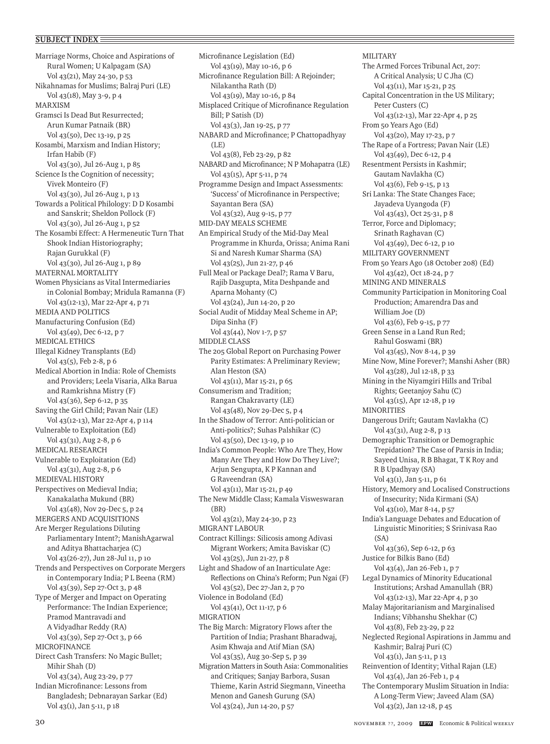Marriage Norms, Choice and Aspirations of Rural Women; U Kalpagam (SA) Vol 43(21), May 24-30, p 53 Nikahnamas for Muslims; Balraj Puri (LE) Vol 43(18), May 3-9, p 4 MARXISM Gramsci Is Dead But Resurrected; Arun Kumar Patnaik (BR) Vol 43(50), Dec 13-19, p 25 Kosambi, Marxism and Indian History; Irfan Habib (F) Vol 43(30), Jul 26-Aug 1, p 85 Science Is the Cognition of necessity; Vivek Monteiro (F) Vol 43(30), Jul 26-Aug 1, p 13 Towards a Political Philology: D D Kosambi and Sanskrit; Sheldon Pollock (F) Vol 43(30), Jul 26-Aug 1, p 52 The Kosambi Effect: A Hermeneutic Turn That Shook Indian Historiography; Rajan Gurukkal (F) Vol 43(30), Jul 26-Aug 1, p 89 MATERNAL MORTALITY Women Physicians as Vital Intermediaries in Colonial Bombay; Mridula Ramanna (F) Vol 43(12-13), Mar 22-Apr 4, p 71 MEDIA AND POLITICS Manufacturing Confusion (Ed) Vol 43(49), Dec 6-12, p 7 MEDICAL ETHICS Illegal Kidney Transplants (Ed) Vol 43(5), Feb 2-8, p 6 Medical Abortion in India: Role of Chemists and Providers; Leela Visaria, Alka Barua and Ramkrishna Mistry (F) Vol 43(36), Sep 6-12, p 35 Saving the Girl Child; Pavan Nair (LE) Vol 43(12-13), Mar 22-Apr 4, p 114 Vulnerable to Exploitation (Ed) Vol 43(31), Aug 2-8, p 6 MEDICAL RESEARCH Vulnerable to Exploitation (Ed) Vol 43(31), Aug 2-8, p 6 MEDIEVAL HISTORY Perspectives on Medieval India; Kanakalatha Mukund (BR) Vol 43(48), Nov 29-Dec 5, p 24 MERGERS AND ACQUISITIONS Are Merger Regulations Diluting Parliamentary Intent?; ManishAgarwal and Aditya Bhattacharjea (C) Vol 43(26-27), Jun 28-Jul 11, p 10 Trends and Perspectives on Corporate Mergers in Contemporary India; P L Beena (RM) Vol 43(39), Sep 27-Oct 3, p 48 Type of Merger and Impact on Operating Performance: The Indian Experience; Pramod Mantravadi and A Vidyadhar Reddy (RA) Vol 43(39), Sep 27-Oct 3, p 66 MICROFINANCE Direct Cash Transfers: No Magic Bullet; Mihir Shah (D) Vol 43(34), Aug 23-29, p 77 Indian Microfinance: Lessons from Bangladesh; Debnarayan Sarkar (Ed) Vol 43(1), Jan 5-11, p 18

Microfinance Legislation (Ed) Vol 43(19), May 10-16, p 6 Microfinance Regulation Bill: A Rejoinder; Nilakantha Rath (D) Vol 43(19), May 10-16, p 84 Misplaced Critique of Microfinance Regulation Bill; P Satish (D) Vol 43(3), Jan 19-25, p 77 NABARD and Microfinance; P Chattopadhyay (LE) Vol 43(8), Feb 23-29, p 82 NABARD and Microfinance; N P Mohapatra (LE) Vol 43(15), Apr 5-11, p 74 Programme Design and Impact Assessments: 'Success' of Microfinance in Perspective; Sayantan Bera (SA) Vol 43(32), Aug 9-15, p 77 MID-DAY MEALS SCHEME An Empirical Study of the Mid-Day Meal Programme in Khurda, Orissa; Anima Rani Si and Naresh Kumar Sharma (SA) Vol 43(25), Jun 21-27, p 46 Full Meal or Package Deal?; Rama V Baru, Rajib Dasgupta, Mita Deshpande and Aparna Mohanty (C) Vol 43(24), Jun 14-20, p 20 Social Audit of Midday Meal Scheme in AP; Dipa Sinha (F) Vol 43(44), Nov 1-7, p 57 MIDDLE CLASS The 205 Global Report on Purchasing Power Parity Estimates: A Preliminary Review; Alan Heston (SA) Vol 43(11), Mar 15-21, p 65 Consumerism and Tradition; Rangan Chakravarty (LE) Vol 43(48), Nov 29-Dec 5, p 4 In the Shadow of Terror: Anti-politician or Anti-politics?; Suhas Palshikar (C) Vol 43(50), Dec 13-19, p 10 India's Common People: Who Are They, How Many Are They and How Do They Live?; Arjun Sengupta, K P Kannan and G Raveendran (SA) Vol 43(11), Mar 15-21, p 49 The New Middle Class; Kamala Visweswaran (BR) Vol 43(21), May 24-30, p 23 MIGRANT LABOUR Contract Killings: Silicosis among Adivasi Migrant Workers; Amita Baviskar (C) Vol 43(25), Jun 21-27, p 8 Light and Shadow of an Inarticulate Age: Reflections on China's Reform; Pun Ngai (F) Vol 43(52), Dec 27-Jan 2, p 70 Violence in Bodoland (Ed) Vol 43(41), Oct 11-17, p 6 MIGRATION The Big March: Migratory Flows after the Partition of India; Prashant Bharadwaj, Asim Khwaja and Atif Mian (SA) Vol 43(35), Aug 30-Sep 5, p 39 Migration Matters in South Asia: Commonalities and Critiques; Sanjay Barbora, Susan Thieme, Karin Astrid Siegmann, Vineetha Menon and Ganesh Gurung (SA)

Vol 43(24), Jun 14-20, p 57

MILITARY The Armed Forces Tribunal Act, 207: A Critical Analysis; U C Jha (C) Vol 43(11), Mar 15-21, p 25 Capital Concentration in the US Military; Peter Custers (C) Vol 43(12-13), Mar 22-Apr 4, p 25 From 50 Years Ago (Ed) Vol 43(20), May 17-23, p 7 The Rape of a Fortress; Pavan Nair (LE) Vol 43(49), Dec 6-12, p 4 Resentment Persists in Kashmir; Gautam Navlakha (C) Vol 43(6), Feb 9-15, p 13 Sri Lanka: The State Changes Face; Jayadeva Uyangoda (F) Vol 43(43), Oct 25-31, p 8 Terror, Force and Diplomacy; Srinath Raghavan (C) Vol 43(49), Dec 6-12, p 10 MILITARY GOVERNMENT From 50 Years Ago (18 October 208) (Ed) Vol 43(42), Oct 18-24, p 7 MINING AND MINERALS Community Participation in Monitoring Coal Production; Amarendra Das and William Joe (D) Vol 43(6), Feb 9-15, p 77 Green Sense in a Land Run Red; Rahul Goswami (BR) Vol 43(45), Nov 8-14, p 39 Mine Now, Mine Forever?; Manshi Asher (BR) Vol 43(28), Jul 12-18, p 33 Mining in the Niyamgiri Hills and Tribal Rights; Geetanjoy Sahu (C) Vol 43(15), Apr 12-18, p 19 **MINORITIES** Dangerous Drift; Gautam Navlakha (C) Vol 43(31), Aug 2-8, p 13 Demographic Transition or Demographic Trepidation? The Case of Parsis in India; Sayeed Unisa, R B Bhagat, T K Roy and R B Upadhyay (SA) Vol 43(1), Jan 5-11, p 61 History, Memory and Localised Constructions of Insecurity; Nida Kirmani (SA) Vol 43(10), Mar 8-14, p 57 India's Language Debates and Education of Linguistic Minorities; S Srinivasa Rao (SA) Vol 43(36), Sep 6-12, p 63 Justice for Bilkis Bano (Ed) Vol 43(4), Jan 26-Feb 1, p 7 Legal Dynamics of Minority Educational Institutions; Arshad Amanullah (BR) Vol 43(12-13), Mar 22-Apr 4, p 30 Malay Majoritarianism and Marginalised Indians; Vibhanshu Shekhar (C) Vol 43(8), Feb 23-29, p 22 Neglected Regional Aspirations in Jammu and Kashmir; Balraj Puri (C) Vol 43(1), Jan 5-11, p 13 Reinvention of Identity; Vithal Rajan (LE) Vol 43(4), Jan 26-Feb 1, p 4 The Contemporary Muslim Situation in India: A Long-Term View; Javeed Alam (SA) Vol 43(2), Jan 12-18, p 45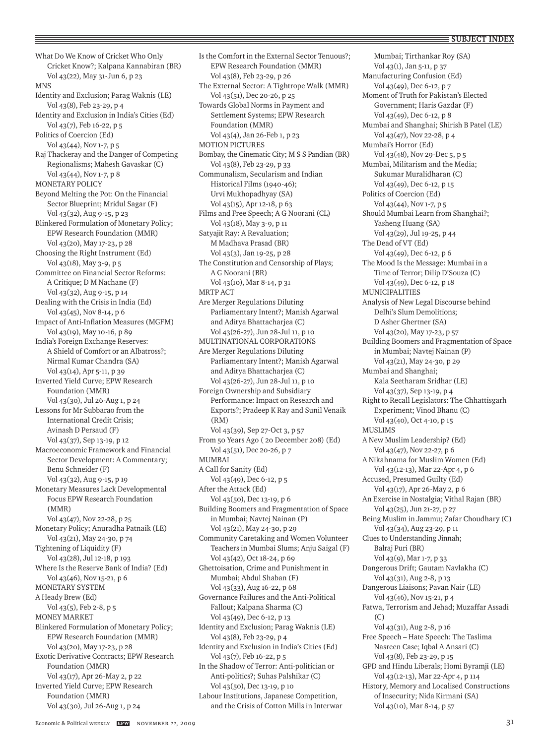What Do We Know of Cricket Who Only Cricket Know?; Kalpana Kannabiran (BR) Vol 43(22), May 31-Jun 6, p 23 MNS Identity and Exclusion; Parag Waknis (LE) Vol 43(8), Feb 23-29, p 4 Identity and Exclusion in India's Cities (Ed) Vol 43(7), Feb 16-22, p 5 Politics of Coercion (Ed) Vol 43(44), Nov 1-7, p 5 Raj Thackeray and the Danger of Competing Regionalisms; Mahesh Gavaskar (C) Vol 43(44), Nov 1-7, p 8 MONETARY POLICY Beyond Melting the Pot: On the Financial Sector Blueprint; Mridul Sagar (F) Vol 43(32), Aug 9-15, p 23 Blinkered Formulation of Monetary Policy; EPW Research Foundation (MMR) Vol 43(20), May 17-23, p 28 Choosing the Right Instrument (Ed) Vol 43(18), May 3-9, p 5 Committee on Financial Sector Reforms: A Critique; D M Nachane (F) Vol 43(32), Aug 9-15, p 14 Dealing with the Crisis in India (Ed) Vol 43(45), Nov 8-14, p 6 Impact of Anti-Inflation Measures (MGFM) Vol 43(19), May 10-16, p 89 India's Foreign Exchange Reserves: A Shield of Comfort or an Albatross?; Nirmal Kumar Chandra (SA) Vol 43(14), Apr 5-11, p 39 Inverted Yield Curve; EPW Research Foundation (MMR) Vol 43(30), Jul 26-Aug 1, p 24 Lessons for Mr Subbarao from the International Credit Crisis; Avinash D Persaud (F) Vol 43(37), Sep 13-19, p 12 Macroeconomic Framework and Financial Sector Development: A Commentary; Benu Schneider (F) Vol 43(32), Aug 9-15, p 19 Monetary Measures Lack Developmental Focus EPW Research Foundation (MMR) Vol 43(47), Nov 22-28, p 25 Monetary Policy; Anuradha Patnaik (LE) Vol 43(21), May 24-30, p 74 Tightening of Liquidity (F) Vol 43(28), Jul 12-18, p 193 Where Is the Reserve Bank of India? (Ed) Vol 43(46), Nov 15-21, p 6 MONETARY SYSTEM A Heady Brew (Ed) Vol 43(5), Feb 2-8, p 5 MONEY MARKET Blinkered Formulation of Monetary Policy; EPW Research Foundation (MMR) Vol 43(20), May 17-23, p 28 Exotic Derivative Contracts; EPW Research Foundation (MMR) Vol 43(17), Apr 26-May 2, p 22 Inverted Yield Curve; EPW Research Foundation (MMR) Vol 43(30), Jul 26-Aug 1, p 24

Is the Comfort in the External Sector Tenuous?; EPW Research Foundation (MMR) Vol 43(8), Feb 23-29, p 26 The External Sector: A Tightrope Walk (MMR) Vol 43(51), Dec 20-26, p 25 Towards Global Norms in Payment and Settlement Systems; EPW Research Foundation (MMR) Vol 43(4), Jan 26-Feb 1, p 23 MOTION PICTURES Bombay, the Cinematic City; M S S Pandian (BR) Vol 43(8), Feb 23-29, p 33 Communalism, Secularism and Indian Historical Films (1940-46); Urvi Mukhopadhyay (SA) Vol 43(15), Apr 12-18, p 63 Films and Free Speech; A G Noorani (CL) Vol 43(18), May 3-9, p 11 Satyajit Ray: A Revaluation; M Madhava Prasad (BR) Vol 43(3), Jan 19-25, p 28 The Constitution and Censorship of Plays; A G Noorani (BR) Vol 43(10), Mar 8-14, p 31 MRTP ACT Are Merger Regulations Diluting Parliamentary Intent?; Manish Agarwal and Aditya Bhattacharjea (C) Vol 43(26-27), Jun 28-Jul 11, p 10 MULTINATIONAL CORPORATIONS Are Merger Regulations Diluting Parliamentary Intent?; Manish Agarwal and Aditya Bhattacharjea (C) Vol 43(26-27), Jun 28-Jul 11, p 10 Foreign Ownership and Subsidiary Performance: Impact on Research and Exports?; Pradeep K Ray and Sunil Venaik (RM) Vol 43(39), Sep 27-Oct 3, p 57 From 50 Years Ago ( 20 December 208) (Ed) Vol 43(51), Dec 20-26, p 7 MUMBAI A Call for Sanity (Ed) Vol 43(49), Dec 6-12, p 5 After the Attack (Ed) Vol 43(50), Dec 13-19, p 6 Building Boomers and Fragmentation of Space in Mumbai; Navtej Nainan (P) Vol 43(21), May 24-30, p 29 Community Caretaking and Women Volunteer Teachers in Mumbai Slums; Anju Saigal (F) Vol 43(42), Oct 18-24, p 69 Ghettoisation, Crime and Punishment in Mumbai; Abdul Shaban (F) Vol 43(33), Aug 16-22, p 68 Governance Failures and the Anti-Political Fallout; Kalpana Sharma (C) Vol 43(49), Dec 6-12, p 13 Identity and Exclusion; Parag Waknis (LE) Vol 43(8), Feb 23-29, p 4 Identity and Exclusion in India's Cities (Ed) Vol 43(7), Feb 16-22, p 5 In the Shadow of Terror: Anti-politician or Anti-politics?; Suhas Palshikar (C) Vol 43(50), Dec 13-19, p 10 Labour Institutions, Japanese Competition, and the Crisis of Cotton Mills in Interwar

Mumbai; Tirthankar Roy (SA) Vol 43(1), Jan 5-11, p 37 Manufacturing Confusion (Ed) Vol 43(49), Dec 6-12, p 7 Moment of Truth for Pakistan's Elected Government; Haris Gazdar (F) Vol 43(49), Dec 6-12, p 8 Mumbai and Shanghai; Shirish B Patel (LE) Vol 43(47), Nov 22-28, p 4 Mumbai's Horror (Ed) Vol 43(48), Nov 29-Dec 5, p 5 Mumbai, Militarism and the Media; Sukumar Muralidharan (C) Vol 43(49), Dec 6-12, p 15 Politics of Coercion (Ed) Vol 43(44), Nov 1-7, p 5 Should Mumbai Learn from Shanghai?; Yasheng Huang (SA) Vol 43(29), Jul 19-25, p 44 The Dead of VT (Ed) Vol 43(49), Dec 6-12, p 6 The Mood Is the Message: Mumbai in a Time of Terror; Dilip D'Souza (C) Vol 43(49), Dec 6-12, p 18 MUNICIPALITIES Analysis of New Legal Discourse behind Delhi's Slum Demolitions; D Asher Ghertner (SA) Vol 43(20), May 17-23, p 57 Building Boomers and Fragmentation of Space in Mumbai; Navtej Nainan (P) Vol 43(21), May 24-30, p 29 Mumbai and Shanghai; Kala Seetharam Sridhar (LE) Vol 43(37), Sep 13-19, p 4 Right to Recall Legislators: The Chhattisgarh Experiment; Vinod Bhanu (C) Vol 43(40), Oct 4-10, p 15 MUSLIMS A New Muslim Leadership? (Ed) Vol 43(47), Nov 22-27, p 6 A Nikahnama for Muslim Women (Ed) Vol 43(12-13), Mar 22-Apr 4, p 6 Accused, Presumed Guilty (Ed) Vol 43(17), Apr 26-May 2, p 6 An Exercise in Nostalgia; Vithal Rajan (BR) Vol 43(25), Jun 21-27, p 27 Being Muslim in Jammu; Zafar Choudhary (C) Vol 43(34), Aug 23-29, p 11 Clues to Understanding Jinnah; Balraj Puri (BR) Vol 43(9), Mar 1-7, p 33 Dangerous Drift; Gautam Navlakha (C) Vol 43(31), Aug 2-8, p 13 Dangerous Liaisons; Pavan Nair (LE) Vol 43(46), Nov 15-21, p 4 Fatwa, Terrorism and Jehad; Muzaffar Assadi (C) Vol 43(31), Aug 2-8, p 16 Free Speech – Hate Speech: The Taslima Nasreen Case; Iqbal A Ansari (C) Vol 43(8), Feb 23-29, p 15 GPD and Hindu Liberals; Homi Byramji (LE) Vol 43(12-13), Mar 22-Apr 4, p 114 History, Memory and Localised Constructions of Insecurity; Nida Kirmani (SA) Vol 43(10), Mar 8-14, p 57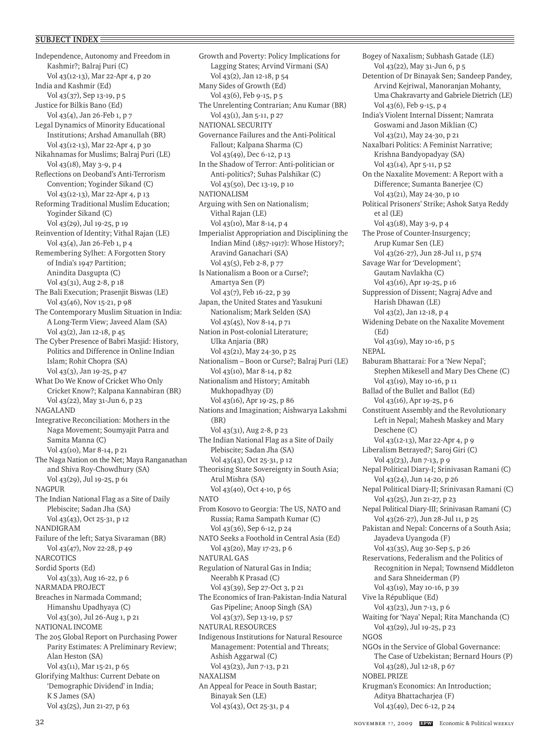Independence, Autonomy and Freedom in Kashmir?; Balraj Puri (C) Vol 43(12-13), Mar 22-Apr 4, p 20 India and Kashmir (Ed) Vol 43(37), Sep 13-19, p 5 Justice for Bilkis Bano (Ed) Vol 43(4), Jan 26-Feb 1, p 7 Legal Dynamics of Minority Educational Institutions; Arshad Amanullah (BR) Vol 43(12-13), Mar 22-Apr 4, p 30 Nikahnamas for Muslims; Balraj Puri (LE) Vol 43(18), May 3-9, p 4 Reflections on Deoband's Anti-Terrorism Convention; Yoginder Sikand (C) Vol 43(12-13), Mar 22-Apr 4, p 13 Reforming Traditional Muslim Education; Yoginder Sikand (C) Vol 43(29), Jul 19-25, p 19 Reinvention of Identity; Vithal Rajan (LE) Vol 43(4), Jan 26-Feb 1, p 4 Remembering Sylhet: A Forgotten Story of India's 1947 Partition; Anindita Dasgupta (C) Vol 43(31), Aug 2-8, p 18 The Bali Execution; Prasenjit Biswas (LE) Vol 43(46), Nov 15-21, p 98 The Contemporary Muslim Situation in India: A Long-Term View; Javeed Alam (SA) Vol 43(2), Jan 12-18, p 45 The Cyber Presence of Babri Masjid: History, Politics and Difference in Online Indian Islam; Rohit Chopra (SA) Vol 43(3), Jan 19-25, p 47 What Do We Know of Cricket Who Only Cricket Know?; Kalpana Kannabiran (BR) Vol 43(22), May 31-Jun 6, p 23 NAGALAND Integrative Reconciliation: Mothers in the Naga Movement; Soumyajit Patra and Samita Manna (C) Vol 43(10), Mar 8-14, p 21 The Naga Nation on the Net; Maya Ranganathan and Shiva Roy-Chowdhury (SA) Vol 43(29), Jul 19-25, p 61 NAGPUR The Indian National Flag as a Site of Daily Plebiscite; Sadan Jha (SA) Vol 43(43), Oct 25-31, p 12 NANDIGRAM Failure of the left; Satya Sivaraman (BR) Vol 43(47), Nov 22-28, p 49 NARCOTICS Sordid Sports (Ed) Vol 43(33), Aug 16-22, p 6 NARMADA PROJECT Breaches in Narmada Command; Himanshu Upadhyaya (C) Vol 43(30), Jul 26-Aug 1, p 21 NATIONAL INCOME The 205 Global Report on Purchasing Power Parity Estimates: A Preliminary Review; Alan Heston (SA) Vol 43(11), Mar 15-21, p 65 Glorifying Malthus: Current Debate on 'Demographic Dividend' in India; K S James (SA) Vol 43(25), Jun 21-27, p 63

Growth and Poverty: Policy Implications for Lagging States; Arvind Virmani (SA) Vol 43(2), Jan 12-18, p 54 Many Sides of Growth (Ed) Vol 43(6), Feb 9-15, p 5 The Unrelenting Contrarian; Anu Kumar (BR) Vol 43(1), Jan 5-11, p 27 NATIONAL SECURITY Governance Failures and the Anti-Political Fallout; Kalpana Sharma (C) Vol 43(49), Dec 6-12, p 13 In the Shadow of Terror: Anti-politician or Anti-politics?; Suhas Palshikar (C) Vol 43(50), Dec 13-19, p 10 NATIONALISM Arguing with Sen on Nationalism; Vithal Rajan (LE) Vol 43(10), Mar 8-14, p 4 Imperialist Appropriation and Disciplining the Indian Mind (1857-1917): Whose History?; Aravind Ganachari (SA) Vol 43(5), Feb 2-8, p 77 Is Nationalism a Boon or a Curse?; Amartya Sen (P) Vol 43(7), Feb 16-22, p 39 Japan, the United States and Yasukuni Nationalism; Mark Selden (SA) Vol 43(45), Nov 8-14, p 71 Nation in Post-colonial Literature; Ulka Anjaria (BR) Vol 43(21), May 24-30, p 25 Nationalism – Boon or Curse?; Balraj Puri (LE) Vol 43(10), Mar 8-14, p 82 Nationalism and History; Amitabh Mukhopadhyay (D) Vol 43(16), Apr 19-25, p 86 Nations and Imagination; Aishwarya Lakshmi (BR) Vol 43(31), Aug 2-8, p 23 The Indian National Flag as a Site of Daily Plebiscite; Sadan Jha (SA) Vol 43(43), Oct 25-31, p 12 Theorising State Sovereignty in South Asia; Atul Mishra (SA) Vol 43(40), Oct 4-10, p 65 NATO From Kosovo to Georgia: The US, NATO and Russia; Rama Sampath Kumar (C) Vol 43(36), Sep 6-12, p 24 NATO Seeks a Foothold in Central Asia (Ed) Vol 43(20), May 17-23, p 6 NATURAL GAS Regulation of Natural Gas in India; Neerabh K Prasad (C) Vol 43(39), Sep 27-Oct 3, p 21 The Economics of Iran-Pakistan-India Natural Gas Pipeline; Anoop Singh (SA) Vol 43(37), Sep 13-19, p 57 NATURAL RESOURCES Indigenous Institutions for Natural Resource Management: Potential and Threats; Ashish Aggarwal (C) Vol 43(23), Jun 7-13, p 21 NAXALISM An Appeal for Peace in South Bastar; Binayak Sen (LE) Vol 43(43), Oct 25-31, p 4

Bogey of Naxalism; Subhash Gatade (LE) Vol 43(22), May 31-Jun 6, p 5 Detention of Dr Binayak Sen; Sandeep Pandey, Arvind Kejriwal, Manoranjan Mohanty, Uma Chakravarty and Gabriele Dietrich (LE) Vol 43(6), Feb 9-15, p 4 India's Violent Internal Dissent; Namrata Goswami and Jason Miklian (C) Vol 43(21), May 24-30, p 21 Naxalbari Politics: A Feminist Narrative; Krishna Bandyopadyay (SA) Vol 43(14), Apr 5-11, p 52 On the Naxalite Movement: A Report with a Difference; Sumanta Banerjee (C) Vol 43(21), May 24-30, p 10 Political Prisoners' Strike; Ashok Satya Reddy et al (LE) Vol 43(18), May 3-9, p 4 The Prose of Counter-Insurgency; Arup Kumar Sen (LE) Vol 43(26-27), Jun 28-Jul 11, p 574 Savage War for 'Development'; Gautam Navlakha (C) Vol 43(16), Apr 19-25, p 16 Suppression of Dissent; Nagraj Adve and Harish Dhawan (LE) Vol 43(2), Jan 12-18, p 4 Widening Debate on the Naxalite Movement (Ed) Vol 43(19), May 10-16, p 5 NEPAL Baburam Bhattarai: For a 'New Nepal'; Stephen Mikesell and Mary Des Chene (C) Vol 43(19), May 10-16, p 11 Ballad of the Bullet and Ballot (Ed) Vol 43(16), Apr 19-25, p 6 Constituent Assembly and the Revolutionary Left in Nepal; Mahesh Maskey and Mary Deschene (C) Vol 43(12-13), Mar 22-Apr 4, p 9 Liberalism Betrayed?; Saroj Giri (C) Vol 43(23), Jun 7-13, p 9 Nepal Political Diary-I; Srinivasan Ramani (C) Vol 43(24), Jun 14-20, p 26 Nepal Political Diary-II; Srinivasan Ramani (C) Vol 43(25), Jun 21-27, p 23 Nepal Political Diary-III; Srinivasan Ramani (C) Vol 43(26-27), Jun 28-Jul 11, p 25 Pakistan and Nepal: Concerns of a South Asia; Jayadeva Uyangoda (F) Vol 43(35), Aug 30-Sep 5, p 26 Reservations, Federalism and the Politics of Recognition in Nepal; Townsend Middleton and Sara Shneiderman (P) Vol 43(19), May 10-16, p 39 Vive la République (Ed) Vol 43(23), Jun 7-13, p 6 Waiting for 'Naya' Nepal; Rita Manchanda (C) Vol 43(29), Jul 19-25, p 23 NGOS NGOs in the Service of Global Governance: The Case of Uzbekistan; Bernard Hours (P) Vol 43(28), Jul 12-18, p 67 NOBEL PRIZE Krugman's Economics: An Introduction; Aditya Bhattacharjea (F) Vol 43(49), Dec 6-12, p 24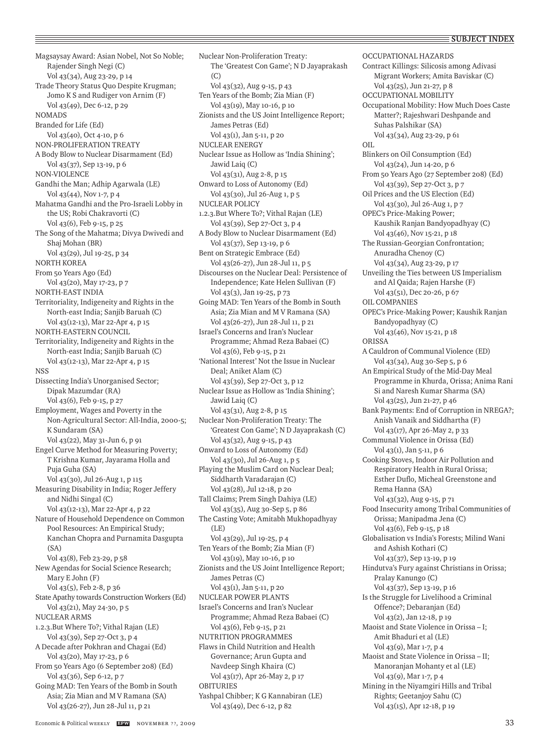Magsaysay Award: Asian Nobel, Not So Noble; Rajender Singh Negi (C) Vol 43(34), Aug 23-29, p 14 Trade Theory Status Quo Despite Krugman; Jomo K S and Rudiger von Arnim (F) Vol 43(49), Dec 6-12, p 29 NOMADS Branded for Life (Ed) Vol 43(40), Oct 4-10, p 6 NON-PROLIFERATION TREATY A Body Blow to Nuclear Disarmament (Ed) Vol 43(37), Sep 13-19, p 6 NON-VIOLENCE Gandhi the Man; Adhip Agarwala (LE) Vol 43(44), Nov 1-7, p 4 Mahatma Gandhi and the Pro-Israeli Lobby in the US; Robi Chakravorti (C) Vol 43(6), Feb 9-15, p 25 The Song of the Mahatma; Divya Dwivedi and Shaj Mohan (BR) Vol 43(29), Jul 19-25, p 34 NORTH KOREA From 50 Years Ago (Ed) Vol 43(20), May 17-23, p 7 NORTH-EAST INDIA Territoriality, Indigeneity and Rights in the North-east India; Sanjib Baruah (C) Vol 43(12-13), Mar 22-Apr 4, p 15 NORTH-EASTERN COUNCIL Territoriality, Indigeneity and Rights in the North-east India; Sanjib Baruah (C) Vol 43(12-13), Mar 22-Apr 4, p 15 NSS Dissecting India's Unorganised Sector; Dipak Mazumdar (RA) Vol 43(6), Feb 9-15, p 27 Employment, Wages and Poverty in the Non-Agricultural Sector: All-India, 2000-5; K Sundaram (SA) Vol 43(22), May 31-Jun 6, p 91 Engel Curve Method for Measuring Poverty; T Krishna Kumar, Jayarama Holla and Puja Guha (SA) Vol 43(30), Jul 26-Aug 1, p 115 Measuring Disability in India; Roger Jeffery and Nidhi Singal (C) Vol 43(12-13), Mar 22-Apr 4, p 22 Nature of Household Dependence on Common Pool Resources: An Empirical Study; Kanchan Chopra and Purnamita Dasgupta  $(SA)$ Vol 43(8), Feb 23-29, p 58 New Agendas for Social Science Research; Mary E John (F) Vol 43(5), Feb 2-8, p 36 State Apathy towards Construction Workers (Ed) Vol 43(21), May 24-30, p 5 NUCLEAR ARMS 1.2.3.But Where To?; Vithal Rajan (LE) Vol 43(39), Sep 27-Oct 3, p 4 A Decade after Pokhran and Chagai (Ed) Vol 43(20), May 17-23, p 6 From 50 Years Ago (6 September 208) (Ed) Vol 43(36), Sep 6-12, p 7 Going MAD: Ten Years of the Bomb in South Asia; Zia Mian and M V Ramana (SA) Vol 43(26-27), Jun 28-Jul 11, p 21

Nuclear Non-Proliferation Treaty: The 'Greatest Con Game'; N D Jayaprakash  $(C)$ Vol 43(32), Aug 9-15, p 43 Ten Years of the Bomb; Zia Mian (F) Vol 43(19), May 10-16, p 10 Zionists and the US Joint Intelligence Report; James Petras (Ed) Vol 43(1), Jan 5-11, p 20 NUCLEAR ENERGY Nuclear Issue as Hollow as 'India Shining'; Jawid Laiq (C) Vol 43(31), Aug 2-8, p 15 Onward to Loss of Autonomy (Ed) Vol 43(30), Jul 26-Aug 1, p 5 NUCLEAR POLICY 1.2.3.But Where To?; Vithal Rajan (LE) Vol 43(39), Sep 27-Oct 3, p 4 A Body Blow to Nuclear Disarmament (Ed) Vol 43(37), Sep 13-19, p 6 Bent on Strategic Embrace (Ed) Vol 43(26-27), Jun 28-Jul 11, p 5 Discourses on the Nuclear Deal: Persistence of Independence; Kate Helen Sullivan (F) Vol 43(3), Jan 19-25, p 73 Going MAD: Ten Years of the Bomb in South Asia; Zia Mian and M V Ramana (SA) Vol 43(26-27), Jun 28-Jul 11, p 21 Israel's Concerns and Iran's Nuclear Programme; Ahmad Reza Babaei (C) Vol 43(6), Feb 9-15, p 21 'National Interest' Not the Issue in Nuclear Deal; Aniket Alam (C) Vol 43(39), Sep 27-Oct 3, p 12 Nuclear Issue as Hollow as 'India Shining'; Jawid Laiq (C) Vol 43(31), Aug 2-8, p 15 Nuclear Non-Proliferation Treaty: The 'Greatest Con Game'; N D Jayaprakash (C) Vol 43(32), Aug 9-15, p 43 Onward to Loss of Autonomy (Ed) Vol 43(30), Jul 26-Aug 1, p 5 Playing the Muslim Card on Nuclear Deal; Siddharth Varadarajan (C) Vol 43(28), Jul 12-18, p 20 Tall Claims; Prem Singh Dahiya (LE) Vol 43(35), Aug 30-Sep 5, p 86 The Casting Vote; Amitabh Mukhopadhyay  $(I.E)$ Vol 43(29), Jul 19-25, p 4 Ten Years of the Bomb; Zia Mian (F) Vol 43(19), May 10-16, p 10 Zionists and the US Joint Intelligence Report; James Petras (C) Vol 43(1), Jan 5-11, p 20 NUCLEAR POWER PLANTS Israel's Concerns and Iran's Nuclear Programme; Ahmad Reza Babaei (C) Vol 43(6), Feb 9-15, p 21 NUTRITION PROGRAMMES Flaws in Child Nutrition and Health Governance; Arun Gupta and Navdeep Singh Khaira (C) Vol 43(17), Apr 26-May 2, p 17 OBITURIES Yashpal Chibber; K G Kannabiran (LE) Vol 43(49), Dec 6-12, p 82

OCCUPATIONAL HAZARDS Contract Killings: Silicosis among Adivasi Migrant Workers; Amita Baviskar (C) Vol 43(25), Jun 21-27, p 8 OCCUPATIONAL MOBILITY Occupational Mobility: How Much Does Caste Matter?; Rajeshwari Deshpande and Suhas Palshikar (SA) Vol 43(34), Aug 23-29, p 61 OIL Blinkers on Oil Consumption (Ed) Vol 43(24), Jun 14-20, p 6 From 50 Years Ago (27 September 208) (Ed) Vol 43(39), Sep 27-Oct 3, p 7 Oil Prices and the US Election (Ed) Vol 43(30), Jul 26-Aug 1, p 7 OPEC's Price-Making Power; Kaushik Ranjan Bandyopadhyay (C) Vol 43(46), Nov 15-21, p 18 The Russian-Georgian Confrontation; Anuradha Chenoy (C) Vol 43(34), Aug 23-29, p 17 Unveiling the Ties between US Imperialism and Al Qaida; Rajen Harshe (F) Vol 43(51), Dec 20-26, p 67 OIL COMPANIES OPEC's Price-Making Power; Kaushik Ranjan Bandyopadhyay (C) Vol 43(46), Nov 15-21, p 18 ORISSA A Cauldron of Communal Violence (ED) Vol 43(34), Aug 30-Sep 5, p 6 An Empirical Study of the Mid-Day Meal Programme in Khurda, Orissa; Anima Rani Si and Naresh Kumar Sharma (SA) Vol 43(25), Jun 21-27, p 46 Bank Payments: End of Corruption in NREGA?; Anish Vanaik and Siddhartha (F) Vol 43(17), Apr 26-May 2, p 33 Communal Violence in Orissa (Ed) Vol 43(1), Jan 5-11, p 6 Cooking Stoves, Indoor Air Pollution and Respiratory Health in Rural Orissa; Esther Duflo, Micheal Greenstone and Rema Hanna (SA) Vol 43(32), Aug 9-15, p 71 Food Insecurity among Tribal Communities of Orissa; Manipadma Jena (C) Vol 43(6), Feb 9-15, p 18 Globalisation vs India's Forests; Milind Wani and Ashish Kothari (C) Vol 43(37), Sep 13-19, p 19 Hindutva's Fury against Christians in Orissa; Pralay Kanungo (C) Vol 43(37), Sep 13-19, p 16 Is the Struggle for Livelihood a Criminal Offence?; Debaranjan (Ed) Vol 43(2), Jan 12-18, p 19 Maoist and State Violence in Orissa – I; Amit Bhaduri et al (LE) Vol 43(9), Mar 1-7, p 4 Maoist and State Violence in Orissa – II; Manoranjan Mohanty et al (LE) Vol 43(9), Mar 1-7, p 4 Mining in the Niyamgiri Hills and Tribal Rights; Geetanjoy Sahu (C) Vol 43(15), Apr 12-18, p 19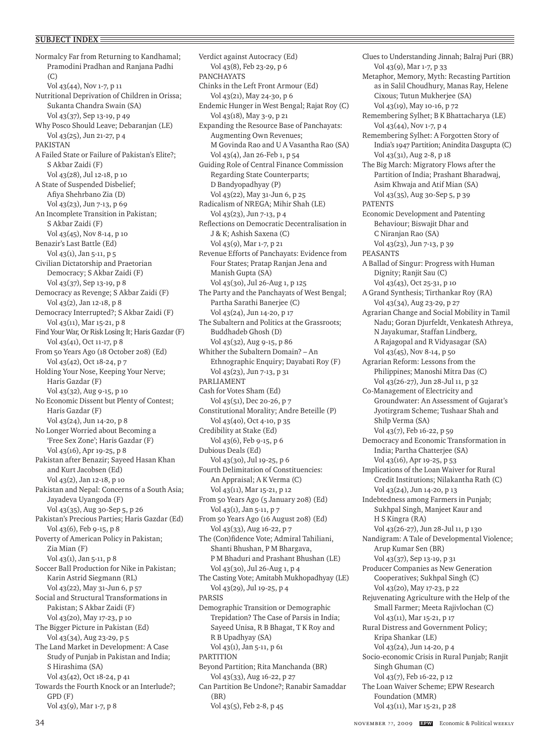Normalcy Far from Returning to Kandhamal; Pramodini Pradhan and Ranjana Padhi (C) Vol 43(44), Nov 1-7, p 11 Nutritional Deprivation of Children in Orissa; Sukanta Chandra Swain (SA) Vol 43(37), Sep 13-19, p 49 Why Posco Should Leave; Debaranjan (LE) Vol 43(25), Jun 21-27, p 4 PAKISTAN A Failed State or Failure of Pakistan's Elite?; S Akbar Zaidi (F) Vol 43(28), Jul 12-18, p 10 A State of Suspended Disbelief; Afiya Shehrbano Zia (D) Vol 43(23), Jun 7-13, p 69 An Incomplete Transition in Pakistan; S Akbar Zaidi (F) Vol 43(45), Nov 8-14, p 10 Benazir's Last Battle (Ed) Vol 43(1), Jan 5-11, p 5 Civilian Dictatorship and Praetorian Democracy; S Akbar Zaidi (F) Vol 43(37), Sep 13-19, p 8 Democracy as Revenge; S Akbar Zaidi (F) Vol 43(2), Jan 12-18, p 8 Democracy Interrupted?; S Akbar Zaidi (F) Vol 43(11), Mar 15-21, p 8 Find Your War, Or Risk Losing It; Haris Gazdar (F) Vol 43(41), Oct 11-17, p 8 From 50 Years Ago (18 October 208) (Ed) Vol 43(42), Oct 18-24, p 7 Holding Your Nose, Keeping Your Nerve; Haris Gazdar (F) Vol 43(32), Aug 9-15, p 10 No Economic Dissent but Plenty of Contest; Haris Gazdar (F) Vol 43(24), Jun 14-20, p 8 No Longer Worried about Becoming a 'Free Sex Zone'; Haris Gazdar (F) Vol 43(16), Apr 19-25, p 8 Pakistan after Benazir; Sayeed Hasan Khan and Kurt Jacobsen (Ed) Vol 43(2), Jan 12-18, p 10 Pakistan and Nepal: Concerns of a South Asia; Jayadeva Uyangoda (F) Vol 43(35), Aug 30-Sep 5, p 26 Pakistan's Precious Parties; Haris Gazdar (Ed) Vol 43(6), Feb 9-15, p 8 Poverty of American Policy in Pakistan; Zia Mian (F) Vol 43(1), Jan 5-11, p 8 Soccer Ball Production for Nike in Pakistan; Karin Astrid Siegmann (RL) Vol 43(22), May 31-Jun 6, p 57 Social and Structural Transformations in Pakistan; S Akbar Zaidi (F) Vol 43(20), May 17-23, p 10 The Bigger Picture in Pakistan (Ed) Vol 43(34), Aug 23-29, p 5 The Land Market in Development: A Case Study of Punjab in Pakistan and India; S Hirashima (SA) Vol 43(42), Oct 18-24, p 41 Towards the Fourth Knock or an Interlude?; GPD (F) Vol 43(9), Mar 1-7, p 8

Verdict against Autocracy (Ed) Vol 43(8), Feb 23-29, p 6 PANCHAYATS Chinks in the Left Front Armour (Ed) Vol 43(21), May 24-30, p 6 Endemic Hunger in West Bengal; Rajat Roy (C) Vol 43(18), May 3-9, p 21 Expanding the Resource Base of Panchayats: Augmenting Own Revenues; M Govinda Rao and U A Vasantha Rao (SA) Vol 43(4), Jan 26-Feb 1, p 54 Guiding Role of Central Finance Commission Regarding State Counterparts; D Bandyopadhyay (P) Vol 43(22), May 31-Jun 6, p 25 Radicalism of NREGA; Mihir Shah (LE) Vol 43(23), Jun 7-13, p 4 Reflections on Democratic Decentralisation in J & K; Ashish Saxena (C) Vol 43(9), Mar 1-7, p 21 Revenue Efforts of Panchayats: Evidence from Four States; Pratap Ranjan Jena and Manish Gupta (SA) Vol 43(30), Jul 26-Aug 1, p 125 The Party and the Panchayats of West Bengal; Partha Sarathi Banerjee (C) Vol 43(24), Jun 14-20, p 17 The Subaltern and Politics at the Grassroots; Buddhadeb Ghosh (D) Vol 43(32), Aug 9-15, p 86 Whither the Subaltern Domain? – An Ethnographic Enquiry; Dayabati Roy (F) Vol 43(23), Jun 7-13, p 31 PARLIAMENT Cash for Votes Sham (Ed) Vol 43(51), Dec 20-26, p 7 Constitutional Morality; Andre Beteille (P) Vol 43(40), Oct 4-10, p 35 Credibility at Stake (Ed) Vol 43(6), Feb 9-15, p 6 Dubious Deals (Ed) Vol 43(30), Jul 19-25, p 6 Fourth Delimitation of Constituencies: An Appraisal; A K Verma (C) Vol 43(11), Mar 15-21, p 12 From 50 Years Ago (5 January 208) (Ed) Vol 43(1), Jan 5-11, p 7 From 50 Years Ago (16 August 208) (Ed) Vol 43(33), Aug 16-22, p 7 The (Con)fidence Vote; Admiral Tahiliani, Shanti Bhushan, P M Bhargava, P M Bhaduri and Prashant Bhushan (LE) Vol 43(30), Jul 26-Aug 1, p 4 The Casting Vote; Amitabh Mukhopadhyay (LE) Vol 43(29), Jul 19-25, p 4 PARSIS Demographic Transition or Demographic Trepidation? The Case of Parsis in India; Sayeed Unisa, R B Bhagat, T K Roy and R B Upadhyay (SA) Vol 43(1), Jan 5-11, p 61 PARTITION Beyond Partition; Rita Manchanda (BR) Vol 43(33), Aug 16-22, p 27 Can Partition Be Undone?; Ranabir Samaddar (BR) Vol 43(5), Feb 2-8, p 45

Clues to Understanding Jinnah; Balraj Puri (BR) Vol 43(9), Mar 1-7, p 33 Metaphor, Memory, Myth: Recasting Partition as in Salil Choudhury, Manas Ray, Helene Cixous; Tutun Mukherjee (SA) Vol 43(19), May 10-16, p 72 Remembering Sylhet; B K Bhattacharya (LE) Vol 43(44), Nov 1-7, p 4 Remembering Sylhet: A Forgotten Story of India's 1947 Partition; Anindita Dasgupta (C) Vol 43(31), Aug 2-8, p 18 The Big March: Migratory Flows after the Partition of India; Prashant Bharadwaj, Asim Khwaja and Atif Mian (SA) Vol 43(35), Aug 30-Sep 5, p 39 PATENTS Economic Development and Patenting Behaviour; Biswajit Dhar and C Niranjan Rao (SA) Vol 43(23), Jun 7-13, p 39 PEASANTS A Ballad of Singur: Progress with Human Dignity; Ranjit Sau (C) Vol 43(43), Oct 25-31, p 10 A Grand Synthesis; Tirthankar Roy (RA) Vol 43(34), Aug 23-29, p 27 Agrarian Change and Social Mobility in Tamil Nadu; Goran Djurfeldt, Venkatesh Athreya, N Jayakumar, Staffan Lindberg, A Rajagopal and R Vidyasagar (SA) Vol 43(45), Nov 8-14, p 50 Agrarian Reform: Lessons from the Philippines; Manoshi Mitra Das (C) Vol 43(26-27), Jun 28-Jul 11, p 32 Co-Management of Electricity and Groundwater: An Assessment of Gujarat's Jyotirgram Scheme; Tushaar Shah and Shilp Verma (SA) Vol 43(7), Feb 16-22, p 59 Democracy and Economic Transformation in India; Partha Chatterjee (SA) Vol 43(16), Apr 19-25, p 53 Implications of the Loan Waiver for Rural Credit Institutions; Nilakantha Rath (C) Vol 43(24), Jun 14-20, p 13 Indebtedness among Farmers in Punjab; Sukhpal Singh, Manjeet Kaur and H S Kingra (RA) Vol 43(26-27), Jun 28-Jul 11, p 130 Nandigram: A Tale of Developmental Violence; Arup Kumar Sen (BR) Vol 43(37), Sep 13-19, p 31 Producer Companies as New Generation Cooperatives; Sukhpal Singh (C) Vol 43(20), May 17-23, p 22 Rejuvenating Agriculture with the Help of the Small Farmer; Meeta Rajivlochan (C) Vol 43(11), Mar 15-21, p 17 Rural Distress and Government Policy; Kripa Shankar (LE) Vol 43(24), Jun 14-20, p 4 Socio-economic Crisis in Rural Punjab; Ranjit Singh Ghuman (C) Vol 43(7), Feb 16-22, p 12 The Loan Waiver Scheme; EPW Research Foundation (MMR) Vol 43(11), Mar 15-21, p 28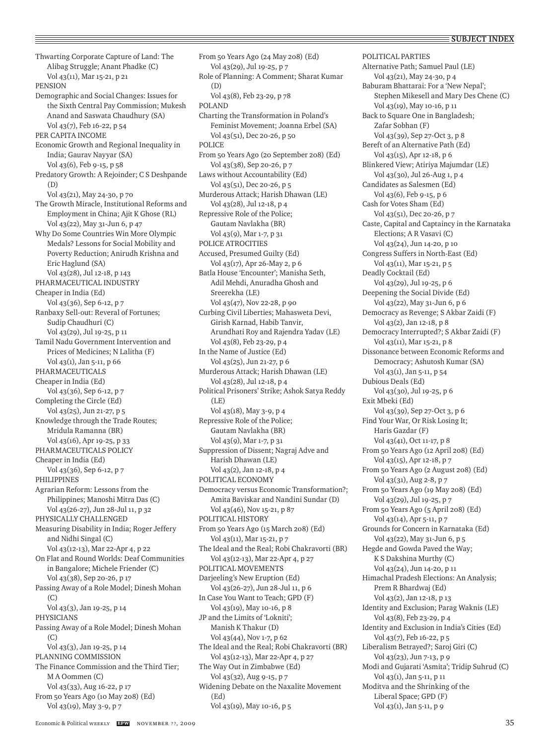Thwarting Corporate Capture of Land: The Alibag Struggle; Anant Phadke (C) Vol 43(11), Mar 15-21, p 21 PENSION Demographic and Social Changes: Issues for the Sixth Central Pay Commission; Mukesh Anand and Saswata Chaudhury (SA) Vol 43(7), Feb 16-22, p 54 PER CAPITA INCOME Economic Growth and Regional Inequality in India; Gaurav Nayyar (SA) Vol 43(6), Feb 9-15, p 58 Predatory Growth: A Rejoinder; C S Deshpande (D) Vol 43(21), May 24-30, p 70 The Growth Miracle, Institutional Reforms and Employment in China; Ajit K Ghose (RL) Vol 43(22), May 31-Jun 6, p 47 Why Do Some Countries Win More Olympic Medals? Lessons for Social Mobility and Poverty Reduction; Anirudh Krishna and Eric Haglund (SA) Vol 43(28), Jul 12-18, p 143 PHARMACEUTICAL INDUSTRY Cheaper in India (Ed) Vol 43(36), Sep 6-12, p 7 Ranbaxy Sell-out: Reveral of Fortunes; Sudip Chaudhuri (C) Vol 43(29), Jul 19-25, p 11 Tamil Nadu Government Intervention and Prices of Medicines; N Lalitha (F) Vol 43(1), Jan 5-11, p 66 PHARMACEUTICALS Cheaper in India (Ed) Vol 43(36), Sep 6-12, p 7 Completing the Circle (Ed) Vol 43(25), Jun 21-27, p 5 Knowledge through the Trade Routes; Mridula Ramanna (BR) Vol 43(16), Apr 19-25, p 33 PHARMACEUTICALS POLICY Cheaper in India (Ed) Vol 43(36), Sep 6-12, p 7 PHILIPPINES Agrarian Reform: Lessons from the Philippines; Manoshi Mitra Das (C) Vol 43(26-27), Jun 28-Jul 11, p 32 PHYSICALLY CHALLENGED Measuring Disability in India; Roger Jeffery and Nidhi Singal (C) Vol 43(12-13), Mar 22-Apr 4, p 22 On Flat and Round Worlds: Deaf Communities in Bangalore; Michele Friender (C) Vol 43(38), Sep 20-26, p 17 Passing Away of a Role Model; Dinesh Mohan (C) Vol 43(3), Jan 19-25, p 14 PHYSICIANS Passing Away of a Role Model; Dinesh Mohan  $(C)$ Vol 43(3), Jan 19-25, p 14 PLANNING COMMISSION The Finance Commission and the Third Tier; M A Oommen (C) Vol 43(33), Aug 16-22, p 17 From 50 Years Ago (10 May 208) (Ed) Vol 43(19), May 3-9, p 7

From 50 Years Ago (24 May 208) (Ed) Vol 43(29), Jul 19-25, p 7 Role of Planning: A Comment; Sharat Kumar (D) Vol 43(8), Feb 23-29, p 78 POLAND Charting the Transformation in Poland's Feminist Movement; Joanna Erbel (SA) Vol 43(51), Dec 20-26, p 50 POLICE From 50 Years Ago (20 September 208) (Ed) Vol 43(38), Sep 20-26, p 7 Laws without Accountability (Ed) Vol 43(51), Dec 20-26, p 5 Murderous Attack; Harish Dhawan (LE) Vol 43(28), Jul 12-18, p 4 Repressive Role of the Police; Gautam Navlakha (BR) Vol 43(9), Mar 1-7, p 31 POLICE ATROCITIES Accused, Presumed Guilty (Ed) Vol 43(17), Apr 26-May 2, p 6 Batla House 'Encounter'; Manisha Seth, Adil Mehdi, Anuradha Ghosh and Sreerekha (LE) Vol 43(47), Nov 22-28, p 90 Curbing Civil Liberties; Mahasweta Devi, Girish Karnad, Habib Tanvir, Arundhati Roy and Rajendra Yadav (LE) Vol 43(8), Feb 23-29, p 4 In the Name of Justice (Ed) Vol 43(25), Jun 21-27, p 6 Murderous Attack; Harish Dhawan (LE) Vol 43(28), Jul 12-18, p 4 Political Prisoners' Strike; Ashok Satya Reddy (LE) Vol 43(18), May 3-9, p 4 Repressive Role of the Police; Gautam Navlakha (BR) Vol 43(9), Mar 1-7, p 31 Suppression of Dissent; Nagraj Adve and Harish Dhawan (LE) Vol 43(2), Jan 12-18, p 4 POLITICAL ECONOMY Democracy versus Economic Transformation?; Amita Baviskar and Nandini Sundar (D) Vol 43(46), Nov 15-21, p 87 POLITICAL HISTORY From 50 Years Ago (15 March 208) (Ed) Vol 43(11), Mar 15-21, p 7 The Ideal and the Real; Robi Chakravorti (BR) Vol 43(12-13), Mar 22-Apr 4, p 27 POLITICAL MOVEMENTS Darjeeling's New Eruption (Ed) Vol 43(26-27), Jun 28-Jul 11, p 6 In Case You Want to Teach; GPD (F) Vol 43(19), May 10-16, p 8 JP and the Limits of 'Lokniti'; Manish K Thakur (D) Vol 43(44), Nov 1-7, p 62 The Ideal and the Real; Robi Chakravorti (BR) Vol 43(12-13), Mar 22-Apr 4, p 27 The Way Out in Zimbabwe (Ed) Vol 43(32), Aug 9-15, p 7 Widening Debate on the Naxalite Movement (Ed) Vol 43(19), May 10-16, p 5

POLITICAL PARTIES Alternative Path; Samuel Paul (LE) Vol 43(21), May 24-30, p 4 Baburam Bhattarai: For a 'New Nepal'; Stephen Mikesell and Mary Des Chene (C) Vol 43(19), May 10-16, p 11 Back to Square One in Bangladesh; Zafar Sobhan (F) Vol 43(39), Sep 27-Oct 3, p 8 Bereft of an Alternative Path (Ed) Vol 43(15), Apr 12-18, p 6 Blinkered View; Atiriya Majumdar (LE) Vol 43(30), Jul 26-Aug 1, p 4 Candidates as Salesmen (Ed) Vol 43(6), Feb 9-15, p 6 Cash for Votes Sham (Ed) Vol 43(51), Dec 20-26, p 7 Caste, Capital and Captaincy in the Karnataka Elections; A R Vasavi (C) Vol 43(24), Jun 14-20, p 10 Congress Suffers in North-East (Ed) Vol 43(11), Mar 15-21, p 5 Deadly Cocktail (Ed) Vol 43(29), Jul 19-25, p 6 Deepening the Social Divide (Ed) Vol 43(22), May 31-Jun 6, p 6 Democracy as Revenge; S Akbar Zaidi (F) Vol 43(2), Jan 12-18, p 8 Democracy Interrupted?; S Akbar Zaidi (F) Vol 43(11), Mar 15-21, p 8 Dissonance between Economic Reforms and Democracy; Ashutosh Kumar (SA) Vol 43(1), Jan 5-11, p 54 Dubious Deals (Ed) Vol 43(30), Jul 19-25, p 6 Exit Mbeki (Ed) Vol 43(39), Sep 27-Oct 3, p 6 Find Your War, Or Risk Losing It; Haris Gazdar (F) Vol 43(41), Oct 11-17, p 8 From 50 Years Ago (12 April 208) (Ed) Vol 43(15), Apr 12-18, p 7 From 50 Years Ago (2 August 208) (Ed) Vol 43(31), Aug 2-8, p 7 From 50 Years Ago (19 May 208) (Ed) Vol 43(29), Jul 19-25, p 7 From 50 Years Ago (5 April 208) (Ed) Vol 43(14), Apr 5-11, p 7 Grounds for Concern in Karnataka (Ed) Vol 43(22), May 31-Jun 6, p 5 Hegde and Gowda Paved the Way; K S Dakshina Murthy (C) Vol 43(24), Jun 14-20, p 11 Himachal Pradesh Elections: An Analysis; Prem R Bhardwaj (Ed) Vol 43(2), Jan 12-18, p 13 Identity and Exclusion; Parag Waknis (LE) Vol 43(8), Feb 23-29, p 4 Identity and Exclusion in India's Cities (Ed) Vol 43(7), Feb 16-22, p 5 Liberalism Betrayed?; Saroj Giri (C) Vol 43(23), Jun 7-13, p 9 Modi and Gujarati 'Asmita'; Tridip Suhrud (C) Vol 43(1), Jan 5-11, p 11 Moditva and the Shrinking of the Liberal Space; GPD (F) Vol 43(1), Jan 5-11, p 9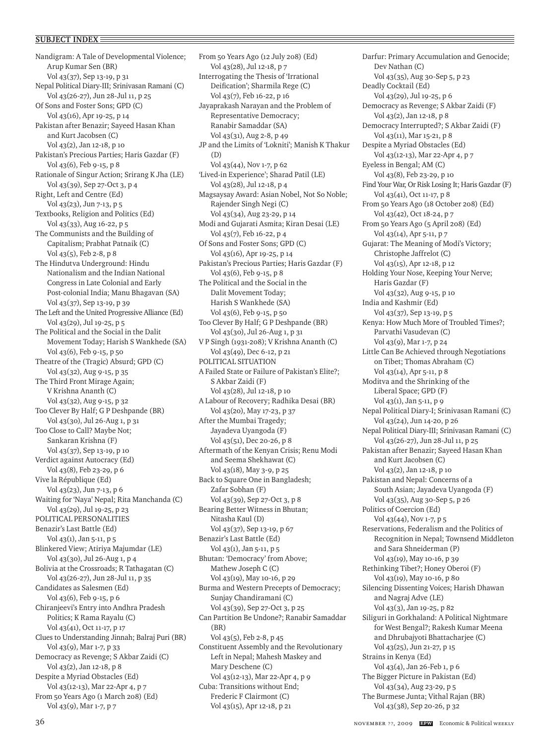Nandigram: A Tale of Developmental Violence; Arup Kumar Sen (BR) Vol 43(37), Sep 13-19, p 31 Nepal Political Diary-III; Srinivasan Ramani (C) Vol 43(26-27), Jun 28-Jul 11, p 25 Of Sons and Foster Sons; GPD (C) Vol 43(16), Apr 19-25, p 14 Pakistan after Benazir; Sayeed Hasan Khan and Kurt Jacobsen (C) Vol 43(2), Jan 12-18, p 10 Pakistan's Precious Parties; Haris Gazdar (F) Vol 43(6), Feb 9-15, p 8 Rationale of Singur Action; Srirang K Jha (LE) Vol 43(39), Sep 27-Oct 3, p 4 Right, Left and Centre (Ed) Vol 43(23), Jun 7-13, p 5 Textbooks, Religion and Politics (Ed) Vol 43(33), Aug 16-22, p 5 The Communists and the Building of Capitalism; Prabhat Patnaik (C) Vol 43(5), Feb 2-8, p 8 The Hindutva Underground: Hindu Nationalism and the Indian National Congress in Late Colonial and Early Post-colonial India; Manu Bhagavan (SA) Vol 43(37), Sep 13-19, p 39 The Left and the United Progressive Alliance (Ed) Vol 43(29), Jul 19-25, p 5 The Political and the Social in the Dalit Movement Today; Harish S Wankhede (SA) Vol 43(6), Feb 9-15, p 50 Theatre of the (Tragic) Absurd; GPD (C) Vol 43(32), Aug 9-15, p 35 The Third Front Mirage Again; V Krishna Ananth (C) Vol 43(32), Aug 9-15, p 32 Too Clever By Half; G P Deshpande (BR) Vol 43(30), Jul 26-Aug 1, p 31 Too Close to Call? Maybe Not; Sankaran Krishna (F) Vol 43(37), Sep 13-19, p 10 Verdict against Autocracy (Ed) Vol 43(8), Feb 23-29, p 6 Vive la République (Ed) Vol 43(23), Jun 7-13, p 6 Waiting for 'Naya' Nepal; Rita Manchanda (C) Vol 43(29), Jul 19-25, p 23 POLITICAL PERSONALITIES Benazir's Last Battle (Ed) Vol 43(1), Jan 5-11, p 5 Blinkered View; Atiriya Majumdar (LE) Vol 43(30), Jul 26-Aug 1, p 4 Bolivia at the Crossroads; R Tathagatan (C) Vol 43(26-27), Jun 28-Jul 11, p 35 Candidates as Salesmen (Ed) Vol 43(6), Feb 9-15, p 6 Chiranjeevi's Entry into Andhra Pradesh Politics; K Rama Rayalu (C) Vol 43(41), Oct 11-17, p 17 Clues to Understanding Jinnah; Balraj Puri (BR) Vol 43(9), Mar 1-7, p 33 Democracy as Revenge; S Akbar Zaidi (C) Vol 43(2), Jan 12-18, p 8 Despite a Myriad Obstacles (Ed) Vol 43(12-13), Mar 22-Apr 4, p 7 From 50 Years Ago (1 March 208) (Ed) Vol 43(9), Mar 1-7, p 7

From 50 Years Ago (12 July 208) (Ed) Vol 43(28), Jul 12-18, p 7 Interrogating the Thesis of 'Irrational Deification'; Sharmila Rege (C) Vol 43(7), Feb 16-22, p 16 Jayaprakash Narayan and the Problem of Representative Democracy; Ranabir Samaddar (SA) Vol 43(31), Aug 2-8, p 49 JP and the Limits of 'Lokniti'; Manish K Thakur (D) Vol 43(44), Nov 1-7, p 62 'Lived-in Experience'; Sharad Patil (LE) Vol 43(28), Jul 12-18, p 4 Magsaysay Award: Asian Nobel, Not So Noble; Rajender Singh Negi (C) Vol 43(34), Aug 23-29, p 14 Modi and Gujarati Asmita; Kiran Desai (LE) Vol 43(7), Feb 16-22, p 4 Of Sons and Foster Sons; GPD (C) Vol 43(16), Apr 19-25, p 14 Pakistan's Precious Parties; Haris Gazdar (F) Vol 43(6), Feb 9-15, p 8 The Political and the Social in the Dalit Movement Today; Harish S Wankhede (SA) Vol 43(6), Feb 9-15, p 50 Too Clever By Half; G P Deshpande (BR) Vol 43(30), Jul 26-Aug 1, p 31 V P Singh (1931-208); V Krishna Ananth (C) Vol 43(49), Dec 6-12, p 21 POLITICAL SITUATION A Failed State or Failure of Pakistan's Elite?; S Akbar Zaidi (F) Vol 43(28), Jul 12-18, p 10 A Labour of Recovery; Radhika Desai (BR) Vol 43(20), May 17-23, p 37 After the Mumbai Tragedy; Jayadeva Uyangoda (F) Vol 43(51), Dec 20-26, p 8 Aftermath of the Kenyan Crisis; Renu Modi and Seema Shekhawat (C) Vol 43(18), May 3-9, p 25 Back to Square One in Bangladesh; Zafar Sobhan (F) Vol 43(39), Sep 27-Oct 3, p 8 Bearing Better Witness in Bhutan; Nitasha Kaul (D) Vol 43(37), Sep 13-19, p 67 Benazir's Last Battle (Ed) Vol 43(1), Jan 5-11, p 5 Bhutan: 'Democracy' from Above; Mathew Joseph C (C) Vol 43(19), May 10-16, p 29 Burma and Western Precepts of Democracy; Sunjay Chandiramani (C) Vol 43(39), Sep 27-Oct 3, p 25 Can Partition Be Undone?; Ranabir Samaddar (BR) Vol 43(5), Feb 2-8, p 45 Constituent Assembly and the Revolutionary Left in Nepal; Mahesh Maskey and Mary Deschene (C) Vol 43(12-13), Mar 22-Apr 4, p 9 Cuba: Transitions without End; Frederic F Clairmont (C) Vol 43(15), Apr 12-18, p 21

Darfur: Primary Accumulation and Genocide; Dev Nathan (C) Vol 43(35), Aug 30-Sep 5, p 23 Deadly Cocktail (Ed) Vol 43(29), Jul 19-25, p 6 Democracy as Revenge; S Akbar Zaidi (F) Vol 43(2), Jan 12-18, p 8 Democracy Interrupted?; S Akbar Zaidi (F) Vol 43(11), Mar 15-21, p 8 Despite a Myriad Obstacles (Ed) Vol 43(12-13), Mar 22-Apr 4, p 7 Eyeless in Bengal; AM (C) Vol 43(8), Feb 23-29, p 10 Find Your War, Or Risk Losing It; Haris Gazdar (F) Vol 43(41), Oct 11-17, p 8 From 50 Years Ago (18 October 208) (Ed) Vol 43(42), Oct 18-24, p 7 From 50 Years Ago (5 April 208) (Ed) Vol 43(14), Apr 5-11, p 7 Gujarat: The Meaning of Modi's Victory; Christophe Jaffrelot (C) Vol 43(15), Apr 12-18, p 12 Holding Your Nose, Keeping Your Nerve; Haris Gazdar (F) Vol 43(32), Aug 9-15, p 10 India and Kashmir (Ed) Vol 43(37), Sep 13-19, p 5 Kenya: How Much More of Troubled Times?; Parvathi Vasudevan (C) Vol 43(9), Mar 1-7, p 24 Little Can Be Achieved through Negotiations on Tibet; Thomas Abraham (C) Vol 43(14), Apr 5-11, p 8 Moditva and the Shrinking of the Liberal Space; GPD (F) Vol 43(1), Jan 5-11, p 9 Nepal Political Diary-I; Srinivasan Ramani (C) Vol 43(24), Jun 14-20, p 26 Nepal Political Diary-III; Srinivasan Ramani (C) Vol 43(26-27), Jun 28-Jul 11, p 25 Pakistan after Benazir; Sayeed Hasan Khan and Kurt Jacobsen (C) Vol 43(2), Jan 12-18, p 10 Pakistan and Nepal: Concerns of a South Asian; Jayadeva Uyangoda (F) Vol 43(35), Aug 30-Sep 5, p 26 Politics of Coercion (Ed) Vol 43(44), Nov 1-7, p 5 Reservations, Federalism and the Politics of Recognition in Nepal; Townsend Middleton and Sara Shneiderman (P) Vol 43(19), May 10-16, p 39 Rethinking Tibet?; Honey Oberoi (F) Vol 43(19), May 10-16, p 80 Silencing Dissenting Voices; Harish Dhawan and Nagraj Adve (LE) Vol 43(3), Jan 19-25, p 82 Siliguri in Gorkhaland: A Political Nightmare for West Bengal?; Rakesh Kumar Meena and Dhrubajyoti Bhattacharjee (C) Vol 43(25), Jun 21-27, p 15 Strains in Kenya (Ed) Vol 43(4), Jan 26-Feb 1, p 6 The Bigger Picture in Pakistan (Ed) Vol 43(34), Aug 23-29, p 5 The Burmese Junta; Vithal Rajan (BR) Vol 43(38), Sep 20-26, p 32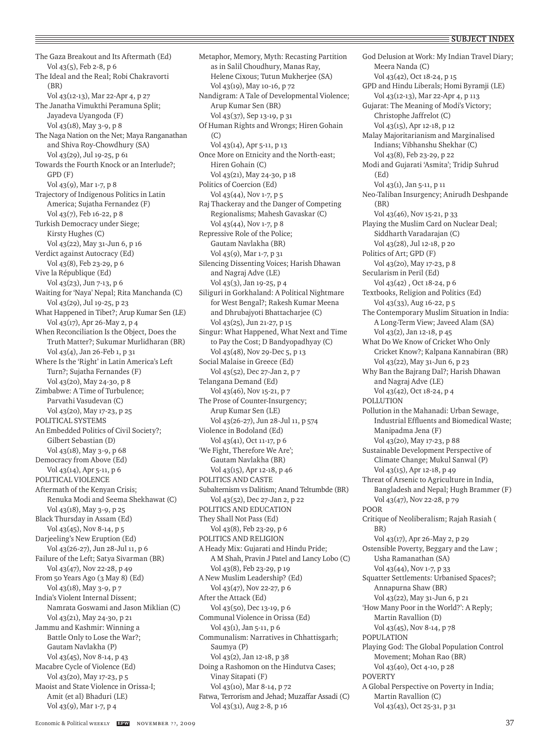## $\equiv$  SUBJECT INDEX

The Gaza Breakout and Its Aftermath (Ed) Vol 43(5), Feb 2-8, p 6 The Ideal and the Real; Robi Chakravorti (BR) Vol 43(12-13), Mar 22-Apr 4, p 27 The Janatha Vimukthi Peramuna Split; Jayadeva Uyangoda (F) Vol 43(18), May 3-9, p 8 The Naga Nation on the Net; Maya Ranganathan and Shiva Roy-Chowdhury (SA) Vol 43(29), Jul 19-25, p 61 Towards the Fourth Knock or an Interlude?; GPD (F) Vol 43(9), Mar 1-7, p 8 Trajectory of Indigenous Politics in Latin America; Sujatha Fernandez (F) Vol 43(7), Feb 16-22, p 8 Turkish Democracy under Siege; Kirsty Hughes (C) Vol 43(22), May 31-Jun 6, p 16 Verdict against Autocracy (Ed) Vol 43(8), Feb 23-29, p 6 Vive la République (Ed) Vol 43(23), Jun 7-13, p 6 Waiting for 'Naya' Nepal; Rita Manchanda (C) Vol 43(29), Jul 19-25, p 23 What Happened in Tibet?; Arup Kumar Sen (LE) Vol 43(17), Apr 26-May 2, p 4 When Reconciliation Is the Object, Does the Truth Matter?; Sukumar Murlidharan (BR) Vol 43(4), Jan 26-Feb 1, p 31 Where Is the 'Right' in Latin America's Left Turn?; Sujatha Fernandes (F) Vol 43(20), May 24-30, p 8 Zimbabwe: A Time of Turbulence; Parvathi Vasudevan (C) Vol 43(20), May 17-23, p 25 POLITICAL SYSTEMS An Embedded Politics of Civil Society?; Gilbert Sebastian (D) Vol 43(18), May 3-9, p 68 Democracy from Above (Ed) Vol 43(14), Apr 5-11, p 6 POLITICAL VIOLENCE Aftermath of the Kenyan Crisis; Renuka Modi and Seema Shekhawat (C) Vol 43(18), May 3-9, p 25 Black Thursday in Assam (Ed) Vol 43(45), Nov 8-14, p 5 Darjeeling's New Eruption (Ed) Vol 43(26-27), Jun 28-Jul 11, p 6 Failure of the Left; Satya Sivarman (BR) Vol 43(47), Nov 22-28, p 49 From 50 Years Ago (3 May 8) (Ed) Vol 43(18), May 3-9, p 7 India's Violent Internal Dissent; Namrata Goswami and Jason Miklian (C) Vol 43(21), May 24-30, p 21 Jammu and Kashmir: Winning a Battle Only to Lose the War?; Gautam Navlakha (P) Vol 43(45), Nov 8-14, p 43 Macabre Cycle of Violence (Ed) Vol 43(20), May 17-23, p 5 Maoist and State Violence in Orissa-I; Amit (et al) Bhaduri (LE) Vol 43(9), Mar 1-7, p 4

Metaphor, Memory, Myth: Recasting Partition as in Salil Choudhury, Manas Ray, Helene Cixous; Tutun Mukherjee (SA) Vol 43(19), May 10-16, p 72 Nandigram: A Tale of Developmental Violence; Arup Kumar Sen (BR) Vol 43(37), Sep 13-19, p 31 Of Human Rights and Wrongs; Hiren Gohain (C) Vol 43(14), Apr 5-11, p 13 Once More on Etnicity and the North-east; Hiren Gohain (C) Vol 43(21), May 24-30, p 18 Politics of Coercion (Ed) Vol 43(44), Nov 1-7, p 5 Raj Thackeray and the Danger of Competing Regionalisms; Mahesh Gavaskar (C) Vol 43(44), Nov 1-7, p 8 Repressive Role of the Police; Gautam Navlakha (BR) Vol 43(9), Mar 1-7, p 31 Silencing Dissenting Voices; Harish Dhawan and Nagraj Adve (LE) Vol 43(3), Jan 19-25, p 4 Siliguri in Gorkhaland: A Political Nightmare for West Bengal?; Rakesh Kumar Meena and Dhrubajyoti Bhattacharjee (C) Vol 43(25), Jun 21-27, p 15 Singur: What Happened, What Next and Time to Pay the Cost; D Bandyopadhyay (C) Vol 43(48), Nov 29-Dec 5, p 13 Social Malaise in Greece (Ed) Vol 43(52), Dec 27-Jan 2, p 7 Telangana Demand (Ed) Vol 43(46), Nov 15-21, p 7 The Prose of Counter-Insurgency; Arup Kumar Sen (LE) Vol 43(26-27), Jun 28-Jul 11, p 574 Violence in Bodoland (Ed) Vol 43(41), Oct 11-17, p 6 'We Fight, Therefore We Are'; Gautam Navlakha (BR) Vol 43(15), Apr 12-18, p 46 POLITICS AND CASTE Subalternism vs Dalitism; Anand Teltumbde (BR) Vol 43(52), Dec 27-Jan 2, p 22 POLITICS AND EDUCATION They Shall Not Pass (Ed) Vol 43(8), Feb 23-29, p 6 POLITICS AND RELIGION A Heady Mix: Gujarati and Hindu Pride; A M Shah, Pravin J Patel and Lancy Lobo (C) Vol 43(8), Feb 23-29, p 19 A New Muslim Leadership? (Ed) Vol 43(47), Nov 22-27, p 6 After the Attack (Ed) Vol 43(50), Dec 13-19, p 6 Communal Violence in Orissa (Ed) Vol 43(1), Jan 5-11, p 6 Communalism: Narratives in Chhattisgarh; Saumya (P) Vol 43(2), Jan 12-18, p 38 Doing a Rashomon on the Hindutva Cases; Vinay Sitapati (F) Vol 43(10), Mar 8-14, p 72 Fatwa, Terrorism and Jehad; Muzaffar Assadi (C) Vol 43(31), Aug 2-8, p 16

God Delusion at Work: My Indian Travel Diary; Meera Nanda (C) Vol 43(42), Oct 18-24, p 15 GPD and Hindu Liberals; Homi Byramji (LE) Vol 43(12-13), Mar 22-Apr 4, p 113 Gujarat: The Meaning of Modi's Victory; Christophe Jaffrelot (C) Vol 43(15), Apr 12-18, p 12 Malay Majoritarianism and Marginalised Indians; Vibhanshu Shekhar (C) Vol 43(8), Feb 23-29, p 22 Modi and Gujarati 'Asmita'; Tridip Suhrud (Ed) Vol 43(1), Jan 5-11, p 11 Neo-Taliban Insurgency; Anirudh Deshpande (BR) Vol 43(46), Nov 15-21, p 33 Playing the Muslim Card on Nuclear Deal; Siddharth Varadarajan (C) Vol 43(28), Jul 12-18, p 20 Politics of Art; GPD (F) Vol 43(20), May 17-23, p 8 Secularism in Peril (Ed) Vol 43(42) , Oct 18-24, p 6 Textbooks, Religion and Politics (Ed) Vol 43(33), Aug 16-22, p 5 The Contemporary Muslim Situation in India: A Long-Term View; Javeed Alam (SA) Vol 43(2), Jan 12-18, p 45 What Do We Know of Cricket Who Only Cricket Know?; Kalpana Kannabiran (BR) Vol 43(22), May 31-Jun 6, p 23 Why Ban the Bajrang Dal?; Harish Dhawan and Nagraj Adve (LE) Vol 43(42), Oct 18-24, p 4 **POLLUTION** Pollution in the Mahanadi: Urban Sewage, Industrial Effluents and Biomedical Waste; Manipadma Jena (F) Vol 43(20), May 17-23, p 88 Sustainable Development Perspective of Climate Change; Mukul Sanwal (P) Vol 43(15), Apr 12-18, p 49 Threat of Arsenic to Agriculture in India, Bangladesh and Nepal; Hugh Brammer (F) Vol 43(47), Nov 22-28, p 79 POOR Critique of Neoliberalism; Rajah Rasiah ( BR) Vol 43(17), Apr 26-May 2, p 29 Ostensible Poverty, Beggary and the Law ; Usha Ramanathan (SA) Vol 43(44), Nov 1-7, p 33 Squatter Settlements: Urbanised Spaces?; Annapurna Shaw (BR) Vol 43(22), May 31-Jun 6, p 21 'How Many Poor in the World?': A Reply; Martin Ravallion (D) Vol 43(45), Nov 8-14, p 78 POPULATION Playing God: The Global Population Control Movement; Mohan Rao (BR) Vol 43(40), Oct 4-10, p 28 POVERTY A Global Perspective on Poverty in India; Martin Ravallion (C) Vol 43(43), Oct 25-31, p 31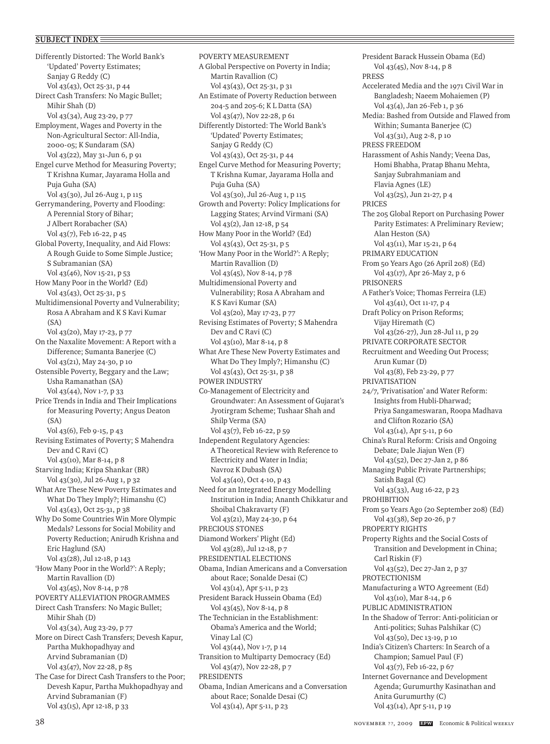Differently Distorted: The World Bank's 'Updated' Poverty Estimates; Sanjay G Reddy (C) Vol 43(43), Oct 25-31, p 44 Direct Cash Transfers: No Magic Bullet; Mihir Shah (D) Vol 43(34), Aug 23-29, p 77 Employment, Wages and Poverty in the Non-Agricultural Sector: All-India, 2000-05; K Sundaram (SA) Vol 43(22), May 31-Jun 6, p 91 Engel curve Method for Measuring Poverty; T Krishna Kumar, Jayarama Holla and Puja Guha (SA) Vol 43(30), Jul 26-Aug 1, p 115 Gerrymandering, Poverty and Flooding: A Perennial Story of Bihar; J Albert Rorabacher (SA) Vol 43(7), Feb 16-22, p 45 Global Poverty, Inequality, and Aid Flows: A Rough Guide to Some Simple Justice; S Subramanian (SA) Vol 43(46), Nov 15-21, p 53 How Many Poor in the World? (Ed) Vol 43(43), Oct 25-31, p 5 Multidimensional Poverty and Vulnerability; Rosa A Abraham and K S Kavi Kumar (SA) Vol 43(20), May 17-23, p 77 On the Naxalite Movement: A Report with a Difference; Sumanta Banerjee (C) Vol 43(21), May 24-30, p 10 Ostensible Poverty, Beggary and the Law; Usha Ramanathan (SA) Vol 43(44), Nov 1-7, p 33 Price Trends in India and Their Implications for Measuring Poverty; Angus Deaton (SA) Vol 43(6), Feb 9-15, p 43 Revising Estimates of Poverty; S Mahendra Dev and C Ravi (C) Vol 43(10), Mar 8-14, p 8 Starving India; Kripa Shankar (BR) Vol 43(30), Jul 26-Aug 1, p 32 What Are These New Poverty Estimates and What Do They Imply?; Himanshu (C) Vol 43(43), Oct 25-31, p 38 Why Do Some Countries Win More Olympic Medals? Lessons for Social Mobility and Poverty Reduction; Anirudh Krishna and Eric Haglund (SA) Vol 43(28), Jul 12-18, p 143 'How Many Poor in the World?': A Reply; Martin Ravallion (D) Vol 43(45), Nov 8-14, p 78 POVERTY ALLEVIATION PROGRAMMES Direct Cash Transfers: No Magic Bullet; Mihir Shah (D) Vol 43(34), Aug 23-29, p 77 More on Direct Cash Transfers; Devesh Kapur, Partha Mukhopadhyay and Arvind Subramanian (D) Vol 43(47), Nov 22-28, p 85 The Case for Direct Cash Transfers to the Poor; Devesh Kapur, Partha Mukhopadhyay and Arvind Subramanian (F) Vol 43(15), Apr 12-18, p 33

POVERTY MEASUREMENT A Global Perspective on Poverty in India; Martin Ravallion (C) Vol 43(43), Oct 25-31, p 31 An Estimate of Poverty Reduction between 204-5 and 205-6; K L Datta (SA) Vol 43(47), Nov 22-28, p 61 Differently Distorted: The World Bank's 'Updated' Poverty Estimates; Sanjay G Reddy (C) Vol 43(43), Oct 25-31, p 44 Engel Curve Method for Measuring Poverty; T Krishna Kumar, Jayarama Holla and Puja Guha (SA) Vol 43(30), Jul 26-Aug 1, p 115 Growth and Poverty: Policy Implications for Lagging States; Arvind Virmani (SA) Vol 43(2), Jan 12-18, p 54 How Many Poor in the World? (Ed) Vol 43(43), Oct 25-31, p 5 'How Many Poor in the World?': A Reply; Martin Ravallion (D) Vol 43(45), Nov 8-14, p 78 Multidimensional Poverty and Vulnerability; Rosa A Abraham and K S Kavi Kumar (SA) Vol 43(20), May 17-23, p 77 Revising Estimates of Poverty; S Mahendra Dev and C Ravi (C) Vol 43(10), Mar 8-14, p 8 What Are These New Poverty Estimates and What Do They Imply?; Himanshu (C) Vol 43(43), Oct 25-31, p 38 POWER INDUSTRY Co-Management of Electricity and Groundwater: An Assessment of Gujarat's Jyotirgram Scheme; Tushaar Shah and Shilp Verma (SA) Vol 43(7), Feb 16-22, p 59 Independent Regulatory Agencies: A Theoretical Review with Reference to Electricity and Water in India; Navroz K Dubash (SA) Vol 43(40), Oct 4-10, p 43 Need for an Integrated Energy Modelling Institution in India; Ananth Chikkatur and Shoibal Chakravarty (F) Vol 43(21), May 24-30, p 64 PRECIOUS STONES Diamond Workers' Plight (Ed) Vol 43(28), Jul 12-18, p 7 PRESIDENTIAL ELECTIONS Obama, Indian Americans and a Conversation about Race; Sonalde Desai (C) Vol 43(14), Apr 5-11, p 23 President Barack Hussein Obama (Ed) Vol 43(45), Nov 8-14, p 8 The Technician in the Establishment: Obama's America and the World; Vinay Lal (C) Vol 43(44), Nov 1-7, p 14 Transition to Multiparty Democracy (Ed) Vol 43(47), Nov 22-28, p 7 **PRESIDENTS** Obama, Indian Americans and a Conversation about Race; Sonalde Desai (C) Vol 43(14), Apr 5-11, p 23

President Barack Hussein Obama (Ed) Vol 43(45), Nov 8-14, p 8 PRESS Accelerated Media and the 1971 Civil War in Bangladesh; Naeem Mohaiemen (P) Vol 43(4), Jan 26-Feb 1, p 36 Media: Bashed from Outside and Flawed from Within; Sumanta Banerjee (C) Vol 43(31), Aug 2-8, p 10 PRESS FREEDOM Harassment of Ashis Nandy; Veena Das, Homi Bhabha, Pratap Bhanu Mehta, Sanjay Subrahmaniam and Flavia Agnes (LE) Vol 43(25), Jun 21-27, p 4 **PRICES** The 205 Global Report on Purchasing Power Parity Estimates: A Preliminary Review; Alan Heston (SA) Vol 43(11), Mar 15-21, p 64 PRIMARY EDUCATION From 50 Years Ago (26 April 208) (Ed) Vol 43(17), Apr 26-May 2, p 6 PRISONERS A Father's Voice; Thomas Ferreira (LE) Vol 43(41), Oct 11-17, p 4 Draft Policy on Prison Reforms; Vijay Hiremath (C) Vol 43(26-27), Jun 28-Jul 11, p 29 PRIVATE CORPORATE SECTOR Recruitment and Weeding Out Process; Arun Kumar (D) Vol 43(8), Feb 23-29, p 77 PRIVATISATION 24/7, 'Privatisation' and Water Reform: Insights from Hubli-Dharwad; Priya Sangameswaran, Roopa Madhava and Clifton Rozario (SA) Vol 43(14), Apr 5-11, p 60 China's Rural Reform: Crisis and Ongoing Debate; Dale Jiajun Wen (F) Vol 43(52), Dec 27-Jan 2, p 86 Managing Public Private Partnerships; Satish Bagal (C) Vol 43(33), Aug 16-22, p 23 **PROHIBITION** From 50 Years Ago (20 September 208) (Ed) Vol 43(38), Sep 20-26, p 7 PROPERTY RIGHTS Property Rights and the Social Costs of Transition and Development in China; Carl Riskin (F) Vol 43(52), Dec 27-Jan 2, p 37 PROTECTIONISM Manufacturing a WTO Agreement (Ed) Vol 43(10), Mar 8-14, p 6 PUBLIC ADMINISTRATION In the Shadow of Terror: Anti-politician or Anti-politics; Suhas Palshikar (C) Vol 43(50), Dec 13-19, p 10 India's Citizen's Charters: In Search of a Champion; Samuel Paul (F) Vol 43(7), Feb 16-22, p 67 Internet Governance and Development Agenda; Gurumurthy Kasinathan and Anita Gurumurthy (C) Vol 43(14), Apr 5-11, p 19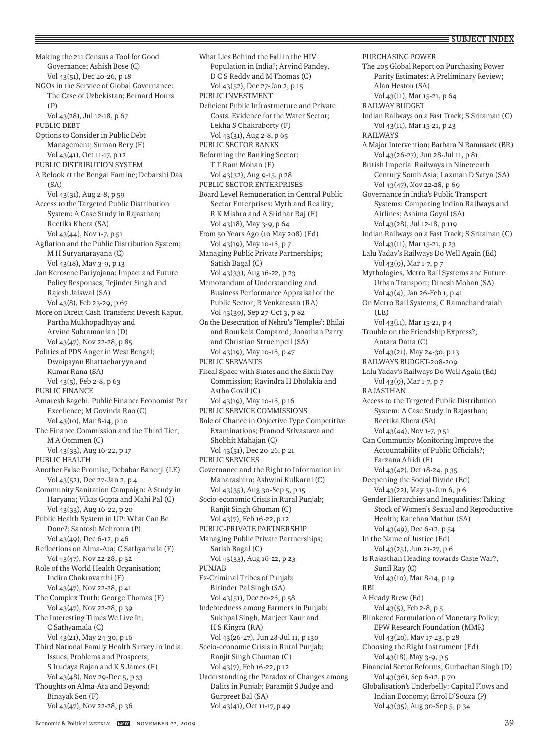Making the 211 Census a Tool for Good Governance; Ashish Bose (C) Vol 43(51), Dec 20-26, p 18 NGOs in the Service of Global Governance: The Case of Uzbekistan; Bernard Hours (P) Vol 43(28), Jul 12-18, p 67 PUBLIC DEBT Options to Consider in Public Debt Management; Suman Bery (F) Vol 43(41), Oct 11-17, p 12 PUBLIC DISTRIBUTION SYSTEM A Relook at the Bengal Famine; Debarshi Das (SA) Vol 43(31), Aug 2-8, p 59 Access to the Targeted Public Distribution System: A Case Study in Rajasthan; Reetika Khera (SA) Vol 43(44), Nov 1-7, p 51 Agflation and the Public Distribution System; M H Suryanarayana (C) Vol 43(18), May 3-9, p 13 Jan Kerosene Pariyojana: Impact and Future Policy Responses; Tejinder Singh and Rajesh Jaiswal (SA) Vol 43(8), Feb 23-29, p 67 More on Direct Cash Transfers; Devesh Kapur, Partha Mukhopadhyay and Arvind Subramanian (D) Vol 43(47), Nov 22-28, p 85 Politics of PDS Anger in West Bengal; Dwaipayan Bhattacharyya and Kumar Rana (SA) Vol 43(5), Feb 2-8, p 63 PUBLIC FINANCE Amaresh Bagchi: Public Finance Economist Par Excellence; M Govinda Rao (C) Vol 43(10), Mar 8-14, p 10 The Finance Commission and the Third Tier; M A Oommen (C) Vol 43(33), Aug 16-22, p 17 PUBLIC HEALTH Another False Promise; Debabar Banerji (LE) Vol 43(52), Dec 27-Jan 2, p 4 Community Sanitation Campaign: A Study in Haryana; Vikas Gupta and Mahi Pal (C) Vol 43(33), Aug 16-22, p 20 Public Health System in UP: What Can Be Done?; Santosh Mehrotra (P) Vol 43(49), Dec 6-12, p 46 Reflections on Alma-Ata; C Sathyamala (F) Vol 43(47), Nov 22-28, p 32 Role of the World Health Organisation; Indira Chakravarthi (F) Vol 43(47), Nov 22-28, p 41 The Complex Truth; George Thomas (F) Vol 43(47), Nov 22-28, p 39 The Interesting Times We Live In; C Sathyamala (C) Vol 43(21), May 24-30, p 16 Third National Family Health Survey in India: Issues, Problems and Prospects; S Irudaya Rajan and K S James (F) Vol 43(48), Nov 29-Dec 5, p 33 Thoughts on Alma-Ata and Beyond; Binayak Sen (F) Vol 43(47), Nov 22-28, p 36

What Lies Behind the Fall in the HIV Population in India?; Arvind Pandey, D C S Reddy and M Thomas (C) Vol 43(52), Dec 27-Jan 2, p 15 PUBLIC INVESTMENT Deficient Public Infrastructure and Private Costs: Evidence for the Water Sector; Lekha S Chakraborty (F) Vol 43(31), Aug 2-8, p 65 PUBLIC SECTOR BANKS Reforming the Banking Sector; T T Ram Mohan (F) Vol 43(32), Aug 9-15, p 28 PUBLIC SECTOR ENTERPRISES Board Level Remuneration in Central Public Sector Enterprises: Myth and Reality; R K Mishra and A Sridhar Raj (F) Vol 43(18), May 3-9, p 64 From 50 Years Ago (10 May 208) (Ed) Vol 43(19), May 10-16, p 7 Managing Public Private Partnerships; Satish Bagal (C) Vol 43(33), Aug 16-22, p 23 Memorandum of Understanding and Business Performance Appraisal of the Public Sector; R Venkatesan (RA) Vol 43(39), Sep 27-Oct 3, p 82 On the Desecration of Nehru's 'Temples': Bhilai and Rourkela Compared; Jonathan Parry and Christian Struempell (SA) Vol 43(19), May 10-16, p 47 PUBLIC SERVANTS Fiscal Space with States and the Sixth Pay Commission; Ravindra H Dholakia and Astha Govil (C) Vol 43(19), May 10-16, p 16 PUBLIC SERVICE COMMISSIONS Role of Chance in Objective Type Competitive Examinations; Pramod Srivastava and Shobhit Mahajan (C) Vol 43(51), Dec 20-26, p 21 PUBLIC SERVICES Governance and the Right to Information in Maharashtra; Ashwini Kulkarni (C) Vol 43(35), Aug 30-Sep 5, p 15 Socio-economic Crisis in Rural Punjab; Ranjit Singh Ghuman (C) Vol 43(7), Feb 16-22, p 12 PUBLIC-PRIVATE PARTNERSHIP Managing Public Private Partnerships; Satish Bagal (C) Vol 43(33), Aug 16-22, p 23 PUNJAB Ex-Criminal Tribes of Punjab; Birinder Pal Singh (SA) Vol 43(51), Dec 20-26, p 58 Indebtedness among Farmers in Punjab; Sukhpal Singh, Manjeet Kaur and H S Kingra (RA) Vol 43(26-27), Jun 28-Jul 11, p 130 Socio-economic Crisis in Rural Punjab; Ranjit Singh Ghuman (C) Vol 43(7), Feb 16-22, p 12 Understanding the Paradox of Changes among Dalits in Punjab; Paramjit S Judge and Gurpreet Bal (SA) Vol 43(41), Oct 11-17, p 49

PURCHASING POWER The 205 Global Report on Purchasing Power Parity Estimates: A Preliminary Review; Alan Heston (SA) Vol 43(11), Mar 15-21, p 64 RAILWAY BUDGET Indian Railways on a Fast Track; S Sriraman (C) Vol 43(11), Mar 15-21, p 23 RAILWAYS A Major Intervention; Barbara N Ramusack (BR) Vol 43(26-27), Jun 28-Jul 11, p 81 British Imperial Railways in Nineteenth Century South Asia; Laxman D Satya (SA) Vol 43(47), Nov 22-28, p 69 Governance in India's Public Transport Systems: Comparing Indian Railways and Airlines; Ashima Goyal (SA) Vol 43(28), Jul 12-18, p 119 Indian Railways on a Fast Track; S Sriraman (C) Vol 43(11), Mar 15-21, p 23 Lalu Yadav's Railways Do Well Again (Ed) Vol 43(9), Mar 1-7, p 7 Mythologies, Metro Rail Systems and Future Urban Transport; Dinesh Mohan (SA) Vol 43(4), Jan 26-Feb 1, p 41 On Metro Rail Systems; C Ramachandraiah  $(I.E)$ Vol 43(11), Mar 15-21, p 4 Trouble on the Friendship Express?; Antara Datta (C) Vol 43(21), May 24-30, p 13 RAILWAYS BUDGET-208-209 Lalu Yadav's Railways Do Well Again (Ed) Vol 43(9), Mar 1-7, p 7 RAJASTHAN Access to the Targeted Public Distribution System: A Case Study in Rajasthan; Reetika Khera (SA) Vol 43(44), Nov 1-7, p 51 Can Community Monitoring Improve the Accountability of Public Officials?; Farzana Afridi (F) Vol 43(42), Oct 18-24, p 35 Deepening the Social Divide (Ed) Vol 43(22), May 31-Jun 6, p 6 Gender Hierarchies and Inequalities: Taking Stock of Women's Sexual and Reproductive Health; Kanchan Mathur (SA) Vol 43(49), Dec 6-12, p 54 In the Name of Justice (Ed) Vol 43(25), Jun 21-27, p 6 Is Rajasthan Heading towards Caste War?; Sunil Ray (C) Vol 43(10), Mar 8-14, p 19 **RBI** A Heady Brew (Ed) Vol 43(5), Feb 2-8, p 5 Blinkered Formulation of Monetary Policy; EPW Research Foundation (MMR) Vol 43(20), May 17-23, p 28 Choosing the Right Instrument (Ed) Vol 43(18), May 3-9, p 5 Financial Sector Reforms; Gurbachan Singh (D) Vol 43(36), Sep 6-12, p 70 Globalisation's Underbelly: Capital Flows and Indian Economy; Errol D'Souza (P) Vol 43(35), Aug 30-Sep 5, p 34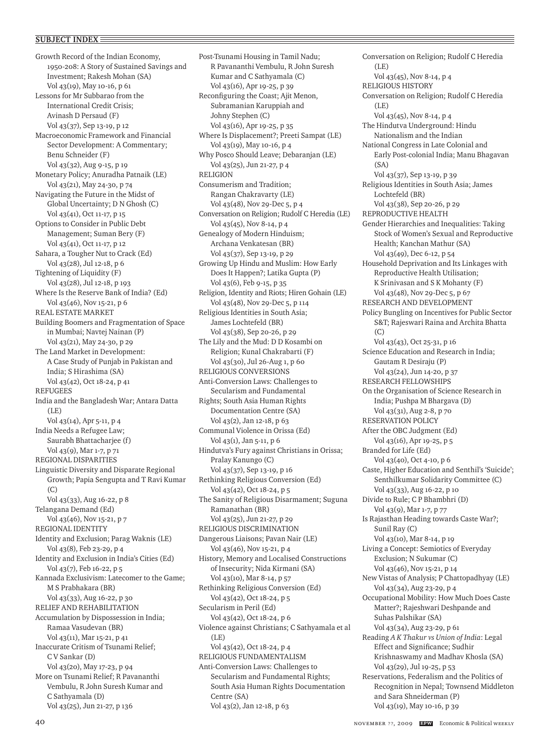Growth Record of the Indian Economy, 1950-208: A Story of Sustained Savings and Investment; Rakesh Mohan (SA) Vol 43(19), May 10-16, p 61 Lessons for Mr Subbarao from the International Credit Crisis; Avinash D Persaud (F) Vol 43(37), Sep 13-19, p 12 Macroeconomic Framework and Financial Sector Development: A Commentary; Benu Schneider (F) Vol 43(32), Aug 9-15, p 19 Monetary Policy; Anuradha Patnaik (LE) Vol 43(21), May 24-30, p 74 Navigating the Future in the Midst of Global Uncertainty; D N Ghosh (C) Vol 43(41), Oct 11-17, p 15 Options to Consider in Public Debt Management; Suman Bery (F) Vol 43(41), Oct 11-17, p 12 Sahara, a Tougher Nut to Crack (Ed) Vol 43(28), Jul 12-18, p 6 Tightening of Liquidity (F) Vol 43(28), Jul 12-18, p 193 Where Is the Reserve Bank of India? (Ed) Vol 43(46), Nov 15-21, p 6 REAL ESTATE MARKET Building Boomers and Fragmentation of Space in Mumbai; Navtej Nainan (P) Vol 43(21), May 24-30, p 29 The Land Market in Development: A Case Study of Punjab in Pakistan and India; S Hirashima (SA) Vol 43(42), Oct 18-24, p 41 **REFUGEES** India and the Bangladesh War; Antara Datta (LE) Vol 43(14), Apr 5-11, p 4 India Needs a Refugee Law; Saurabh Bhattacharjee (f) Vol 43(9), Mar 1-7, p 71 REGIONAL DISPARITIES Linguistic Diversity and Disparate Regional Growth; Papia Sengupta and T Ravi Kumar (C) Vol 43(33), Aug 16-22, p 8 Telangana Demand (Ed) Vol 43(46), Nov 15-21, p 7 REGIONAL IDENTITY Identity and Exclusion; Parag Waknis (LE) Vol 43(8), Feb 23-29, p 4 Identity and Exclusion in India's Cities (Ed) Vol 43(7), Feb 16-22, p 5 Kannada Exclusivism: Latecomer to the Game; M S Prabhakara (BR) Vol 43(33), Aug 16-22, p 30 RELIEF AND REHABILITATION Accumulation by Dispossession in India; Ramaa Vasudevan (BR) Vol 43(11), Mar 15-21, p 41 Inaccurate Critism of Tsunami Relief; C V Sankar (D) Vol 43(20), May 17-23, p 94 More on Tsunami Relief; R Pavananthi Vembulu, R John Suresh Kumar and C Sathyamala (D)

Post-Tsunami Housing in Tamil Nadu; R Pavananthi Vembulu, R John Suresh Kumar and C Sathyamala (C) Vol 43(16), Apr 19-25, p 39 Reconfiguring the Coast; Ajit Menon, Subramanian Karuppiah and Johny Stephen (C) Vol 43(16), Apr 19-25, p 35 Where Is Displacement?; Preeti Sampat (LE) Vol 43(19), May 10-16, p 4 Why Posco Should Leave; Debaranjan (LE) Vol 43(25), Jun 21-27, p 4 RELIGION Consumerism and Tradition; Rangan Chakravarty (LE) Vol 43(48), Nov 29-Dec 5, p 4 Conversation on Religion; Rudolf C Heredia (LE) Vol 43(45), Nov 8-14, p 4 Genealogy of Modern Hinduism; Archana Venkatesan (BR) Vol 43(37), Sep 13-19, p 29 Growing Up Hindu and Muslim: How Early Does It Happen?; Latika Gupta (P) Vol 43(6), Feb 9-15, p 35 Religion, Identity and Riots; Hiren Gohain (LE) Vol 43(48), Nov 29-Dec 5, p 114 Religious Identities in South Asia; James Lochtefeld (BR) Vol 43(38), Sep 20-26, p 29 The Lily and the Mud: D D Kosambi on Religion; Kunal Chakrabarti (F) Vol 43(30), Jul 26-Aug 1, p 60 RELIGIOUS CONVERSIONS Anti-Conversion Laws: Challenges to Secularism and Fundamental Rights; South Asia Human Rights Documentation Centre (SA) Vol 43(2), Jan 12-18, p 63 Communal Violence in Orissa (Ed) Vol 43(1), Jan 5-11, p 6 Hindutva's Fury against Christians in Orissa; Pralay Kanungo (C) Vol 43(37), Sep 13-19, p 16 Rethinking Religious Conversion (Ed) Vol 43(42), Oct 18-24, p 5 The Sanity of Religious Disarmament; Suguna Ramanathan (BR) Vol 43(25), Jun 21-27, p 29 RELIGIOUS DISCRIMINATION Dangerous Liaisons; Pavan Nair (LE) Vol 43(46), Nov 15-21, p 4 History, Memory and Localised Constructions of Insecurity; Nida Kirmani (SA) Vol 43(10), Mar 8-14, p 57 Rethinking Religious Conversion (Ed) Vol 43(42), Oct 18-24, p 5 Secularism in Peril (Ed) Vol 43(42), Oct 18-24, p 6 Violence against Christians; C Sathyamala et al  $(I.E)$ Vol 43(42), Oct 18-24, p 4 RELIGIOUS FUNDAMENTALISM Anti-Conversion Laws: Challenges to Secularism and Fundamental Rights; South Asia Human Rights Documentation Centre (SA) Vol 43(2), Jan 12-18, p 63

Conversation on Religion; Rudolf C Heredia  $(LE)$ Vol 43(45), Nov 8-14, p 4 RELIGIOUS HISTORY Conversation on Religion; Rudolf C Heredia (LE) Vol 43(45), Nov 8-14, p 4 The Hindutva Underground: Hindu Nationalism and the Indian National Congress in Late Colonial and Early Post-colonial India; Manu Bhagavan (SA) Vol 43(37), Sep 13-19, p 39 Religious Identities in South Asia; James Lochtefeld (BR) Vol 43(38), Sep 20-26, p 29 REPRODUCTIVE HEALTH Gender Hierarchies and Inequalities: Taking Stock of Women's Sexual and Reproductive Health; Kanchan Mathur (SA) Vol 43(49), Dec 6-12, p 54 Household Deprivation and Its Linkages with Reproductive Health Utilisation; K Srinivasan and S K Mohanty (F) Vol 43(48), Nov 29-Dec 5, p 67 RESEARCH AND DEVELOPMENT Policy Bungling on Incentives for Public Sector S&T; Rajeswari Raina and Archita Bhatta  $(C)$ Vol 43(43), Oct 25-31, p 16 Science Education and Research in India; Gautam R Desiraju (P) Vol 43(24), Jun 14-20, p 37 RESEARCH FELLOWSHIPS On the Organisation of Science Research in India; Pushpa M Bhargava (D) Vol 43(31), Aug 2-8, p 70 RESERVATION POLICY After the OBC Judgment (Ed) Vol 43(16), Apr 19-25, p 5 Branded for Life (Ed) Vol 43(40), Oct 4-10, p 6 Caste, Higher Education and Senthil's 'Suicide'; Senthilkumar Solidarity Committee (C) Vol 43(33), Aug 16-22, p 10 Divide to Rule; C P Bhambhri (D) Vol 43(9), Mar 1-7, p 77 Is Rajasthan Heading towards Caste War?; Sunil Ray (C) Vol 43(10), Mar 8-14, p 19 Living a Concept: Semiotics of Everyday Exclusion; N Sukumar (C) Vol 43(46), Nov 15-21, p 14 New Vistas of Analysis; P Chattopadhyay (LE) Vol 43(34), Aug 23-29, p 4 Occupational Mobility: How Much Does Caste Matter?; Rajeshwari Deshpande and Suhas Palshikar (SA) Vol 43(34), Aug 23-29, p 61 Reading *A K Thakur vs Union of India*: Legal Effect and Significance; Sudhir Krishnaswamy and Madhav Khosla (SA) Vol 43(29), Jul 19-25, p 53 Reservations, Federalism and the Politics of Recognition in Nepal; Townsend Middleton and Sara Shneiderman (P) Vol 43(19), May 10-16, p 39

Vol 43(25), Jun 21-27, p 136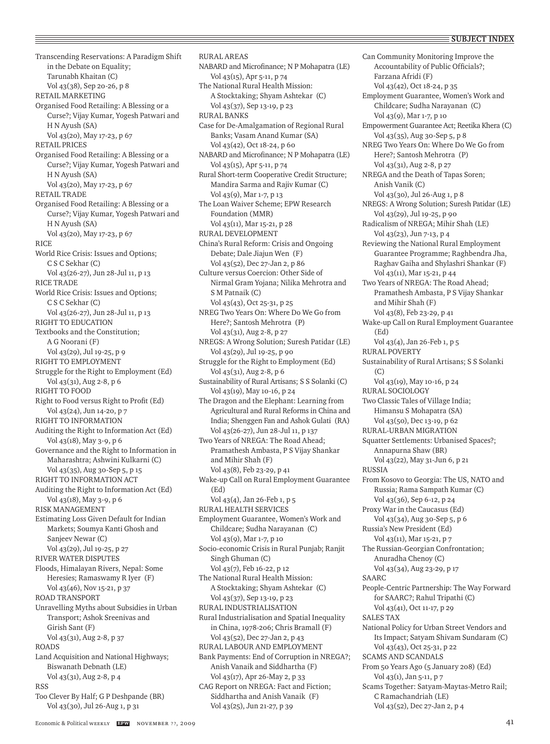Transcending Reservations: A Paradigm Shift in the Debate on Equality; Tarunabh Khaitan (C) Vol 43(38), Sep 20-26, p 8 RETAIL MARKETING Organised Food Retailing: A Blessing or a Curse?; Vijay Kumar, Yogesh Patwari and H N Ayush (SA) Vol 43(20), May 17-23, p 67 RETAIL PRICES Organised Food Retailing: A Blessing or a Curse?; Vijay Kumar, Yogesh Patwari and H N Ayush (SA) Vol 43(20), May 17-23, p 67 RETAIL TRADE Organised Food Retailing: A Blessing or a Curse?; Vijay Kumar, Yogesh Patwari and H N Ayush (SA) Vol 43(20), May 17-23, p 67 RICE World Rice Crisis: Issues and Options; C S C Sekhar (C) Vol 43(26-27), Jun 28-Jul 11, p 13 RICE TRADE World Rice Crisis: Issues and Options; C S C Sekhar (C) Vol 43(26-27), Jun 28-Jul 11, p 13 RIGHT TO EDUCATION Textbooks and the Constitution; A G Noorani (F) Vol 43(29), Jul 19-25, p 9 RIGHT TO EMPLOYMENT Struggle for the Right to Employment (Ed) Vol 43(31), Aug 2-8, p 6 RIGHT TO FOOD Right to Food versus Right to Profit (Ed) Vol 43(24), Jun 14-20, p 7 RIGHT TO INFORMATION Auditing the Right to Information Act (Ed) Vol 43(18), May 3-9, p 6 Governance and the Right to Information in Maharashtra; Ashwini Kulkarni (C) Vol 43(35), Aug 30-Sep 5, p 15 RIGHT TO INFORMATION ACT Auditing the Right to Information Act (Ed) Vol 43(18), May 3-9, p 6 RISK MANAGEMENT Estimating Loss Given Default for Indian Markets; Soumya Kanti Ghosh and Sanjeev Newar (C) Vol 43(29), Jul 19-25, p 27 RIVER WATER DISPUTES Floods, Himalayan Rivers, Nepal: Some Heresies; Ramaswamy R Iyer (F) Vol 43(46), Nov 15-21, p 37 ROAD TRANSPORT Unravelling Myths about Subsidies in Urban Transport; Ashok Sreenivas and Girish Sant (F) Vol 43(31), Aug 2-8, p 37 ROADS Land Acquisition and National Highways; Biswanath Debnath (LE) Vol 43(31), Aug 2-8, p 4 RSS Too Clever By Half; G P Deshpande (BR) Vol 43(30), Jul 26-Aug 1, p 31

RURAL AREAS NABARD and Microfinance; N P Mohapatra (LE) Vol 43(15), Apr 5-11, p 74 The National Rural Health Mission: A Stocktaking; Shyam Ashtekar (C) Vol 43(37), Sep 13-19, p 23 RURAL BANKS Case for De-Amalgamation of Regional Rural Banks; Vasam Anand Kumar (SA) Vol 43(42), Oct 18-24, p 60 NABARD and Microfinance; N P Mohapatra (LE) Vol 43(15), Apr 5-11, p 74 Rural Short-term Cooperative Credit Structure; Mandira Sarma and Rajiv Kumar (C) Vol 43(9), Mar 1-7, p 13 The Loan Waiver Scheme; EPW Research Foundation (MMR) Vol 43(11), Mar 15-21, p 28 RURAL DEVELOPMENT China's Rural Reform: Crisis and Ongoing Debate; Dale Jiajun Wen (F) Vol 43(52), Dec 27-Jan 2, p 86 Culture versus Coercion: Other Side of Nirmal Gram Yojana; Nilika Mehrotra and S M Patnaik (C) Vol 43(43), Oct 25-31, p 25 NREG Two Years On: Where Do We Go from Here?; Santosh Mehrotra (P) Vol 43(31), Aug 2-8, p 27 NREGS: A Wrong Solution; Suresh Patidar (LE) Vol 43(29), Jul 19-25, p 90 Struggle for the Right to Employment (Ed) Vol 43(31), Aug 2-8, p 6 Sustainability of Rural Artisans; S S Solanki (C) Vol 43(19), May 10-16, p 24 The Dragon and the Elephant: Learning from Agricultural and Rural Reforms in China and India; Shenggen Fan and Ashok Gulati (RA) Vol 43(26-27), Jun 28-Jul 11, p 137 Two Years of NREGA: The Road Ahead; Pramathesh Ambasta, P S Vijay Shankar and Mihir Shah (F) Vol 43(8), Feb 23-29, p 41 Wake-up Call on Rural Employment Guarantee (Ed) Vol 43(4), Jan 26-Feb 1, p 5 RURAL HEALTH SERVICES Employment Guarantee, Women's Work and Childcare; Sudha Narayanan (C) Vol 43(9), Mar 1-7, p 10 Socio-economic Crisis in Rural Punjab; Ranjit Singh Ghuman (C) Vol 43(7), Feb 16-22, p 12 The National Rural Health Mission: A Stocktaking; Shyam Ashtekar (C) Vol 43(37), Sep 13-19, p 23 RURAL INDUSTRIALISATION Rural Industrialisation and Spatial Inequality in China, 1978-206; Chris Bramall (F) Vol 43(52), Dec 27-Jan 2, p 43 RURAL LABOUR AND EMPLOYMENT Bank Payments: End of Corruption in NREGA?; Anish Vanaik and Siddhartha (F) Vol 43(17), Apr 26-May 2, p 33 CAG Report on NREGA: Fact and Fiction; Siddhartha and Anish Vanaik (F) Vol 43(25), Jun 21-27, p 39

Can Community Monitoring Improve the Accountability of Public Officials?; Farzana Afridi (F) Vol 43(42), Oct 18-24, p 35 Employment Guarantee, Women's Work and Childcare; Sudha Narayanan (C) Vol 43(9), Mar 1-7, p 10 Empowerment Guarantee Act; Reetika Khera (C) Vol 43(35), Aug 30-Sep 5, p 8 NREG Two Years On: Where Do We Go from Here?; Santosh Mehrotra (P) Vol 43(31), Aug 2-8, p 27 NREGA and the Death of Tapas Soren; Anish Vanik (C) Vol 43(30), Jul 26-Aug 1, p 8 NREGS: A Wrong Solution; Suresh Patidar (LE) Vol 43(29), Jul 19-25, p 90 Radicalism of NREGA; Mihir Shah (LE) Vol 43(23), Jun 7-13, p 4 Reviewing the National Rural Employment Guarantee Programme; Raghbendra Jha, Raghav Gaiha and Shylashri Shankar (F) Vol 43(11), Mar 15-21, p 44 Two Years of NREGA: The Road Ahead; Pramathesh Ambasta, P S Vijay Shankar and Mihir Shah (F) Vol 43(8), Feb 23-29, p 41 Wake-up Call on Rural Employment Guarantee (Ed) Vol 43(4), Jan 26-Feb 1, p 5 RURAL POVERTY Sustainability of Rural Artisans; S S Solanki (C) Vol 43(19), May 10-16, p 24 RURAL SOCIOLOGY Two Classic Tales of Village India; Himansu S Mohapatra (SA) Vol 43(50), Dec 13-19, p 62 RURAL-URBAN MIGRATION Squatter Settlements: Urbanised Spaces?; Annapurna Shaw (BR) Vol 43(22), May 31-Jun 6, p 21 RUSSIA From Kosovo to Georgia: The US, NATO and Russia; Rama Sampath Kumar (C) Vol 43(36), Sep 6-12, p 24 Proxy War in the Caucasus (Ed) Vol 43(34), Aug 30-Sep 5, p 6 Russia's New President (Ed) Vol 43(11), Mar 15-21, p 7 The Russian-Georgian Confrontation; Anuradha Chenoy (C) Vol 43(34), Aug 23-29, p 17 SAARC People-Centric Partnership: The Way Forward for SAARC?; Rahul Tripathi (C) Vol 43(41), Oct 11-17, p 29 SALES TAX National Policy for Urban Street Vendors and Its Impact; Satyam Shivam Sundaram (C) Vol 43(43), Oct 25-31, p 22 SCAMS AND SCANDALS From 50 Years Ago (5 January 208) (Ed) Vol 43(1), Jan 5-11, p 7 Scams Together: Satyam-Maytas-Metro Rail; C Ramachandriah (LE) Vol 43(52), Dec 27-Jan 2, p 4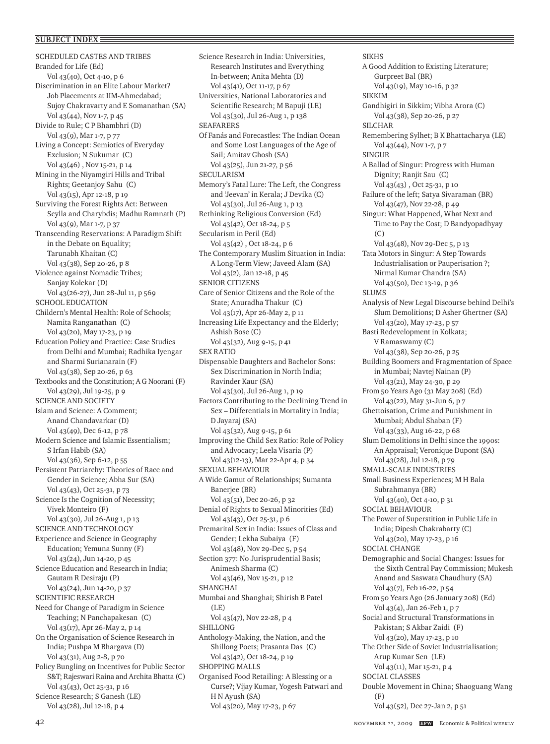SCHEDULED CASTES AND TRIBES Branded for Life (Ed) Vol 43(40), Oct 4-10, p 6 Discrimination in an Elite Labour Market? Job Placements at IIM-Ahmedabad; Sujoy Chakravarty and E Somanathan (SA) Vol 43(44), Nov 1-7, p 45 Divide to Rule; C P Bhambhri (D) Vol 43(9), Mar 1-7, p 77 Living a Concept: Semiotics of Everyday Exclusion; N Sukumar (C) Vol 43(46) , Nov 15-21, p 14 Mining in the Niyamgiri Hills and Tribal Rights; Geetanjoy Sahu (C) Vol 43(15), Apr 12-18, p 19 Surviving the Forest Rights Act: Between Scylla and Charybdis; Madhu Ramnath (P) Vol 43(9), Mar 1-7, p 37 Transcending Reservations: A Paradigm Shift in the Debate on Equality; Tarunabh Khaitan (C) Vol 43(38), Sep 20-26, p 8 Violence against Nomadic Tribes; Sanjay Kolekar (D) Vol 43(26-27), Jun 28-Jul 11, p 569 SCHOOL EDUCATION Childern's Mental Health: Role of Schools; Namita Ranganathan (C) Vol 43(20), May 17-23, p 19 Education Policy and Practice: Case Studies from Delhi and Mumbai; Radhika Iyengar and Sharmi Surianarain (F) Vol 43(38), Sep 20-26, p 63 Textbooks and the Constitution; A G Noorani (F) Vol 43(29), Jul 19-25, p 9 SCIENCE AND SOCIETY Islam and Science: A Comment; Anand Chandavarkar (D) Vol 43(49), Dec 6-12, p 78 Modern Science and Islamic Essentialism; S Irfan Habib (SA) Vol 43(36), Sep 6-12, p 55 Persistent Patriarchy: Theories of Race and Gender in Science; Abha Sur (SA) Vol 43(43), Oct 25-31, p 73 Science Is the Cognition of Necessity; Vivek Monteiro (F) Vol 43(30), Jul 26-Aug 1, p 13 SCIENCE AND TECHNOLOGY Experience and Science in Geography Education; Yemuna Sunny (F) Vol 43(24), Jun 14-20, p 45 Science Education and Research in India; Gautam R Desiraju (P) Vol 43(24), Jun 14-20, p 37 SCIENTIFIC RESEARCH Need for Change of Paradigm in Science Teaching; N Panchapakesan (C) Vol 43(17), Apr 26-May 2, p 14 On the Organisation of Science Research in India; Pushpa M Bhargava (D) Vol 43(31), Aug 2-8, p 70 Policy Bungling on Incentives for Public Sector S&T; Rajeswari Raina and Archita Bhatta (C) Vol 43(43), Oct 25-31, p 16 Science Research; S Ganesh (LE) Vol 43(28), Jul 12-18, p 4

Science Research in India: Universities, Research Institutes and Everything In-between; Anita Mehta (D) Vol 43(41), Oct 11-17, p 67 Universities, National Laboratories and Scientific Research; M Bapuji (LE) Vol 43(30), Jul 26-Aug 1, p 138 SEAFARERS Of Fanás and Forecastles: The Indian Ocean and Some Lost Languages of the Age of Sail; Amitav Ghosh (SA) Vol 43(25), Jun 21-27, p 56 SECULARISM Memory's Fatal Lure: The Left, the Congress and 'Jeevan' in Kerala; J Devika (C) Vol 43(30), Jul 26-Aug 1, p 13 Rethinking Religious Conversion (Ed) Vol 43(42), Oct 18-24, p 5 Secularism in Peril (Ed) Vol 43(42) , Oct 18-24, p 6 The Contemporary Muslim Situation in India: A Long-Term View; Javeed Alam (SA) Vol 43(2), Jan 12-18, p 45 SENIOR CITIZENS Care of Senior Citizens and the Role of the State; Anuradha Thakur (C) Vol 43(17), Apr 26-May 2, p 11 Increasing Life Expectancy and the Elderly; Ashish Bose (C) Vol 43(32), Aug 9-15, p 41 SEX RATIO Dispensable Daughters and Bachelor Sons: Sex Discrimination in North India; Ravinder Kaur (SA) Vol 43(30), Jul 26-Aug 1, p 19 Factors Contributing to the Declining Trend in Sex – Differentials in Mortality in India; D Jayaraj (SA) Vol 43(32), Aug 9-15, p 61 Improving the Child Sex Ratio: Role of Policy and Advocacy; Leela Visaria (P) Vol 43(12-13), Mar 22-Apr 4, p 34 SEXUAL BEHAVIOUR A Wide Gamut of Relationships; Sumanta Banerjee (BR) Vol 43(51), Dec 20-26, p 32 Denial of Rights to Sexual Minorities (Ed) Vol 43(43), Oct 25-31, p 6 Premarital Sex in India: Issues of Class and Gender; Lekha Subaiya (F) Vol 43(48), Nov 29-Dec 5, p 54 Section 377: No Jurisprudential Basis; Animesh Sharma (C) Vol 43(46), Nov 15-21, p 12 **SHANGHAI** Mumbai and Shanghai; Shirish B Patel  $(I.E)$ Vol 43(47), Nov 22-28, p 4 SHILLONG Anthology-Making, the Nation, and the Shillong Poets; Prasanta Das (C) Vol 43(42), Oct 18-24, p 19 SHOPPING MALLS Organised Food Retailing: A Blessing or a Curse?; Vijay Kumar, Yogesh Patwari and H N Ayush (SA) Vol 43(20), May 17-23, p 67

SIKHS A Good Addition to Existing Literature; Gurpreet Bal (BR) Vol 43(19), May 10-16, p 32 SIKKIM Gandhigiri in Sikkim; Vibha Arora (C) Vol 43(38), Sep 20-26, p 27 SILCHAR Remembering Sylhet; B K Bhattacharya (LE) Vol 43(44), Nov 1-7, p 7 SINGUR A Ballad of Singur: Progress with Human Dignity; Ranjit Sau (C) Vol 43(43) , Oct 25-31, p 10 Failure of the left; Satya Sivaraman (BR) Vol 43(47), Nov 22-28, p 49 Singur: What Happened, What Next and Time to Pay the Cost; D Bandyopadhyay (C) Vol 43(48), Nov 29-Dec 5, p 13 Tata Motors in Singur: A Step Towards Industrialisation or Pauperisation ?; Nirmal Kumar Chandra (SA) Vol 43(50), Dec 13-19, p 36 **SLUMS** Analysis of New Legal Discourse behind Delhi's Slum Demolitions; D Asher Ghertner (SA) Vol 43(20), May 17-23, p 57 Basti Redevelopment in Kolkata; V Ramaswamy (C) Vol 43(38), Sep 20-26, p 25 Building Boomers and Fragmentation of Space in Mumbai; Navtej Nainan (P) Vol 43(21), May 24-30, p 29 From 50 Years Ago (31 May 208) (Ed) Vol 43(22), May 31-Jun 6, p 7 Ghettoisation, Crime and Punishment in Mumbai; Abdul Shaban (F) Vol 43(33), Aug 16-22, p 68 Slum Demolitions in Delhi since the 1990s: An Appraisal; Veronique Dupont (SA) Vol 43(28), Jul 12-18, p 79 SMALL-SCALE INDUSTRIES Small Business Experiences; M H Bala Subrahmanya (BR) Vol 43(40), Oct 4-10, p 31 SOCIAL BEHAVIOUR The Power of Superstition in Public Life in India; Dipesh Chakrabarty (C) Vol 43(20), May 17-23, p 16 SOCIAL CHANGE Demographic and Social Changes: Issues for the Sixth Central Pay Commission; Mukesh Anand and Saswata Chaudhury (SA) Vol 43(7), Feb 16-22, p 54 From 50 Years Ago (26 January 208) (Ed) Vol 43(4), Jan 26-Feb 1, p 7 Social and Structural Transformations in Pakistan; S Akbar Zaidi (F) Vol 43(20), May 17-23, p 10 The Other Side of Soviet Industrialisation; Arup Kumar Sen (LE) Vol 43(11), Mar 15-21, p 4 SOCIAL CLASSES Double Movement in China; Shaoguang Wang (F)

Vol 43(52), Dec 27-Jan 2, p 51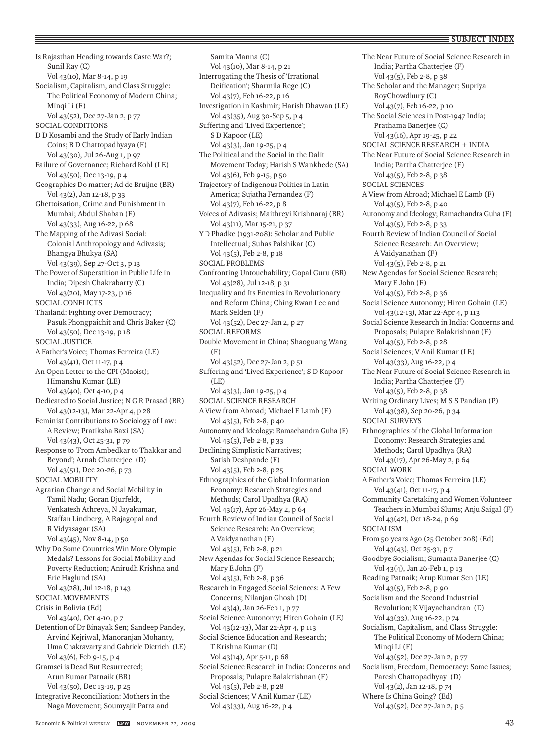#### $\equiv$  **SUBJECT INDEX**

Is Rajasthan Heading towards Caste War?; Sunil Ray (C) Vol 43(10), Mar 8-14, p 19 Socialism, Capitalism, and Class Struggle: The Political Economy of Modern China; Minqi Li (F) Vol 43(52), Dec 27-Jan 2, p 77 SOCIAL CONDITIONS D D Kosambi and the Study of Early Indian Coins; B D Chattopadhyaya (F) Vol 43(30), Jul 26-Aug 1, p 97 Failure of Governance; Richard Kohl (LE) Vol 43(50), Dec 13-19, p 4 Geographies Do matter; Ad de Bruijne (BR) Vol 43(2), Jan 12-18, p 33 Ghettoisation, Crime and Punishment in Mumbai; Abdul Shaban (F) Vol 43(33), Aug 16-22, p 68 The Mapping of the Adivasi Social: Colonial Anthropology and Adivasis; Bhangya Bhukya (SA) Vol 43(39), Sep 27-Oct 3, p 13 The Power of Superstition in Public Life in India; Dipesh Chakrabarty (C) Vol 43(20), May 17-23, p 16 SOCIAL CONFLICTS Thailand: Fighting over Democracy; Pasuk Phongpaichit and Chris Baker (C) Vol 43(50), Dec 13-19, p 18 SOCIAL JUSTICE A Father's Voice; Thomas Ferreira (LE) Vol 43(41), Oct 11-17, p 4 An Open Letter to the CPI (Maoist); Himanshu Kumar (LE) Vol 43(40), Oct 4-10, p 4 Dedicated to Social Justice; N G R Prasad (BR) Vol 43(12-13), Mar 22-Apr 4, p 28 Feminist Contributions to Sociology of Law: A Review; Pratiksha Baxi (SA) Vol 43(43), Oct 25-31, p 79 Response to 'From Ambedkar to Thakkar and Beyond'; Arnab Chatterjee (D) Vol 43(51), Dec 20-26, p 73 SOCIAL MOBILITY Agrarian Change and Social Mobility in Tamil Nadu; Goran Djurfeldt, Venkatesh Athreya, N Jayakumar, Staffan Lindberg, A Rajagopal and R Vidyasagar (SA) Vol 43(45), Nov 8-14, p 50 Why Do Some Countries Win More Olympic Medals? Lessons for Social Mobility and Poverty Reduction; Anirudh Krishna and Eric Haglund (SA) Vol 43(28), Jul 12-18, p 143 SOCIAL MOVEMENTS Crisis in Bolivia (Ed) Vol 43(40), Oct 4-10, p 7 Detention of Dr Binayak Sen; Sandeep Pandey, Arvind Kejriwal, Manoranjan Mohanty, Uma Chakravarty and Gabriele Dietrich (LE) Vol 43(6), Feb 9-15, p 4 Gramsci is Dead But Resurrected; Arun Kumar Patnaik (BR) Vol 43(50), Dec 13-19, p 25 Integrative Reconciliation: Mothers in the Naga Movement; Soumyajit Patra and

Samita Manna (C) Vol 43(10), Mar 8-14, p 21 Interrogating the Thesis of 'Irrational Deification'; Sharmila Rege (C) Vol 43(7), Feb 16-22, p 16 Investigation in Kashmir; Harish Dhawan (LE) Vol 43(35), Aug 30-Sep 5, p 4 Suffering and 'Lived Experience'; S D Kapoor (LE) Vol 43(3), Jan 19-25, p 4 The Political and the Social in the Dalit Movement Today; Harish S Wankhede (SA) Vol 43(6), Feb 9-15, p 50 Trajectory of Indigenous Politics in Latin America; Sujatha Fernandez (F) Vol 43(7), Feb 16-22, p 8 Voices of Adivasis; Maithreyi Krishnaraj (BR) Vol 43(11), Mar 15-21, p 37 Y D Phadke (1931-208): Scholar and Public Intellectual; Suhas Palshikar (C) Vol 43(5), Feb 2-8, p 18 SOCIAL PROBLEMS Confronting Untouchability; Gopal Guru (BR) Vol 43(28), Jul 12-18, p 31 Inequality and Its Enemies in Revolutionary and Reform China; Ching Kwan Lee and Mark Selden (F) Vol 43(52), Dec 27-Jan 2, p 27 SOCIAL REFORMS Double Movement in China; Shaoguang Wang (F) Vol 43(52), Dec 27-Jan 2, p 51 Suffering and 'Lived Experience'; S D Kapoor (LE) Vol 43(3), Jan 19-25, p 4 SOCIAL SCIENCE RESEARCH A View from Abroad; Michael E Lamb (F) Vol 43(5), Feb 2-8, p 40 Autonomy and Ideology; Ramachandra Guha (F) Vol 43(5), Feb 2-8, p 33 Declining Simplistic Narratives; Satish Deshpande (F) Vol 43(5), Feb 2-8, p 25 Ethnographies of the Global Information Economy: Research Strategies and Methods; Carol Upadhya (RA) Vol 43(17), Apr 26-May 2, p 64 Fourth Review of Indian Council of Social Science Research: An Overview; A Vaidyanathan (F) Vol 43(5), Feb 2-8, p 21 New Agendas for Social Science Research; Mary E John (F) Vol 43(5), Feb 2-8, p 36 Research in Engaged Social Sciences: A Few Concerns; Nilanjan Ghosh (D) Vol 43(4), Jan 26-Feb 1, p 77 Social Science Autonomy; Hiren Gohain (LE) Vol 43(12-13), Mar 22-Apr 4, p 113 Social Science Education and Research; T Krishna Kumar (D) Vol 43(14), Apr 5-11, p 68 Social Science Research in India: Concerns and Proposals; Pulapre Balakrishnan (F) Vol 43(5), Feb 2-8, p 28 Social Sciences; V Anil Kumar (LE) Vol 43(33), Aug 16-22, p 4

The Near Future of Social Science Research in India; Partha Chatterjee (F) Vol 43(5), Feb 2-8, p 38 The Scholar and the Manager; Supriya RoyChowdhury (C) Vol 43(7), Feb 16-22, p 10 The Social Sciences in Post-1947 India; Prathama Banerjee (C) Vol 43(16), Apr 19-25, p 22 SOCIAL SCIENCE RESEARCH + INDIA The Near Future of Social Science Research in India; Partha Chatterjee (F) Vol 43(5), Feb 2-8, p 38 SOCIAL SCIENCES A View from Abroad; Michael E Lamb (F) Vol 43(5), Feb 2-8, p 40 Autonomy and Ideology; Ramachandra Guha (F) Vol 43(5), Feb 2-8, p 33 Fourth Review of Indian Council of Social Science Research: An Overview; A Vaidyanathan (F) Vol 43(5), Feb 2-8, p 21 New Agendas for Social Science Research; Mary E John (F) Vol 43(5), Feb 2-8, p 36 Social Science Autonomy; Hiren Gohain (LE) Vol 43(12-13), Mar 22-Apr 4, p 113 Social Science Research in India: Concerns and Proposals; Pulapre Balakrishnan (F) Vol 43(5), Feb 2-8, p 28 Social Sciences; V Anil Kumar (LE) Vol 43(33), Aug 16-22, p 4 The Near Future of Social Science Research in India; Partha Chatterjee (F) Vol 43(5), Feb 2-8, p 38 Writing Ordinary Lives; M S S Pandian (P) Vol 43(38), Sep 20-26, p 34 SOCIAL SURVEYS Ethnographies of the Global Information Economy: Research Strategies and Methods; Carol Upadhya (RA) Vol 43(17), Apr 26-May 2, p 64 SOCIAL WORK A Father's Voice; Thomas Ferreira (LE) Vol 43(41), Oct 11-17, p 4 Community Caretaking and Women Volunteer Teachers in Mumbai Slums; Anju Saigal (F) Vol 43(42), Oct 18-24, p 69 SOCIALISM From 50 years Ago (25 October 208) (Ed) Vol 43(43), Oct 25-31, p 7 Goodbye Socialism; Sumanta Banerjee (C) Vol 43(4), Jan 26-Feb 1, p 13 Reading Patnaik; Arup Kumar Sen (LE) Vol 43(5), Feb 2-8, p 90 Socialism and the Second Industrial Revolution; K Vijayachandran (D) Vol 43(33), Aug 16-22, p 74 Socialism, Capitalism, and Class Struggle: The Political Economy of Modern China; Minqi Li (F) Vol 43(52), Dec 27-Jan 2, p 77 Socialism, Freedom, Democracy: Some Issues; Paresh Chattopadhyay (D) Vol 43(2), Jan 12-18, p 74 Where Is China Going? (Ed) Vol 43(52), Dec 27-Jan 2, p 5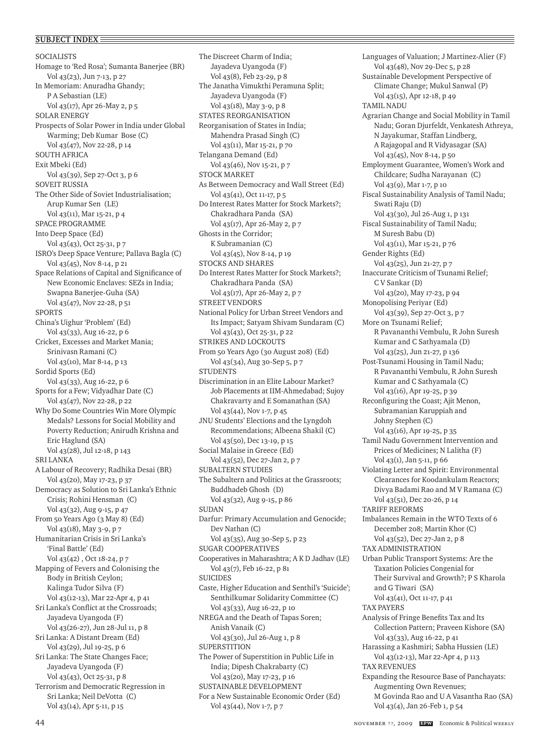SOCIALISTS Homage to 'Red Rosa'; Sumanta Banerjee (BR) Vol 43(23), Jun 7-13, p 27 In Memoriam: Anuradha Ghandy; P A Sebastian (LE) Vol 43(17), Apr 26-May 2, p 5 SOLAR ENERGY Prospects of Solar Power in India under Global Warming; Deb Kumar Bose (C) Vol 43(47), Nov 22-28, p 14 SOUTH AFRICA Exit Mbeki (Ed) Vol 43(39), Sep 27-Oct 3, p 6 SOVEIT RUSSIA The Other Side of Soviet Industrialisation; Arup Kumar Sen (LE) Vol 43(11), Mar 15-21, p 4 SPACE PROGRAMME Into Deep Space (Ed) Vol 43(43), Oct 25-31, p 7 ISRO's Deep Space Venture; Pallava Bagla (C) Vol 43(45), Nov 8-14, p 21 Space Relations of Capital and Significance of New Economic Enclaves: SEZs in India; Swapna Banerjee-Guha (SA) Vol 43(47), Nov 22-28, p 51 **SPORTS** China's Uighur 'Problem' (Ed) Vol 43(33), Aug 16-22, p 6 Cricket, Excesses and Market Mania; Srinivasn Ramani (C) Vol 43(10), Mar 8-14, p 13 Sordid Sports (Ed) Vol 43(33), Aug 16-22, p 6 Sports for a Few; Vidyadhar Date (C) Vol 43(47), Nov 22-28, p 22 Why Do Some Countries Win More Olympic Medals? Lessons for Social Mobility and Poverty Reduction; Anirudh Krishna and Eric Haglund (SA) Vol 43(28), Jul 12-18, p 143 SRI LANKA A Labour of Recovery; Radhika Desai (BR) Vol 43(20), May 17-23, p 37 Democracy as Solution to Sri Lanka's Ethnic Crisis; Rohini Hensman (C) Vol 43(32), Aug 9-15, p 47 From 50 Years Ago (3 May 8) (Ed) Vol 43(18), May 3-9, p 7 Humanitarian Crisis in Sri Lanka's 'Final Battle' (Ed) Vol 43(42) , Oct 18-24, p 7 Mapping of Fevers and Colonising the Body in British Ceylon; Kalinga Tudor Silva (F) Vol 43(12-13), Mar 22-Apr 4, p 41 Sri Lanka's Conflict at the Crossroads; Jayadeva Uyangoda (F) Vol 43(26-27), Jun 28-Jul 11, p 8 Sri Lanka: A Distant Dream (Ed) Vol 43(29), Jul 19-25, p 6 Sri Lanka: The State Changes Face; Jayadeva Uyangoda (F) Vol 43(43), Oct 25-31, p 8 Terrorism and Democratic Regression in Sri Lanka; Neil DeVotta (C) Vol 43(14), Apr 5-11, p 15

The Discreet Charm of India; Jayadeva Uyangoda (F) Vol 43(8), Feb 23-29, p 8 The Janatha Vimukthi Peramuna Split; Jayadeva Uyangoda (F) Vol 43(18), May 3-9, p 8 STATES REORGANISATION Reorganisation of States in India; Mahendra Prasad Singh (C) Vol 43(11), Mar 15-21, p 70 Telangana Demand (Ed) Vol 43(46), Nov 15-21, p 7 STOCK MARKET As Between Democracy and Wall Street (Ed) Vol 43(41), Oct 11-17, p 5 Do Interest Rates Matter for Stock Markets?; Chakradhara Panda (SA) Vol 43(17), Apr 26-May 2, p 7 Ghosts in the Corridor; K Subramanian (C) Vol 43(45), Nov 8-14, p 19 STOCKS AND SHARES Do Interest Rates Matter for Stock Markets?; Chakradhara Panda (SA) Vol 43(17), Apr 26-May 2, p 7 STREET VENDORS National Policy for Urban Street Vendors and Its Impact; Satyam Shivam Sundaram (C) Vol 43(43), Oct 25-31, p 22 STRIKES AND LOCKOUTS From 50 Years Ago (30 August 208) (Ed) Vol 43(34), Aug 30-Sep 5, p 7 **STUDENTS** Discrimination in an Elite Labour Market? Job Placements at IIM-Ahmedabad; Sujoy Chakravarty and E Somanathan (SA) Vol 43(44), Nov 1-7, p 45 JNU Students' Elections and the Lyngdoh Recommendations; Albeena Shakil (C) Vol 43(50), Dec 13-19, p 15 Social Malaise in Greece (Ed) Vol 43(52), Dec 27-Jan 2, p 7 SUBALTERN STUDIES The Subaltern and Politics at the Grassroots; Buddhadeb Ghosh (D) Vol 43(32), Aug 9-15, p 86 SUDAN Darfur: Primary Accumulation and Genocide; Dev Nathan (C) Vol 43(35), Aug 30-Sep 5, p 23 SUGAR COOPERATIVES Cooperatives in Maharashtra; A K D Jadhav (LE) Vol 43(7), Feb 16-22, p 81 **SUICIDES** Caste, Higher Education and Senthil's 'Suicide'; Senthilkumar Solidarity Committee (C) Vol 43(33), Aug 16-22, p 10 NREGA and the Death of Tapas Soren; Anish Vanaik (C) Vol 43(30), Jul 26-Aug 1, p 8 SUPERSTITION The Power of Superstition in Public Life in India; Dipesh Chakrabarty (C) Vol 43(20), May 17-23, p 16 SUSTAINABLE DEVELOPMENT For a New Sustainable Economic Order (Ed) Vol 43(44), Nov 1-7, p 7

Languages of Valuation; J Martinez-Alier (F) Vol 43(48), Nov 29-Dec 5, p 28 Sustainable Development Perspective of Climate Change; Mukul Sanwal (P) Vol 43(15), Apr 12-18, p 49 TAMIL NADU Agrarian Change and Social Mobility in Tamil Nadu; Goran Djurfeldt, Venkatesh Athreya, N Jayakumar, Staffan Lindberg, A Rajagopal and R Vidyasagar (SA) Vol 43(45), Nov 8-14, p 50 Employment Guarantee, Women's Work and Childcare; Sudha Narayanan (C) Vol 43(9), Mar 1-7, p 10 Fiscal Sustainability Analysis of Tamil Nadu; Swati Raju (D) Vol 43(30), Jul 26-Aug 1, p 131 Fiscal Sustainability of Tamil Nadu; M Suresh Babu (D) Vol 43(11), Mar 15-21, p 76 Gender Rights (Ed) Vol 43(25), Jun 21-27, p 7 Inaccurate Criticism of Tsunami Relief; C V Sankar (D) Vol 43(20), May 17-23, p 94 Monopolising Periyar (Ed) Vol 43(39), Sep 27-Oct 3, p 7 More on Tsunami Relief; R Pavananthi Vembulu, R John Suresh Kumar and C Sathyamala (D) Vol 43(25), Jun 21-27, p 136 Post-Tsunami Housing in Tamil Nadu; R Pavananthi Vembulu, R John Suresh Kumar and C Sathyamala (C) Vol 43(16), Apr 19-25, p 39 Reconfiguring the Coast; Ajit Menon, Subramanian Karuppiah and Johny Stephen (C) Vol 43(16), Apr 19-25, p 35 Tamil Nadu Government Intervention and Prices of Medicines; N Lalitha (F) Vol 43(1), Jan 5-11, p 66 Violating Letter and Spirit: Environmental Clearances for Koodankulam Reactors; Divya Badami Rao and M V Ramana (C) Vol 43(51), Dec 20-26, p 14 TARIFF REFORMS Imbalances Remain in the WTO Texts of 6 December 208; Martin Khor (C) Vol 43(52), Dec 27-Jan 2, p 8 TAX ADMINISTRATION Urban Public Transport Systems: Are the Taxation Policies Congenial for Their Survival and Growth?; P S Kharola and G Tiwari (SA) Vol 43(41), Oct 11-17, p 41 TAX PAYERS Analysis of Fringe Benefits Tax and Its Collection Pattern; Praveen Kishore (SA) Vol 43(33), Aug 16-22, p 41 Harassing a Kashmiri; Sabha Hussien (LE) Vol 43(12-13), Mar 22-Apr 4, p 113 TAX REVENUES Expanding the Resource Base of Panchayats: Augmenting Own Revenues; M Govinda Rao and U A Vasantha Rao (SA) Vol 43(4), Jan 26-Feb 1, p 54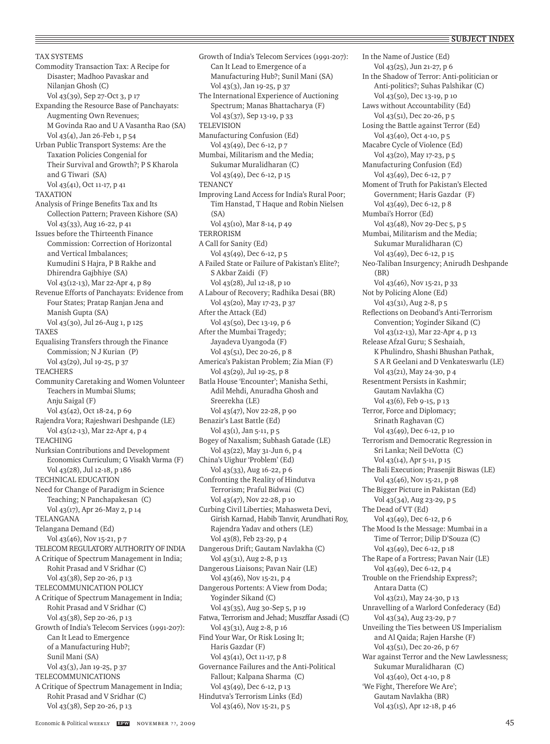TAX SYSTEMS Commodity Transaction Tax: A Recipe for Disaster; Madhoo Pavaskar and Nilanjan Ghosh (C) Vol 43(39), Sep 27-Oct 3, p 17 Expanding the Resource Base of Panchayats: Augmenting Own Revenues; M Govinda Rao and U A Vasantha Rao (SA) Vol 43(4), Jan 26-Feb 1, p 54 Urban Public Transport Systems: Are the Taxation Policies Congenial for Their Survival and Growth?; P S Kharola and G Tiwari (SA) Vol 43(41), Oct 11-17, p 41 TAXATION Analysis of Fringe Benefits Tax and Its Collection Pattern; Praveen Kishore (SA) Vol 43(33), Aug 16-22, p 41 Issues before the Thirteenth Finance Commission: Correction of Horizontal and Vertical Imbalances; Kumudini S Hajra, P B Rakhe and Dhirendra Gajbhiye (SA) Vol 43(12-13), Mar 22-Apr 4, p 89 Revenue Efforts of Panchayats: Evidence from Four States; Pratap Ranjan Jena and Manish Gupta (SA) Vol 43(30), Jul 26-Aug 1, p 125 TAXES Equalising Transfers through the Finance Commission; N J Kurian (P) Vol 43(29), Jul 19-25, p 37 **TEACHERS** Community Caretaking and Women Volunteer Teachers in Mumbai Slums; Anju Saigal (F) Vol 43(42), Oct 18-24, p 69 Rajendra Vora; Rajeshwari Deshpande (LE) Vol 43(12-13), Mar 22-Apr 4, p 4 TEACHING Nurksian Contributions and Development Economics Curriculum; G Visakh Varma (F) Vol 43(28), Jul 12-18, p 186 TECHNICAL EDUCATION Need for Change of Paradigm in Science Teaching; N Panchapakesan (C) Vol 43(17), Apr 26-May 2, p 14 TELANGANA Telangana Demand (Ed) Vol 43(46), Nov 15-21, p 7 TELECOM REGULATORY AUTHORITY OF INDIA A Critique of Spectrum Management in India; Rohit Prasad and V Sridhar (C) Vol 43(38), Sep 20-26, p 13 TELECOMMUNICATION POLICY A Critique of Spectrum Management in India; Rohit Prasad and V Sridhar (C) Vol 43(38), Sep 20-26, p 13 Growth of India's Telecom Services (1991-207): Can It Lead to Emergence of a Manufacturing Hub?; Sunil Mani (SA) Vol 43(3), Jan 19-25, p 37 TELECOMMUNICATIONS A Critique of Spectrum Management in India; Rohit Prasad and V Sridhar (C) Vol 43(38), Sep 20-26, p 13

Growth of India's Telecom Services (1991-207): Can It Lead to Emergence of a Manufacturing Hub?; Sunil Mani (SA) Vol 43(3), Jan 19-25, p 37 The International Experience of Auctioning Spectrum; Manas Bhattacharya (F) Vol 43(37), Sep 13-19, p 33 TELEVISION Manufacturing Confusion (Ed) Vol 43(49), Dec 6-12, p 7 Mumbai, Militarism and the Media; Sukumar Muralidharan (C) Vol 43(49), Dec 6-12, p 15 **TENANCY** Improving Land Access for India's Rural Poor; Tim Hanstad, T Haque and Robin Nielsen  $(SA)$ Vol 43(10), Mar 8-14, p 49 **TERRORISM** A Call for Sanity (Ed) Vol 43(49), Dec 6-12, p 5 A Failed State or Failure of Pakistan's Elite?; S Akbar Zaidi (F) Vol 43(28), Jul 12-18, p 10 A Labour of Recovery; Radhika Desai (BR) Vol 43(20), May 17-23, p 37 After the Attack (Ed) Vol 43(50), Dec 13-19, p 6 After the Mumbai Tragedy; Jayadeva Uyangoda (F) Vol 43(51), Dec 20-26, p 8 America's Pakistan Problem; Zia Mian (F) Vol 43(29), Jul 19-25, p 8 Batla House 'Encounter'; Manisha Sethi, Adil Mehdi, Anuradha Ghosh and Sreerekha (LE) Vol 43(47), Nov 22-28, p 90 Benazir's Last Battle (Ed) Vol 43(1), Jan 5-11, p 5 Bogey of Naxalism; Subhash Gatade (LE) Vol 43(22), May 31-Jun 6, p 4 China's Uighur 'Problem' (Ed) Vol 43(33), Aug 16-22, p 6 Confronting the Reality of Hindutva Terrorism; Praful Bidwai (C) Vol 43(47), Nov 22-28, p 10 Curbing Civil Liberties; Mahasweta Devi, Girish Karnad, Habib Tanvir, Arundhati Roy, Rajendra Yadav and others (LE) Vol 43(8), Feb 23-29, p 4 Dangerous Drift; Gautam Navlakha (C) Vol 43(31), Aug 2-8, p 13 Dangerous Liaisons; Pavan Nair (LE) Vol 43(46), Nov 15-21, p 4 Dangerous Portents: A View from Doda; Yoginder Sikand (C) Vol 43(35), Aug 30-Sep 5, p 19 Fatwa, Terrorism and Jehad; Muszffar Assadi (C) Vol 43(31), Aug 2-8, p 16 Find Your War, Or Risk Losing It; Haris Gazdar (F) Vol 43(41), Oct 11-17, p 8 Governance Failures and the Anti-Political Fallout; Kalpana Sharma (C) Vol 43(49), Dec 6-12, p 13 Hindutva's Terrorism Links (Ed) Vol 43(46), Nov 15-21, p 5

In the Name of Justice (Ed) Vol 43(25), Jun 21-27, p 6 In the Shadow of Terror: Anti-politician or Anti-politics?; Suhas Palshikar (C) Vol 43(50), Dec 13-19, p 10 Laws without Accountability (Ed) Vol 43(51), Dec 20-26, p 5 Losing the Battle against Terror (Ed) Vol 43(40), Oct 4-10, p 5 Macabre Cycle of Violence (Ed) Vol 43(20), May 17-23, p 5 Manufacturing Confusion (Ed) Vol 43(49), Dec 6-12, p 7 Moment of Truth for Pakistan's Elected Government; Haris Gazdar (F) Vol 43(49), Dec 6-12, p 8 Mumbai's Horror (Ed) Vol 43(48), Nov 29-Dec 5, p 5 Mumbai, Militarism and the Media; Sukumar Muralidharan (C) Vol 43(49), Dec 6-12, p 15 Neo-Taliban Insurgency; Anirudh Deshpande (BR) Vol 43(46), Nov 15-21, p 33 Not by Policing Alone (Ed) Vol 43(31), Aug 2-8, p 5 Reflections on Deoband's Anti-Terrorism Convention; Yoginder Sikand (C) Vol 43(12-13), Mar 22-Apr 4, p 13 Release Afzal Guru; S Seshaiah, K Phulindro, Shashi Bhushan Pathak, S A R Geelani and D Venkateswarlu (LE) Vol 43(21), May 24-30, p 4 Resentment Persists in Kashmir; Gautam Navlakha (C) Vol 43(6), Feb 9-15, p 13 Terror, Force and Diplomacy; Srinath Raghavan (C) Vol 43(49), Dec 6-12, p 10 Terrorism and Democratic Regression in Sri Lanka; Neil DeVotta (C) Vol 43(14), Apr 5-11, p 15 The Bali Execution; Prasenjit Biswas (LE) Vol 43(46), Nov 15-21, p 98 The Bigger Picture in Pakistan (Ed) Vol 43(34), Aug 23-29, p 5 The Dead of VT (Ed) Vol 43(49), Dec 6-12, p 6 The Mood Is the Message: Mumbai in a Time of Terror; Dilip D'Souza (C) Vol 43(49), Dec 6-12, p 18 The Rape of a Fortress; Pavan Nair (LE) Vol 43(49), Dec 6-12, p 4 Trouble on the Friendship Express?; Antara Datta (C) Vol 43(21), May 24-30, p 13 Unravelling of a Warlord Confederacy (Ed) Vol 43(34), Aug 23-29, p 7 Unveiling the Ties between US Imperialism and Al Qaida; Rajen Harshe (F) Vol 43(51), Dec 20-26, p 67 War against Terror and the New Lawlessness; Sukumar Muralidharan (C) Vol 43(40), Oct 4-10, p 8 'We Fight, Therefore We Are'; Gautam Navlakha (BR) Vol 43(15), Apr 12-18, p 46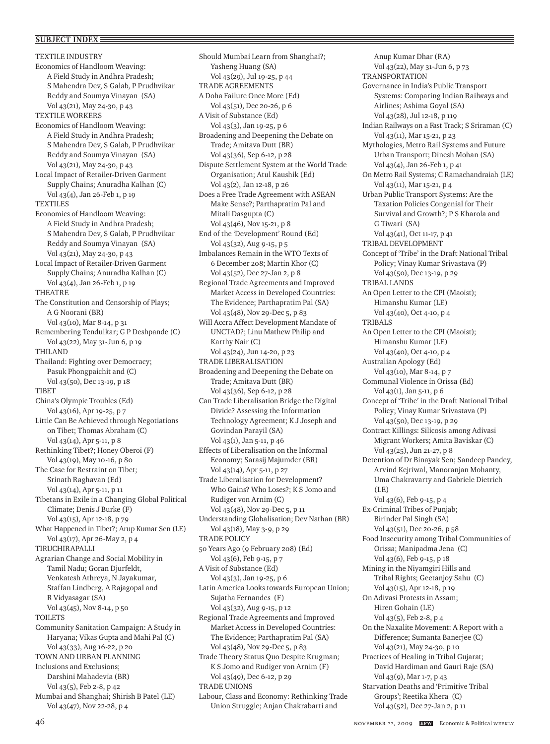TEXTILE INDUSTRY Economics of Handloom Weaving: A Field Study in Andhra Pradesh; S Mahendra Dev, S Galab, P Prudhvikar Reddy and Soumya Vinayan (SA) Vol 43(21), May 24-30, p 43 TEXTILE WORKERS Economics of Handloom Weaving: A Field Study in Andhra Pradesh; S Mahendra Dev, S Galab, P Prudhvikar Reddy and Soumya Vinayan (SA) Vol 43(21), May 24-30, p 43 Local Impact of Retailer-Driven Garment Supply Chains; Anuradha Kalhan (C) Vol 43(4), Jan 26-Feb 1, p 19 TEXTILES Economics of Handloom Weaving: A Field Study in Andhra Pradesh; S Mahendra Dev, S Galab, P Prudhvikar Reddy and Soumya Vinayan (SA) Vol 43(21), May 24-30, p 43 Local Impact of Retailer-Driven Garment Supply Chains; Anuradha Kalhan (C) Vol 43(4), Jan 26-Feb 1, p 19 THEATRE The Constitution and Censorship of Plays; A G Noorani (BR) Vol 43(10), Mar 8-14, p 31 Remembering Tendulkar; G P Deshpande (C) Vol 43(22), May 31-Jun 6, p 19 THILAND Thailand: Fighting over Democracy; Pasuk Phongpaichit and (C) Vol 43(50), Dec 13-19, p 18 TIBET China's Olympic Troubles (Ed) Vol 43(16), Apr 19-25, p 7 Little Can Be Achieved through Negotiations on Tibet; Thomas Abraham (C) Vol 43(14), Apr 5-11, p 8 Rethinking Tibet?; Honey Oberoi (F) Vol 43(19), May 10-16, p 80 The Case for Restraint on Tibet; Srinath Raghavan (Ed) Vol 43(14), Apr 5-11, p 11 Tibetans in Exile in a Changing Global Political Climate; Denis J Burke (F) Vol 43(15), Apr 12-18, p 79 What Happened in Tibet?; Arup Kumar Sen (LE) Vol 43(17), Apr 26-May 2, p 4 TIRUCHIRAPALLI Agrarian Change and Social Mobility in Tamil Nadu; Goran Djurfeldt, Venkatesh Athreya, N Jayakumar, Staffan Lindberg, A Rajagopal and R Vidyasagar (SA) Vol 43(45), Nov 8-14, p 50 TOILETS Community Sanitation Campaign: A Study in Haryana; Vikas Gupta and Mahi Pal (C) Vol 43(33), Aug 16-22, p 20 TOWN AND URBAN PLANNING Inclusions and Exclusions; Darshini Mahadevia (BR) Vol 43(5), Feb 2-8, p 42 Mumbai and Shanghai; Shirish B Patel (LE) Vol 43(47), Nov 22-28, p 4

Should Mumbai Learn from Shanghai?; Yasheng Huang (SA) Vol 43(29), Jul 19-25, p 44 TRADE AGREEMENTS A Doha Failure Once More (Ed) Vol 43(51), Dec 20-26, p 6 A Visit of Substance (Ed) Vol 43(3), Jan 19-25, p 6 Broadening and Deepening the Debate on Trade; Amitava Dutt (BR) Vol 43(36), Sep 6-12, p 28 Dispute Settlement System at the World Trade Organisation; Atul Kaushik (Ed) Vol 43(2), Jan 12-18, p 26 Does a Free Trade Agreement with ASEAN Make Sense?; Parthapratim Pal and Mitali Dasgupta (C) Vol 43(46), Nov 15-21, p 8 End of the 'Development' Round (Ed) Vol 43(32), Aug 9-15, p 5 Imbalances Remain in the WTO Texts of 6 December 208; Martin Khor (C) Vol 43(52), Dec 27-Jan 2, p 8 Regional Trade Agreements and Improved Market Access in Developed Countries: The Evidence; Parthapratim Pal (SA) Vol 43(48), Nov 29-Dec 5, p 83 Will Accra Affect Development Mandate of UNCTAD?; Linu Mathew Philip and Karthy Nair (C) Vol 43(24), Jun 14-20, p 23 TRADE LIBERALISATION Broadening and Deepening the Debate on Trade; Amitava Dutt (BR) Vol 43(36), Sep 6-12, p 28 Can Trade Liberalisation Bridge the Digital Divide? Assessing the Information Technology Agreement; K J Joseph and Govindan Parayil (SA) Vol 43(1), Jan 5-11, p 46 Effects of Liberalisation on the Informal Economy; Sarasij Majumder (BR) Vol 43(14), Apr 5-11, p 27 Trade Liberalisation for Development? Who Gains? Who Loses?; K S Jomo and Rudiger von Arnim (C) Vol 43(48), Nov 29-Dec 5, p 11 Understanding Globalisation; Dev Nathan (BR) Vol 43(18), May 3-9, p 29 TRADE POLICY 50 Years Ago (9 February 208) (Ed) Vol 43(6), Feb 9-15, p 7 A Visit of Substance (Ed) Vol 43(3), Jan 19-25, p 6 Latin America Looks towards European Union; Sujatha Fernandes (F) Vol 43(32), Aug 9-15, p 12 Regional Trade Agreements and Improved Market Access in Developed Countries: The Evidence; Parthapratim Pal (SA) Vol 43(48), Nov 29-Dec 5, p 83 Trade Theory Status Quo Despite Krugman; K S Jomo and Rudiger von Arnim (F) Vol 43(49), Dec 6-12, p 29 TRADE UNIONS Labour, Class and Economy: Rethinking Trade Union Struggle; Anjan Chakrabarti and

Anup Kumar Dhar (RA) Vol 43(22), May 31-Jun 6, p 73 TRANSPORTATION Governance in India's Public Transport Systems: Comparing Indian Railways and Airlines; Ashima Goyal (SA) Vol 43(28), Jul 12-18, p 119 Indian Railways on a Fast Track; S Sriraman (C) Vol 43(11), Mar 15-21, p 23 Mythologies, Metro Rail Systems and Future Urban Transport; Dinesh Mohan (SA) Vol 43(4), Jan 26-Feb 1, p 41 On Metro Rail Systems; C Ramachandraiah (LE) Vol 43(11), Mar 15-21, p 4 Urban Public Transport Systems: Are the Taxation Policies Congenial for Their Survival and Growth?; P S Kharola and G Tiwari (SA) Vol 43(41), Oct 11-17, p 41 TRIBAL DEVELOPMENT Concept of 'Tribe' in the Draft National Tribal Policy; Vinay Kumar Srivastava (P) Vol 43(50), Dec 13-19, p 29 TRIBAL LANDS An Open Letter to the CPI (Maoist); Himanshu Kumar (LE) Vol 43(40), Oct 4-10, p 4 TRIBALS An Open Letter to the CPI (Maoist); Himanshu Kumar (LE) Vol 43(40), Oct 4-10, p 4 Australian Apology (Ed) Vol 43(10), Mar 8-14, p 7 Communal Violence in Orissa (Ed) Vol 43(1), Jan 5-11, p 6 Concept of 'Tribe' in the Draft National Tribal Policy; Vinay Kumar Srivastava (P) Vol 43(50), Dec 13-19, p 29 Contract Killings: Silicosis among Adivasi Migrant Workers; Amita Baviskar (C) Vol 43(25), Jun 21-27, p 8 Detention of Dr Binayak Sen; Sandeep Pandey, Arvind Kejriwal, Manoranjan Mohanty, Uma Chakravarty and Gabriele Dietrich  $(I.E)$ Vol 43(6), Feb 9-15, p 4 Ex-Criminal Tribes of Punjab; Birinder Pal Singh (SA) Vol 43(51), Dec 20-26, p 58 Food Insecurity among Tribal Communities of Orissa; Manipadma Jena (C) Vol 43(6), Feb 9-15, p 18 Mining in the Niyamgiri Hills and Tribal Rights; Geetanjoy Sahu (C) Vol 43(15), Apr 12-18, p 19 On Adivasi Protests in Assam; Hiren Gohain (LE) Vol 43(5), Feb 2-8, p 4 On the Naxalite Movement: A Report with a Difference; Sumanta Banerjee (C) Vol 43(21), May 24-30, p 10 Practices of Healing in Tribal Gujarat; David Hardiman and Gauri Raje (SA) Vol 43(9), Mar 1-7, p 43 Starvation Deaths and 'Primitive Tribal Groups'; Reetika Khera (C) Vol 43(52), Dec 27-Jan 2, p 11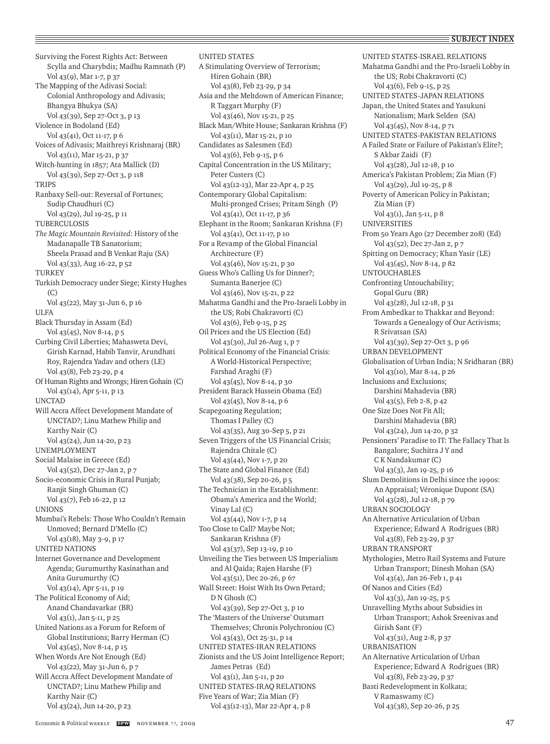Surviving the Forest Rights Act: Between Scylla and Charybdis; Madhu Ramnath (P) Vol 43(9), Mar 1-7, p 37 The Mapping of the Adivasi Social: Colonial Anthropology and Adivasis; Bhangya Bhukya (SA) Vol 43(39), Sep 27-Oct 3, p 13 Violence in Bodoland (Ed) Vol 43(41), Oct 11-17, p 6 Voices of Adivasis; Maithreyi Krishnaraj (BR) Vol 43(11), Mar 15-21, p 37 Witch-hunting in 1857; Ata Mallick (D) Vol 43(39), Sep 27-Oct 3, p 118 TRIPS Ranbaxy Sell-out: Reversal of Fortunes; Sudip Chaudhuri (C) Vol 43(29), Jul 19-25, p 11 TUBERCULOSIS *The Magic Mountain Revisited*: History of the Madanapalle TB Sanatorium; Sheela Prasad and B Venkat Raju (SA) Vol 43(33), Aug 16-22, p 52 TURKEY Turkish Democracy under Siege; Kirsty Hughes (C) Vol 43(22), May 31-Jun 6, p 16 ULFA Black Thursday in Assam (Ed) Vol 43(45), Nov 8-14, p 5 Curbing Civil Liberties; Mahasweta Devi, Girish Karnad, Habib Tanvir, Arundhati Roy, Rajendra Yadav and others (LE) Vol 43(8), Feb 23-29, p 4 Of Human Rights and Wrongs; Hiren Gohain (C) Vol 43(14), Apr 5-11, p 13 UNCTAD Will Accra Affect Development Mandate of UNCTAD?; Linu Mathew Philip and Karthy Nair (C) Vol 43(24), Jun 14-20, p 23 UNEMPLOYMENT Social Malaise in Greece (Ed) Vol 43(52), Dec 27-Jan 2, p 7 Socio-economic Crisis in Rural Punjab; Ranjit Singh Ghuman (C) Vol 43(7), Feb 16-22, p 12 UNIONS Mumbai's Rebels: Those Who Couldn't Remain Unmoved; Bernard D'Mello (C) Vol 43(18), May 3-9, p 17 UNITED NATIONS Internet Governance and Development Agenda; Gurumurthy Kasinathan and Anita Gurumurthy (C) Vol 43(14), Apr 5-11, p 19 The Political Economy of Aid; Anand Chandavarkar (BR) Vol 43(1), Jan 5-11, p 25 United Nations as a Forum for Reform of Global Institutions; Barry Herman (C) Vol 43(45), Nov 8-14, p 15 When Words Are Not Enough (Ed) Vol 43(22), May 31-Jun 6, p 7 Will Accra Affect Development Mandate of UNCTAD?; Linu Mathew Philip and Karthy Nair (C) Vol 43(24), Jun 14-20, p 23

A Stimulating Overview of Terrorism; Hiren Gohain (BR) Vol 43(8), Feb 23-29, p 34 Asia and the Meltdown of American Finance; R Taggart Murphy (F) Vol 43(46), Nov 15-21, p 25 Black Man/White House; Sankaran Krishna (F) Vol 43(11), Mar 15-21, p 10 Candidates as Salesmen (Ed) Vol 43(6), Feb 9-15, p 6 Capital Concentration in the US Military; Peter Custers (C) Vol 43(12-13), Mar 22-Apr 4, p 25 Contemporary Global Capitalism: Multi-pronged Crises; Pritam Singh (P) Vol 43(41), Oct 11-17, p 36 Elephant in the Room; Sankaran Krishna (F) Vol 43(41), Oct 11-17, p 10 For a Revamp of the Global Financial Architecture (F) Vol 43(46), Nov 15-21, p 30 Guess Who's Calling Us for Dinner?; Sumanta Banerjee (C) Vol 43(46), Nov 15-21, p 22 Mahatma Gandhi and the Pro-Israeli Lobby in the US; Robi Chakravorti (C) Vol 43(6), Feb 9-15, p 25 Oil Prices and the US Election (Ed) Vol 43(30), Jul 26-Aug 1, p 7 Political Economy of the Financial Crisis: A World-Historical Perspective; Farshad Araghi (F) Vol 43(45), Nov 8-14, p 30 President Barack Hussein Obama (Ed) Vol 43(45), Nov 8-14, p 6 Scapegoating Regulation; Thomas I Palley (C) Vol 43(35), Aug 30-Sep 5, p 21 Seven Triggers of the US Financial Crisis; Rajendra Chitale (C) Vol 43(44), Nov 1-7, p 20 The State and Global Finance (Ed) Vol 43(38), Sep 20-26, p 5 The Technician in the Establishment: Obama's America and the World; Vinay Lal (C) Vol 43(44), Nov 1-7, p 14 Too Close to Call? Maybe Not; Sankaran Krishna (F) Vol 43(37), Sep 13-19, p 10 Unveiling the Ties between US Imperialism and Al Qaida; Rajen Harshe (F) Vol 43(51), Dec 20-26, p 67 Wall Street: Hoist With Its Own Petard; D N Ghosh (C) Vol 43(39), Sep 27-Oct 3, p 10 The 'Masters of the Universe' Outsmart Themselves; Chronis Polychroniou (C) Vol 43(43), Oct 25-31, p 14 UNITED STATES-IRAN RELATIONS Zionists and the US Joint Intelligence Report; James Petras (Ed) Vol 43(1), Jan 5-11, p 20 UNITED STATES-IRAQ RELATIONS Five Years of War; Zia Mian (F) Vol 43(12-13), Mar 22-Apr 4, p 8

UNITED STATES

UNITED STATES-ISRAEL RELATIONS Mahatma Gandhi and the Pro-Israeli Lobby in the US; Robi Chakravorti (C) Vol 43(6), Feb 9-15, p 25 UNITED STATES-JAPAN RELATIONS Japan, the United States and Yasukuni Nationalism; Mark Selden (SA) Vol 43(45), Nov 8-14, p 71 UNITED STATES-PAKISTAN RELATIONS A Failed State or Failure of Pakistan's Elite?; S Akbar Zaidi (F) Vol 43(28), Jul 12-18, p 10 America's Pakistan Problem; Zia Mian (F) Vol 43(29), Jul 19-25, p 8 Poverty of American Policy in Pakistan; Zia Mian (F) Vol 43(1), Jan 5-11, p 8 UNIVERSITIES From 50 Years Ago (27 December 208) (Ed) Vol 43(52), Dec 27-Jan 2, p 7 Spitting on Democracy; Khan Yasir (LE) Vol 43(45), Nov 8-14, p 82 UNTOUCHABLES Confronting Untouchability; Gopal Guru (BR) Vol 43(28), Jul 12-18, p 31 From Ambedkar to Thakkar and Beyond: Towards a Genealogy of Our Activisms; R Srivatsan (SA) Vol 43(39), Sep 27-Oct 3, p 96 URBAN DEVELOPMENT Globalisation of Urban India; N Sridharan (BR) Vol 43(10), Mar 8-14, p 26 Inclusions and Exclusions; Darshini Mahadevia (BR) Vol 43(5), Feb 2-8, p 42 One Size Does Not Fit All; Darshini Mahadevia (BR) Vol 43(24), Jun 14-20, p 32 Pensioners' Paradise to IT: The Fallacy That Is Bangalore; Suchitra J Y and C K Nandakumar (C) Vol 43(3), Jan 19-25, p 16 Slum Demolitions in Delhi since the 1990s: An Appraisal; Véronique Dupont (SA) Vol 43(28), Jul 12-18, p 79 URBAN SOCIOLOGY An Alternative Articulation of Urban Experience; Edward A Rodrigues (BR) Vol 43(8), Feb 23-29, p 37 URBAN TRANSPORT Mythologies, Metro Rail Systems and Future Urban Transport; Dinesh Mohan (SA) Vol 43(4), Jan 26-Feb 1, p 41 Of Nanos and Cities (Ed) Vol 43(3), Jan 19-25, p 5 Unravelling Myths about Subsidies in Urban Transport; Ashok Sreenivas and Girish Sant (F) Vol 43(31), Aug 2-8, p 37 URBANISATION An Alternative Articulation of Urban Experience; Edward A Rodrigues (BR) Vol 43(8), Feb 23-29, p 37 Basti Redevelopment in Kolkata; V Ramaswamy (C) Vol 43(38), Sep 20-26, p 25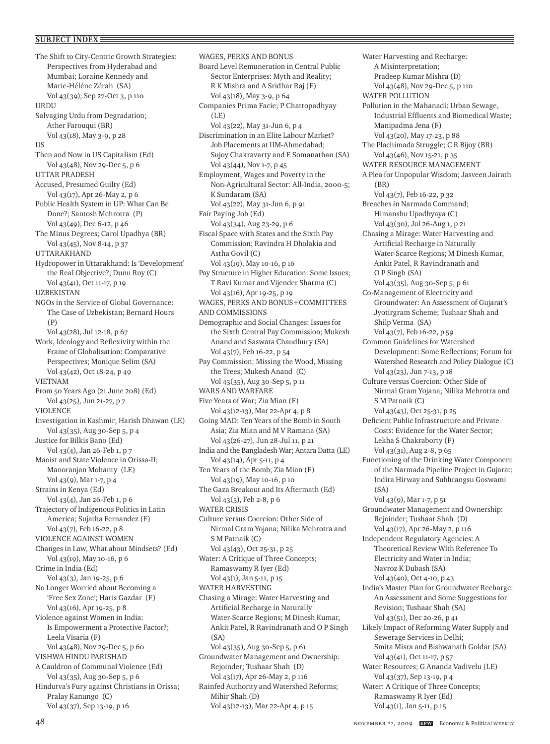The Shift to City-Centric Growth Strategies: Perspectives from Hyderabad and Mumbai; Loraine Kennedy and Marie-Héléne Zérah (SA) Vol 43(39), Sep 27-Oct 3, p 110 URDU Salvaging Urdu from Degradation; Ather Farouqui (BR) Vol 43(18), May 3-9, p 28 US Then and Now in US Capitalism (Ed) Vol 43(48), Nov 29-Dec 5, p 6 UTTAR PRADESH Accused, Presumed Guilty (Ed) Vol 43(17), Apr 26-May 2, p 6 Public Health System in UP: What Can Be Done?; Santosh Mehrotra (P) Vol 43(49), Dec 6-12, p 46 The Minus Degrees; Carol Upadhya (BR) Vol 43(45), Nov 8-14, p 37 UTTARAKHAND Hydropower in Uttarakhand: Is 'Development' the Real Objective?; Dunu Roy (C) Vol 43(41), Oct 11-17, p 19 UZBEKISTAN NGOs in the Service of Global Governance: The Case of Uzbekistan; Bernard Hours (P) Vol 43(28), Jul 12-18, p 67 Work, Ideology and Reflexivity within the Frame of Globalisation: Comparative Perspectives; Monique Selim (SA) Vol 43(42), Oct 18-24, p 49 VIETNAM From 50 Years Ago (21 June 208) (Ed) Vol 43(25), Jun 21-27, p 7 VIOLENCE Investigation in Kashmir; Harish Dhawan (LE) Vol 43(35), Aug 30-Sep 5, p 4 Justice for Bilkis Bano (Ed) Vol 43(4), Jan 26-Feb 1, p 7 Maoist and State Violence in Orissa-II; Manoranjan Mohanty (LE) Vol 43(9), Mar 1-7, p 4 Strains in Kenya (Ed) Vol 43(4), Jan 26-Feb 1, p 6 Trajectory of Indigenous Politics in Latin America; Sujatha Fernandez (F) Vol 43(7), Feb 16-22, p 8 VIOLENCE AGAINST WOMEN Changes in Law, What about Mindsets? (Ed) Vol 43(19), May 10-16, p 6 Crime in India (Ed) Vol 43(3), Jan 19-25, p 6 No Longer Worried about Becoming a 'Free Sex Zone'; Haris Gazdar (F) Vol 43(16), Apr 19-25, p 8 Violence against Women in India: Is Empowerment a Protective Factor?; Leela Visaria (F) Vol 43(48), Nov 29-Dec 5, p 60 VISHWA HINDU PARISHAD A Cauldron of Communal Violence (Ed) Vol 43(35), Aug 30-Sep 5, p 6 Hindutva's Fury against Christians in Orissa; Pralay Kanungo (C) Vol 43(37), Sep 13-19, p 16

WAGES, PERKS AND BONUS Board Level Remuneration in Central Public Sector Enterprises: Myth and Reality; R K Mishra and A Sridhar Raj (F) Vol 43(18), May 3-9, p 64 Companies Prima Facie; P Chattopadhyay  $(LE)$ Vol 43(22), May 31-Jun 6, p 4 Discrimination in an Elite Labour Market? Job Placements at IIM-Ahmedabad; Sujoy Chakravarty and E Somanathan (SA) Vol 43(44), Nov 1-7, p 45 Employment, Wages and Poverty in the Non-Agricultural Sector: All-India, 2000-5; K Sundaram (SA) Vol 43(22), May 31-Jun 6, p 91 Fair Paying Job (Ed) Vol 43(34), Aug 23-29, p 6 Fiscal Space with States and the Sixth Pay Commission; Ravindra H Dholakia and Astha Govil (C) Vol 43(19), May 10-16, p 16 Pay Structure in Higher Education: Some Issues; T Ravi Kumar and Vijender Sharma (C) Vol 43(16), Apr 19-25, p 19 WAGES, PERKS AND BONUS+COMMITTEES AND COMMISSIONS Demographic and Social Changes: Issues for the Sixth Central Pay Commission; Mukesh Anand and Saswata Chaudhury (SA) Vol 43(7), Feb 16-22, p 54 Pay Commission: Missing the Wood, Missing the Trees; Mukesh Anand (C) Vol 43(35), Aug 30-Sep 5, p 11 WARS AND WARFARE Five Years of War; Zia Mian (F) Vol 43(12-13), Mar 22-Apr 4, p 8 Going MAD: Ten Years of the Bomb in South Asia; Zia Mian and M V Ramana (SA) Vol 43(26-27), Jun 28-Jul 11, p 21 India and the Bangladesh War; Antara Datta (LE) Vol 43(14), Apr 5-11, p 4 Ten Years of the Bomb; Zia Mian (F) Vol 43(19), May 10-16, p 10 The Gaza Breakout and Its Aftermath (Ed) Vol 43(5), Feb 2-8, p 6 WATER CRISIS Culture versus Coercion: Other Side of Nirmal Gram Yojana; Nilika Mehrotra and S M Patnaik (C) Vol 43(43), Oct 25-31, p 25 Water: A Critique of Three Concepts; Ramaswamy R Iyer (Ed) Vol 43(1), Jan 5-11, p 15 WATER HARVESTING Chasing a Mirage: Water Harvesting and Artificial Recharge in Naturally Water-Scarce Regions; M Dinesh Kumar, Ankit Patel, R Ravindranath and O P Singh  $(SA)$ Vol 43(35), Aug 30-Sep 5, p 61 Groundwater Management and Ownership: Rejoinder; Tushaar Shah (D) Vol 43(17), Apr 26-May 2, p 116 Rainfed Authority and Watershed Reforms; Mihir Shah (D) Vol 43(12-13), Mar 22-Apr 4, p 15

Water Harvesting and Recharge: A Misinterpretation; Pradeep Kumar Mishra (D) Vol 43(48), Nov 29-Dec 5, p 110 WATER POLLUTION Pollution in the Mahanadi: Urban Sewage, Industrial Effluents and Biomedical Waste; Manipadma Jena (F) Vol 43(20), May 17-23, p 88 The Plachimada Struggle; C R Bijoy (BR) Vol 43(46), Nov 15-21, p 35 WATER RESOURCE MANAGEMENT A Plea for Unpopular Wisdom; Jasveen Jairath (BR) Vol 43(7), Feb 16-22, p 32 Breaches in Narmada Command; Himanshu Upadhyaya (C) Vol 43(30), Jul 26-Aug 1, p 21 Chasing a Mirage: Water Harvesting and Artificial Recharge in Naturally Water-Scarce Regions; M Dinesh Kumar, Ankit Patel, R Ravindranath and O P Singh (SA) Vol 43(35), Aug 30-Sep 5, p 61 Co-Management of Electricity and Groundwater: An Assessment of Gujarat's Jyotirgram Scheme; Tushaar Shah and Shilp Verma (SA) Vol 43(7), Feb 16-22, p 59 Common Guidelines for Watershed Development: Some Reflections; Forum for Watershed Research and Policy Dialogue (C) Vol 43(23), Jun 7-13, p 18 Culture versus Coercion: Other Side of Nirmal Gram Yojana; Nilika Mehrotra and S M Patnaik (C) Vol 43(43), Oct 25-31, p 25 Deficient Public Infrastructure and Private Costs: Evidence for the Water Sector; Lekha S Chakraborty (F) Vol 43(31), Aug 2-8, p 65 Functioning of the Drinking Water Component of the Narmada Pipeline Project in Gujarat; Indira Hirway and Subhrangsu Goswami  $(SA)$ Vol 43(9), Mar 1-7, p 51 Groundwater Management and Ownership: Rejoinder; Tushaar Shah (D) Vol 43(17), Apr 26-May 2, p 116 Independent Regulatory Agencies: A Theoretical Review With Reference To Electricity and Water in India; Navroz K Dubash (SA) Vol 43(40), Oct 4-10, p 43 India's Master Plan for Groundwater Recharge: An Assessment and Some Suggestions for Revision; Tushaar Shah (SA) Vol 43(51), Dec 20-26, p 41 Likely Impact of Reforming Water Supply and Sewerage Services in Delhi; Smita Misra and Bishwanath Goldar (SA) Vol 43(41), Oct 11-17, p 57 Water Resources; G Ananda Vadivelu (LE) Vol 43(37), Sep 13-19, p 4 Water: A Critique of Three Concepts; Ramaswamy R Iyer (Ed) Vol 43(1), Jan 5-11, p 15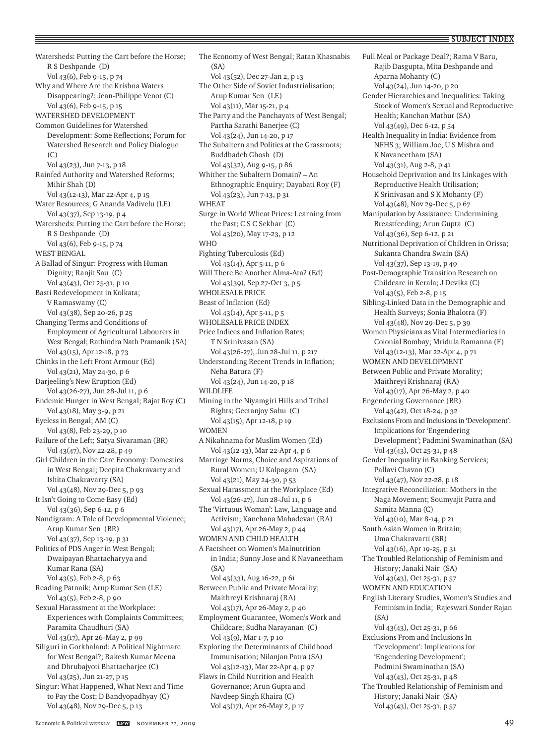Watersheds: Putting the Cart before the Horse; R S Deshpande (D) Vol 43(6), Feb 9-15, p 74 Why and Where Are the Krishna Waters Disappearing?; Jean-Philippe Venot (C) Vol 43(6), Feb 9-15, p 15 WATERSHED DEVELOPMENT Common Guidelines for Watershed Development: Some Reflections; Forum for Watershed Research and Policy Dialogue (C) Vol 43(23), Jun 7-13, p 18 Rainfed Authority and Watershed Reforms; Mihir Shah (D) Vol 43(12-13), Mar 22-Apr 4, p 15 Water Resources; G Ananda Vadivelu (LE) Vol 43(37), Sep 13-19, p 4 Watersheds: Putting the Cart before the Horse; R S Deshpande (D) Vol 43(6), Feb 9-15, p 74 WEST BENGAL A Ballad of Singur: Progress with Human Dignity; Ranjit Sau (C) Vol 43(43), Oct 25-31, p 10 Basti Redevelopment in Kolkata; V Ramaswamy (C) Vol 43(38), Sep 20-26, p 25 Changing Terms and Conditions of Employment of Agricultural Labourers in West Bengal; Rathindra Nath Pramanik (SA) Vol 43(15), Apr 12-18, p 73 Chinks in the Left Front Armour (Ed) Vol 43(21), May 24-30, p 6 Darjeeling's New Eruption (Ed) Vol 43(26-27), Jun 28-Jul 11, p 6 Endemic Hunger in West Bengal; Rajat Roy (C) Vol 43(18), May 3-9, p 21 Eyeless in Bengal; AM (C) Vol 43(8), Feb 23-29, p 10 Failure of the Left; Satya Sivaraman (BR) Vol 43(47), Nov 22-28, p 49 Girl Children in the Care Economy: Domestics in West Bengal; Deepita Chakravarty and Ishita Chakravarty (SA) Vol 43(48), Nov 29-Dec 5, p 93 It Isn't Going to Come Easy (Ed) Vol 43(36), Sep 6-12, p 6 Nandigram: A Tale of Developmental Violence; Arup Kumar Sen (BR) Vol 43(37), Sep 13-19, p 31 Politics of PDS Anger in West Bengal; Dwaipayan Bhattacharyya and Kumar Rana (SA) Vol 43(5), Feb 2-8, p 63 Reading Patnaik; Arup Kumar Sen (LE) Vol 43(5), Feb 2-8, p 90 Sexual Harassment at the Workplace: Experiences with Complaints Committees; Paramita Chaudhuri (SA) Vol 43(17), Apr 26-May 2, p 99 Siliguri in Gorkhaland: A Political Nightmare for West Bengal?; Rakesh Kumar Meena and Dhrubajyoti Bhattacharjee (C) Vol 43(25), Jun 21-27, p 15 Singur: What Happened, What Next and Time to Pay the Cost; D Bandyopadhyay (C) Vol 43(48), Nov 29-Dec 5, p 13

The Economy of West Bengal; Ratan Khasnabis (SA) Vol 43(52), Dec 27-Jan 2, p 13 The Other Side of Soviet Industrialisation; Arup Kumar Sen (LE) Vol 43(11), Mar 15-21, p 4 The Party and the Panchayats of West Bengal; Partha Sarathi Banerjee (C) Vol 43(24), Jun 14-20, p 17 The Subaltern and Politics at the Grassroots; Buddhadeb Ghosh (D) Vol 43(32), Aug 9-15, p 86 Whither the Subaltern Domain? – An Ethnographic Enquiry; Dayabati Roy (F) Vol 43(23), Jun 7-13, p 31 WHEAT Surge in World Wheat Prices: Learning from the Past; C S C Sekhar (C) Vol 43(20), May 17-23, p 12 WHO Fighting Tuberculosis (Ed) Vol 43(14), Apr 5-11, p 6 Will There Be Another Alma-Ata? (Ed) Vol 43(39), Sep 27-Oct 3, p 5 WHOLESALE PRICE Beast of Inflation (Ed) Vol 43(14), Apr 5-11, p 5 WHOLESALE PRICE INDEX Price Indices and Inflation Rates; T N Srinivasan (SA) Vol 43(26-27), Jun 28-Jul 11, p 217 Understanding Recent Trends in Inflation; Neha Batura (F) Vol 43(24), Jun 14-20, p 18 WILDLIFE Mining in the Niyamgiri Hills and Tribal Rights; Geetanjoy Sahu (C) Vol 43(15), Apr 12-18, p 19 WOMEN A Nikahnama for Muslim Women (Ed) Vol 43(12-13), Mar 22-Apr 4, p 6 Marriage Norms, Choice and Aspirations of Rural Women; U Kalpagam (SA) Vol 43(21), May 24-30, p 53 Sexual Harassment at the Workplace (Ed) Vol 43(26-27), Jun 28-Jul 11, p 6 The 'Virtuous Woman': Law, Language and Activism; Kanchana Mahadevan (RA) Vol 43(17), Apr 26-May 2, p 44 WOMEN AND CHILD HEALTH A Factsheet on Women's Malnutrition in India; Sunny Jose and K Navaneetham  $(SA)$ Vol 43(33), Aug 16-22, p 61 Between Public and Private Morality; Maithreyi Krishnaraj (RA) Vol 43(17), Apr 26-May 2, p 40 Employment Guarantee, Women's Work and Childcare; Sudha Narayanan (C) Vol 43(9), Mar 1-7, p 10 Exploring the Determinants of Childhood Immunisation; Nilanjan Patra (SA) Vol 43(12-13), Mar 22-Apr 4, p 97 Flaws in Child Nutrition and Health Governance; Arun Gupta and Navdeep Singh Khaira (C) Vol 43(17), Apr 26-May 2, p 17

Full Meal or Package Deal?; Rama V Baru, Rajib Dasgupta, Mita Deshpande and Aparna Mohanty (C) Vol 43(24), Jun 14-20, p 20 Gender Hierarchies and Inequalities: Taking Stock of Women's Sexual and Reproductive Health; Kanchan Mathur (SA) Vol 43(49), Dec 6-12, p 54 Health Inequality in India: Evidence from NFHS 3; William Joe, U S Mishra and K Navaneetham (SA) Vol 43(31), Aug 2-8, p 41 Household Deprivation and Its Linkages with Reproductive Health Utilisation; K Srinivasan and S K Mohanty (F) Vol 43(48), Nov 29-Dec 5, p 67 Manipulation by Assistance: Undermining Breastfeeding; Arun Gupta (C) Vol 43(36), Sep 6-12, p 21 Nutritional Deprivation of Children in Orissa; Sukanta Chandra Swain (SA) Vol 43(37), Sep 13-19, p 49 Post-Demographic Transition Research on Childcare in Kerala; J Devika (C) Vol 43(5), Feb 2-8, p 15 Sibling-Linked Data in the Demographic and Health Surveys; Sonia Bhalotra (F) Vol 43(48), Nov 29-Dec 5, p 39 Women Physicians as Vital Intermediaries in Colonial Bombay; Mridula Ramanna (F) Vol 43(12-13), Mar 22-Apr 4, p 71 WOMEN AND DEVELOPMENT Between Public and Private Morality; Maithreyi Krishnaraj (RA) Vol 43(17), Apr 26-May 2, p 40 Engendering Governance (BR) Vol 43(42), Oct 18-24, p 32 Exclusions From and Inclusions in 'Development': Implications for 'Engendering Development'; Padmini Swaminathan (SA) Vol 43(43), Oct 25-31, p 48 Gender Inequality in Banking Services; Pallavi Chavan (C) Vol 43(47), Nov 22-28, p 18 Integrative Reconciliation: Mothers in the Naga Movement; Soumyajit Patra and Samita Manna (C) Vol 43(10), Mar 8-14, p 21 South Asian Women in Britain; Uma Chakravarti (BR) Vol 43(16), Apr 19-25, p 31 The Troubled Relationship of Feminism and History; Janaki Nair (SA) Vol 43(43), Oct 25-31, p 57 WOMEN AND EDUCATION English Literary Studies, Women's Studies and Feminism in India; Rajeswari Sunder Rajan (SA) Vol 43(43), Oct 25-31, p 66 Exclusions From and Inclusions In 'Development': Implications for 'Engendering Development'; Padmini Swaminathan (SA) Vol 43(43), Oct 25-31, p 48 The Troubled Relationship of Feminism and History; Janaki Nair (SA) Vol 43(43), Oct 25-31, p 57